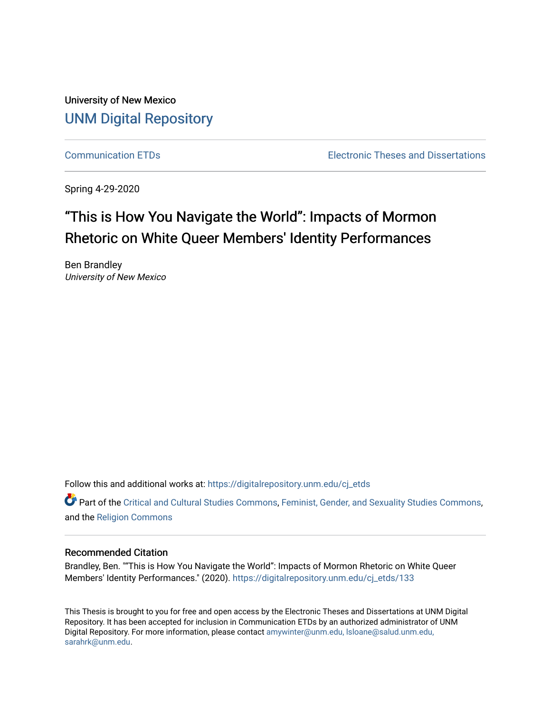University of New Mexico [UNM Digital Repository](https://digitalrepository.unm.edu/) 

[Communication ETDs](https://digitalrepository.unm.edu/cj_etds) [Electronic Theses and Dissertations](https://digitalrepository.unm.edu/etds) 

Spring 4-29-2020

# "This is How You Navigate the World": Impacts of Mormon Rhetoric on White Queer Members' Identity Performances

Ben Brandley University of New Mexico

Follow this and additional works at: https://digitalrepository.unm.edu/cj\_etds

Part of the [Critical and Cultural Studies Commons](http://network.bepress.com/hgg/discipline/328?utm_source=digitalrepository.unm.edu%2Fcj_etds%2F133&utm_medium=PDF&utm_campaign=PDFCoverPages), [Feminist, Gender, and Sexuality Studies Commons,](http://network.bepress.com/hgg/discipline/559?utm_source=digitalrepository.unm.edu%2Fcj_etds%2F133&utm_medium=PDF&utm_campaign=PDFCoverPages) and the [Religion Commons](http://network.bepress.com/hgg/discipline/538?utm_source=digitalrepository.unm.edu%2Fcj_etds%2F133&utm_medium=PDF&utm_campaign=PDFCoverPages) 

#### Recommended Citation

Brandley, Ben. ""This is How You Navigate the World": Impacts of Mormon Rhetoric on White Queer Members' Identity Performances." (2020). [https://digitalrepository.unm.edu/cj\\_etds/133](https://digitalrepository.unm.edu/cj_etds/133?utm_source=digitalrepository.unm.edu%2Fcj_etds%2F133&utm_medium=PDF&utm_campaign=PDFCoverPages)

This Thesis is brought to you for free and open access by the Electronic Theses and Dissertations at UNM Digital Repository. It has been accepted for inclusion in Communication ETDs by an authorized administrator of UNM Digital Repository. For more information, please contact [amywinter@unm.edu, lsloane@salud.unm.edu,](mailto:amywinter@unm.edu,%20lsloane@salud.unm.edu,%20sarahrk@unm.edu)  [sarahrk@unm.edu.](mailto:amywinter@unm.edu,%20lsloane@salud.unm.edu,%20sarahrk@unm.edu)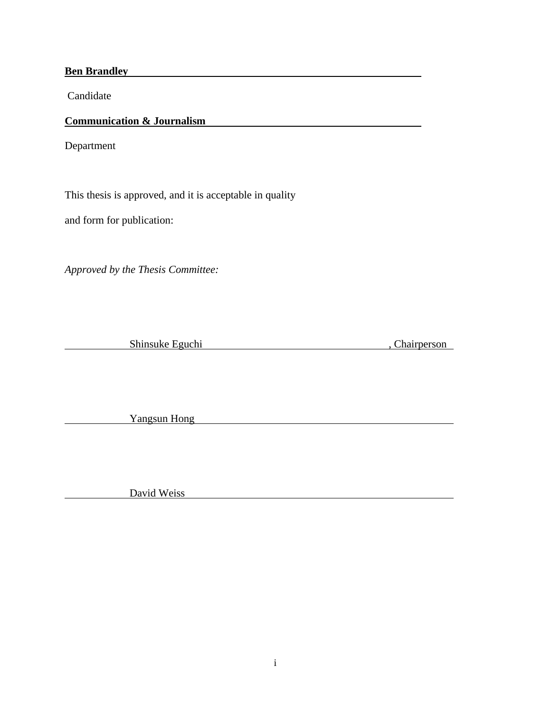**Ben Brandley Brandley** 

Candidate

# **Communication & Journalism**

Department

This thesis is approved, and it is acceptable in quality

and form for publication:

*Approved by the Thesis Committee:*

Shinsuke Eguchi , Chairperson

Yangsun Hong

Example 3 David Weiss David Weiss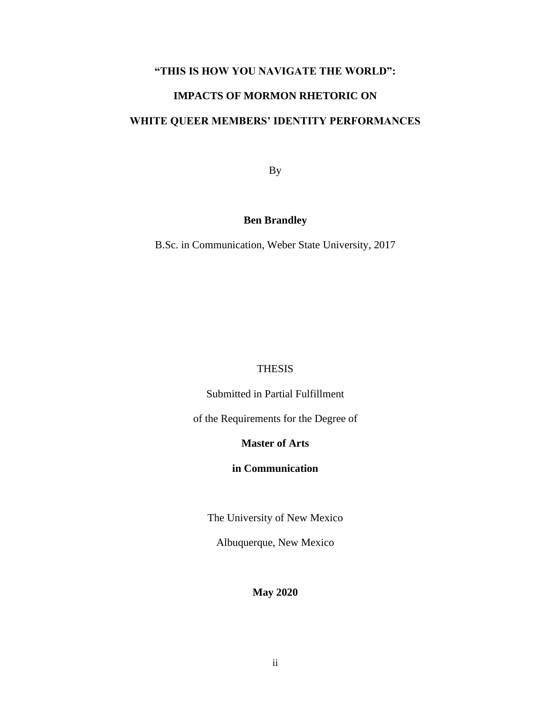## **"THIS IS HOW YOU NAVIGATE THE WORLD":**

# **IMPACTS OF MORMON RHETORIC ON**

# **WHITE QUEER MEMBERS' IDENTITY PERFORMANCES**

By

## **Ben Brandley**

B.Sc. in Communication, Weber State University, 2017

### THESIS

Submitted in Partial Fulfillment

of the Requirements for the Degree of

## **Master of Arts**

### **in Communication**

The University of New Mexico

Albuquerque, New Mexico

## **May 2020**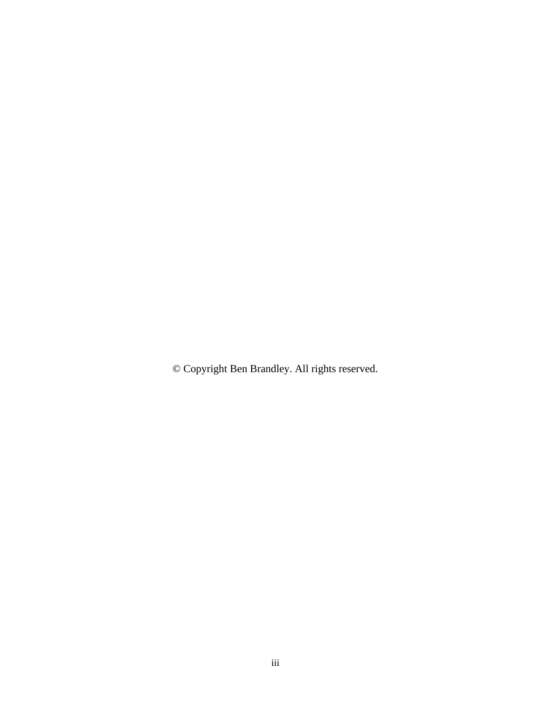© Copyright Ben Brandley. All rights reserved.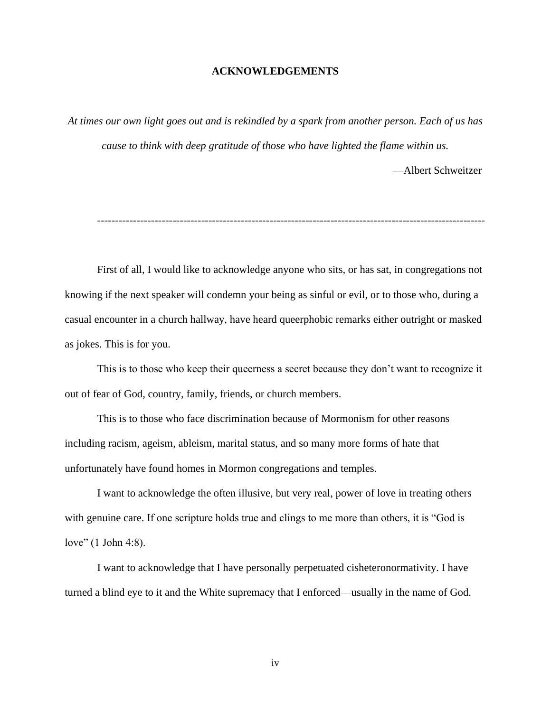### **ACKNOWLEDGEMENTS**

*At times our own light goes out and is rekindled by a spark from another person. Each of us has cause to think with deep gratitude of those who have lighted the flame within us.*

—Albert Schweitzer

First of all, I would like to acknowledge anyone who sits, or has sat, in congregations not knowing if the next speaker will condemn your being as sinful or evil, or to those who, during a casual encounter in a church hallway, have heard queerphobic remarks either outright or masked as jokes. This is for you.

This is to those who keep their queerness a secret because they don't want to recognize it out of fear of God, country, family, friends, or church members.

This is to those who face discrimination because of Mormonism for other reasons including racism, ageism, ableism, marital status, and so many more forms of hate that unfortunately have found homes in Mormon congregations and temples.

I want to acknowledge the often illusive, but very real, power of love in treating others with genuine care. If one scripture holds true and clings to me more than others, it is "God is love" (1 John 4:8).

I want to acknowledge that I have personally perpetuated cisheteronormativity. I have turned a blind eye to it and the White supremacy that I enforced—usually in the name of God.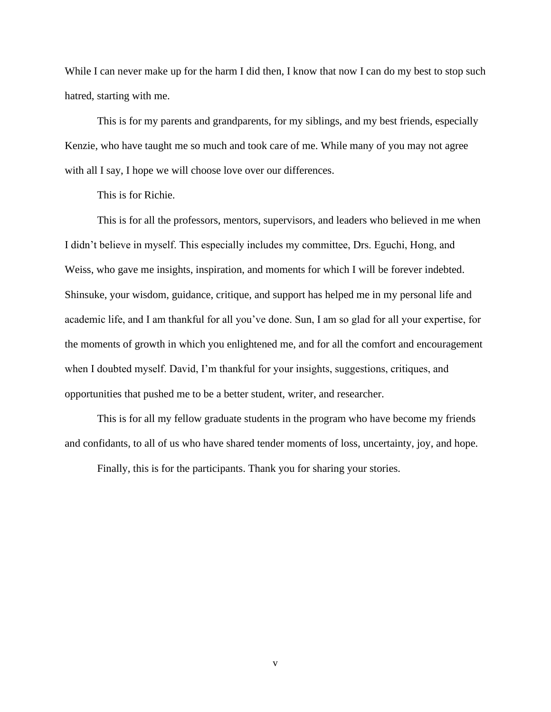While I can never make up for the harm I did then, I know that now I can do my best to stop such hatred, starting with me.

This is for my parents and grandparents, for my siblings, and my best friends, especially Kenzie, who have taught me so much and took care of me. While many of you may not agree with all I say, I hope we will choose love over our differences.

This is for Richie.

This is for all the professors, mentors, supervisors, and leaders who believed in me when I didn't believe in myself. This especially includes my committee, Drs. Eguchi, Hong, and Weiss, who gave me insights, inspiration, and moments for which I will be forever indebted. Shinsuke, your wisdom, guidance, critique, and support has helped me in my personal life and academic life, and I am thankful for all you've done. Sun, I am so glad for all your expertise, for the moments of growth in which you enlightened me, and for all the comfort and encouragement when I doubted myself. David, I'm thankful for your insights, suggestions, critiques, and opportunities that pushed me to be a better student, writer, and researcher.

This is for all my fellow graduate students in the program who have become my friends and confidants, to all of us who have shared tender moments of loss, uncertainty, joy, and hope.

Finally, this is for the participants. Thank you for sharing your stories.

v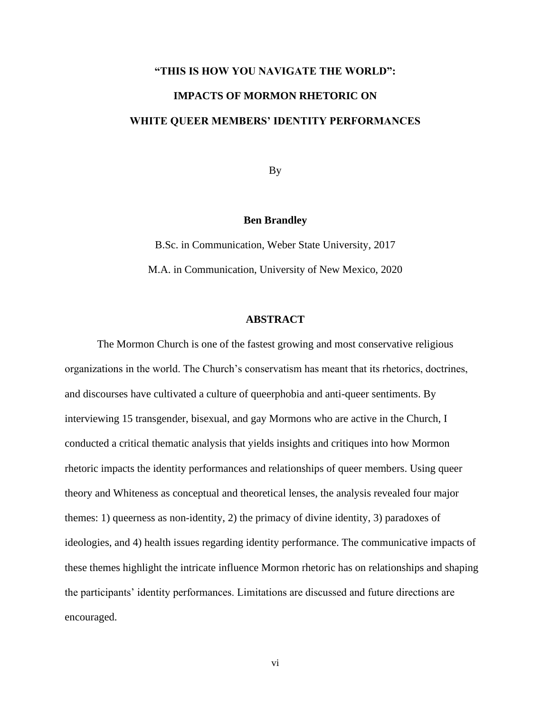# **"THIS IS HOW YOU NAVIGATE THE WORLD": IMPACTS OF MORMON RHETORIC ON WHITE QUEER MEMBERS' IDENTITY PERFORMANCES**

By

### **Ben Brandley**

B.Sc. in Communication, Weber State University, 2017 M.A. in Communication, University of New Mexico, 2020

### **ABSTRACT**

The Mormon Church is one of the fastest growing and most conservative religious organizations in the world. The Church's conservatism has meant that its rhetorics, doctrines, and discourses have cultivated a culture of queerphobia and anti-queer sentiments. By interviewing 15 transgender, bisexual, and gay Mormons who are active in the Church, I conducted a critical thematic analysis that yields insights and critiques into how Mormon rhetoric impacts the identity performances and relationships of queer members. Using queer theory and Whiteness as conceptual and theoretical lenses, the analysis revealed four major themes: 1) queerness as non-identity, 2) the primacy of divine identity, 3) paradoxes of ideologies, and 4) health issues regarding identity performance. The communicative impacts of these themes highlight the intricate influence Mormon rhetoric has on relationships and shaping the participants' identity performances. Limitations are discussed and future directions are encouraged.

vi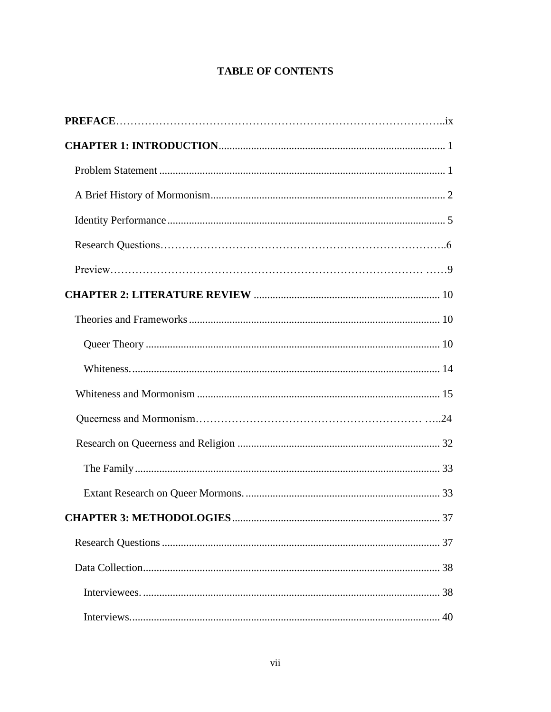# **TABLE OF CONTENTS**

| 40 |
|----|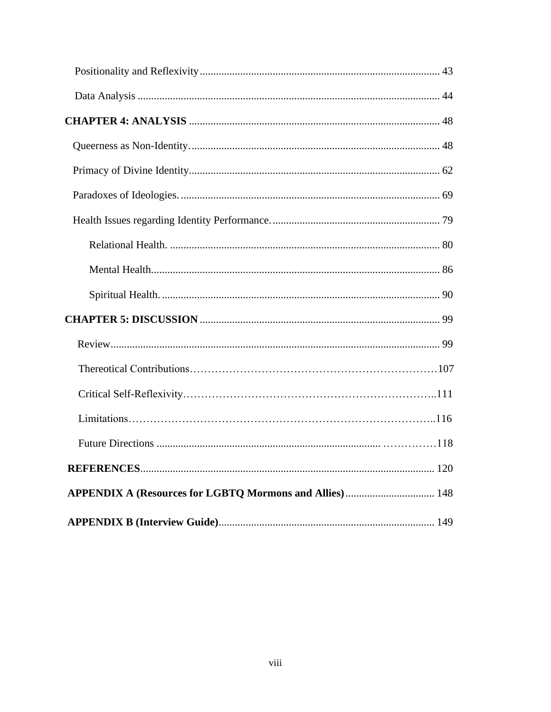| APPENDIX A (Resources for LGBTQ Mormons and Allies) 148 |
|---------------------------------------------------------|
|                                                         |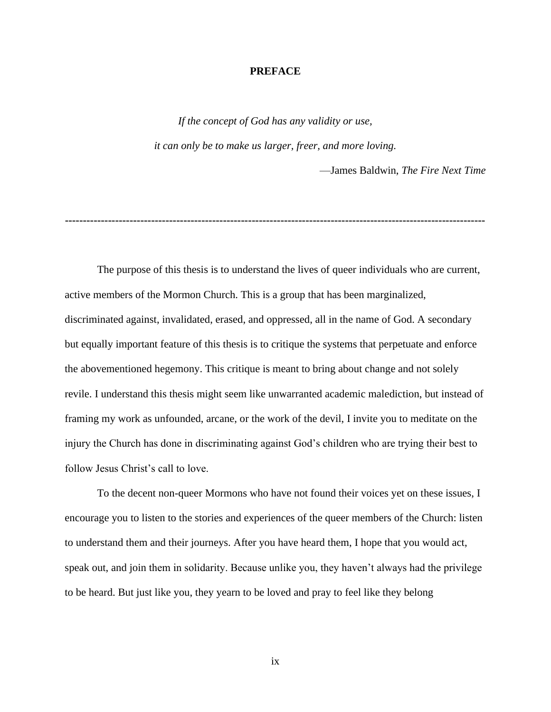### **PREFACE**

*If the concept of God has any validity or use, it can only be to make us larger, freer, and more loving.* 

—James Baldwin, *The Fire Next Time*

**---------------------------------------------------------------------------------------------------------------------**

The purpose of this thesis is to understand the lives of queer individuals who are current, active members of the Mormon Church. This is a group that has been marginalized, discriminated against, invalidated, erased, and oppressed, all in the name of God. A secondary but equally important feature of this thesis is to critique the systems that perpetuate and enforce the abovementioned hegemony. This critique is meant to bring about change and not solely revile. I understand this thesis might seem like unwarranted academic malediction, but instead of framing my work as unfounded, arcane, or the work of the devil, I invite you to meditate on the injury the Church has done in discriminating against God's children who are trying their best to follow Jesus Christ's call to love.

To the decent non-queer Mormons who have not found their voices yet on these issues, I encourage you to listen to the stories and experiences of the queer members of the Church: listen to understand them and their journeys. After you have heard them, I hope that you would act, speak out, and join them in solidarity. Because unlike you, they haven't always had the privilege to be heard. But just like you, they yearn to be loved and pray to feel like they belong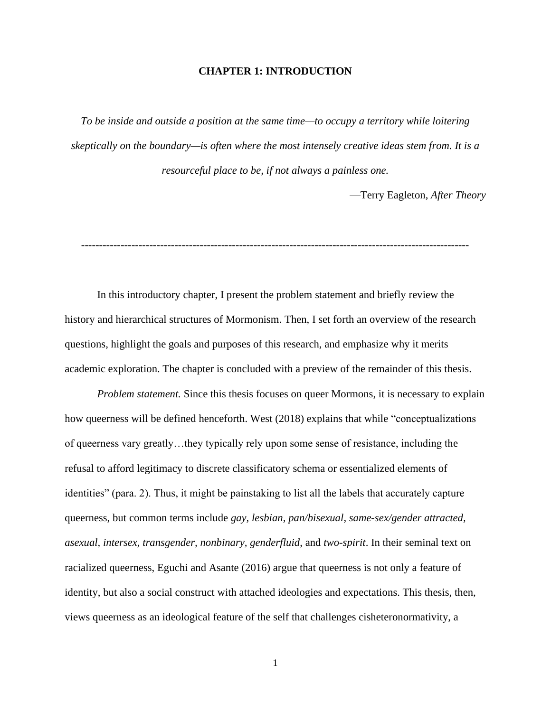### **CHAPTER 1: INTRODUCTION**

*To be inside and outside a position at the same time—to occupy a territory while loitering skeptically on the boundary—is often where the most intensely creative ideas stem from. It is a resourceful place to be, if not always a painless one.* 

—Terry Eagleton, *After Theory*

------------------------------------------------------------------------------------------------------------

In this introductory chapter, I present the problem statement and briefly review the history and hierarchical structures of Mormonism. Then, I set forth an overview of the research questions, highlight the goals and purposes of this research, and emphasize why it merits academic exploration. The chapter is concluded with a preview of the remainder of this thesis.

*Problem statement.* Since this thesis focuses on queer Mormons, it is necessary to explain how queerness will be defined henceforth. West (2018) explains that while "conceptualizations of queerness vary greatly…they typically rely upon some sense of resistance, including the refusal to afford legitimacy to discrete classificatory schema or essentialized elements of identities" (para. 2). Thus, it might be painstaking to list all the labels that accurately capture queerness, but common terms include *gay, lesbian, pan/bisexual, same-sex/gender attracted, asexual, intersex, transgender, nonbinary, genderfluid*, and *two-spirit*. In their seminal text on racialized queerness, Eguchi and Asante (2016) argue that queerness is not only a feature of identity, but also a social construct with attached ideologies and expectations. This thesis, then, views queerness as an ideological feature of the self that challenges cisheteronormativity, a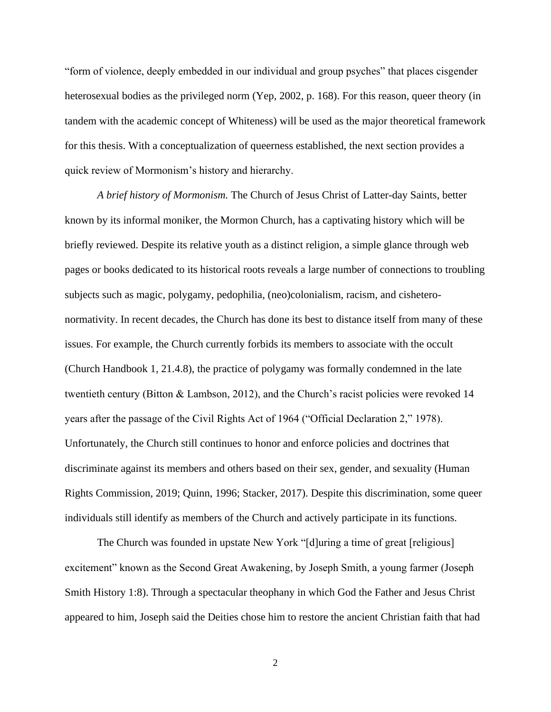"form of violence, deeply embedded in our individual and group psyches" that places cisgender heterosexual bodies as the privileged norm (Yep, 2002, p. 168). For this reason, queer theory (in tandem with the academic concept of Whiteness) will be used as the major theoretical framework for this thesis. With a conceptualization of queerness established, the next section provides a quick review of Mormonism's history and hierarchy.

*A brief history of Mormonism.* The Church of Jesus Christ of Latter-day Saints, better known by its informal moniker, the Mormon Church, has a captivating history which will be briefly reviewed. Despite its relative youth as a distinct religion, a simple glance through web pages or books dedicated to its historical roots reveals a large number of connections to troubling subjects such as magic, polygamy, pedophilia, (neo)colonialism, racism, and cisheteronormativity. In recent decades, the Church has done its best to distance itself from many of these issues. For example, the Church currently forbids its members to associate with the occult (Church Handbook 1, 21.4.8), the practice of polygamy was formally condemned in the late twentieth century (Bitton & Lambson, 2012), and the Church's racist policies were revoked 14 years after the passage of the Civil Rights Act of 1964 ("Official Declaration 2," 1978). Unfortunately, the Church still continues to honor and enforce policies and doctrines that discriminate against its members and others based on their sex, gender, and sexuality (Human Rights Commission, 2019; Quinn, 1996; Stacker, 2017). Despite this discrimination, some queer individuals still identify as members of the Church and actively participate in its functions.

The Church was founded in upstate New York "[d]uring a time of great [religious] excitement" known as the Second Great Awakening, by Joseph Smith, a young farmer (Joseph Smith History 1:8). Through a spectacular theophany in which God the Father and Jesus Christ appeared to him, Joseph said the Deities chose him to restore the ancient Christian faith that had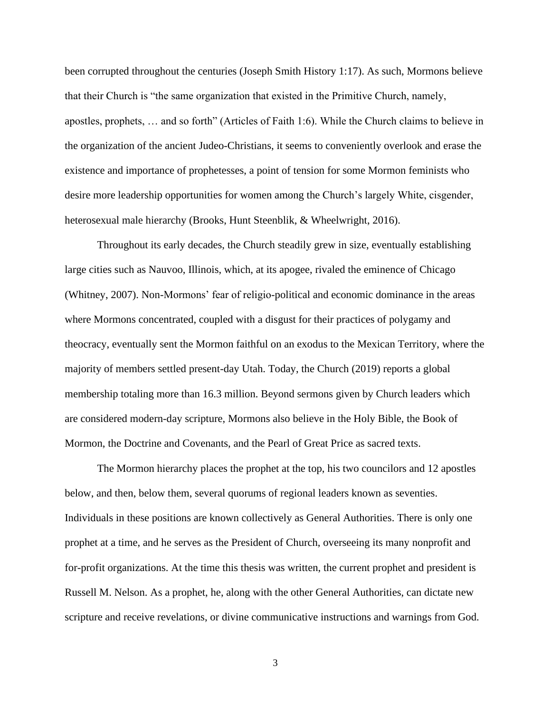been corrupted throughout the centuries (Joseph Smith History 1:17). As such, Mormons believe that their Church is "the same organization that existed in the Primitive Church, namely, apostles, prophets, … and so forth" (Articles of Faith 1:6). While the Church claims to believe in the organization of the ancient Judeo-Christians, it seems to conveniently overlook and erase the existence and importance of prophetesses, a point of tension for some Mormon feminists who desire more leadership opportunities for women among the Church's largely White, cisgender, heterosexual male hierarchy (Brooks, Hunt Steenblik, & Wheelwright, 2016).

Throughout its early decades, the Church steadily grew in size, eventually establishing large cities such as Nauvoo, Illinois, which, at its apogee, rivaled the eminence of Chicago (Whitney, 2007). Non-Mormons' fear of religio-political and economic dominance in the areas where Mormons concentrated, coupled with a disgust for their practices of polygamy and theocracy, eventually sent the Mormon faithful on an exodus to the Mexican Territory, where the majority of members settled present-day Utah. Today, the Church (2019) reports a global membership totaling more than 16.3 million. Beyond sermons given by Church leaders which are considered modern-day scripture, Mormons also believe in the Holy Bible, the Book of Mormon, the Doctrine and Covenants, and the Pearl of Great Price as sacred texts.

The Mormon hierarchy places the prophet at the top, his two councilors and 12 apostles below, and then, below them, several quorums of regional leaders known as seventies. Individuals in these positions are known collectively as General Authorities. There is only one prophet at a time, and he serves as the President of Church, overseeing its many nonprofit and for-profit organizations. At the time this thesis was written, the current prophet and president is Russell M. Nelson. As a prophet, he, along with the other General Authorities, can dictate new scripture and receive revelations, or divine communicative instructions and warnings from God.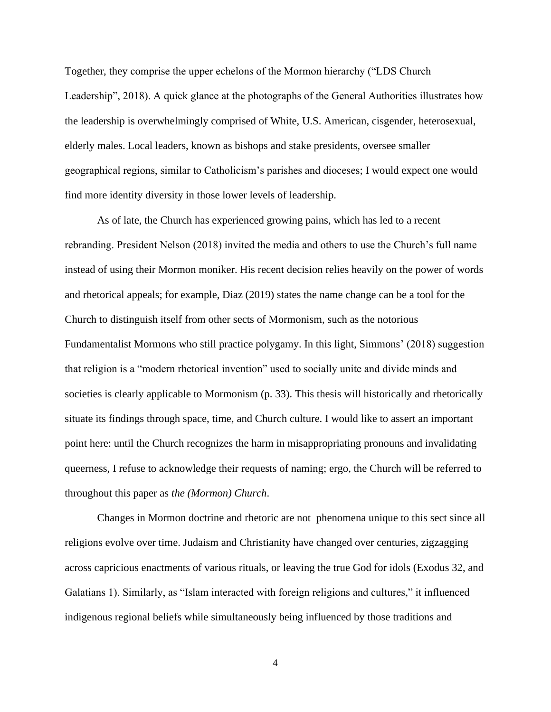Together, they comprise the upper echelons of the Mormon hierarchy ("LDS Church Leadership", 2018). A quick glance at the photographs of the General Authorities illustrates how the leadership is overwhelmingly comprised of White, U.S. American, cisgender, heterosexual, elderly males. Local leaders, known as bishops and stake presidents, oversee smaller geographical regions, similar to Catholicism's parishes and dioceses; I would expect one would find more identity diversity in those lower levels of leadership.

As of late, the Church has experienced growing pains, which has led to a recent rebranding. President Nelson (2018) invited the media and others to use the Church's full name instead of using their Mormon moniker. His recent decision relies heavily on the power of words and rhetorical appeals; for example, Diaz (2019) states the name change can be a tool for the Church to distinguish itself from other sects of Mormonism, such as the notorious Fundamentalist Mormons who still practice polygamy. In this light, Simmons' (2018) suggestion that religion is a "modern rhetorical invention" used to socially unite and divide minds and societies is clearly applicable to Mormonism (p. 33). This thesis will historically and rhetorically situate its findings through space, time, and Church culture. I would like to assert an important point here: until the Church recognizes the harm in misappropriating pronouns and invalidating queerness, I refuse to acknowledge their requests of naming; ergo, the Church will be referred to throughout this paper as *the (Mormon) Church*.

Changes in Mormon doctrine and rhetoric are not phenomena unique to this sect since all religions evolve over time. Judaism and Christianity have changed over centuries, zigzagging across capricious enactments of various rituals, or leaving the true God for idols (Exodus 32, and Galatians 1). Similarly, as "Islam interacted with foreign religions and cultures," it influenced indigenous regional beliefs while simultaneously being influenced by those traditions and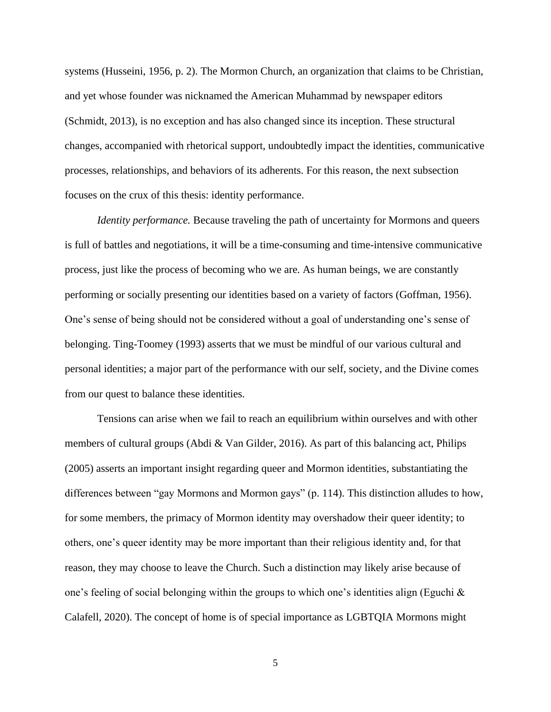systems (Husseini, 1956, p. 2). The Mormon Church, an organization that claims to be Christian, and yet whose founder was nicknamed the American Muhammad by newspaper editors (Schmidt, 2013), is no exception and has also changed since its inception. These structural changes, accompanied with rhetorical support, undoubtedly impact the identities, communicative processes, relationships, and behaviors of its adherents. For this reason, the next subsection focuses on the crux of this thesis: identity performance.

*Identity performance.* Because traveling the path of uncertainty for Mormons and queers is full of battles and negotiations, it will be a time-consuming and time-intensive communicative process, just like the process of becoming who we are. As human beings, we are constantly performing or socially presenting our identities based on a variety of factors (Goffman, 1956). One's sense of being should not be considered without a goal of understanding one's sense of belonging. Ting-Toomey (1993) asserts that we must be mindful of our various cultural and personal identities; a major part of the performance with our self, society, and the Divine comes from our quest to balance these identities.

Tensions can arise when we fail to reach an equilibrium within ourselves and with other members of cultural groups (Abdi & Van Gilder, 2016). As part of this balancing act, Philips (2005) asserts an important insight regarding queer and Mormon identities, substantiating the differences between "gay Mormons and Mormon gays" (p. 114). This distinction alludes to how, for some members, the primacy of Mormon identity may overshadow their queer identity; to others, one's queer identity may be more important than their religious identity and, for that reason, they may choose to leave the Church. Such a distinction may likely arise because of one's feeling of social belonging within the groups to which one's identities align (Eguchi & Calafell, 2020). The concept of home is of special importance as LGBTQIA Mormons might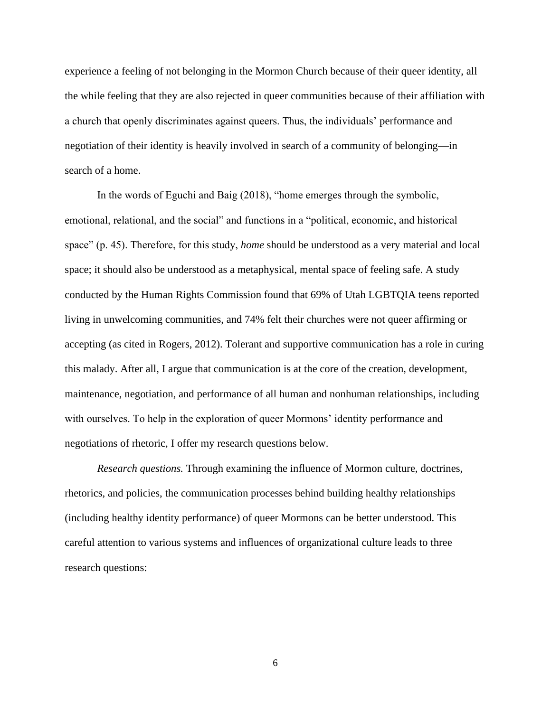experience a feeling of not belonging in the Mormon Church because of their queer identity, all the while feeling that they are also rejected in queer communities because of their affiliation with a church that openly discriminates against queers. Thus, the individuals' performance and negotiation of their identity is heavily involved in search of a community of belonging—in search of a home.

In the words of Eguchi and Baig (2018), "home emerges through the symbolic, emotional, relational, and the social" and functions in a "political, economic, and historical space" (p. 45). Therefore, for this study, *home* should be understood as a very material and local space; it should also be understood as a metaphysical, mental space of feeling safe. A study conducted by the Human Rights Commission found that 69% of Utah LGBTQIA teens reported living in unwelcoming communities, and 74% felt their churches were not queer affirming or accepting (as cited in Rogers, 2012). Tolerant and supportive communication has a role in curing this malady. After all, I argue that communication is at the core of the creation, development, maintenance, negotiation, and performance of all human and nonhuman relationships, including with ourselves. To help in the exploration of queer Mormons' identity performance and negotiations of rhetoric, I offer my research questions below.

*Research questions.* Through examining the influence of Mormon culture, doctrines, rhetorics, and policies, the communication processes behind building healthy relationships (including healthy identity performance) of queer Mormons can be better understood. This careful attention to various systems and influences of organizational culture leads to three research questions: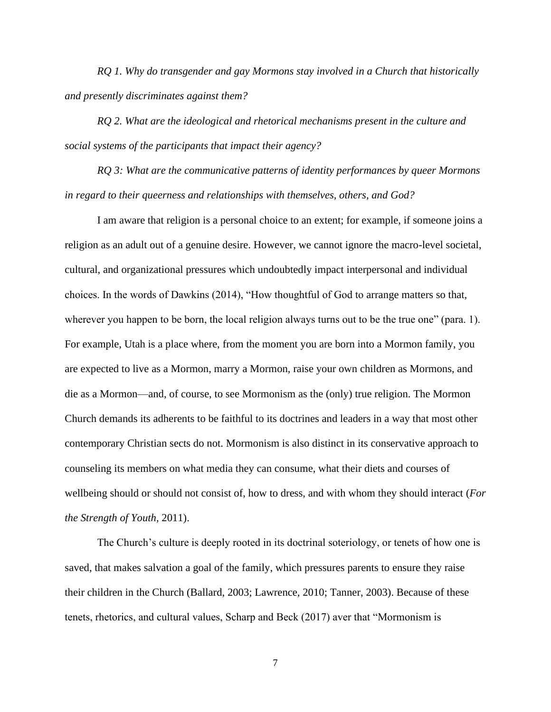*RQ 1. Why do transgender and gay Mormons stay involved in a Church that historically and presently discriminates against them?*

*RQ 2. What are the ideological and rhetorical mechanisms present in the culture and social systems of the participants that impact their agency?* 

*RQ 3: What are the communicative patterns of identity performances by queer Mormons in regard to their queerness and relationships with themselves, others, and God?* 

I am aware that religion is a personal choice to an extent; for example, if someone joins a religion as an adult out of a genuine desire. However, we cannot ignore the macro-level societal, cultural, and organizational pressures which undoubtedly impact interpersonal and individual choices. In the words of Dawkins (2014), "How thoughtful of God to arrange matters so that, wherever you happen to be born, the local religion always turns out to be the true one" (para. 1). For example, Utah is a place where, from the moment you are born into a Mormon family, you are expected to live as a Mormon, marry a Mormon, raise your own children as Mormons, and die as a Mormon—and, of course, to see Mormonism as the (only) true religion. The Mormon Church demands its adherents to be faithful to its doctrines and leaders in a way that most other contemporary Christian sects do not. Mormonism is also distinct in its conservative approach to counseling its members on what media they can consume, what their diets and courses of wellbeing should or should not consist of, how to dress, and with whom they should interact (*For the Strength of Youth,* 2011).

The Church's culture is deeply rooted in its doctrinal soteriology, or tenets of how one is saved, that makes salvation a goal of the family, which pressures parents to ensure they raise their children in the Church (Ballard, 2003; Lawrence, 2010; Tanner, 2003). Because of these tenets, rhetorics, and cultural values, Scharp and Beck (2017) aver that "Mormonism is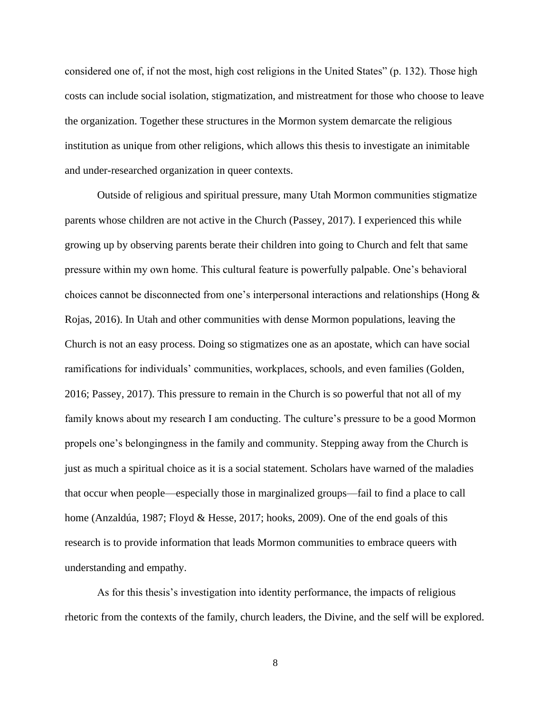considered one of, if not the most, high cost religions in the United States" (p. 132). Those high costs can include social isolation, stigmatization, and mistreatment for those who choose to leave the organization. Together these structures in the Mormon system demarcate the religious institution as unique from other religions, which allows this thesis to investigate an inimitable and under-researched organization in queer contexts.

Outside of religious and spiritual pressure, many Utah Mormon communities stigmatize parents whose children are not active in the Church (Passey, 2017). I experienced this while growing up by observing parents berate their children into going to Church and felt that same pressure within my own home. This cultural feature is powerfully palpable. One's behavioral choices cannot be disconnected from one's interpersonal interactions and relationships (Hong & Rojas, 2016). In Utah and other communities with dense Mormon populations, leaving the Church is not an easy process. Doing so stigmatizes one as an apostate, which can have social ramifications for individuals' communities, workplaces, schools, and even families (Golden, 2016; Passey, 2017). This pressure to remain in the Church is so powerful that not all of my family knows about my research I am conducting. The culture's pressure to be a good Mormon propels one's belongingness in the family and community. Stepping away from the Church is just as much a spiritual choice as it is a social statement. Scholars have warned of the maladies that occur when people—especially those in marginalized groups—fail to find a place to call home (Anzaldúa, 1987; Floyd & Hesse, 2017; hooks, 2009). One of the end goals of this research is to provide information that leads Mormon communities to embrace queers with understanding and empathy.

As for this thesis's investigation into identity performance, the impacts of religious rhetoric from the contexts of the family, church leaders, the Divine, and the self will be explored.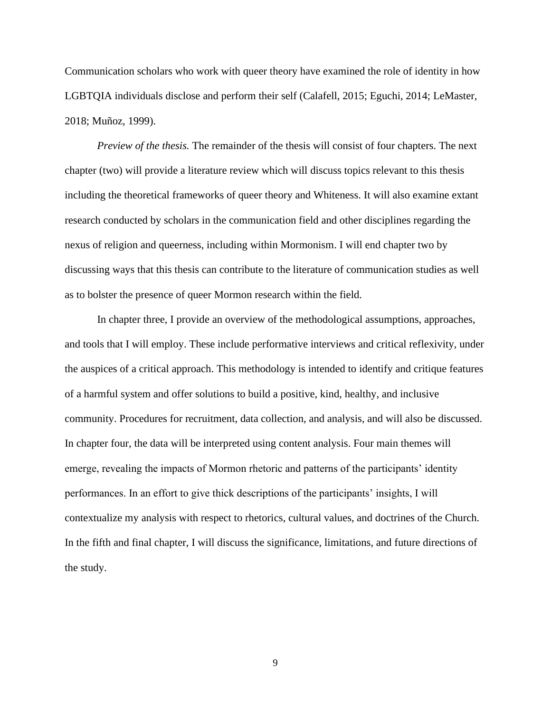Communication scholars who work with queer theory have examined the role of identity in how LGBTQIA individuals disclose and perform their self (Calafell, 2015; Eguchi, 2014; LeMaster, 2018; Muñoz, 1999).

*Preview of the thesis.* The remainder of the thesis will consist of four chapters. The next chapter (two) will provide a literature review which will discuss topics relevant to this thesis including the theoretical frameworks of queer theory and Whiteness. It will also examine extant research conducted by scholars in the communication field and other disciplines regarding the nexus of religion and queerness, including within Mormonism. I will end chapter two by discussing ways that this thesis can contribute to the literature of communication studies as well as to bolster the presence of queer Mormon research within the field.

In chapter three, I provide an overview of the methodological assumptions, approaches, and tools that I will employ. These include performative interviews and critical reflexivity, under the auspices of a critical approach. This methodology is intended to identify and critique features of a harmful system and offer solutions to build a positive, kind, healthy, and inclusive community. Procedures for recruitment, data collection, and analysis, and will also be discussed. In chapter four, the data will be interpreted using content analysis. Four main themes will emerge, revealing the impacts of Mormon rhetoric and patterns of the participants' identity performances. In an effort to give thick descriptions of the participants' insights, I will contextualize my analysis with respect to rhetorics, cultural values, and doctrines of the Church. In the fifth and final chapter, I will discuss the significance, limitations, and future directions of the study.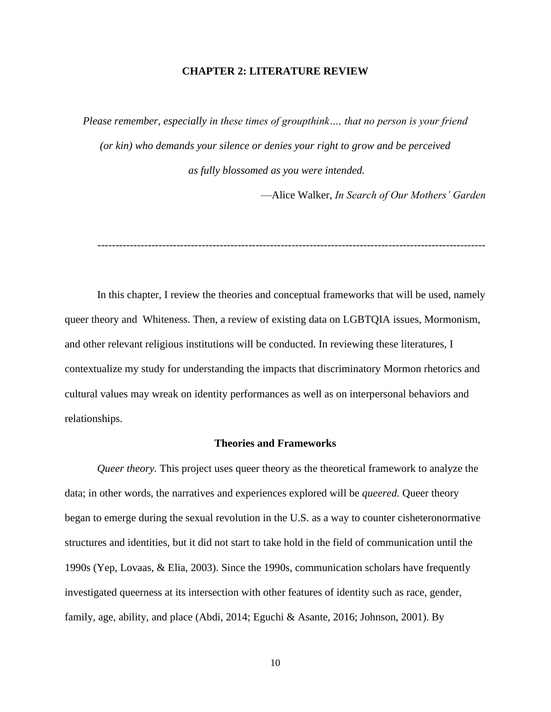### **CHAPTER 2: LITERATURE REVIEW**

*Please remember, especially in these times of groupthink…, that no person is your friend (or kin) who demands your silence or denies your right to grow and be perceived as fully blossomed as you were intended.* 

—Alice Walker, *In Search of Our Mothers' Garden*

------------------------------------------------------------------------------------------------------------

In this chapter, I review the theories and conceptual frameworks that will be used, namely queer theory and Whiteness. Then, a review of existing data on LGBTQIA issues, Mormonism, and other relevant religious institutions will be conducted. In reviewing these literatures, I contextualize my study for understanding the impacts that discriminatory Mormon rhetorics and cultural values may wreak on identity performances as well as on interpersonal behaviors and relationships.

### **Theories and Frameworks**

*Queer theory.* This project uses queer theory as the theoretical framework to analyze the data; in other words, the narratives and experiences explored will be *queered.* Queer theory began to emerge during the sexual revolution in the U.S. as a way to counter cisheteronormative structures and identities, but it did not start to take hold in the field of communication until the 1990s (Yep, Lovaas, & Elia, 2003). Since the 1990s, communication scholars have frequently investigated queerness at its intersection with other features of identity such as race, gender, family, age, ability, and place (Abdi, 2014; Eguchi & Asante, 2016; Johnson, 2001). By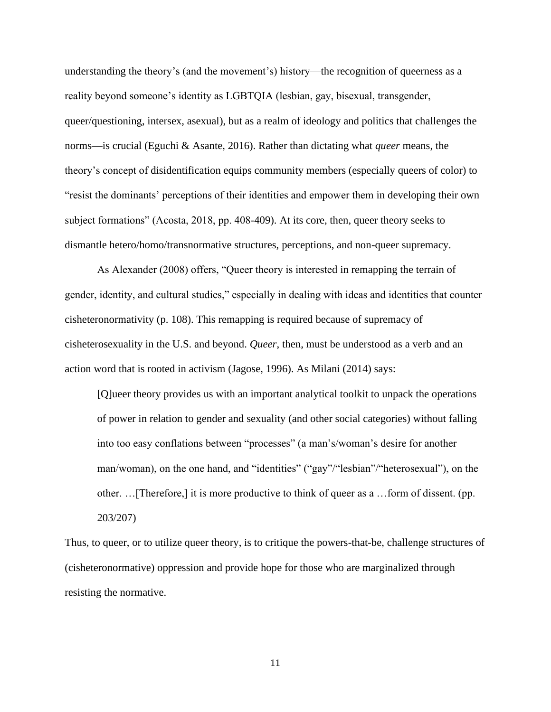understanding the theory's (and the movement's) history—the recognition of queerness as a reality beyond someone's identity as LGBTQIA (lesbian, gay, bisexual, transgender, queer/questioning, intersex, asexual), but as a realm of ideology and politics that challenges the norms—is crucial (Eguchi & Asante, 2016). Rather than dictating what *queer* means, the theory's concept of disidentification equips community members (especially queers of color) to "resist the dominants' perceptions of their identities and empower them in developing their own subject formations" (Acosta, 2018, pp. 408-409). At its core, then, queer theory seeks to dismantle hetero/homo/transnormative structures, perceptions, and non-queer supremacy.

As Alexander (2008) offers, "Queer theory is interested in remapping the terrain of gender, identity, and cultural studies," especially in dealing with ideas and identities that counter cisheteronormativity (p. 108). This remapping is required because of supremacy of cisheterosexuality in the U.S. and beyond. *Queer*, then, must be understood as a verb and an action word that is rooted in activism (Jagose, 1996). As Milani (2014) says:

[Q]ueer theory provides us with an important analytical toolkit to unpack the operations of power in relation to gender and sexuality (and other social categories) without falling into too easy conflations between "processes" (a man's/woman's desire for another man/woman), on the one hand, and "identities" ("gay"/"lesbian"/"heterosexual"), on the other. …[Therefore,] it is more productive to think of queer as a …form of dissent. (pp. 203/207)

Thus, to queer, or to utilize queer theory, is to critique the powers-that-be, challenge structures of (cisheteronormative) oppression and provide hope for those who are marginalized through resisting the normative.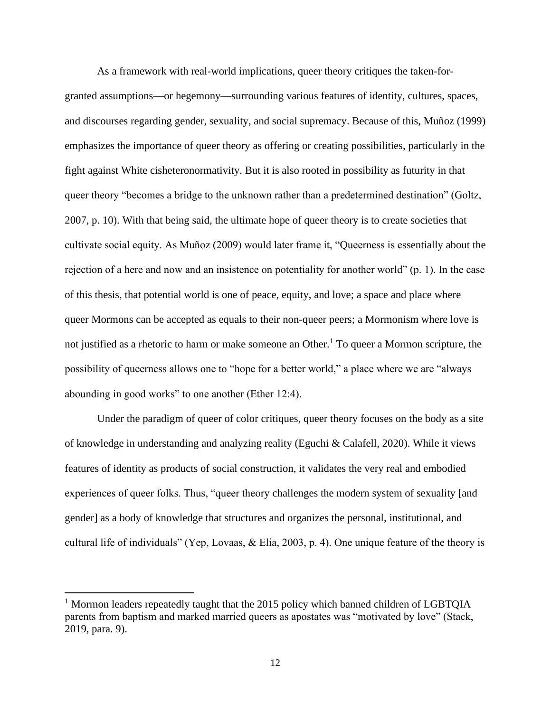As a framework with real-world implications, queer theory critiques the taken-forgranted assumptions—or hegemony—surrounding various features of identity, cultures, spaces, and discourses regarding gender, sexuality, and social supremacy. Because of this, Muñoz (1999) emphasizes the importance of queer theory as offering or creating possibilities, particularly in the fight against White cisheteronormativity. But it is also rooted in possibility as futurity in that queer theory "becomes a bridge to the unknown rather than a predetermined destination" (Goltz, 2007, p. 10). With that being said, the ultimate hope of queer theory is to create societies that cultivate social equity. As Muñoz (2009) would later frame it, "Queerness is essentially about the rejection of a here and now and an insistence on potentiality for another world" (p. 1). In the case of this thesis, that potential world is one of peace, equity, and love; a space and place where queer Mormons can be accepted as equals to their non-queer peers; a Mormonism where love is not justified as a rhetoric to harm or make someone an Other.<sup>1</sup> To queer a Mormon scripture, the possibility of queerness allows one to "hope for a better world," a place where we are "always abounding in good works" to one another (Ether 12:4).

Under the paradigm of queer of color critiques, queer theory focuses on the body as a site of knowledge in understanding and analyzing reality (Eguchi & Calafell, 2020). While it views features of identity as products of social construction, it validates the very real and embodied experiences of queer folks. Thus, "queer theory challenges the modern system of sexuality [and gender] as a body of knowledge that structures and organizes the personal, institutional, and cultural life of individuals" (Yep, Lovaas, & Elia, 2003, p. 4). One unique feature of the theory is

<sup>&</sup>lt;sup>1</sup> Mormon leaders repeatedly taught that the 2015 policy which banned children of LGBTOIA parents from baptism and marked married queers as apostates was "motivated by love" (Stack, 2019, para. 9).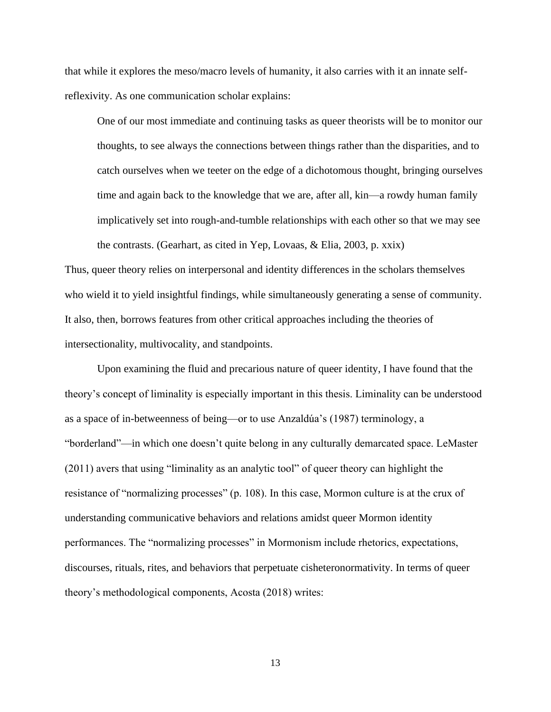that while it explores the meso/macro levels of humanity, it also carries with it an innate selfreflexivity. As one communication scholar explains:

One of our most immediate and continuing tasks as queer theorists will be to monitor our thoughts, to see always the connections between things rather than the disparities, and to catch ourselves when we teeter on the edge of a dichotomous thought, bringing ourselves time and again back to the knowledge that we are, after all, kin—a rowdy human family implicatively set into rough-and-tumble relationships with each other so that we may see the contrasts. (Gearhart, as cited in Yep, Lovaas, & Elia, 2003, p. xxix)

Thus, queer theory relies on interpersonal and identity differences in the scholars themselves who wield it to yield insightful findings, while simultaneously generating a sense of community. It also, then, borrows features from other critical approaches including the theories of intersectionality, multivocality, and standpoints.

Upon examining the fluid and precarious nature of queer identity, I have found that the theory's concept of liminality is especially important in this thesis. Liminality can be understood as a space of in-betweenness of being—or to use Anzaldúa's (1987) terminology, a "borderland"—in which one doesn't quite belong in any culturally demarcated space. LeMaster (2011) avers that using "liminality as an analytic tool" of queer theory can highlight the resistance of "normalizing processes" (p. 108). In this case, Mormon culture is at the crux of understanding communicative behaviors and relations amidst queer Mormon identity performances. The "normalizing processes" in Mormonism include rhetorics, expectations, discourses, rituals, rites, and behaviors that perpetuate cisheteronormativity. In terms of queer theory's methodological components, Acosta (2018) writes: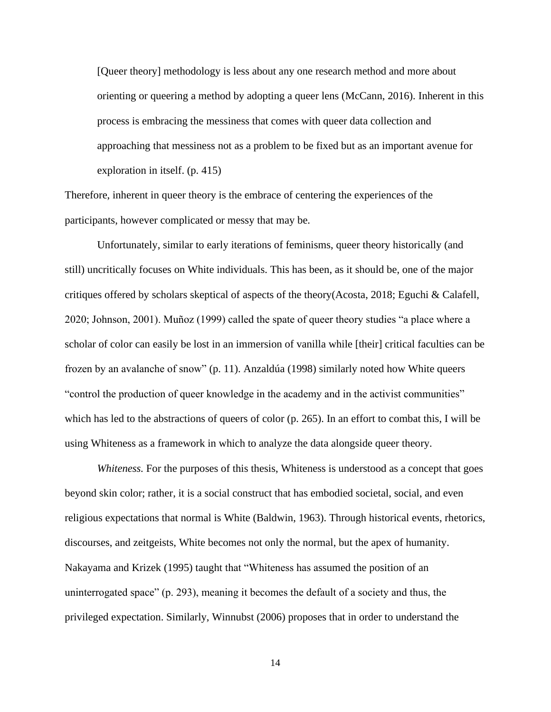[Queer theory] methodology is less about any one research method and more about orienting or queering a method by adopting a queer lens (McCann, 2016). Inherent in this process is embracing the messiness that comes with queer data collection and approaching that messiness not as a problem to be fixed but as an important avenue for exploration in itself. (p. 415)

Therefore, inherent in queer theory is the embrace of centering the experiences of the participants, however complicated or messy that may be.

Unfortunately, similar to early iterations of feminisms, queer theory historically (and still) uncritically focuses on White individuals. This has been, as it should be, one of the major critiques offered by scholars skeptical of aspects of the theory(Acosta, 2018; Eguchi & Calafell, 2020; Johnson, 2001). Muñoz (1999) called the spate of queer theory studies "a place where a scholar of color can easily be lost in an immersion of vanilla while [their] critical faculties can be frozen by an avalanche of snow" (p. 11). Anzaldúa (1998) similarly noted how White queers "control the production of queer knowledge in the academy and in the activist communities" which has led to the abstractions of queers of color (p. 265). In an effort to combat this, I will be using Whiteness as a framework in which to analyze the data alongside queer theory.

*Whiteness.* For the purposes of this thesis, Whiteness is understood as a concept that goes beyond skin color; rather, it is a social construct that has embodied societal, social, and even religious expectations that normal is White (Baldwin, 1963). Through historical events, rhetorics, discourses, and zeitgeists, White becomes not only the normal, but the apex of humanity. Nakayama and Krizek (1995) taught that "Whiteness has assumed the position of an uninterrogated space" (p. 293), meaning it becomes the default of a society and thus, the privileged expectation. Similarly, Winnubst (2006) proposes that in order to understand the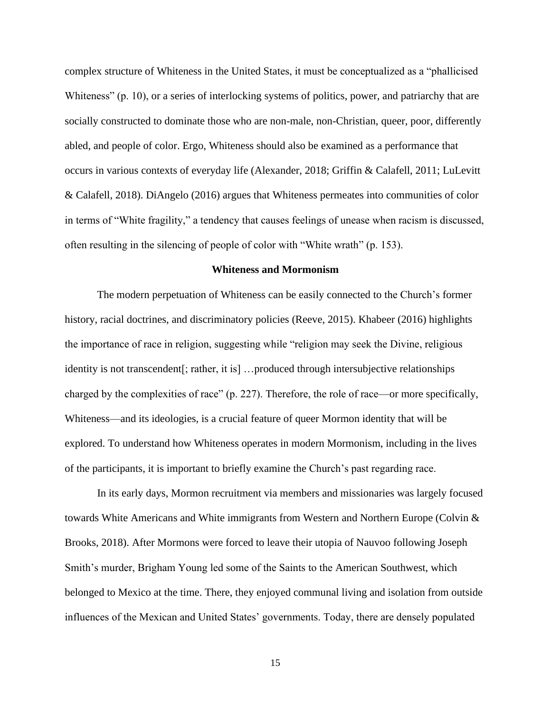complex structure of Whiteness in the United States, it must be conceptualized as a "phallicised Whiteness" (p. 10), or a series of interlocking systems of politics, power, and patriarchy that are socially constructed to dominate those who are non-male, non-Christian, queer, poor, differently abled, and people of color. Ergo, Whiteness should also be examined as a performance that occurs in various contexts of everyday life (Alexander, 2018; Griffin & Calafell, 2011; LuLevitt & Calafell, 2018). DiAngelo (2016) argues that Whiteness permeates into communities of color in terms of "White fragility," a tendency that causes feelings of unease when racism is discussed, often resulting in the silencing of people of color with "White wrath" (p. 153).

### **Whiteness and Mormonism**

The modern perpetuation of Whiteness can be easily connected to the Church's former history, racial doctrines, and discriminatory policies (Reeve, 2015). Khabeer (2016) highlights the importance of race in religion, suggesting while "religion may seek the Divine, religious identity is not transcendent[; rather, it is] …produced through intersubjective relationships charged by the complexities of race" (p. 227). Therefore, the role of race—or more specifically, Whiteness—and its ideologies, is a crucial feature of queer Mormon identity that will be explored. To understand how Whiteness operates in modern Mormonism, including in the lives of the participants, it is important to briefly examine the Church's past regarding race.

In its early days, Mormon recruitment via members and missionaries was largely focused towards White Americans and White immigrants from Western and Northern Europe (Colvin & Brooks, 2018). After Mormons were forced to leave their utopia of Nauvoo following Joseph Smith's murder, Brigham Young led some of the Saints to the American Southwest, which belonged to Mexico at the time. There, they enjoyed communal living and isolation from outside influences of the Mexican and United States' governments. Today, there are densely populated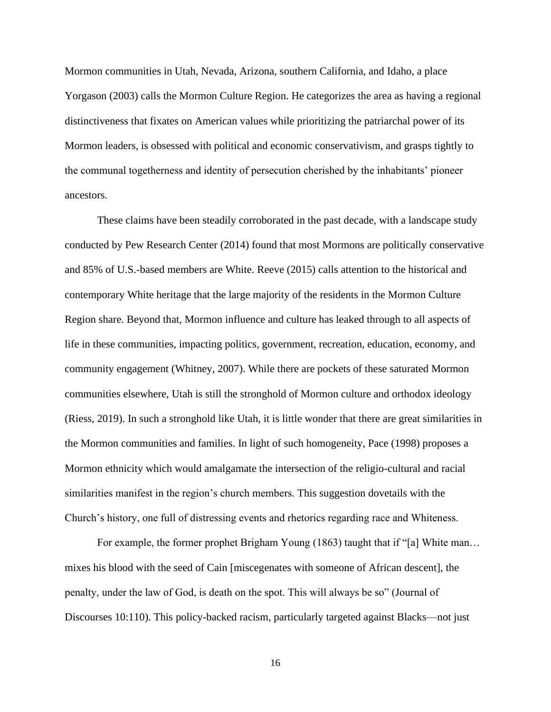Mormon communities in Utah, Nevada, Arizona, southern California, and Idaho, a place Yorgason (2003) calls the Mormon Culture Region. He categorizes the area as having a regional distinctiveness that fixates on American values while prioritizing the patriarchal power of its Mormon leaders, is obsessed with political and economic conservativism, and grasps tightly to the communal togetherness and identity of persecution cherished by the inhabitants' pioneer ancestors.

These claims have been steadily corroborated in the past decade, with a landscape study conducted by Pew Research Center (2014) found that most Mormons are politically conservative and 85% of U.S.-based members are White. Reeve (2015) calls attention to the historical and contemporary White heritage that the large majority of the residents in the Mormon Culture Region share. Beyond that, Mormon influence and culture has leaked through to all aspects of life in these communities, impacting politics, government, recreation, education, economy, and community engagement (Whitney, 2007). While there are pockets of these saturated Mormon communities elsewhere, Utah is still the stronghold of Mormon culture and orthodox ideology (Riess, 2019). In such a stronghold like Utah, it is little wonder that there are great similarities in the Mormon communities and families. In light of such homogeneity, Pace (1998) proposes a Mormon ethnicity which would amalgamate the intersection of the religio-cultural and racial similarities manifest in the region's church members. This suggestion dovetails with the Church's history, one full of distressing events and rhetorics regarding race and Whiteness.

For example, the former prophet Brigham Young (1863) taught that if "[a] White man… mixes his blood with the seed of Cain [miscegenates with someone of African descent], the penalty, under the law of God, is death on the spot. This will always be so" (Journal of Discourses 10:110). This policy-backed racism, particularly targeted against Blacks—not just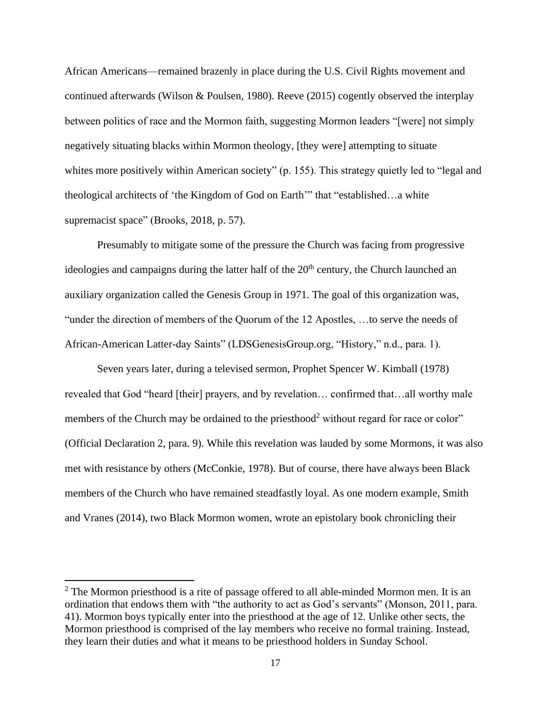African Americans—remained brazenly in place during the U.S. Civil Rights movement and continued afterwards (Wilson & Poulsen, 1980). Reeve (2015) cogently observed the interplay between politics of race and the Mormon faith, suggesting Mormon leaders "[were] not simply negatively situating blacks within Mormon theology, [they were] attempting to situate whites more positively within American society" (p. 155). This strategy quietly led to "legal and theological architects of 'the Kingdom of God on Earth'" that "established…a white supremacist space" (Brooks, 2018, p. 57).

Presumably to mitigate some of the pressure the Church was facing from progressive ideologies and campaigns during the latter half of the  $20<sup>th</sup>$  century, the Church launched an auxiliary organization called the Genesis Group in 1971. The goal of this organization was, "under the direction of members of the Quorum of the 12 Apostles, …to serve the needs of African-American Latter-day Saints" (LDSGenesisGroup.org, "History," n.d., para. 1).

Seven years later, during a televised sermon, Prophet Spencer W. Kimball (1978) revealed that God "heard [their] prayers, and by revelation… confirmed that…all worthy male members of the Church may be ordained to the priesthood<sup>2</sup> without regard for race or color" (Official Declaration 2, para. 9). While this revelation was lauded by some Mormons, it was also met with resistance by others (McConkie, 1978). But of course, there have always been Black members of the Church who have remained steadfastly loyal. As one modern example, Smith and Vranes (2014), two Black Mormon women, wrote an epistolary book chronicling their

 $2$  The Mormon priesthood is a rite of passage offered to all able-minded Mormon men. It is an ordination that endows them with "the authority to act as God's servants" (Monson, 2011, para. 41). Mormon boys typically enter into the priesthood at the age of 12. Unlike other sects, the Mormon priesthood is comprised of the lay members who receive no formal training. Instead, they learn their duties and what it means to be priesthood holders in Sunday School.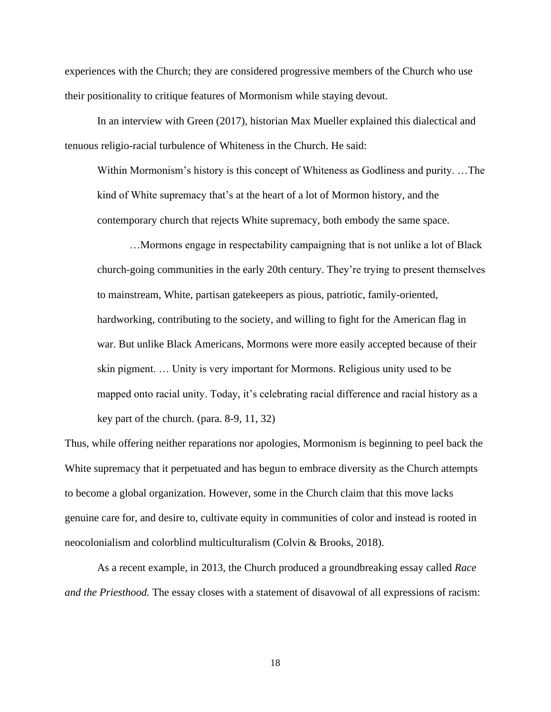experiences with the Church; they are considered progressive members of the Church who use their positionality to critique features of Mormonism while staying devout.

In an interview with Green (2017), historian Max Mueller explained this dialectical and tenuous religio-racial turbulence of Whiteness in the Church. He said:

Within Mormonism's history is this concept of Whiteness as Godliness and purity. …The kind of White supremacy that's at the heart of a lot of Mormon history, and the contemporary church that rejects White supremacy, both embody the same space.

…Mormons engage in respectability campaigning that is not unlike a lot of Black church-going communities in the early 20th century. They're trying to present themselves to mainstream, White, partisan gatekeepers as pious, patriotic, family-oriented, hardworking, contributing to the society, and willing to fight for the American flag in war. But unlike Black Americans, Mormons were more easily accepted because of their skin pigment. … Unity is very important for Mormons. Religious unity used to be mapped onto racial unity. Today, it's celebrating racial difference and racial history as a key part of the church. (para. 8-9, 11, 32)

Thus, while offering neither reparations nor apologies, Mormonism is beginning to peel back the White supremacy that it perpetuated and has begun to embrace diversity as the Church attempts to become a global organization. However, some in the Church claim that this move lacks genuine care for, and desire to, cultivate equity in communities of color and instead is rooted in neocolonialism and colorblind multiculturalism (Colvin & Brooks, 2018).

As a recent example, in 2013, the Church produced a groundbreaking essay called *Race and the Priesthood.* The essay closes with a statement of disavowal of all expressions of racism: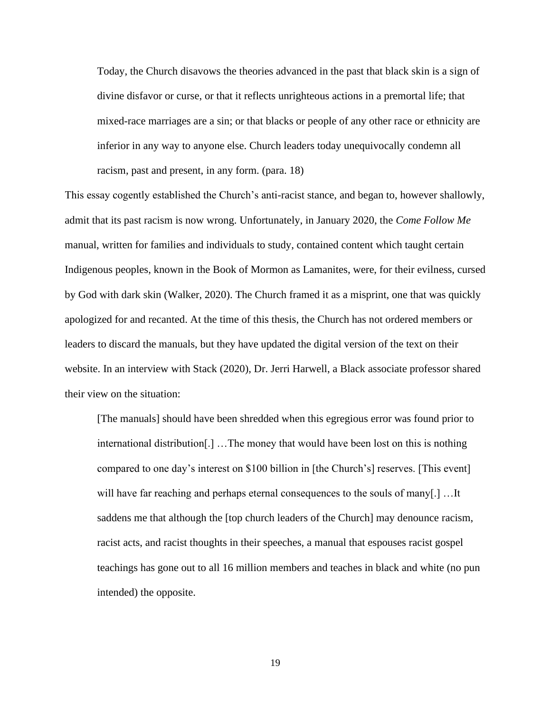Today, the Church disavows the theories advanced in the past that black skin is a sign of divine disfavor or curse, or that it reflects unrighteous actions in a premortal life; that mixed-race marriages are a sin; or that blacks or people of any other race or ethnicity are inferior in any way to anyone else. Church leaders today unequivocally condemn all racism, past and present, in any form. (para. 18)

This essay cogently established the Church's anti-racist stance, and began to, however shallowly, admit that its past racism is now wrong. Unfortunately, in January 2020, the *Come Follow Me*  manual, written for families and individuals to study, contained content which taught certain Indigenous peoples, known in the Book of Mormon as Lamanites, were, for their evilness, cursed by God with dark skin (Walker, 2020). The Church framed it as a misprint, one that was quickly apologized for and recanted. At the time of this thesis, the Church has not ordered members or leaders to discard the manuals, but they have updated the digital version of the text on their website. In an interview with Stack (2020), Dr. Jerri Harwell, a Black associate professor shared their view on the situation:

[The manuals] should have been shredded when this egregious error was found prior to international distribution[.] …The money that would have been lost on this is nothing compared to one day's interest on \$100 billion in [the Church's] reserves. [This event] will have far reaching and perhaps eternal consequences to the souls of many[.] …It saddens me that although the [top church leaders of the Church] may denounce racism, racist acts, and racist thoughts in their speeches, a manual that espouses racist gospel teachings has gone out to all 16 million members and teaches in black and white (no pun intended) the opposite.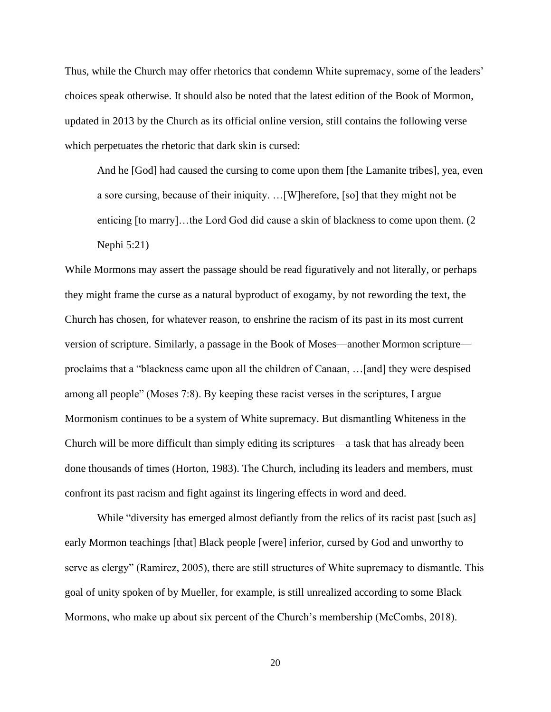Thus, while the Church may offer rhetorics that condemn White supremacy, some of the leaders' choices speak otherwise. It should also be noted that the latest edition of the Book of Mormon, updated in 2013 by the Church as its official online version, still contains the following verse which perpetuates the rhetoric that dark skin is cursed:

And he [God] had caused the cursing to come upon them [the Lamanite tribes], yea, even a sore cursing, because of their iniquity. …[W]herefore, [so] that they might not be enticing [to marry]…the Lord God did cause a skin of blackness to come upon them. (2 Nephi 5:21)

While Mormons may assert the passage should be read figuratively and not literally, or perhaps they might frame the curse as a natural byproduct of exogamy, by not rewording the text, the Church has chosen, for whatever reason, to enshrine the racism of its past in its most current version of scripture. Similarly, a passage in the Book of Moses—another Mormon scripture proclaims that a "blackness came upon all the children of Canaan, …[and] they were despised among all people" (Moses 7:8). By keeping these racist verses in the scriptures, I argue Mormonism continues to be a system of White supremacy. But dismantling Whiteness in the Church will be more difficult than simply editing its scriptures—a task that has already been done thousands of times (Horton, 1983). The Church, including its leaders and members, must confront its past racism and fight against its lingering effects in word and deed.

While "diversity has emerged almost defiantly from the relics of its racist past [such as] early Mormon teachings [that] Black people [were] inferior, cursed by God and unworthy to serve as clergy" (Ramirez, 2005), there are still structures of White supremacy to dismantle. This goal of unity spoken of by Mueller, for example, is still unrealized according to some Black Mormons, who make up about six percent of the Church's membership (McCombs, 2018).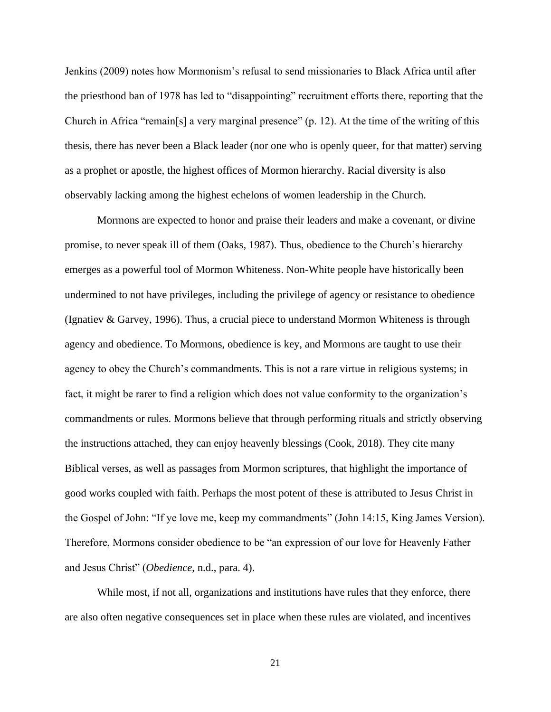Jenkins (2009) notes how Mormonism's refusal to send missionaries to Black Africa until after the priesthood ban of 1978 has led to "disappointing" recruitment efforts there, reporting that the Church in Africa "remain[s] a very marginal presence"  $(p. 12)$ . At the time of the writing of this thesis, there has never been a Black leader (nor one who is openly queer, for that matter) serving as a prophet or apostle, the highest offices of Mormon hierarchy. Racial diversity is also observably lacking among the highest echelons of women leadership in the Church.

Mormons are expected to honor and praise their leaders and make a covenant, or divine promise, to never speak ill of them (Oaks, 1987). Thus, obedience to the Church's hierarchy emerges as a powerful tool of Mormon Whiteness. Non-White people have historically been undermined to not have privileges, including the privilege of agency or resistance to obedience (Ignatiev & Garvey, 1996). Thus, a crucial piece to understand Mormon Whiteness is through agency and obedience. To Mormons, obedience is key, and Mormons are taught to use their agency to obey the Church's commandments. This is not a rare virtue in religious systems; in fact, it might be rarer to find a religion which does not value conformity to the organization's commandments or rules. Mormons believe that through performing rituals and strictly observing the instructions attached, they can enjoy heavenly blessings (Cook, 2018). They cite many Biblical verses, as well as passages from Mormon scriptures, that highlight the importance of good works coupled with faith. Perhaps the most potent of these is attributed to Jesus Christ in the Gospel of John: "If ye love me, keep my commandments" (John 14:15, King James Version). Therefore, Mormons consider obedience to be "an expression of our love for Heavenly Father and Jesus Christ" (*Obedience,* n.d., para. 4).

While most, if not all, organizations and institutions have rules that they enforce, there are also often negative consequences set in place when these rules are violated, and incentives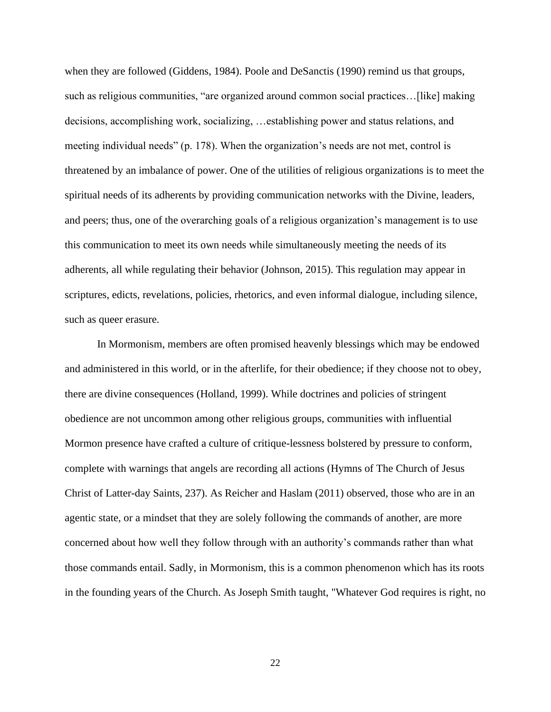when they are followed (Giddens, 1984). Poole and DeSanctis (1990) remind us that groups, such as religious communities, "are organized around common social practices…[like] making decisions, accomplishing work, socializing, …establishing power and status relations, and meeting individual needs" (p. 178). When the organization's needs are not met, control is threatened by an imbalance of power. One of the utilities of religious organizations is to meet the spiritual needs of its adherents by providing communication networks with the Divine, leaders, and peers; thus, one of the overarching goals of a religious organization's management is to use this communication to meet its own needs while simultaneously meeting the needs of its adherents, all while regulating their behavior (Johnson, 2015). This regulation may appear in scriptures, edicts, revelations, policies, rhetorics, and even informal dialogue, including silence, such as queer erasure.

In Mormonism, members are often promised heavenly blessings which may be endowed and administered in this world, or in the afterlife, for their obedience; if they choose not to obey, there are divine consequences (Holland, 1999). While doctrines and policies of stringent obedience are not uncommon among other religious groups, communities with influential Mormon presence have crafted a culture of critique-lessness bolstered by pressure to conform, complete with warnings that angels are recording all actions (Hymns of The Church of Jesus Christ of Latter-day Saints, 237). As Reicher and Haslam (2011) observed, those who are in an agentic state, or a mindset that they are solely following the commands of another, are more concerned about how well they follow through with an authority's commands rather than what those commands entail. Sadly, in Mormonism, this is a common phenomenon which has its roots in the founding years of the Church. As Joseph Smith taught, "Whatever God requires is right, no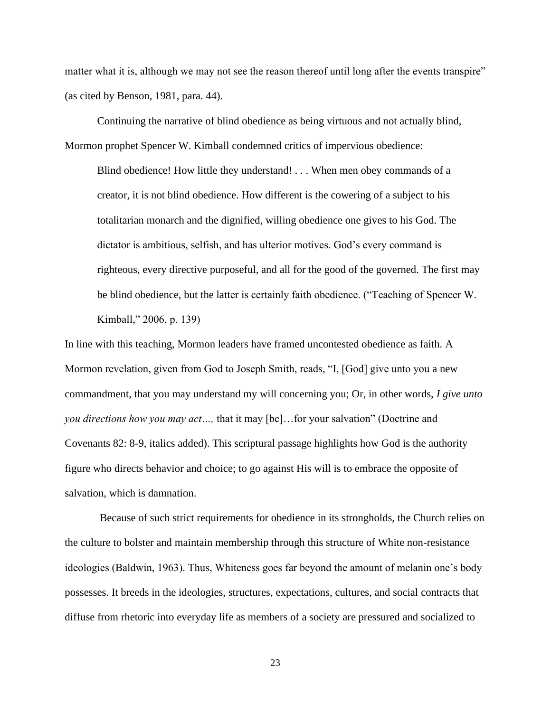matter what it is, although we may not see the reason thereof until long after the events transpire" (as cited by Benson, 1981, para. 44).

Continuing the narrative of blind obedience as being virtuous and not actually blind, Mormon prophet Spencer W. Kimball condemned critics of impervious obedience:

Blind obedience! How little they understand! . . . When men obey commands of a creator, it is not blind obedience. How different is the cowering of a subject to his totalitarian monarch and the dignified, willing obedience one gives to his God. The dictator is ambitious, selfish, and has ulterior motives. God's every command is righteous, every directive purposeful, and all for the good of the governed. The first may be blind obedience, but the latter is certainly faith obedience. ("Teaching of Spencer W. Kimball," 2006, p. 139)

In line with this teaching, Mormon leaders have framed uncontested obedience as faith. A Mormon revelation, given from God to Joseph Smith, reads, "I, [God] give unto you a new commandment, that you may understand my will concerning you; Or, in other words, *I give unto you directions how you may act…,* that it may [be]…for your salvation" (Doctrine and Covenants 82: 8-9, italics added). This scriptural passage highlights how God is the authority figure who directs behavior and choice; to go against His will is to embrace the opposite of salvation, which is damnation.

Because of such strict requirements for obedience in its strongholds, the Church relies on the culture to bolster and maintain membership through this structure of White non-resistance ideologies (Baldwin, 1963). Thus, Whiteness goes far beyond the amount of melanin one's body possesses. It breeds in the ideologies, structures, expectations, cultures, and social contracts that diffuse from rhetoric into everyday life as members of a society are pressured and socialized to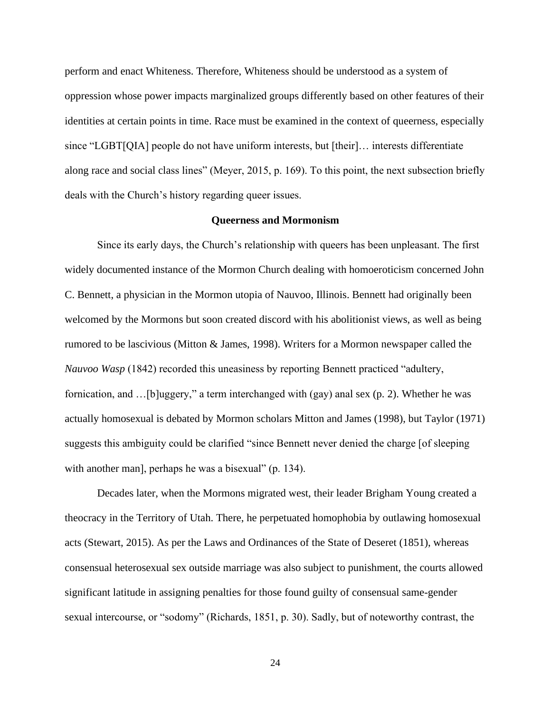perform and enact Whiteness. Therefore, Whiteness should be understood as a system of oppression whose power impacts marginalized groups differently based on other features of their identities at certain points in time. Race must be examined in the context of queerness, especially since "LGBT[QIA] people do not have uniform interests, but [their]… interests differentiate along race and social class lines" (Meyer, 2015, p. 169). To this point, the next subsection briefly deals with the Church's history regarding queer issues.

#### **Queerness and Mormonism**

Since its early days, the Church's relationship with queers has been unpleasant. The first widely documented instance of the Mormon Church dealing with homoeroticism concerned John C. Bennett, a physician in the Mormon utopia of Nauvoo, Illinois. Bennett had originally been welcomed by the Mormons but soon created discord with his abolitionist views, as well as being rumored to be lascivious (Mitton & James, 1998). Writers for a Mormon newspaper called the *Nauvoo Wasp* (1842) recorded this uneasiness by reporting Bennett practiced "adultery, fornication, and …[b]uggery," a term interchanged with (gay) anal sex (p. 2). Whether he was actually homosexual is debated by Mormon scholars Mitton and James (1998), but Taylor (1971) suggests this ambiguity could be clarified "since Bennett never denied the charge [of sleeping with another man], perhaps he was a bisexual" (p. 134).

Decades later, when the Mormons migrated west, their leader Brigham Young created a theocracy in the Territory of Utah. There, he perpetuated homophobia by outlawing homosexual acts (Stewart, 2015). As per the Laws and Ordinances of the State of Deseret (1851), whereas consensual heterosexual sex outside marriage was also subject to punishment, the courts allowed significant latitude in assigning penalties for those found guilty of consensual same-gender sexual intercourse, or "sodomy" (Richards, 1851, p. 30). Sadly, but of noteworthy contrast, the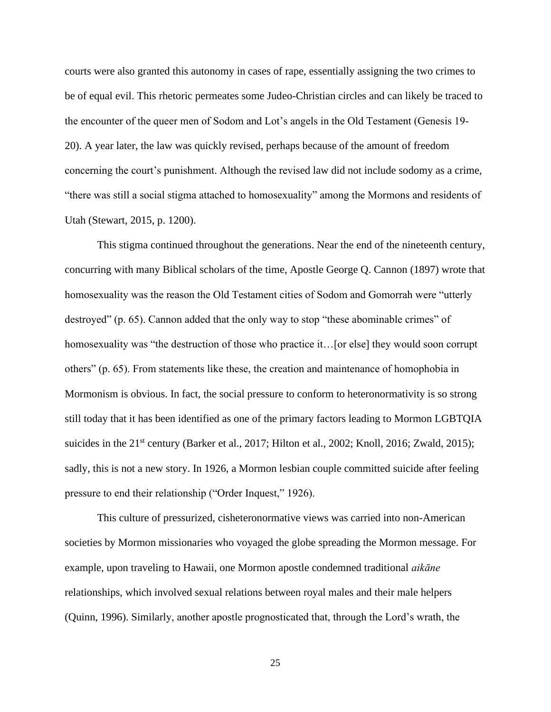courts were also granted this autonomy in cases of rape, essentially assigning the two crimes to be of equal evil. This rhetoric permeates some Judeo-Christian circles and can likely be traced to the encounter of the queer men of Sodom and Lot's angels in the Old Testament (Genesis 19- 20). A year later, the law was quickly revised, perhaps because of the amount of freedom concerning the court's punishment. Although the revised law did not include sodomy as a crime, "there was still a social stigma attached to homosexuality" among the Mormons and residents of Utah (Stewart, 2015, p. 1200).

This stigma continued throughout the generations. Near the end of the nineteenth century, concurring with many Biblical scholars of the time, Apostle George Q. Cannon (1897) wrote that homosexuality was the reason the Old Testament cities of Sodom and Gomorrah were "utterly destroyed" (p. 65). Cannon added that the only way to stop "these abominable crimes" of homosexuality was "the destruction of those who practice it... [or else] they would soon corrupt others" (p. 65). From statements like these, the creation and maintenance of homophobia in Mormonism is obvious. In fact, the social pressure to conform to heteronormativity is so strong still today that it has been identified as one of the primary factors leading to Mormon LGBTQIA suicides in the 21<sup>st</sup> century (Barker et al., 2017; Hilton et al., 2002; Knoll, 2016; Zwald, 2015); sadly, this is not a new story. In 1926, a Mormon lesbian couple committed suicide after feeling pressure to end their relationship ("Order Inquest," 1926).

This culture of pressurized, cisheteronormative views was carried into non-American societies by Mormon missionaries who voyaged the globe spreading the Mormon message. For example, upon traveling to Hawaii, one Mormon apostle condemned traditional *aikāne* relationships, which involved sexual relations between royal males and their male helpers (Quinn, 1996). Similarly, another apostle prognosticated that, through the Lord's wrath, the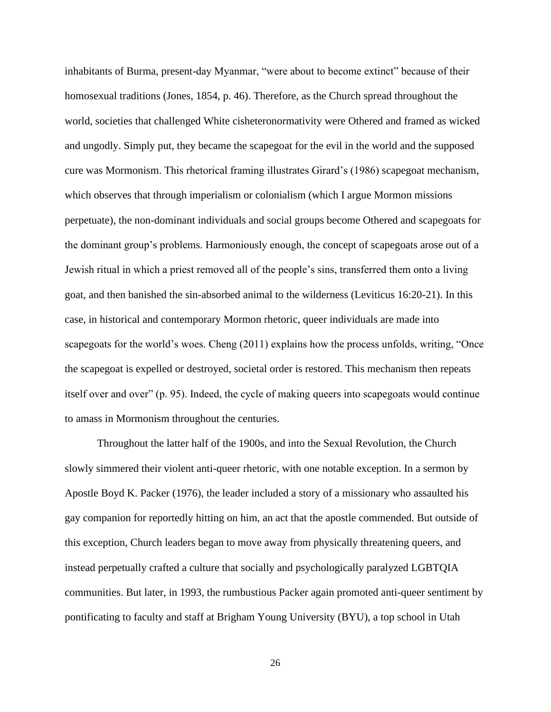inhabitants of Burma, present-day Myanmar, "were about to become extinct" because of their homosexual traditions (Jones, 1854, p. 46). Therefore, as the Church spread throughout the world, societies that challenged White cisheteronormativity were Othered and framed as wicked and ungodly. Simply put, they became the scapegoat for the evil in the world and the supposed cure was Mormonism. This rhetorical framing illustrates Girard's (1986) scapegoat mechanism, which observes that through imperialism or colonialism (which I argue Mormon missions perpetuate), the non-dominant individuals and social groups become Othered and scapegoats for the dominant group's problems. Harmoniously enough, the concept of scapegoats arose out of a Jewish ritual in which a priest removed all of the people's sins, transferred them onto a living goat, and then banished the sin-absorbed animal to the wilderness (Leviticus 16:20-21). In this case, in historical and contemporary Mormon rhetoric, queer individuals are made into scapegoats for the world's woes. Cheng (2011) explains how the process unfolds, writing, "Once the scapegoat is expelled or destroyed, societal order is restored. This mechanism then repeats itself over and over" (p. 95). Indeed, the cycle of making queers into scapegoats would continue to amass in Mormonism throughout the centuries.

Throughout the latter half of the 1900s, and into the Sexual Revolution, the Church slowly simmered their violent anti-queer rhetoric, with one notable exception. In a sermon by Apostle Boyd K. Packer (1976), the leader included a story of a missionary who assaulted his gay companion for reportedly hitting on him, an act that the apostle commended. But outside of this exception, Church leaders began to move away from physically threatening queers, and instead perpetually crafted a culture that socially and psychologically paralyzed LGBTQIA communities. But later, in 1993, the rumbustious Packer again promoted anti-queer sentiment by pontificating to faculty and staff at Brigham Young University (BYU), a top school in Utah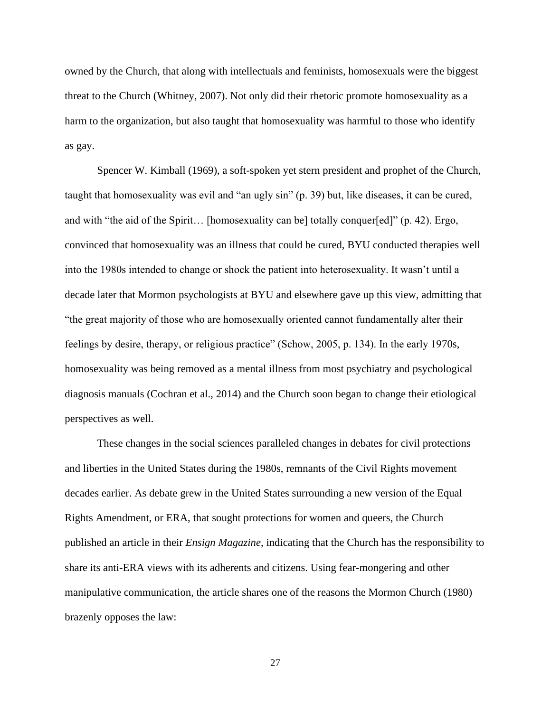owned by the Church, that along with intellectuals and feminists, homosexuals were the biggest threat to the Church (Whitney, 2007). Not only did their rhetoric promote homosexuality as a harm to the organization, but also taught that homosexuality was harmful to those who identify as gay.

Spencer W. Kimball (1969), a soft-spoken yet stern president and prophet of the Church, taught that homosexuality was evil and "an ugly sin" (p. 39) but, like diseases, it can be cured, and with "the aid of the Spirit... [homosexuality can be] totally conquer[ed]" (p. 42). Ergo, convinced that homosexuality was an illness that could be cured, BYU conducted therapies well into the 1980s intended to change or shock the patient into heterosexuality. It wasn't until a decade later that Mormon psychologists at BYU and elsewhere gave up this view, admitting that "the great majority of those who are homosexually oriented cannot fundamentally alter their feelings by desire, therapy, or religious practice" (Schow, 2005, p. 134). In the early 1970s, homosexuality was being removed as a mental illness from most psychiatry and psychological diagnosis manuals (Cochran et al., 2014) and the Church soon began to change their etiological perspectives as well.

These changes in the social sciences paralleled changes in debates for civil protections and liberties in the United States during the 1980s, remnants of the Civil Rights movement decades earlier. As debate grew in the United States surrounding a new version of the Equal Rights Amendment, or ERA, that sought protections for women and queers, the Church published an article in their *Ensign Magazine*, indicating that the Church has the responsibility to share its anti-ERA views with its adherents and citizens. Using fear-mongering and other manipulative communication, the article shares one of the reasons the Mormon Church (1980) brazenly opposes the law: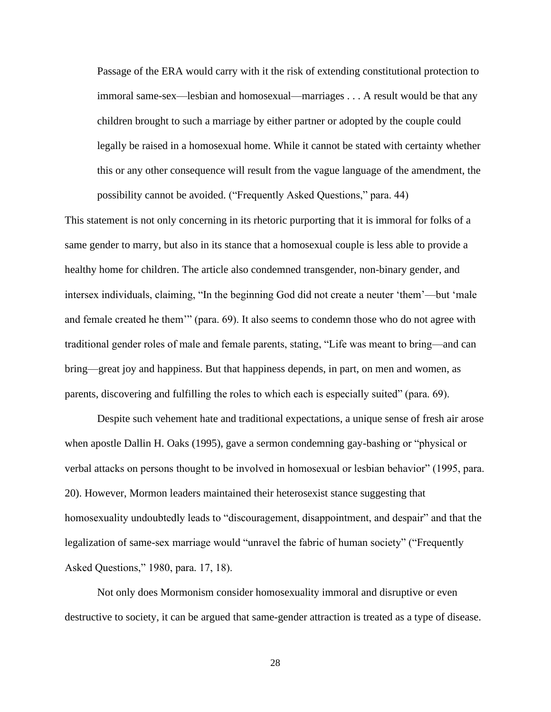Passage of the ERA would carry with it the risk of extending constitutional protection to immoral same-sex—lesbian and homosexual—marriages . . . A result would be that any children brought to such a marriage by either partner or adopted by the couple could legally be raised in a homosexual home. While it cannot be stated with certainty whether this or any other consequence will result from the vague language of the amendment, the possibility cannot be avoided. ("Frequently Asked Questions," para. 44)

This statement is not only concerning in its rhetoric purporting that it is immoral for folks of a same gender to marry, but also in its stance that a homosexual couple is less able to provide a healthy home for children. The article also condemned transgender, non-binary gender, and intersex individuals, claiming, "In the beginning God did not create a neuter 'them'—but 'male and female created he them'" (para. 69). It also seems to condemn those who do not agree with traditional gender roles of male and female parents, stating, "Life was meant to bring—and can bring—great joy and happiness. But that happiness depends, in part, on men and women, as parents, discovering and fulfilling the roles to which each is especially suited" (para. 69).

Despite such vehement hate and traditional expectations, a unique sense of fresh air arose when apostle Dallin H. Oaks (1995), gave a sermon condemning gay-bashing or "physical or verbal attacks on persons thought to be involved in homosexual or lesbian behavior" (1995, para. 20). However, Mormon leaders maintained their heterosexist stance suggesting that homosexuality undoubtedly leads to "discouragement, disappointment, and despair" and that the legalization of same-sex marriage would "unravel the fabric of human society" ("Frequently Asked Questions," 1980, para. 17, 18).

Not only does Mormonism consider homosexuality immoral and disruptive or even destructive to society, it can be argued that same-gender attraction is treated as a type of disease.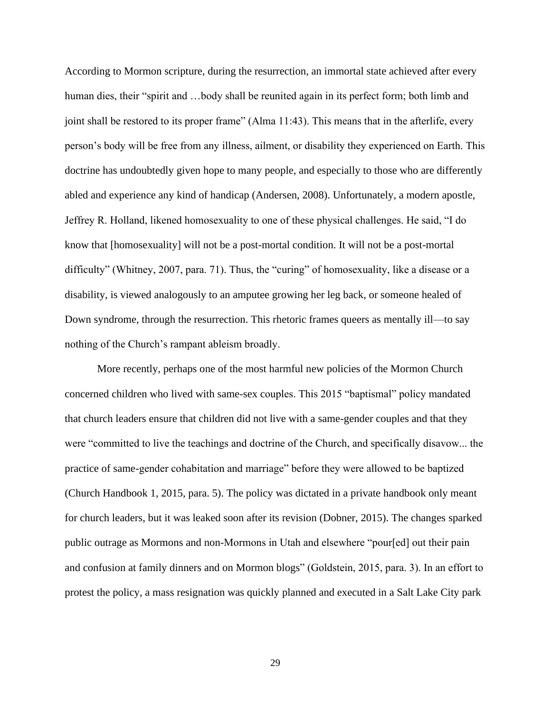According to Mormon scripture, during the resurrection, an immortal state achieved after every human dies, their "spirit and ...body shall be reunited again in its perfect form; both limb and joint shall be restored to its proper frame" (Alma 11:43). This means that in the afterlife, every person's body will be free from any illness, ailment, or disability they experienced on Earth. This doctrine has undoubtedly given hope to many people, and especially to those who are differently abled and experience any kind of handicap (Andersen, 2008). Unfortunately, a modern apostle, Jeffrey R. Holland, likened homosexuality to one of these physical challenges. He said, "I do know that [homosexuality] will not be a post-mortal condition. It will not be a post-mortal difficulty" (Whitney, 2007, para. 71). Thus, the "curing" of homosexuality, like a disease or a disability, is viewed analogously to an amputee growing her leg back, or someone healed of Down syndrome, through the resurrection. This rhetoric frames queers as mentally ill—to say nothing of the Church's rampant ableism broadly.

More recently, perhaps one of the most harmful new policies of the Mormon Church concerned children who lived with same-sex couples. This 2015 "baptismal" policy mandated that church leaders ensure that children did not live with a same-gender couples and that they were "committed to live the teachings and doctrine of the Church, and specifically disavow... the practice of same-gender cohabitation and marriage" before they were allowed to be baptized (Church Handbook 1, 2015, para. 5). The policy was dictated in a private handbook only meant for church leaders, but it was leaked soon after its revision (Dobner, 2015). The changes sparked public outrage as Mormons and non-Mormons in Utah and elsewhere "pour[ed] out their pain and confusion at family dinners and on [Mormon blogs"](http://bycommonconsent.com/2015/11/12/on-persuasion-and-love-unfeigned/#more-60539) (Goldstein, 2015, para. 3). In an effort to protest the policy, a mass resignation was quickly planned and executed in a Salt Lake City park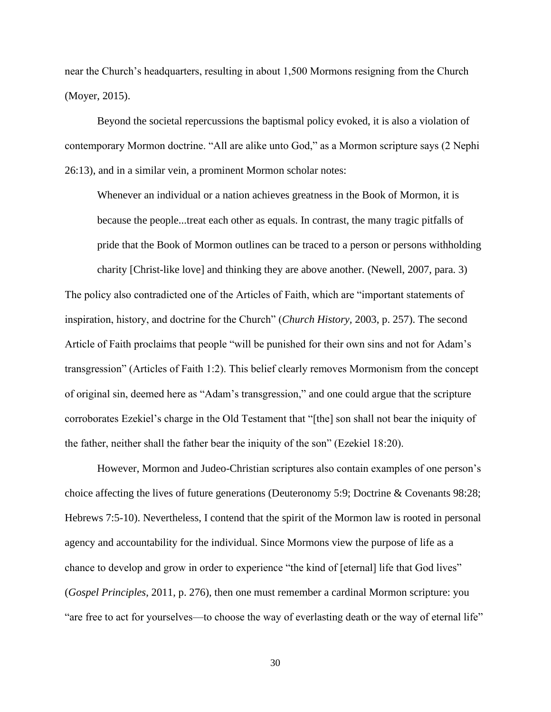near the Church's headquarters, resulting in about 1,500 Mormons resigning from the Church (Moyer, 2015).

Beyond the societal repercussions the baptismal policy evoked, it is also a violation of contemporary Mormon doctrine. "All are alike unto God," as a Mormon scripture says (2 Nephi 26:13), and in a similar vein, a prominent Mormon scholar notes:

Whenever an individual or a nation achieves greatness in the Book of Mormon, it is because the people...treat each other as equals. In contrast, the many tragic pitfalls of pride that the Book of Mormon outlines can be traced to a person or persons withholding

charity [Christ-like love] and thinking they are above another. (Newell, 2007, para. 3) The policy also contradicted one of the Articles of Faith, which are "important statements of inspiration, history, and doctrine for the Church" (*Church History,* 2003, p. 257). The second Article of Faith proclaims that people "will be punished for their own sins and not for Adam's transgression" (Articles of Faith 1:2). This belief clearly removes Mormonism from the concept of original sin, deemed here as "Adam's transgression," and one could argue that the scripture corroborates Ezekiel's charge in the Old Testament that "[the] son shall not bear the iniquity of the father, neither shall the father bear the iniquity of the son" (Ezekiel 18:20).

However, Mormon and Judeo-Christian scriptures also contain examples of one person's choice affecting the lives of future generations (Deuteronomy 5:9; Doctrine & Covenants 98:28; Hebrews 7:5-10). Nevertheless, I contend that the spirit of the Mormon law is rooted in personal agency and accountability for the individual. Since Mormons view the purpose of life as a chance to develop and grow in order to experience "the kind of [eternal] life that God lives" (*Gospel Principles*, 2011, p. 276), then one must remember a cardinal Mormon scripture: you "are free to act for yourselves—to choose the way of everlasting death or the way of eternal life"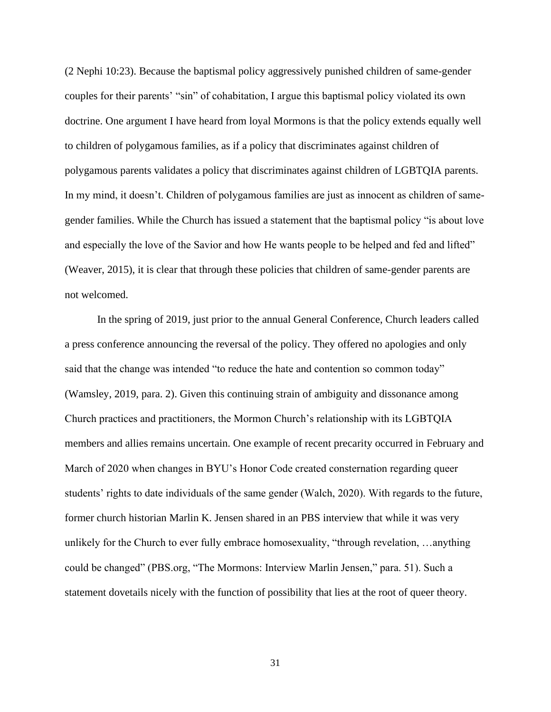(2 Nephi 10:23). Because the baptismal policy aggressively punished children of same-gender couples for their parents' "sin" of cohabitation, I argue this baptismal policy violated its own doctrine. One argument I have heard from loyal Mormons is that the policy extends equally well to children of polygamous families, as if a policy that discriminates against children of polygamous parents validates a policy that discriminates against children of LGBTQIA parents. In my mind, it doesn't. Children of polygamous families are just as innocent as children of samegender families. While the Church has issued a statement that the baptismal policy "is about love and especially the love of the Savior and how He wants people to be helped and fed and lifted" (Weaver, 2015), it is clear that through these policies that children of same-gender parents are not welcomed.

In the spring of 2019, just prior to the annual General Conference, Church leaders called a press conference announcing the reversal of the policy. They offered no apologies and only said that the change was intended "to reduce the hate and contention so common today" (Wamsley, 2019, para. 2). Given this continuing strain of ambiguity and dissonance among Church practices and practitioners, the Mormon Church's relationship with its LGBTQIA members and allies remains uncertain. One example of recent precarity occurred in February and March of 2020 when changes in BYU's Honor Code created consternation regarding queer students' rights to date individuals of the same gender (Walch, 2020). With regards to the future, former church historian Marlin K. Jensen shared in an PBS interview that while it was very unlikely for the Church to ever fully embrace homosexuality, "through revelation, …anything could be changed" (PBS.org, "The Mormons: Interview Marlin Jensen," para. 51). Such a statement dovetails nicely with the function of possibility that lies at the root of queer theory.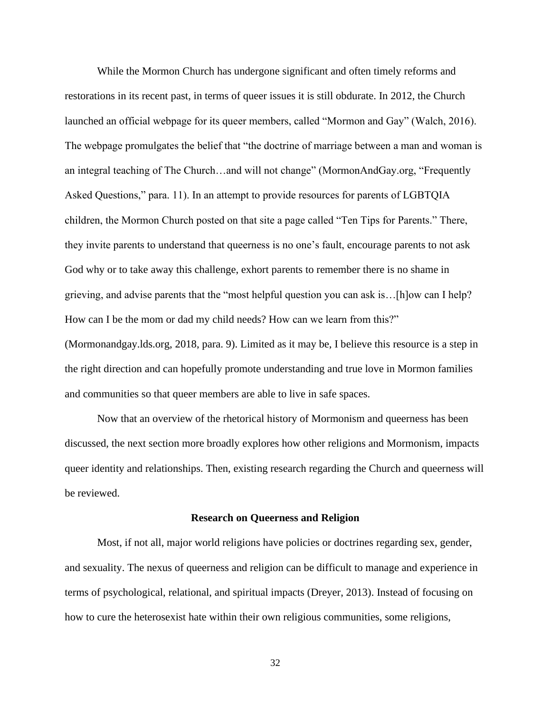While the Mormon Church has undergone significant and often timely reforms and restorations in its recent past, in terms of queer issues it is still obdurate. In 2012, the Church launched an official webpage for its queer members, called "Mormon and Gay" (Walch, 2016). The webpage promulgates the belief that "the doctrine of marriage between a man and woman is an integral teaching of The Church…and will not change" (MormonAndGay.org, "Frequently Asked Questions," para. 11). In an attempt to provide resources for parents of LGBTQIA children, the Mormon Church posted on that site a page called "Ten Tips for Parents." There, they invite parents to understand that queerness is no one's fault, encourage parents to not ask God why or to take away this challenge, exhort parents to remember there is no shame in grieving, and advise parents that the "most helpful question you can ask is…[h]ow can I help? How can I be the mom or dad my child needs? How can we learn from this?" (Mormonandgay.lds.org, 2018, para. 9). Limited as it may be, I believe this resource is a step in the right direction and can hopefully promote understanding and true love in Mormon families and communities so that queer members are able to live in safe spaces.

Now that an overview of the rhetorical history of Mormonism and queerness has been discussed, the next section more broadly explores how other religions and Mormonism, impacts queer identity and relationships. Then, existing research regarding the Church and queerness will be reviewed.

### **Research on Queerness and Religion**

Most, if not all, major world religions have policies or doctrines regarding sex, gender, and sexuality. The nexus of queerness and religion can be difficult to manage and experience in terms of psychological, relational, and spiritual impacts (Dreyer, 2013). Instead of focusing on how to cure the heterosexist hate within their own religious communities, some religions,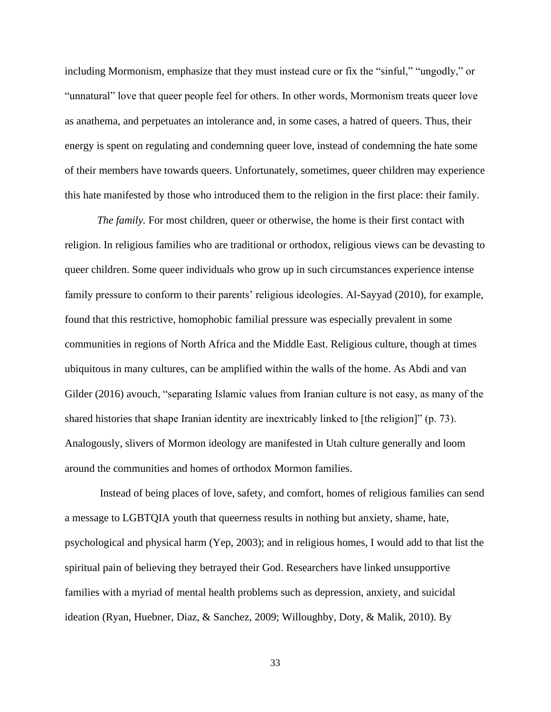including Mormonism, emphasize that they must instead cure or fix the "sinful," "ungodly," or "unnatural" love that queer people feel for others. In other words, Mormonism treats queer love as anathema, and perpetuates an intolerance and, in some cases, a hatred of queers. Thus, their energy is spent on regulating and condemning queer love, instead of condemning the hate some of their members have towards queers. Unfortunately, sometimes, queer children may experience this hate manifested by those who introduced them to the religion in the first place: their family.

*The family.* For most children, queer or otherwise, the home is their first contact with religion. In religious families who are traditional or orthodox, religious views can be devasting to queer children. Some queer individuals who grow up in such circumstances experience intense family pressure to conform to their parents' religious ideologies. Al-Sayyad (2010), for example, found that this restrictive, homophobic familial pressure was especially prevalent in some communities in regions of North Africa and the Middle East. Religious culture, though at times ubiquitous in many cultures, can be amplified within the walls of the home. As Abdi and van Gilder (2016) avouch, "separating Islamic values from Iranian culture is not easy, as many of the shared histories that shape Iranian identity are inextricably linked to [the religion]" (p. 73). Analogously, slivers of Mormon ideology are manifested in Utah culture generally and loom around the communities and homes of orthodox Mormon families.

Instead of being places of love, safety, and comfort, homes of religious families can send a message to LGBTQIA youth that queerness results in nothing but anxiety, shame, hate, psychological and physical harm (Yep, 2003); and in religious homes, I would add to that list the spiritual pain of believing they betrayed their God. Researchers have linked unsupportive families with a myriad of mental health problems such as depression, anxiety, and suicidal ideation (Ryan, Huebner, Diaz, & Sanchez, 2009; Willoughby, Doty, & Malik, 2010). By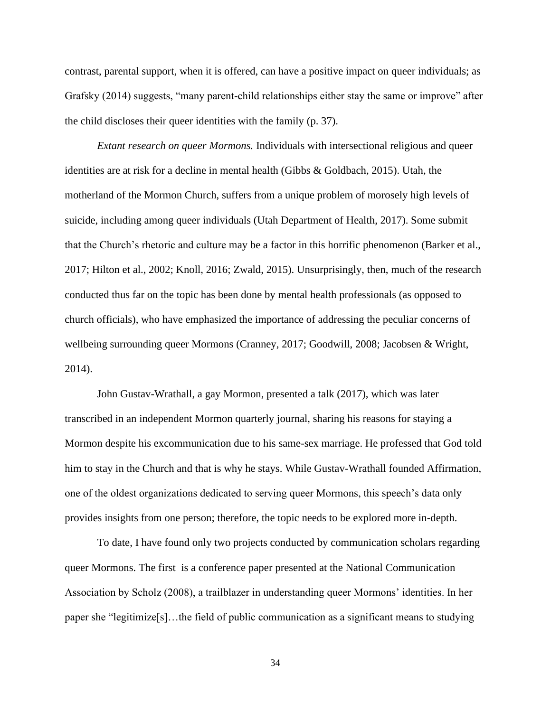contrast, parental support, when it is offered, can have a positive impact on queer individuals; as Grafsky (2014) suggests, "many parent-child relationships either stay the same or improve" after the child discloses their queer identities with the family (p. 37).

*Extant research on queer Mormons.* Individuals with intersectional religious and queer identities are at risk for a decline in mental health (Gibbs & Goldbach, 2015). Utah, the motherland of the Mormon Church, suffers from a unique problem of morosely high levels of suicide, including among queer individuals (Utah Department of Health, 2017). Some submit that the Church's rhetoric and culture may be a factor in this horrific phenomenon (Barker et al., 2017; Hilton et al., 2002; Knoll, 2016; Zwald, 2015). Unsurprisingly, then, much of the research conducted thus far on the topic has been done by mental health professionals (as opposed to church officials), who have emphasized the importance of addressing the peculiar concerns of wellbeing surrounding queer Mormons (Cranney, 2017; Goodwill, 2008; Jacobsen & Wright, 2014).

John Gustav-Wrathall, a gay Mormon, presented a talk (2017), which was later transcribed in an independent Mormon quarterly journal, sharing his reasons for staying a Mormon despite his excommunication due to his same-sex marriage. He professed that God told him to stay in the Church and that is why he stays. While Gustav-Wrathall founded Affirmation, one of the oldest organizations dedicated to serving queer Mormons, this speech's data only provides insights from one person; therefore, the topic needs to be explored more in-depth.

To date, I have found only two projects conducted by communication scholars regarding queer Mormons. The first is a conference paper presented at the National Communication Association by Scholz (2008), a trailblazer in understanding queer Mormons' identities. In her paper she "legitimize[s]…the field of public communication as a significant means to studying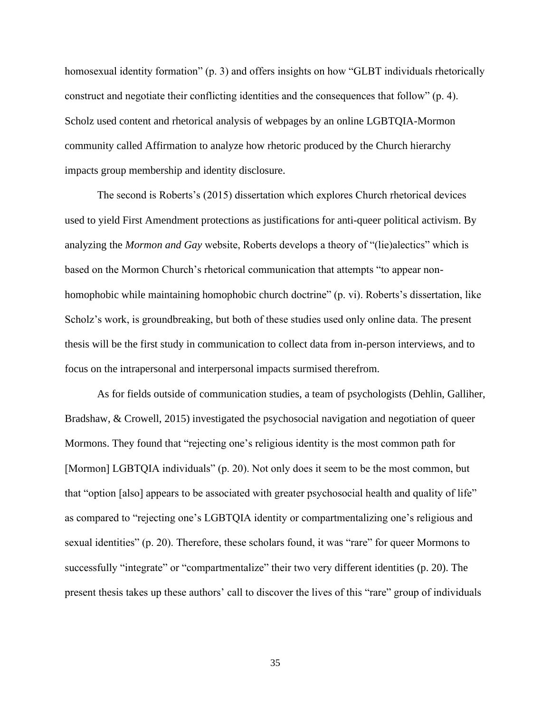homosexual identity formation" (p. 3) and offers insights on how "GLBT individuals rhetorically construct and negotiate their conflicting identities and the consequences that follow" (p. 4). Scholz used content and rhetorical analysis of webpages by an online LGBTQIA-Mormon community called Affirmation to analyze how rhetoric produced by the Church hierarchy impacts group membership and identity disclosure.

The second is Roberts's (2015) dissertation which explores Church rhetorical devices used to yield First Amendment protections as justifications for anti-queer political activism. By analyzing the *Mormon and Gay* website, Roberts develops a theory of "(lie)alectics" which is based on the Mormon Church's rhetorical communication that attempts "to appear nonhomophobic while maintaining homophobic church doctrine" (p. vi). Roberts's dissertation, like Scholz's work, is groundbreaking, but both of these studies used only online data. The present thesis will be the first study in communication to collect data from in-person interviews, and to focus on the intrapersonal and interpersonal impacts surmised therefrom.

As for fields outside of communication studies, a team of psychologists (Dehlin, Galliher, Bradshaw, & Crowell, 2015) investigated the psychosocial navigation and negotiation of queer Mormons. They found that "rejecting one's religious identity is the most common path for [Mormon] LGBTQIA individuals" (p. 20). Not only does it seem to be the most common, but that "option [also] appears to be associated with greater psychosocial health and quality of life" as compared to "rejecting one's LGBTQIA identity or compartmentalizing one's religious and sexual identities" (p. 20). Therefore, these scholars found, it was "rare" for queer Mormons to successfully "integrate" or "compartmentalize" their two very different identities (p. 20). The present thesis takes up these authors' call to discover the lives of this "rare" group of individuals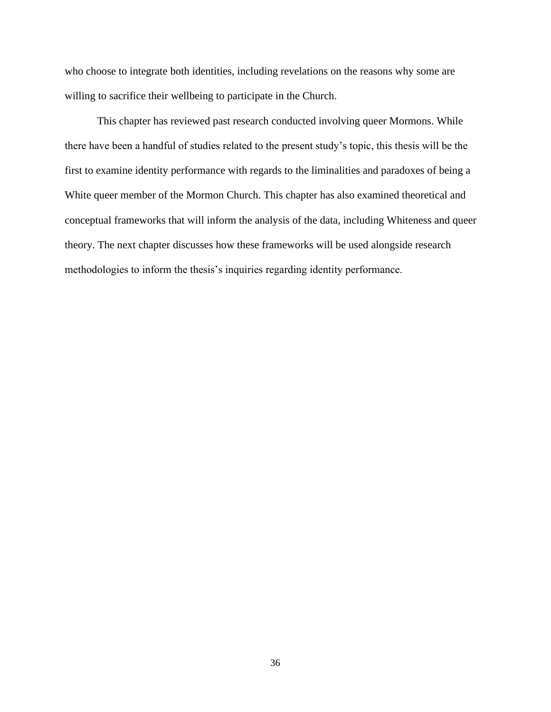who choose to integrate both identities, including revelations on the reasons why some are willing to sacrifice their wellbeing to participate in the Church.

This chapter has reviewed past research conducted involving queer Mormons. While there have been a handful of studies related to the present study's topic, this thesis will be the first to examine identity performance with regards to the liminalities and paradoxes of being a White queer member of the Mormon Church. This chapter has also examined theoretical and conceptual frameworks that will inform the analysis of the data, including Whiteness and queer theory. The next chapter discusses how these frameworks will be used alongside research methodologies to inform the thesis's inquiries regarding identity performance.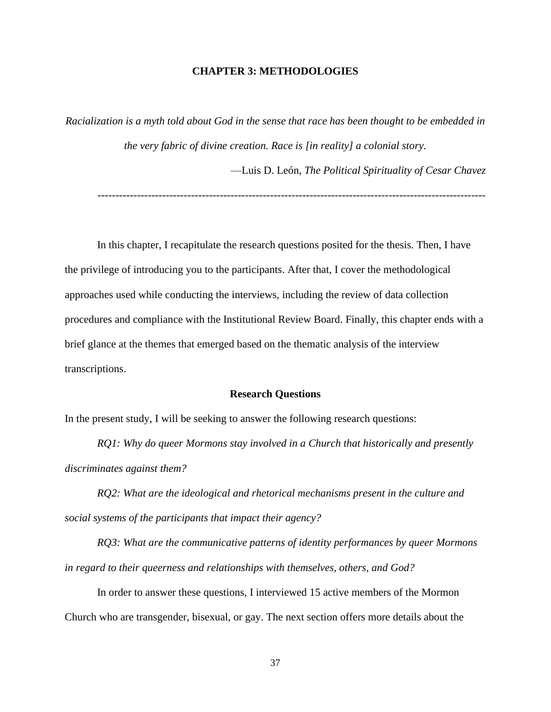# **CHAPTER 3: METHODOLOGIES**

*Racialization is a myth told about God in the sense that race has been thought to be embedded in the very fabric of divine creation. Race is [in reality] a colonial story.* 

—Luis D. León, *The Political Spirituality of Cesar Chavez*

------------------------------------------------------------------------------------------------------------

In this chapter, I recapitulate the research questions posited for the thesis. Then, I have the privilege of introducing you to the participants. After that, I cover the methodological approaches used while conducting the interviews, including the review of data collection procedures and compliance with the Institutional Review Board. Finally, this chapter ends with a brief glance at the themes that emerged based on the thematic analysis of the interview transcriptions.

## **Research Questions**

In the present study, I will be seeking to answer the following research questions:

*RQ1: Why do queer Mormons stay involved in a Church that historically and presently discriminates against them?* 

*RQ2: What are the ideological and rhetorical mechanisms present in the culture and social systems of the participants that impact their agency?* 

*RQ3: What are the communicative patterns of identity performances by queer Mormons in regard to their queerness and relationships with themselves, others, and God?* 

In order to answer these questions, I interviewed 15 active members of the Mormon Church who are transgender, bisexual, or gay. The next section offers more details about the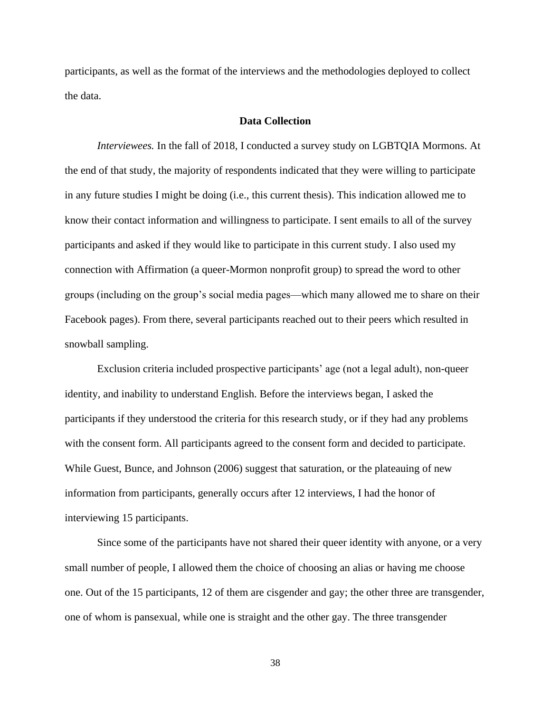participants, as well as the format of the interviews and the methodologies deployed to collect the data.

# **Data Collection**

*Interviewees.* In the fall of 2018, I conducted a survey study on LGBTQIA Mormons. At the end of that study, the majority of respondents indicated that they were willing to participate in any future studies I might be doing (i.e., this current thesis). This indication allowed me to know their contact information and willingness to participate. I sent emails to all of the survey participants and asked if they would like to participate in this current study. I also used my connection with Affirmation (a queer-Mormon nonprofit group) to spread the word to other groups (including on the group's social media pages—which many allowed me to share on their Facebook pages). From there, several participants reached out to their peers which resulted in snowball sampling.

Exclusion criteria included prospective participants' age (not a legal adult), non-queer identity, and inability to understand English. Before the interviews began, I asked the participants if they understood the criteria for this research study, or if they had any problems with the consent form. All participants agreed to the consent form and decided to participate. While Guest, Bunce, and Johnson (2006) suggest that saturation, or the plateauing of new information from participants, generally occurs after 12 interviews, I had the honor of interviewing 15 participants.

Since some of the participants have not shared their queer identity with anyone, or a very small number of people, I allowed them the choice of choosing an alias or having me choose one. Out of the 15 participants, 12 of them are cisgender and gay; the other three are transgender, one of whom is pansexual, while one is straight and the other gay. The three transgender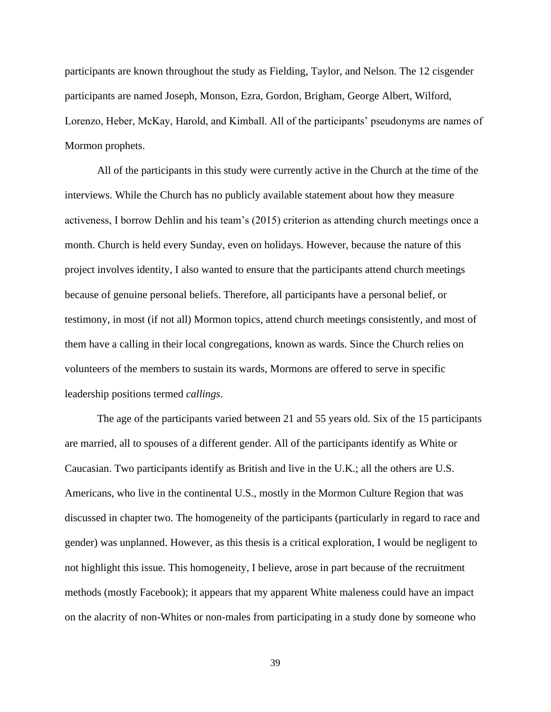participants are known throughout the study as Fielding, Taylor, and Nelson. The 12 cisgender participants are named Joseph, Monson, Ezra, Gordon, Brigham, George Albert, Wilford, Lorenzo, Heber, McKay, Harold, and Kimball. All of the participants' pseudonyms are names of Mormon prophets.

All of the participants in this study were currently active in the Church at the time of the interviews. While the Church has no publicly available statement about how they measure activeness, I borrow Dehlin and his team's (2015) criterion as attending church meetings once a month. Church is held every Sunday, even on holidays. However, because the nature of this project involves identity, I also wanted to ensure that the participants attend church meetings because of genuine personal beliefs. Therefore, all participants have a personal belief, or testimony, in most (if not all) Mormon topics, attend church meetings consistently, and most of them have a calling in their local congregations, known as wards. Since the Church relies on volunteers of the members to sustain its wards, Mormons are offered to serve in specific leadership positions termed *callings*.

The age of the participants varied between 21 and 55 years old. Six of the 15 participants are married, all to spouses of a different gender. All of the participants identify as White or Caucasian. Two participants identify as British and live in the U.K.; all the others are U.S. Americans, who live in the continental U.S., mostly in the Mormon Culture Region that was discussed in chapter two. The homogeneity of the participants (particularly in regard to race and gender) was unplanned. However, as this thesis is a critical exploration, I would be negligent to not highlight this issue. This homogeneity, I believe, arose in part because of the recruitment methods (mostly Facebook); it appears that my apparent White maleness could have an impact on the alacrity of non-Whites or non-males from participating in a study done by someone who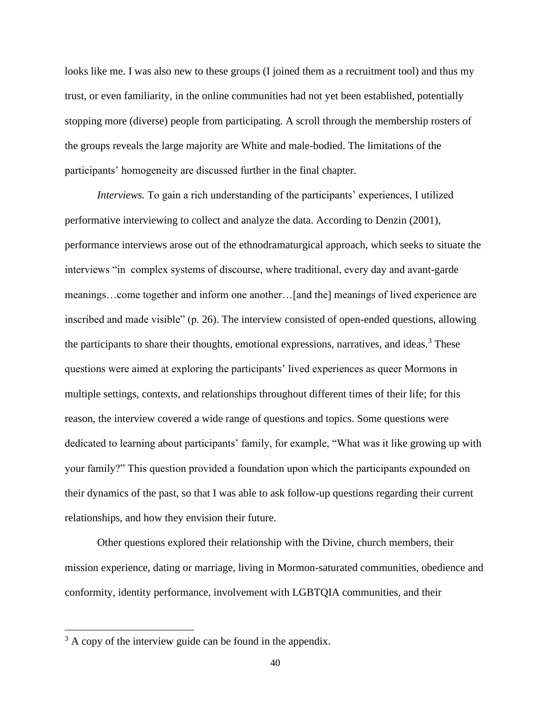looks like me. I was also new to these groups (I joined them as a recruitment tool) and thus my trust, or even familiarity, in the online communities had not yet been established, potentially stopping more (diverse) people from participating. A scroll through the membership rosters of the groups reveals the large majority are White and male-bodied. The limitations of the participants' homogeneity are discussed further in the final chapter.

*Interviews.* To gain a rich understanding of the participants' experiences, I utilized performative interviewing to collect and analyze the data. According to Denzin (2001), performance interviews arose out of the ethnodramaturgical approach, which seeks to situate the interviews "in complex systems of discourse, where traditional, every day and avant-garde meanings…come together and inform one another…[and the] meanings of lived experience are inscribed and made visible" (p. 26). The interview consisted of open-ended questions, allowing the participants to share their thoughts, emotional expressions, narratives, and ideas.<sup>3</sup> These questions were aimed at exploring the participants' lived experiences as queer Mormons in multiple settings, contexts, and relationships throughout different times of their life; for this reason, the interview covered a wide range of questions and topics. Some questions were dedicated to learning about participants' family, for example, "What was it like growing up with your family?" This question provided a foundation upon which the participants expounded on their dynamics of the past, so that I was able to ask follow-up questions regarding their current relationships, and how they envision their future.

Other questions explored their relationship with the Divine, church members, their mission experience, dating or marriage, living in Mormon-saturated communities, obedience and conformity, identity performance, involvement with LGBTQIA communities, and their

 $3$  A copy of the interview guide can be found in the appendix.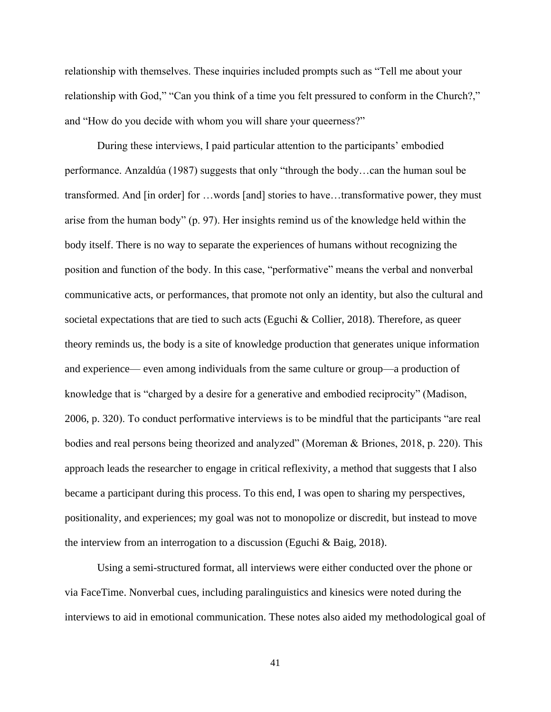relationship with themselves. These inquiries included prompts such as "Tell me about your relationship with God," "Can you think of a time you felt pressured to conform in the Church?," and "How do you decide with whom you will share your queerness?"

During these interviews, I paid particular attention to the participants' embodied performance. Anzaldúa (1987) suggests that only "through the body…can the human soul be transformed. And [in order] for …words [and] stories to have…transformative power, they must arise from the human body" (p. 97). Her insights remind us of the knowledge held within the body itself. There is no way to separate the experiences of humans without recognizing the position and function of the body. In this case, "performative" means the verbal and nonverbal communicative acts, or performances, that promote not only an identity, but also the cultural and societal expectations that are tied to such acts (Eguchi & Collier, 2018). Therefore, as queer theory reminds us, the body is a site of knowledge production that generates unique information and experience— even among individuals from the same culture or group—a production of knowledge that is "charged by a desire for a generative and embodied reciprocity" (Madison, 2006, p. 320). To conduct performative interviews is to be mindful that the participants "are real bodies and real persons being theorized and analyzed" (Moreman & Briones, 2018, p. 220). This approach leads the researcher to engage in critical reflexivity, a method that suggests that I also became a participant during this process. To this end, I was open to sharing my perspectives, positionality, and experiences; my goal was not to monopolize or discredit, but instead to move the interview from an interrogation to a discussion (Eguchi  $\&$  Baig, 2018).

Using a semi-structured format, all interviews were either conducted over the phone or via FaceTime. Nonverbal cues, including paralinguistics and kinesics were noted during the interviews to aid in emotional communication. These notes also aided my methodological goal of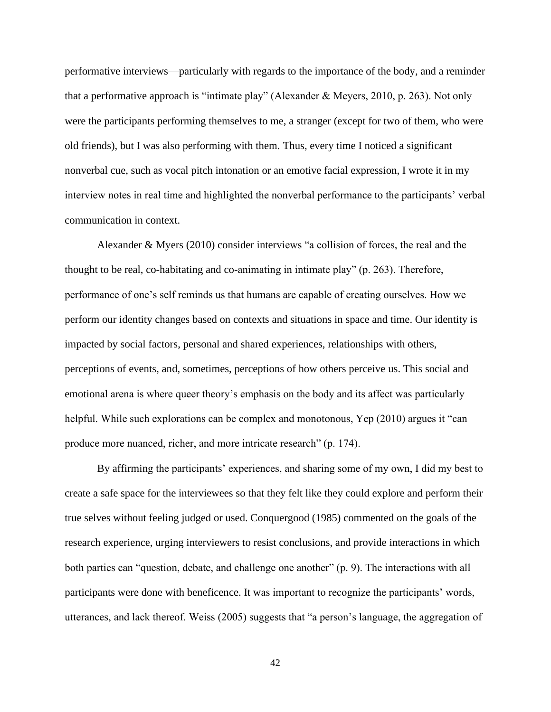performative interviews—particularly with regards to the importance of the body, and a reminder that a performative approach is "intimate play" (Alexander & Meyers, 2010, p. 263). Not only were the participants performing themselves to me, a stranger (except for two of them, who were old friends), but I was also performing with them. Thus, every time I noticed a significant nonverbal cue, such as vocal pitch intonation or an emotive facial expression, I wrote it in my interview notes in real time and highlighted the nonverbal performance to the participants' verbal communication in context.

Alexander & Myers (2010) consider interviews "a collision of forces, the real and the thought to be real, co-habitating and co-animating in intimate play" (p. 263). Therefore, performance of one's self reminds us that humans are capable of creating ourselves. How we perform our identity changes based on contexts and situations in space and time. Our identity is impacted by social factors, personal and shared experiences, relationships with others, perceptions of events, and, sometimes, perceptions of how others perceive us. This social and emotional arena is where queer theory's emphasis on the body and its affect was particularly helpful. While such explorations can be complex and monotonous, Yep (2010) argues it "can produce more nuanced, richer, and more intricate research" (p. 174).

By affirming the participants' experiences, and sharing some of my own, I did my best to create a safe space for the interviewees so that they felt like they could explore and perform their true selves without feeling judged or used. Conquergood (1985) commented on the goals of the research experience, urging interviewers to resist conclusions, and provide interactions in which both parties can "question, debate, and challenge one another" (p. 9). The interactions with all participants were done with beneficence. It was important to recognize the participants' words, utterances, and lack thereof. Weiss (2005) suggests that "a person's language, the aggregation of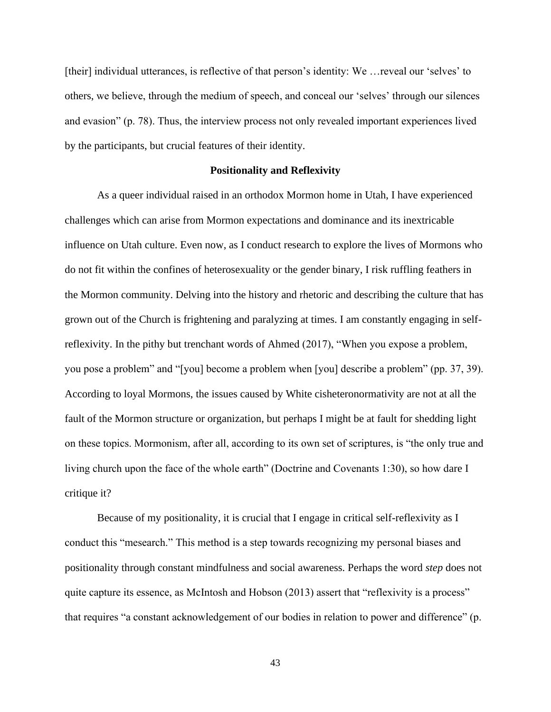[their] individual utterances, is reflective of that person's identity: We …reveal our 'selves' to others, we believe, through the medium of speech, and conceal our 'selves' through our silences and evasion" (p. 78). Thus, the interview process not only revealed important experiences lived by the participants, but crucial features of their identity.

## **Positionality and Reflexivity**

As a queer individual raised in an orthodox Mormon home in Utah, I have experienced challenges which can arise from Mormon expectations and dominance and its inextricable influence on Utah culture. Even now, as I conduct research to explore the lives of Mormons who do not fit within the confines of heterosexuality or the gender binary, I risk ruffling feathers in the Mormon community. Delving into the history and rhetoric and describing the culture that has grown out of the Church is frightening and paralyzing at times. I am constantly engaging in selfreflexivity. In the pithy but trenchant words of Ahmed (2017), "When you expose a problem, you pose a problem" and "[you] become a problem when [you] describe a problem" (pp. 37, 39). According to loyal Mormons, the issues caused by White cisheteronormativity are not at all the fault of the Mormon structure or organization, but perhaps I might be at fault for shedding light on these topics. Mormonism, after all, according to its own set of scriptures, is "the only true and living church upon the face of the whole earth" (Doctrine and Covenants 1:30), so how dare I critique it?

Because of my positionality, it is crucial that I engage in critical self-reflexivity as I conduct this "mesearch." This method is a step towards recognizing my personal biases and positionality through constant mindfulness and social awareness. Perhaps the word *step* does not quite capture its essence, as McIntosh and Hobson (2013) assert that "reflexivity is a process" that requires "a constant acknowledgement of our bodies in relation to power and difference" (p.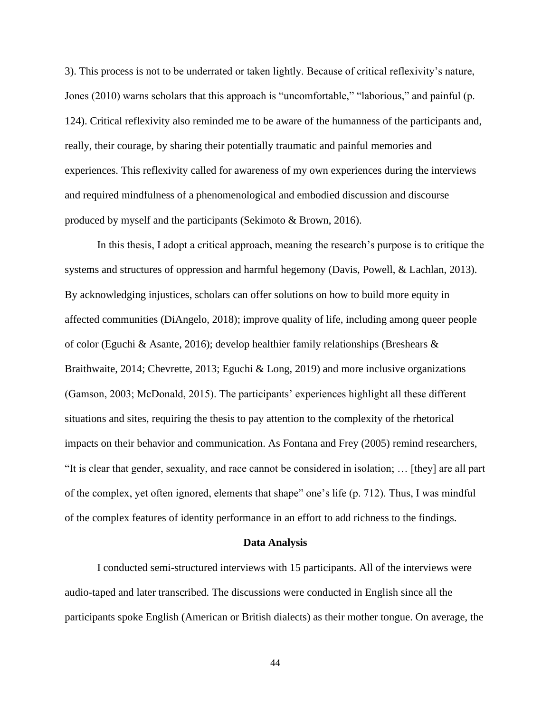3). This process is not to be underrated or taken lightly. Because of critical reflexivity's nature, Jones (2010) warns scholars that this approach is "uncomfortable," "laborious," and painful (p. 124). Critical reflexivity also reminded me to be aware of the humanness of the participants and, really, their courage, by sharing their potentially traumatic and painful memories and experiences. This reflexivity called for awareness of my own experiences during the interviews and required mindfulness of a phenomenological and embodied discussion and discourse produced by myself and the participants (Sekimoto & Brown, 2016).

In this thesis, I adopt a critical approach, meaning the research's purpose is to critique the systems and structures of oppression and harmful hegemony (Davis, Powell, & Lachlan, 2013). By acknowledging injustices, scholars can offer solutions on how to build more equity in affected communities (DiAngelo, 2018); improve quality of life, including among queer people of color (Eguchi & Asante, 2016); develop healthier family relationships (Breshears  $\&$ Braithwaite, 2014; Chevrette, 2013; Eguchi & Long, 2019) and more inclusive organizations (Gamson, 2003; McDonald, 2015). The participants' experiences highlight all these different situations and sites, requiring the thesis to pay attention to the complexity of the rhetorical impacts on their behavior and communication. As Fontana and Frey (2005) remind researchers, "It is clear that gender, sexuality, and race cannot be considered in isolation; … [they] are all part of the complex, yet often ignored, elements that shape" one's life (p. 712). Thus, I was mindful of the complex features of identity performance in an effort to add richness to the findings.

### **Data Analysis**

I conducted semi-structured interviews with 15 participants. All of the interviews were audio-taped and later transcribed. The discussions were conducted in English since all the participants spoke English (American or British dialects) as their mother tongue. On average, the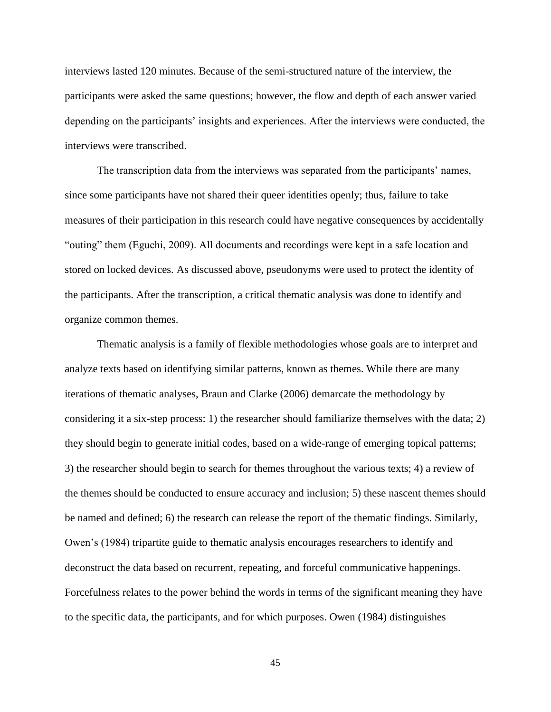interviews lasted 120 minutes. Because of the semi-structured nature of the interview, the participants were asked the same questions; however, the flow and depth of each answer varied depending on the participants' insights and experiences. After the interviews were conducted, the interviews were transcribed.

The transcription data from the interviews was separated from the participants' names, since some participants have not shared their queer identities openly; thus, failure to take measures of their participation in this research could have negative consequences by accidentally "outing" them (Eguchi, 2009). All documents and recordings were kept in a safe location and stored on locked devices. As discussed above, pseudonyms were used to protect the identity of the participants. After the transcription, a critical thematic analysis was done to identify and organize common themes.

Thematic analysis is a family of flexible methodologies whose goals are to interpret and analyze texts based on identifying similar patterns, known as themes. While there are many iterations of thematic analyses, Braun and Clarke (2006) demarcate the methodology by considering it a six-step process: 1) the researcher should familiarize themselves with the data; 2) they should begin to generate initial codes, based on a wide-range of emerging topical patterns; 3) the researcher should begin to search for themes throughout the various texts; 4) a review of the themes should be conducted to ensure accuracy and inclusion; 5) these nascent themes should be named and defined; 6) the research can release the report of the thematic findings. Similarly, Owen's (1984) tripartite guide to thematic analysis encourages researchers to identify and deconstruct the data based on recurrent, repeating, and forceful communicative happenings. Forcefulness relates to the power behind the words in terms of the significant meaning they have to the specific data, the participants, and for which purposes. Owen (1984) distinguishes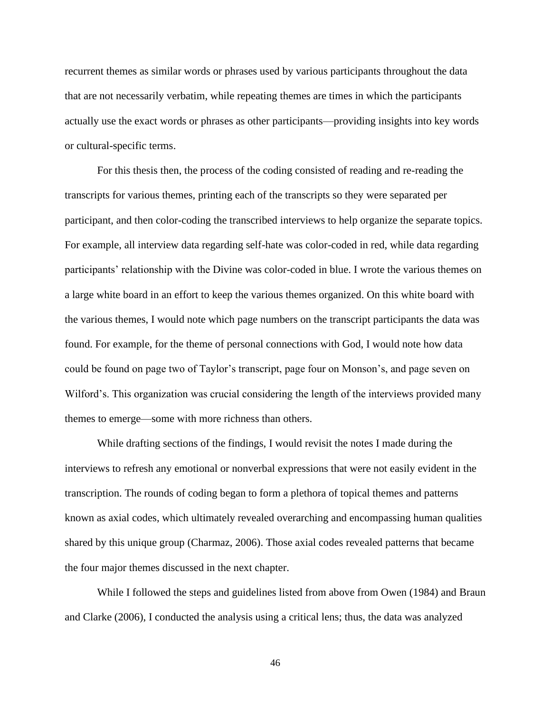recurrent themes as similar words or phrases used by various participants throughout the data that are not necessarily verbatim, while repeating themes are times in which the participants actually use the exact words or phrases as other participants—providing insights into key words or cultural-specific terms.

For this thesis then, the process of the coding consisted of reading and re-reading the transcripts for various themes, printing each of the transcripts so they were separated per participant, and then color-coding the transcribed interviews to help organize the separate topics. For example, all interview data regarding self-hate was color-coded in red, while data regarding participants' relationship with the Divine was color-coded in blue. I wrote the various themes on a large white board in an effort to keep the various themes organized. On this white board with the various themes, I would note which page numbers on the transcript participants the data was found. For example, for the theme of personal connections with God, I would note how data could be found on page two of Taylor's transcript, page four on Monson's, and page seven on Wilford's. This organization was crucial considering the length of the interviews provided many themes to emerge—some with more richness than others.

While drafting sections of the findings, I would revisit the notes I made during the interviews to refresh any emotional or nonverbal expressions that were not easily evident in the transcription. The rounds of coding began to form a plethora of topical themes and patterns known as axial codes, which ultimately revealed overarching and encompassing human qualities shared by this unique group (Charmaz, 2006). Those axial codes revealed patterns that became the four major themes discussed in the next chapter.

While I followed the steps and guidelines listed from above from Owen (1984) and Braun and Clarke (2006), I conducted the analysis using a critical lens; thus, the data was analyzed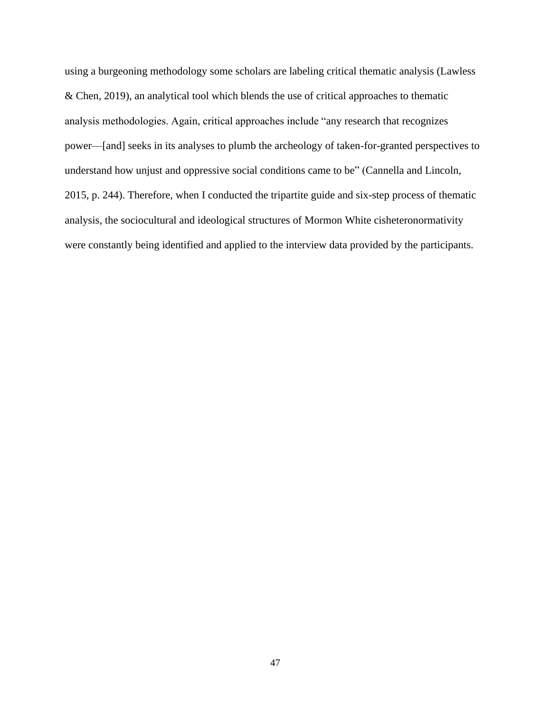using a burgeoning methodology some scholars are labeling critical thematic analysis (Lawless & Chen, 2019), an analytical tool which blends the use of critical approaches to thematic analysis methodologies. Again, critical approaches include "any research that recognizes power—[and] seeks in its analyses to plumb the archeology of taken-for-granted perspectives to understand how unjust and oppressive social conditions came to be" (Cannella and Lincoln, 2015, p. 244). Therefore, when I conducted the tripartite guide and six-step process of thematic analysis, the sociocultural and ideological structures of Mormon White cisheteronormativity were constantly being identified and applied to the interview data provided by the participants.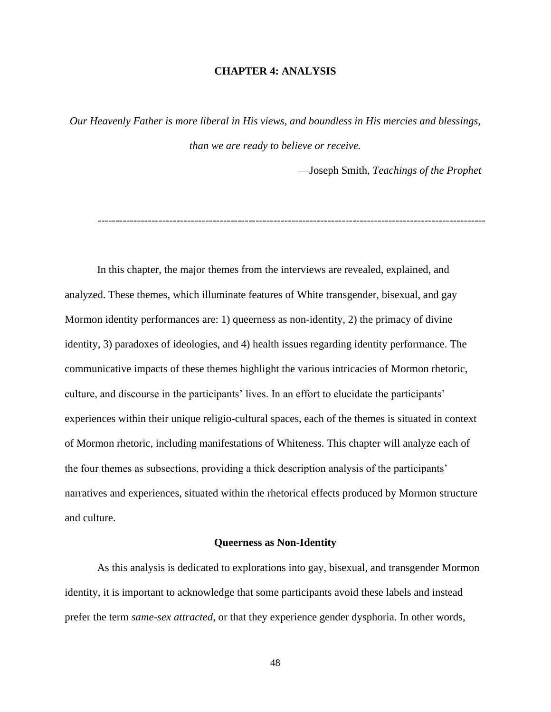# **CHAPTER 4: ANALYSIS**

*Our Heavenly Father is more liberal in His views, and boundless in His mercies and blessings, than we are ready to believe or receive.*

—Joseph Smith, *Teachings of the Prophet*

In this chapter, the major themes from the interviews are revealed, explained, and analyzed. These themes, which illuminate features of White transgender, bisexual, and gay Mormon identity performances are: 1) queerness as non-identity, 2) the primacy of divine identity, 3) paradoxes of ideologies, and 4) health issues regarding identity performance. The communicative impacts of these themes highlight the various intricacies of Mormon rhetoric, culture, and discourse in the participants' lives. In an effort to elucidate the participants' experiences within their unique religio-cultural spaces, each of the themes is situated in context of Mormon rhetoric, including manifestations of Whiteness. This chapter will analyze each of the four themes as subsections, providing a thick description analysis of the participants' narratives and experiences, situated within the rhetorical effects produced by Mormon structure and culture.

## **Queerness as Non-Identity**

As this analysis is dedicated to explorations into gay, bisexual, and transgender Mormon identity, it is important to acknowledge that some participants avoid these labels and instead prefer the term *same-sex attracted*, or that they experience gender dysphoria. In other words,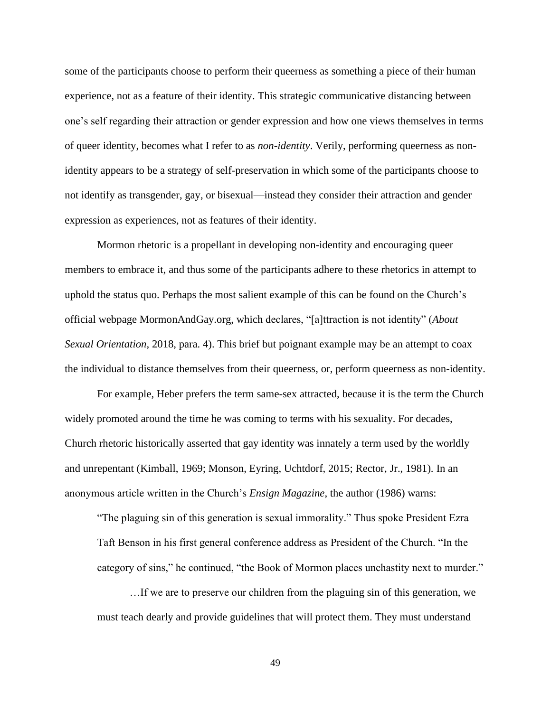some of the participants choose to perform their queerness as something a piece of their human experience, not as a feature of their identity. This strategic communicative distancing between one's self regarding their attraction or gender expression and how one views themselves in terms of queer identity, becomes what I refer to as *non-identity*. Verily, performing queerness as nonidentity appears to be a strategy of self-preservation in which some of the participants choose to not identify as transgender, gay, or bisexual—instead they consider their attraction and gender expression as experiences, not as features of their identity.

Mormon rhetoric is a propellant in developing non-identity and encouraging queer members to embrace it, and thus some of the participants adhere to these rhetorics in attempt to uphold the status quo. Perhaps the most salient example of this can be found on the Church's official webpage MormonAndGay.org, which declares, "[a]ttraction is not identity" (*About Sexual Orientation,* 2018, para. 4). This brief but poignant example may be an attempt to coax the individual to distance themselves from their queerness, or, perform queerness as non-identity.

For example, Heber prefers the term same-sex attracted, because it is the term the Church widely promoted around the time he was coming to terms with his sexuality. For decades, Church rhetoric historically asserted that gay identity was innately a term used by the worldly and unrepentant (Kimball, 1969; Monson, Eyring, Uchtdorf, 2015; Rector, Jr., 1981). In an anonymous article written in the Church's *Ensign Magazine*, the author (1986) warns:

"The plaguing sin of this generation is sexual immorality." Thus spoke President Ezra Taft Benson in his first general conference address as President of the Church. "In the category of sins," he continued, "the Book of Mormon places unchastity next to murder."

…If we are to preserve our children from the plaguing sin of this generation, we must teach dearly and provide guidelines that will protect them. They must understand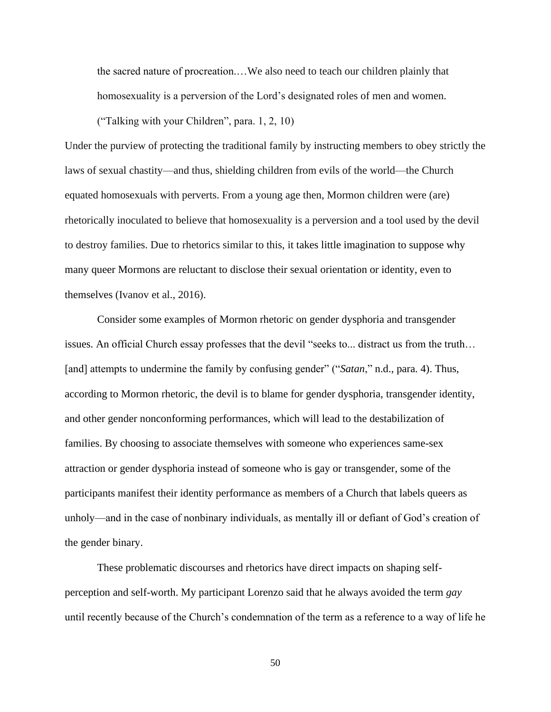the sacred nature of procreation.…We also need to teach our children plainly that homosexuality is a perversion of the Lord's designated roles of men and women.

("Talking with your Children", para. 1, 2, 10)

Under the purview of protecting the traditional family by instructing members to obey strictly the laws of sexual chastity—and thus, shielding children from evils of the world—the Church equated homosexuals with perverts. From a young age then, Mormon children were (are) rhetorically inoculated to believe that homosexuality is a perversion and a tool used by the devil to destroy families. Due to rhetorics similar to this, it takes little imagination to suppose why many queer Mormons are reluctant to disclose their sexual orientation or identity, even to themselves (Ivanov et al., 2016).

Consider some examples of Mormon rhetoric on gender dysphoria and transgender issues. An official Church essay professes that the devil "seeks to... distract us from the truth… [and] attempts to undermine the family by confusing gender" ("*Satan*," n.d., para. 4). Thus, according to Mormon rhetoric, the devil is to blame for gender dysphoria, transgender identity, and other gender nonconforming performances, which will lead to the destabilization of families. By choosing to associate themselves with someone who experiences same-sex attraction or gender dysphoria instead of someone who is gay or transgender, some of the participants manifest their identity performance as members of a Church that labels queers as unholy—and in the case of nonbinary individuals, as mentally ill or defiant of God's creation of the gender binary.

These problematic discourses and rhetorics have direct impacts on shaping selfperception and self-worth. My participant Lorenzo said that he always avoided the term *gay* until recently because of the Church's condemnation of the term as a reference to a way of life he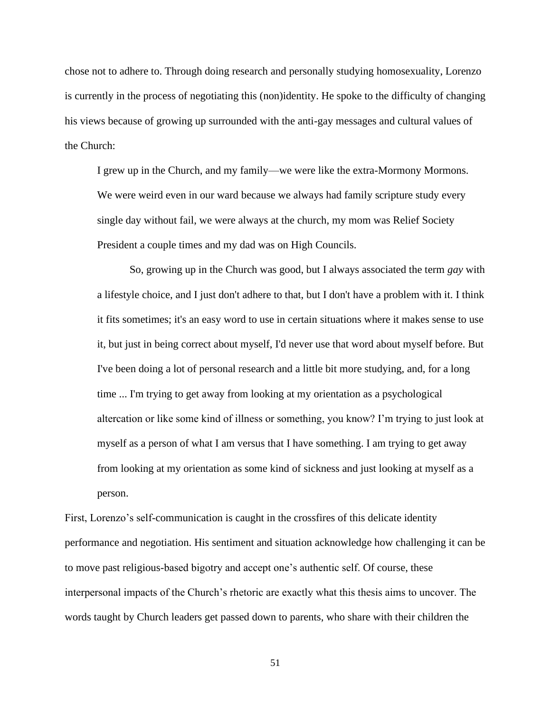chose not to adhere to. Through doing research and personally studying homosexuality, Lorenzo is currently in the process of negotiating this (non)identity. He spoke to the difficulty of changing his views because of growing up surrounded with the anti-gay messages and cultural values of the Church:

I grew up in the Church, and my family—we were like the extra-Mormony Mormons. We were weird even in our ward because we always had family scripture study every single day without fail, we were always at the church, my mom was Relief Society President a couple times and my dad was on High Councils.

So, growing up in the Church was good, but I always associated the term *gay* with a lifestyle choice, and I just don't adhere to that, but I don't have a problem with it. I think it fits sometimes; it's an easy word to use in certain situations where it makes sense to use it, but just in being correct about myself, I'd never use that word about myself before. But I've been doing a lot of personal research and a little bit more studying, and, for a long time ... I'm trying to get away from looking at my orientation as a psychological altercation or like some kind of illness or something, you know? I'm trying to just look at myself as a person of what I am versus that I have something. I am trying to get away from looking at my orientation as some kind of sickness and just looking at myself as a person.

First, Lorenzo's self-communication is caught in the crossfires of this delicate identity performance and negotiation. His sentiment and situation acknowledge how challenging it can be to move past religious-based bigotry and accept one's authentic self. Of course, these interpersonal impacts of the Church's rhetoric are exactly what this thesis aims to uncover. The words taught by Church leaders get passed down to parents, who share with their children the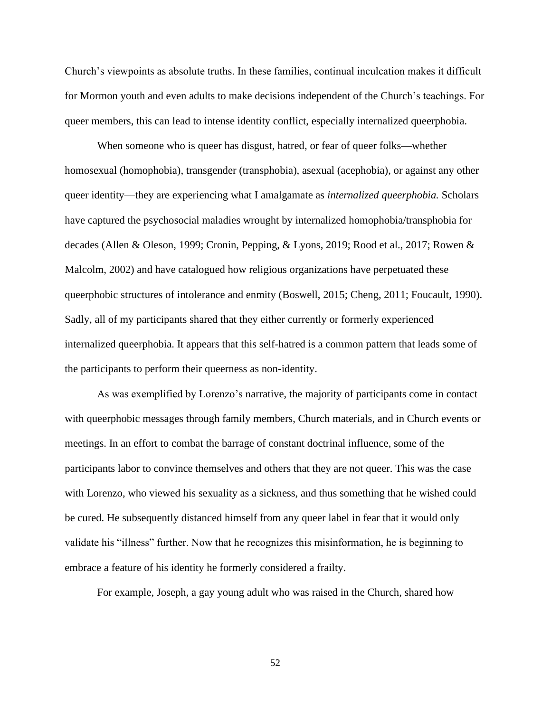Church's viewpoints as absolute truths. In these families, continual inculcation makes it difficult for Mormon youth and even adults to make decisions independent of the Church's teachings. For queer members, this can lead to intense identity conflict, especially internalized queerphobia.

When someone who is queer has disgust, hatred, or fear of queer folks—whether homosexual (homophobia), transgender (transphobia), asexual (acephobia), or against any other queer identity—they are experiencing what I amalgamate as *internalized queerphobia.* Scholars have captured the psychosocial maladies wrought by internalized homophobia/transphobia for decades (Allen & Oleson, 1999; Cronin, Pepping, & Lyons, 2019; Rood et al., 2017; Rowen & Malcolm, 2002) and have catalogued how religious organizations have perpetuated these queerphobic structures of intolerance and enmity (Boswell, 2015; Cheng, 2011; Foucault, 1990). Sadly, all of my participants shared that they either currently or formerly experienced internalized queerphobia. It appears that this self-hatred is a common pattern that leads some of the participants to perform their queerness as non-identity.

As was exemplified by Lorenzo's narrative, the majority of participants come in contact with queerphobic messages through family members, Church materials, and in Church events or meetings. In an effort to combat the barrage of constant doctrinal influence, some of the participants labor to convince themselves and others that they are not queer. This was the case with Lorenzo, who viewed his sexuality as a sickness, and thus something that he wished could be cured. He subsequently distanced himself from any queer label in fear that it would only validate his "illness" further. Now that he recognizes this misinformation, he is beginning to embrace a feature of his identity he formerly considered a frailty.

For example, Joseph, a gay young adult who was raised in the Church, shared how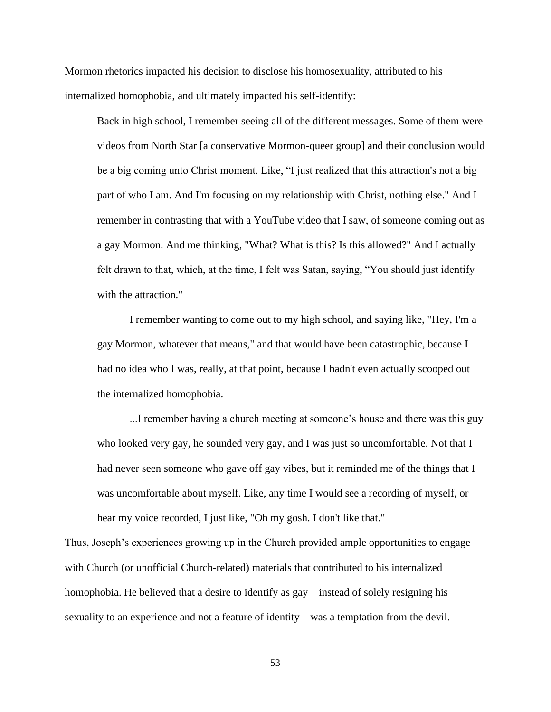Mormon rhetorics impacted his decision to disclose his homosexuality, attributed to his internalized homophobia, and ultimately impacted his self-identify:

Back in high school, I remember seeing all of the different messages. Some of them were videos from North Star [a conservative Mormon-queer group] and their conclusion would be a big coming unto Christ moment. Like, "I just realized that this attraction's not a big part of who I am. And I'm focusing on my relationship with Christ, nothing else." And I remember in contrasting that with a YouTube video that I saw, of someone coming out as a gay Mormon. And me thinking, "What? What is this? Is this allowed?" And I actually felt drawn to that, which, at the time, I felt was Satan, saying, "You should just identify with the attraction."

I remember wanting to come out to my high school, and saying like, "Hey, I'm a gay Mormon, whatever that means," and that would have been catastrophic, because I had no idea who I was, really, at that point, because I hadn't even actually scooped out the internalized homophobia.

...I remember having a church meeting at someone's house and there was this guy who looked very gay, he sounded very gay, and I was just so uncomfortable. Not that I had never seen someone who gave off gay vibes, but it reminded me of the things that I was uncomfortable about myself. Like, any time I would see a recording of myself, or hear my voice recorded, I just like, "Oh my gosh. I don't like that."

Thus, Joseph's experiences growing up in the Church provided ample opportunities to engage with Church (or unofficial Church-related) materials that contributed to his internalized homophobia. He believed that a desire to identify as gay—instead of solely resigning his sexuality to an experience and not a feature of identity—was a temptation from the devil.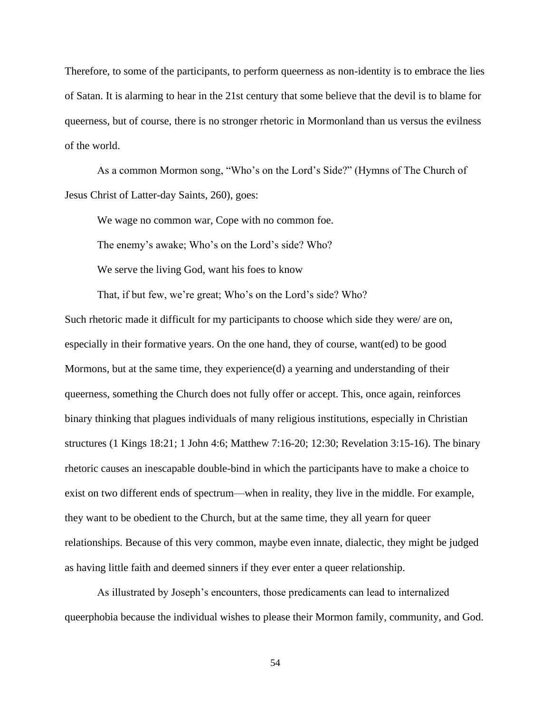Therefore, to some of the participants, to perform queerness as non-identity is to embrace the lies of Satan. It is alarming to hear in the 21st century that some believe that the devil is to blame for queerness, but of course, there is no stronger rhetoric in Mormonland than us versus the evilness of the world.

As a common Mormon song, "Who's on the Lord's Side?" (Hymns of The Church of Jesus Christ of Latter-day Saints, 260), goes:

We wage no common war, Cope with no common foe.

The enemy's awake; Who's on the Lord's side? Who?

We serve the living God, want his foes to know

That, if but few, we're great; Who's on the Lord's side? Who?

Such rhetoric made it difficult for my participants to choose which side they were/ are on, especially in their formative years. On the one hand, they of course, want(ed) to be good Mormons, but at the same time, they experience(d) a yearning and understanding of their queerness, something the Church does not fully offer or accept. This, once again, reinforces binary thinking that plagues individuals of many religious institutions, especially in Christian structures (1 Kings 18:21; 1 John 4:6; Matthew 7:16-20; 12:30; Revelation 3:15-16). The binary rhetoric causes an inescapable double-bind in which the participants have to make a choice to exist on two different ends of spectrum—when in reality, they live in the middle. For example, they want to be obedient to the Church, but at the same time, they all yearn for queer relationships. Because of this very common, maybe even innate, dialectic, they might be judged as having little faith and deemed sinners if they ever enter a queer relationship.

As illustrated by Joseph's encounters, those predicaments can lead to internalized queerphobia because the individual wishes to please their Mormon family, community, and God.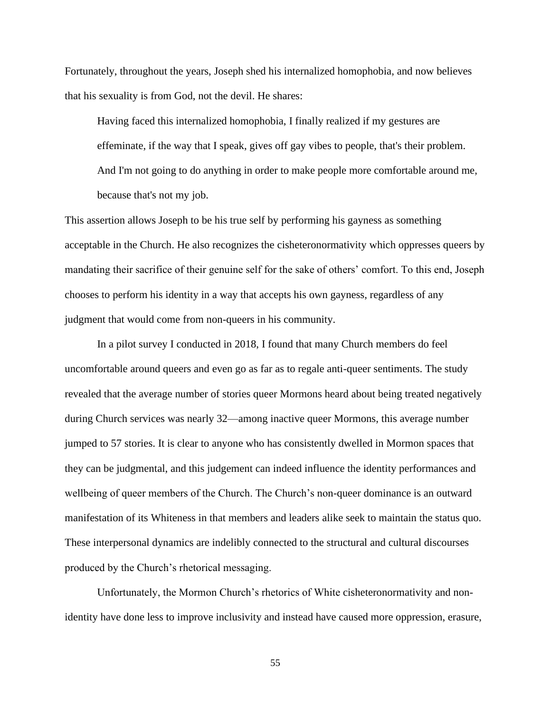Fortunately, throughout the years, Joseph shed his internalized homophobia, and now believes that his sexuality is from God, not the devil. He shares:

Having faced this internalized homophobia, I finally realized if my gestures are effeminate, if the way that I speak, gives off gay vibes to people, that's their problem. And I'm not going to do anything in order to make people more comfortable around me, because that's not my job.

This assertion allows Joseph to be his true self by performing his gayness as something acceptable in the Church. He also recognizes the cisheteronormativity which oppresses queers by mandating their sacrifice of their genuine self for the sake of others' comfort. To this end, Joseph chooses to perform his identity in a way that accepts his own gayness, regardless of any judgment that would come from non-queers in his community.

In a pilot survey I conducted in 2018, I found that many Church members do feel uncomfortable around queers and even go as far as to regale anti-queer sentiments. The study revealed that the average number of stories queer Mormons heard about being treated negatively during Church services was nearly 32—among inactive queer Mormons, this average number jumped to 57 stories. It is clear to anyone who has consistently dwelled in Mormon spaces that they can be judgmental, and this judgement can indeed influence the identity performances and wellbeing of queer members of the Church. The Church's non-queer dominance is an outward manifestation of its Whiteness in that members and leaders alike seek to maintain the status quo. These interpersonal dynamics are indelibly connected to the structural and cultural discourses produced by the Church's rhetorical messaging.

Unfortunately, the Mormon Church's rhetorics of White cisheteronormativity and nonidentity have done less to improve inclusivity and instead have caused more oppression, erasure,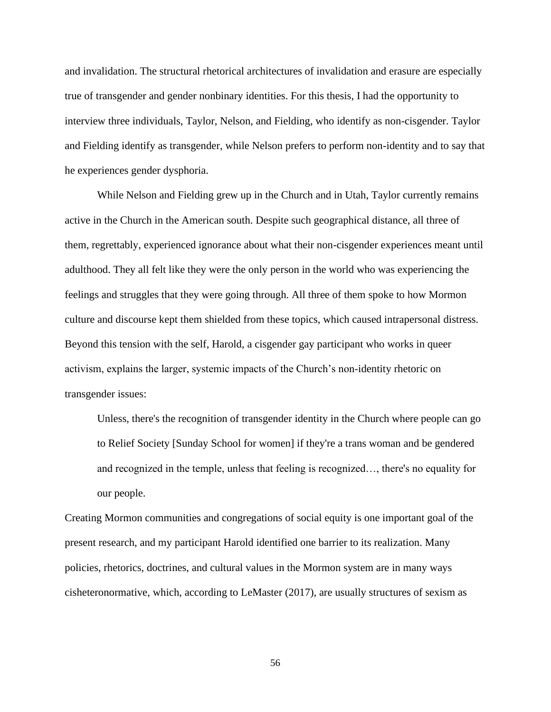and invalidation. The structural rhetorical architectures of invalidation and erasure are especially true of transgender and gender nonbinary identities. For this thesis, I had the opportunity to interview three individuals, Taylor, Nelson, and Fielding, who identify as non-cisgender. Taylor and Fielding identify as transgender, while Nelson prefers to perform non-identity and to say that he experiences gender dysphoria.

While Nelson and Fielding grew up in the Church and in Utah, Taylor currently remains active in the Church in the American south. Despite such geographical distance, all three of them, regrettably, experienced ignorance about what their non-cisgender experiences meant until adulthood. They all felt like they were the only person in the world who was experiencing the feelings and struggles that they were going through. All three of them spoke to how Mormon culture and discourse kept them shielded from these topics, which caused intrapersonal distress. Beyond this tension with the self, Harold, a cisgender gay participant who works in queer activism, explains the larger, systemic impacts of the Church's non-identity rhetoric on transgender issues:

Unless, there's the recognition of transgender identity in the Church where people can go to Relief Society [Sunday School for women] if they're a trans woman and be gendered and recognized in the temple, unless that feeling is recognized…, there's no equality for our people.

Creating Mormon communities and congregations of social equity is one important goal of the present research, and my participant Harold identified one barrier to its realization. Many policies, rhetorics, doctrines, and cultural values in the Mormon system are in many ways cisheteronormative, which, according to LeMaster (2017), are usually structures of sexism as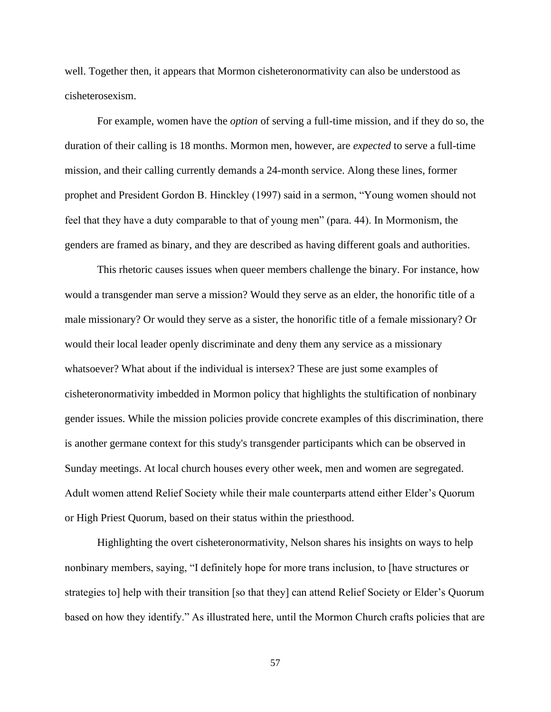well. Together then, it appears that Mormon cisheteronormativity can also be understood as cisheterosexism.

For example, women have the *option* of serving a full-time mission, and if they do so, the duration of their calling is 18 months. Mormon men, however, are *expected* to serve a full-time mission, and their calling currently demands a 24-month service. Along these lines, former prophet and President Gordon B. Hinckley (1997) said in a sermon, "Young women should not feel that they have a duty comparable to that of young men" (para. 44). In Mormonism, the genders are framed as binary, and they are described as having different goals and authorities.

This rhetoric causes issues when queer members challenge the binary. For instance, how would a transgender man serve a mission? Would they serve as an elder, the honorific title of a male missionary? Or would they serve as a sister, the honorific title of a female missionary? Or would their local leader openly discriminate and deny them any service as a missionary whatsoever? What about if the individual is intersex? These are just some examples of cisheteronormativity imbedded in Mormon policy that highlights the stultification of nonbinary gender issues. While the mission policies provide concrete examples of this discrimination, there is another germane context for this study's transgender participants which can be observed in Sunday meetings. At local church houses every other week, men and women are segregated. Adult women attend Relief Society while their male counterparts attend either Elder's Quorum or High Priest Quorum, based on their status within the priesthood.

Highlighting the overt cisheteronormativity, Nelson shares his insights on ways to help nonbinary members, saying, "I definitely hope for more trans inclusion, to [have structures or strategies to] help with their transition [so that they] can attend Relief Society or Elder's Quorum based on how they identify." As illustrated here, until the Mormon Church crafts policies that are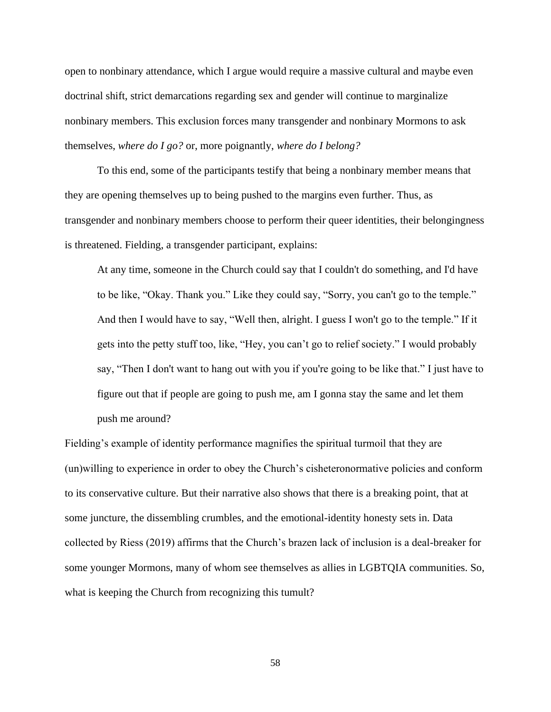open to nonbinary attendance, which I argue would require a massive cultural and maybe even doctrinal shift, strict demarcations regarding sex and gender will continue to marginalize nonbinary members. This exclusion forces many transgender and nonbinary Mormons to ask themselves, *where do I go?* or, more poignantly, *where do I belong?*

To this end, some of the participants testify that being a nonbinary member means that they are opening themselves up to being pushed to the margins even further. Thus, as transgender and nonbinary members choose to perform their queer identities, their belongingness is threatened. Fielding, a transgender participant, explains:

At any time, someone in the Church could say that I couldn't do something, and I'd have to be like, "Okay. Thank you." Like they could say, "Sorry, you can't go to the temple." And then I would have to say, "Well then, alright. I guess I won't go to the temple." If it gets into the petty stuff too, like, "Hey, you can't go to relief society." I would probably say, "Then I don't want to hang out with you if you're going to be like that." I just have to figure out that if people are going to push me, am I gonna stay the same and let them push me around?

Fielding's example of identity performance magnifies the spiritual turmoil that they are (un)willing to experience in order to obey the Church's cisheteronormative policies and conform to its conservative culture. But their narrative also shows that there is a breaking point, that at some juncture, the dissembling crumbles, and the emotional-identity honesty sets in. Data collected by Riess (2019) affirms that the Church's brazen lack of inclusion is a deal-breaker for some younger Mormons, many of whom see themselves as allies in LGBTQIA communities. So, what is keeping the Church from recognizing this tumult?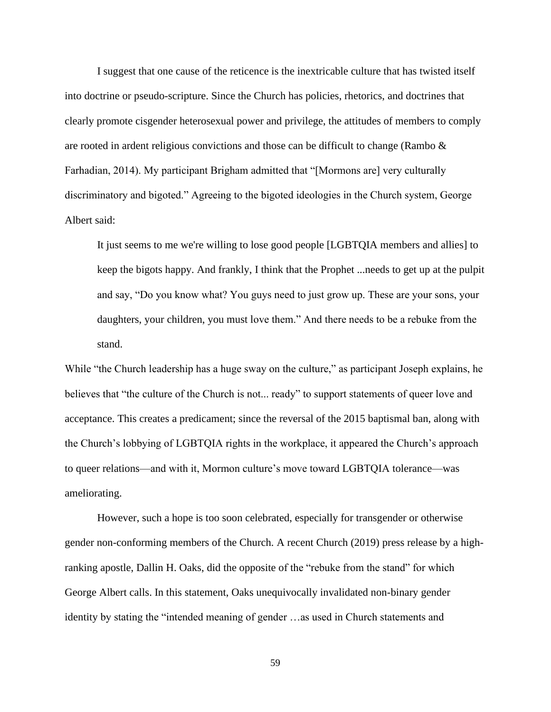I suggest that one cause of the reticence is the inextricable culture that has twisted itself into doctrine or pseudo-scripture. Since the Church has policies, rhetorics, and doctrines that clearly promote cisgender heterosexual power and privilege, the attitudes of members to comply are rooted in ardent religious convictions and those can be difficult to change (Rambo & Farhadian, 2014). My participant Brigham admitted that "[Mormons are] very culturally discriminatory and bigoted." Agreeing to the bigoted ideologies in the Church system, George Albert said:

It just seems to me we're willing to lose good people [LGBTQIA members and allies] to keep the bigots happy. And frankly, I think that the Prophet ...needs to get up at the pulpit and say, "Do you know what? You guys need to just grow up. These are your sons, your daughters, your children, you must love them." And there needs to be a rebuke from the stand.

While "the Church leadership has a huge sway on the culture," as participant Joseph explains, he believes that "the culture of the Church is not... ready" to support statements of queer love and acceptance. This creates a predicament; since the reversal of the 2015 baptismal ban, along with the Church's lobbying of LGBTQIA rights in the workplace, it appeared the Church's approach to queer relations—and with it, Mormon culture's move toward LGBTQIA tolerance—was ameliorating.

However, such a hope is too soon celebrated, especially for transgender or otherwise gender non-conforming members of the Church. A recent Church (2019) press release by a highranking apostle, Dallin H. Oaks, did the opposite of the "rebuke from the stand" for which George Albert calls. In this statement, Oaks unequivocally invalidated non-binary gender identity by stating the "intended meaning of gender …as used in Church statements and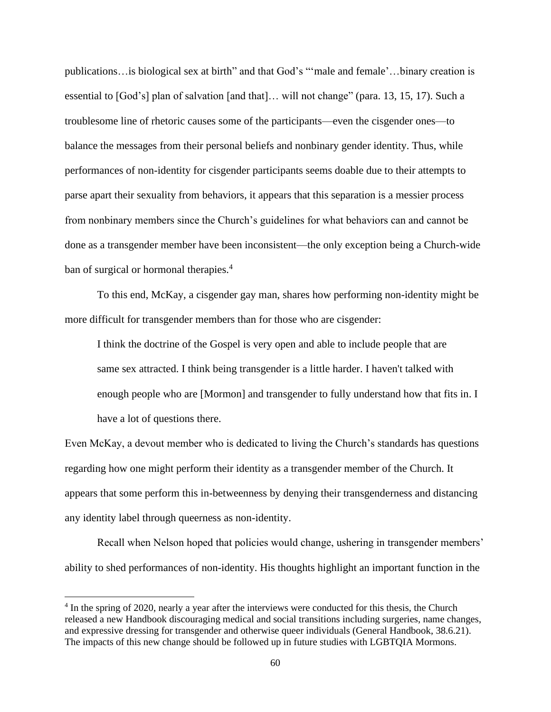publications…is biological sex at birth" and that God's "'male and female'…binary creation is essential to [God's] plan of salvation [and that]… will not change" (para. 13, 15, 17). Such a troublesome line of rhetoric causes some of the participants—even the cisgender ones—to balance the messages from their personal beliefs and nonbinary gender identity. Thus, while performances of non-identity for cisgender participants seems doable due to their attempts to parse apart their sexuality from behaviors, it appears that this separation is a messier process from nonbinary members since the Church's guidelines for what behaviors can and cannot be done as a transgender member have been inconsistent—the only exception being a Church-wide ban of surgical or hormonal therapies.<sup>4</sup>

To this end, McKay, a cisgender gay man, shares how performing non-identity might be more difficult for transgender members than for those who are cisgender:

I think the doctrine of the Gospel is very open and able to include people that are same sex attracted. I think being transgender is a little harder. I haven't talked with enough people who are [Mormon] and transgender to fully understand how that fits in. I have a lot of questions there.

Even McKay, a devout member who is dedicated to living the Church's standards has questions regarding how one might perform their identity as a transgender member of the Church. It appears that some perform this in-betweenness by denying their transgenderness and distancing any identity label through queerness as non-identity.

Recall when Nelson hoped that policies would change, ushering in transgender members' ability to shed performances of non-identity. His thoughts highlight an important function in the

<sup>&</sup>lt;sup>4</sup> In the spring of 2020, nearly a year after the interviews were conducted for this thesis, the Church released a new Handbook discouraging medical and social transitions including surgeries, name changes, and expressive dressing for transgender and otherwise queer individuals (General Handbook, 38.6.21). The impacts of this new change should be followed up in future studies with LGBTQIA Mormons.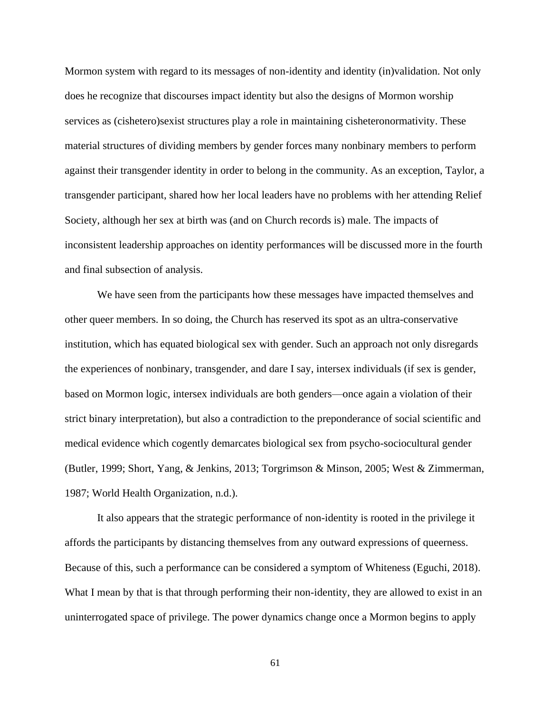Mormon system with regard to its messages of non-identity and identity (in)validation. Not only does he recognize that discourses impact identity but also the designs of Mormon worship services as (cishetero)sexist structures play a role in maintaining cisheteronormativity. These material structures of dividing members by gender forces many nonbinary members to perform against their transgender identity in order to belong in the community. As an exception, Taylor, a transgender participant, shared how her local leaders have no problems with her attending Relief Society, although her sex at birth was (and on Church records is) male. The impacts of inconsistent leadership approaches on identity performances will be discussed more in the fourth and final subsection of analysis.

We have seen from the participants how these messages have impacted themselves and other queer members. In so doing, the Church has reserved its spot as an ultra-conservative institution, which has equated biological sex with gender. Such an approach not only disregards the experiences of nonbinary, transgender, and dare I say, intersex individuals (if sex is gender, based on Mormon logic, intersex individuals are both genders—once again a violation of their strict binary interpretation), but also a contradiction to the preponderance of social scientific and medical evidence which cogently demarcates biological sex from psycho-sociocultural gender (Butler, 1999; Short, Yang, & Jenkins, 2013; Torgrimson & Minson, 2005; West & Zimmerman, 1987; World Health Organization, n.d.).

It also appears that the strategic performance of non-identity is rooted in the privilege it affords the participants by distancing themselves from any outward expressions of queerness. Because of this, such a performance can be considered a symptom of Whiteness (Eguchi, 2018). What I mean by that is that through performing their non-identity, they are allowed to exist in an uninterrogated space of privilege. The power dynamics change once a Mormon begins to apply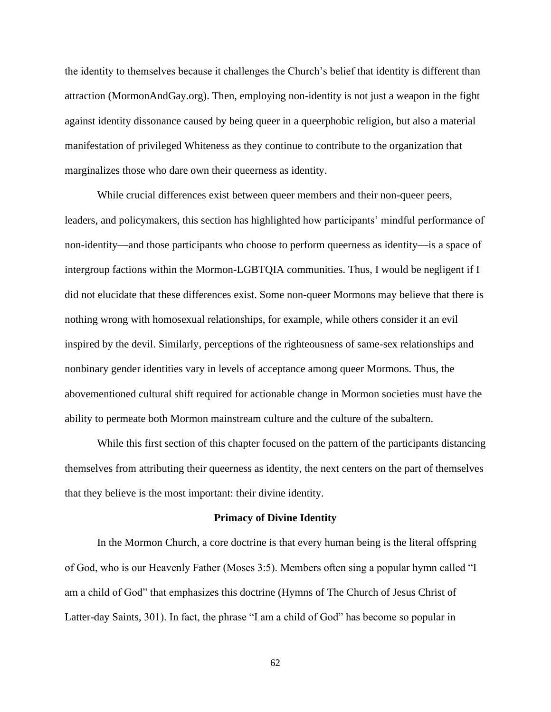the identity to themselves because it challenges the Church's belief that identity is different than attraction (MormonAndGay.org). Then, employing non-identity is not just a weapon in the fight against identity dissonance caused by being queer in a queerphobic religion, but also a material manifestation of privileged Whiteness as they continue to contribute to the organization that marginalizes those who dare own their queerness as identity.

While crucial differences exist between queer members and their non-queer peers, leaders, and policymakers, this section has highlighted how participants' mindful performance of non-identity—and those participants who choose to perform queerness as identity—is a space of intergroup factions within the Mormon-LGBTQIA communities. Thus, I would be negligent if I did not elucidate that these differences exist. Some non-queer Mormons may believe that there is nothing wrong with homosexual relationships, for example, while others consider it an evil inspired by the devil. Similarly, perceptions of the righteousness of same-sex relationships and nonbinary gender identities vary in levels of acceptance among queer Mormons. Thus, the abovementioned cultural shift required for actionable change in Mormon societies must have the ability to permeate both Mormon mainstream culture and the culture of the subaltern.

While this first section of this chapter focused on the pattern of the participants distancing themselves from attributing their queerness as identity, the next centers on the part of themselves that they believe is the most important: their divine identity.

### **Primacy of Divine Identity**

In the Mormon Church, a core doctrine is that every human being is the literal offspring of God, who is our Heavenly Father (Moses 3:5). Members often sing a popular hymn called "I am a child of God" that emphasizes this doctrine (Hymns of The Church of Jesus Christ of Latter-day Saints, 301). In fact, the phrase "I am a child of God" has become so popular in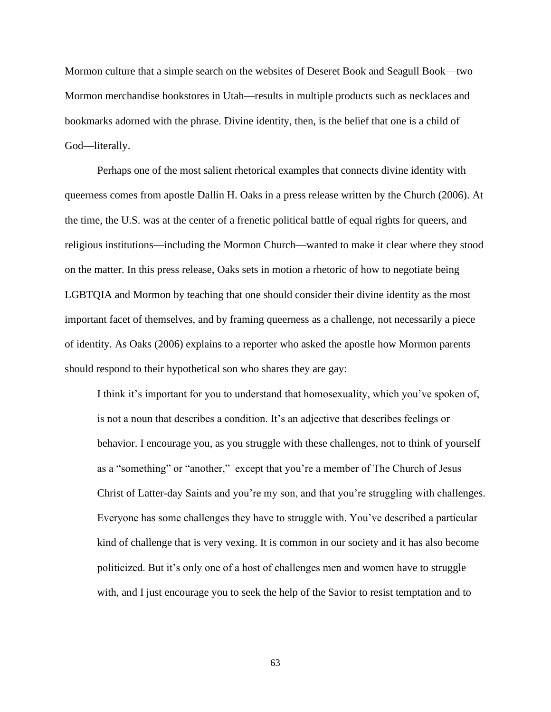Mormon culture that a simple search on the websites of Deseret Book and Seagull Book—two Mormon merchandise bookstores in Utah—results in multiple products such as necklaces and bookmarks adorned with the phrase. Divine identity, then, is the belief that one is a child of God—literally.

Perhaps one of the most salient rhetorical examples that connects divine identity with queerness comes from apostle Dallin H. Oaks in a press release written by the Church (2006). At the time, the U.S. was at the center of a frenetic political battle of equal rights for queers, and religious institutions—including the Mormon Church—wanted to make it clear where they stood on the matter. In this press release, Oaks sets in motion a rhetoric of how to negotiate being LGBTQIA and Mormon by teaching that one should consider their divine identity as the most important facet of themselves, and by framing queerness as a challenge, not necessarily a piece of identity. As Oaks (2006) explains to a reporter who asked the apostle how Mormon parents should respond to their hypothetical son who shares they are gay:

I think it's important for you to understand that homosexuality, which you've spoken of, is not a noun that describes a condition. It's an adjective that describes feelings or behavior. I encourage you, as you struggle with these challenges, not to think of yourself as a "something" or "another," except that you're a member of The Church of Jesus Christ of Latter-day Saints and you're my son, and that you're struggling with challenges. Everyone has some challenges they have to struggle with. You've described a particular kind of challenge that is very vexing. It is common in our society and it has also become politicized. But it's only one of a host of challenges men and women have to struggle with, and I just encourage you to seek the help of the Savior to resist temptation and to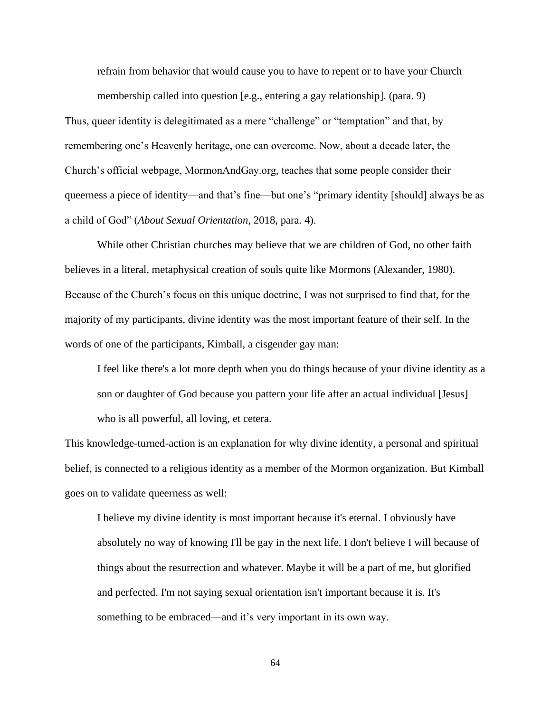refrain from behavior that would cause you to have to repent or to have your Church

membership called into question [e.g., entering a gay relationship]. (para. 9)

Thus, queer identity is delegitimated as a mere "challenge" or "temptation" and that, by remembering one's Heavenly heritage, one can overcome. Now, about a decade later, the Church's official webpage, MormonAndGay.org, teaches that some people consider their queerness a piece of identity—and that's fine—but one's "primary identity [should] always be as a child of God" (*About Sexual Orientation,* 2018, para. 4).

While other Christian churches may believe that we are children of God, no other faith believes in a literal, metaphysical creation of souls quite like Mormons (Alexander, 1980). Because of the Church's focus on this unique doctrine, I was not surprised to find that, for the majority of my participants, divine identity was the most important feature of their self. In the words of one of the participants, Kimball, a cisgender gay man:

I feel like there's a lot more depth when you do things because of your divine identity as a son or daughter of God because you pattern your life after an actual individual [Jesus] who is all powerful, all loving, et cetera.

This knowledge-turned-action is an explanation for why divine identity, a personal and spiritual belief, is connected to a religious identity as a member of the Mormon organization. But Kimball goes on to validate queerness as well:

I believe my divine identity is most important because it's eternal. I obviously have absolutely no way of knowing I'll be gay in the next life. I don't believe I will because of things about the resurrection and whatever. Maybe it will be a part of me, but glorified and perfected. I'm not saying sexual orientation isn't important because it is. It's something to be embraced—and it's very important in its own way.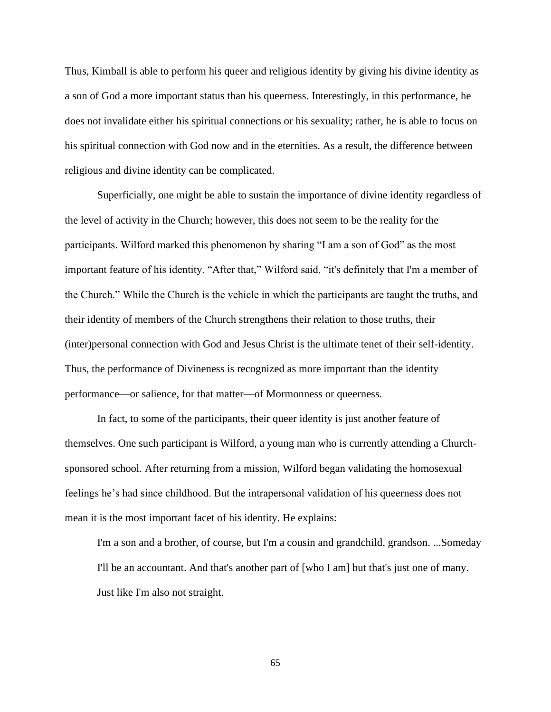Thus, Kimball is able to perform his queer and religious identity by giving his divine identity as a son of God a more important status than his queerness. Interestingly, in this performance, he does not invalidate either his spiritual connections or his sexuality; rather, he is able to focus on his spiritual connection with God now and in the eternities. As a result, the difference between religious and divine identity can be complicated.

Superficially, one might be able to sustain the importance of divine identity regardless of the level of activity in the Church; however, this does not seem to be the reality for the participants. Wilford marked this phenomenon by sharing "I am a son of God" as the most important feature of his identity. "After that," Wilford said, "it's definitely that I'm a member of the Church." While the Church is the vehicle in which the participants are taught the truths, and their identity of members of the Church strengthens their relation to those truths, their (inter)personal connection with God and Jesus Christ is the ultimate tenet of their self-identity. Thus, the performance of Divineness is recognized as more important than the identity performance—or salience, for that matter—of Mormonness or queerness.

In fact, to some of the participants, their queer identity is just another feature of themselves. One such participant is Wilford, a young man who is currently attending a Churchsponsored school. After returning from a mission, Wilford began validating the homosexual feelings he's had since childhood. But the intrapersonal validation of his queerness does not mean it is the most important facet of his identity. He explains:

I'm a son and a brother, of course, but I'm a cousin and grandchild, grandson. ...Someday I'll be an accountant. And that's another part of [who I am] but that's just one of many. Just like I'm also not straight.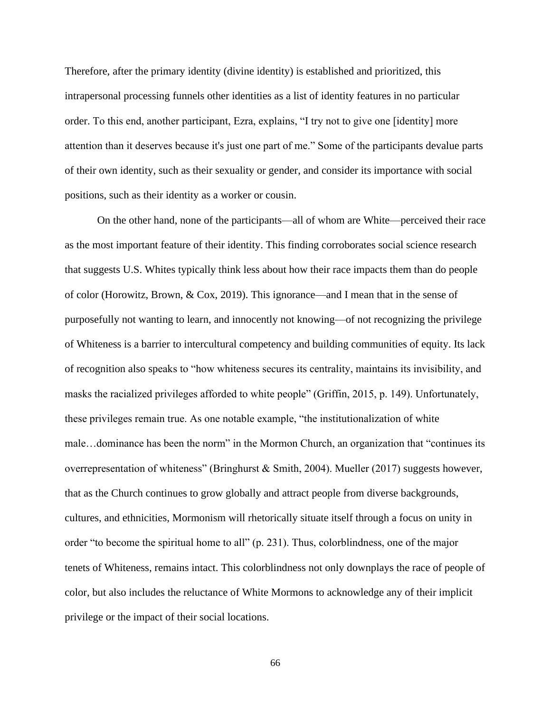Therefore, after the primary identity (divine identity) is established and prioritized, this intrapersonal processing funnels other identities as a list of identity features in no particular order. To this end, another participant, Ezra, explains, "I try not to give one [identity] more attention than it deserves because it's just one part of me." Some of the participants devalue parts of their own identity, such as their sexuality or gender, and consider its importance with social positions, such as their identity as a worker or cousin.

On the other hand, none of the participants—all of whom are White—perceived their race as the most important feature of their identity. This finding corroborates social science research that suggests U.S. Whites typically think less about how their race impacts them than do people of color (Horowitz, Brown, & Cox, 2019). This ignorance—and I mean that in the sense of purposefully not wanting to learn, and innocently not knowing—of not recognizing the privilege of Whiteness is a barrier to intercultural competency and building communities of equity. Its lack of recognition also speaks to "how whiteness secures its centrality, maintains its invisibility, and masks the racialized privileges afforded to white people" (Griffin, 2015, p. 149). Unfortunately, these privileges remain true. As one notable example, "the institutionalization of white male…dominance has been the norm" in the Mormon Church, an organization that "continues its overrepresentation of whiteness" (Bringhurst & Smith, 2004). Mueller (2017) suggests however, that as the Church continues to grow globally and attract people from diverse backgrounds, cultures, and ethnicities, Mormonism will rhetorically situate itself through a focus on unity in order "to become the spiritual home to all" (p. 231). Thus, colorblindness, one of the major tenets of Whiteness, remains intact. This colorblindness not only downplays the race of people of color, but also includes the reluctance of White Mormons to acknowledge any of their implicit privilege or the impact of their social locations.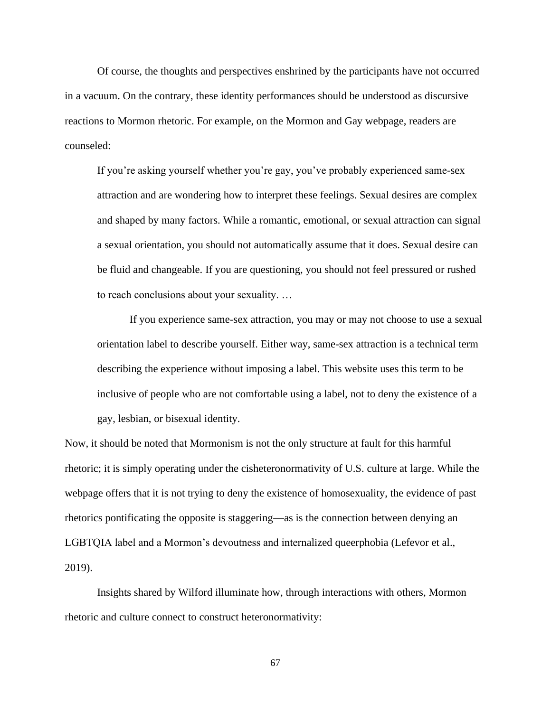Of course, the thoughts and perspectives enshrined by the participants have not occurred in a vacuum. On the contrary, these identity performances should be understood as discursive reactions to Mormon rhetoric. For example, on the Mormon and Gay webpage, readers are counseled:

If you're asking yourself whether you're gay, you've probably experienced same-sex attraction and are wondering how to interpret these feelings. Sexual desires are complex and shaped by many factors. While a romantic, emotional, or sexual attraction can signal a sexual orientation, you should not automatically assume that it does. Sexual desire can be fluid and changeable. If you are questioning, you should not feel pressured or rushed to reach conclusions about your sexuality. …

If you experience same-sex attraction, you may or may not choose to use a sexual orientation label to describe yourself. Either way, same-sex attraction is a technical term describing the experience without imposing a label. This website uses this term to be inclusive of people who are not comfortable using a label, not to deny the existence of a gay, lesbian, or bisexual identity.

Now, it should be noted that Mormonism is not the only structure at fault for this harmful rhetoric; it is simply operating under the cisheteronormativity of U.S. culture at large. While the webpage offers that it is not trying to deny the existence of homosexuality, the evidence of past rhetorics pontificating the opposite is staggering—as is the connection between denying an LGBTQIA label and a Mormon's devoutness and internalized queerphobia (Lefevor et al., 2019).

Insights shared by Wilford illuminate how, through interactions with others, Mormon rhetoric and culture connect to construct heteronormativity: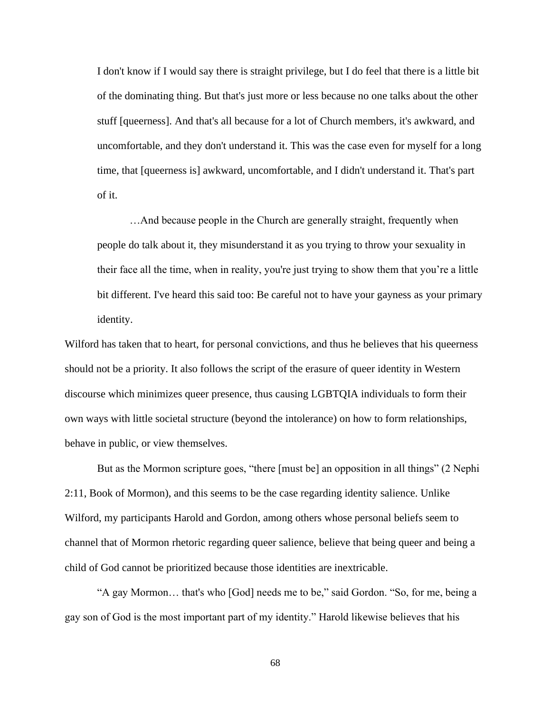I don't know if I would say there is straight privilege, but I do feel that there is a little bit of the dominating thing. But that's just more or less because no one talks about the other stuff [queerness]. And that's all because for a lot of Church members, it's awkward, and uncomfortable, and they don't understand it. This was the case even for myself for a long time, that [queerness is] awkward, uncomfortable, and I didn't understand it. That's part of it.

…And because people in the Church are generally straight, frequently when people do talk about it, they misunderstand it as you trying to throw your sexuality in their face all the time, when in reality, you're just trying to show them that you're a little bit different. I've heard this said too: Be careful not to have your gayness as your primary identity.

Wilford has taken that to heart, for personal convictions, and thus he believes that his queerness should not be a priority. It also follows the script of the erasure of queer identity in Western discourse which minimizes queer presence, thus causing LGBTQIA individuals to form their own ways with little societal structure (beyond the intolerance) on how to form relationships, behave in public, or view themselves.

But as the Mormon scripture goes, "there [must be] an opposition in all things" (2 Nephi 2:11, Book of Mormon), and this seems to be the case regarding identity salience. Unlike Wilford, my participants Harold and Gordon, among others whose personal beliefs seem to channel that of Mormon rhetoric regarding queer salience, believe that being queer and being a child of God cannot be prioritized because those identities are inextricable.

"A gay Mormon… that's who [God] needs me to be," said Gordon. "So, for me, being a gay son of God is the most important part of my identity." Harold likewise believes that his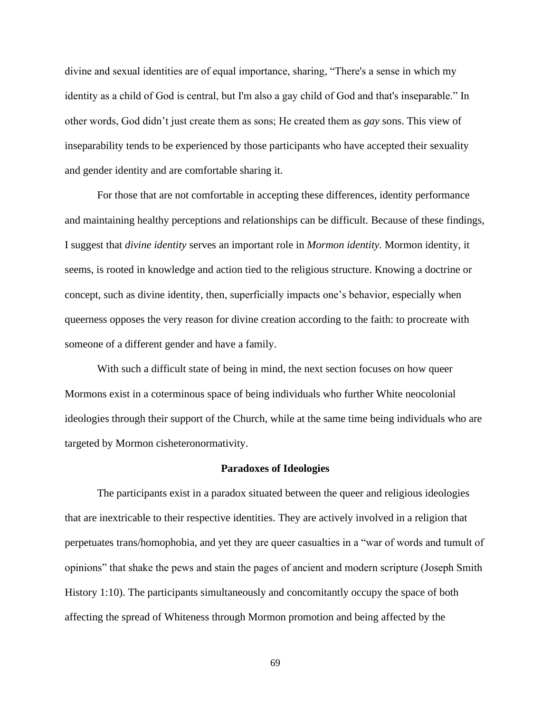divine and sexual identities are of equal importance, sharing, "There's a sense in which my identity as a child of God is central, but I'm also a gay child of God and that's inseparable." In other words, God didn't just create them as sons; He created them as *gay* sons. This view of inseparability tends to be experienced by those participants who have accepted their sexuality and gender identity and are comfortable sharing it.

For those that are not comfortable in accepting these differences, identity performance and maintaining healthy perceptions and relationships can be difficult. Because of these findings, I suggest that *divine identity* serves an important role in *Mormon identity.* Mormon identity, it seems, is rooted in knowledge and action tied to the religious structure. Knowing a doctrine or concept, such as divine identity, then, superficially impacts one's behavior, especially when queerness opposes the very reason for divine creation according to the faith: to procreate with someone of a different gender and have a family.

With such a difficult state of being in mind, the next section focuses on how queer Mormons exist in a coterminous space of being individuals who further White neocolonial ideologies through their support of the Church, while at the same time being individuals who are targeted by Mormon cisheteronormativity.

## **Paradoxes of Ideologies**

The participants exist in a paradox situated between the queer and religious ideologies that are inextricable to their respective identities. They are actively involved in a religion that perpetuates trans/homophobia, and yet they are queer casualties in a "war of words and tumult of opinions" that shake the pews and stain the pages of ancient and modern scripture (Joseph Smith History 1:10). The participants simultaneously and concomitantly occupy the space of both affecting the spread of Whiteness through Mormon promotion and being affected by the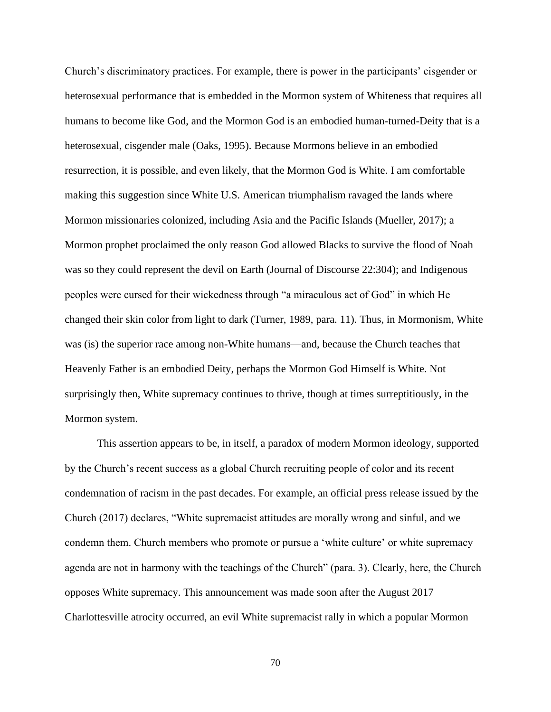Church's discriminatory practices. For example, there is power in the participants' cisgender or heterosexual performance that is embedded in the Mormon system of Whiteness that requires all humans to become like God, and the Mormon God is an embodied human-turned-Deity that is a heterosexual, cisgender male (Oaks, 1995). Because Mormons believe in an embodied resurrection, it is possible, and even likely, that the Mormon God is White. I am comfortable making this suggestion since White U.S. American triumphalism ravaged the lands where Mormon missionaries colonized, including Asia and the Pacific Islands (Mueller, 2017); a Mormon prophet proclaimed the only reason God allowed Blacks to survive the flood of Noah was so they could represent the devil on Earth (Journal of Discourse 22:304); and Indigenous peoples were cursed for their wickedness through "a miraculous act of God" in which He changed their skin color from light to dark (Turner, 1989, para. 11). Thus, in Mormonism, White was (is) the superior race among non-White humans—and, because the Church teaches that Heavenly Father is an embodied Deity, perhaps the Mormon God Himself is White. Not surprisingly then, White supremacy continues to thrive, though at times surreptitiously, in the Mormon system.

This assertion appears to be, in itself, a paradox of modern Mormon ideology, supported by the Church's recent success as a global Church recruiting people of color and its recent condemnation of racism in the past decades. For example, an official press release issued by the Church (2017) declares, "White supremacist attitudes are morally wrong and sinful, and we condemn them. Church members who promote or pursue a 'white culture' or white supremacy agenda are not in harmony with the teachings of the Church" (para. 3). Clearly, here, the Church opposes White supremacy. This announcement was made soon after the August 2017 Charlottesville atrocity occurred, an evil White supremacist rally in which a popular Mormon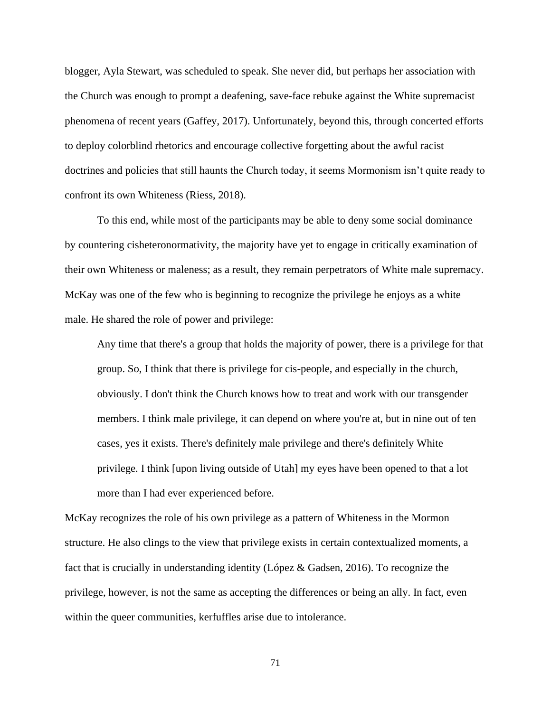blogger, Ayla Stewart, was scheduled to speak. She never did, but perhaps her association with the Church was enough to prompt a deafening, save-face rebuke against the White supremacist phenomena of recent years (Gaffey, 2017). Unfortunately, beyond this, through concerted efforts to deploy colorblind rhetorics and encourage collective forgetting about the awful racist doctrines and policies that still haunts the Church today, it seems Mormonism isn't quite ready to confront its own Whiteness (Riess, 2018).

To this end, while most of the participants may be able to deny some social dominance by countering cisheteronormativity, the majority have yet to engage in critically examination of their own Whiteness or maleness; as a result, they remain perpetrators of White male supremacy. McKay was one of the few who is beginning to recognize the privilege he enjoys as a white male. He shared the role of power and privilege:

Any time that there's a group that holds the majority of power, there is a privilege for that group. So, I think that there is privilege for cis-people, and especially in the church, obviously. I don't think the Church knows how to treat and work with our transgender members. I think male privilege, it can depend on where you're at, but in nine out of ten cases, yes it exists. There's definitely male privilege and there's definitely White privilege. I think [upon living outside of Utah] my eyes have been opened to that a lot more than I had ever experienced before.

McKay recognizes the role of his own privilege as a pattern of Whiteness in the Mormon structure. He also clings to the view that privilege exists in certain contextualized moments, a fact that is crucially in understanding identity (López & Gadsen, 2016). To recognize the privilege, however, is not the same as accepting the differences or being an ally. In fact, even within the queer communities, kerfuffles arise due to intolerance.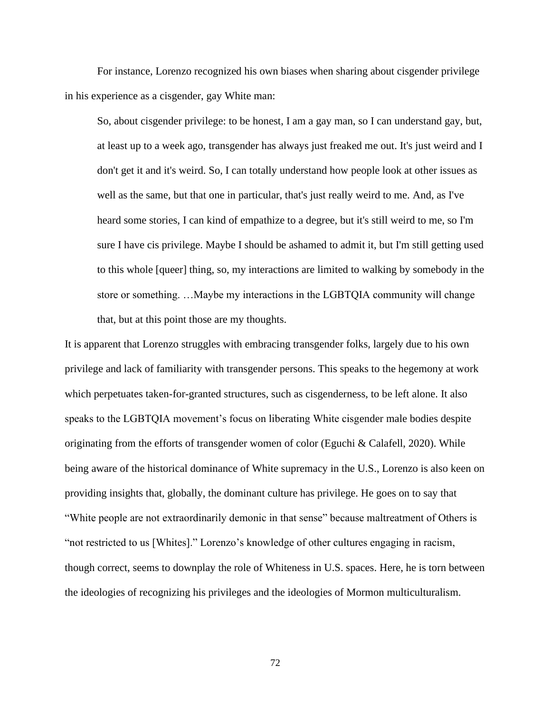For instance, Lorenzo recognized his own biases when sharing about cisgender privilege in his experience as a cisgender, gay White man:

So, about cisgender privilege: to be honest, I am a gay man, so I can understand gay, but, at least up to a week ago, transgender has always just freaked me out. It's just weird and I don't get it and it's weird. So, I can totally understand how people look at other issues as well as the same, but that one in particular, that's just really weird to me. And, as I've heard some stories, I can kind of empathize to a degree, but it's still weird to me, so I'm sure I have cis privilege. Maybe I should be ashamed to admit it, but I'm still getting used to this whole [queer] thing, so, my interactions are limited to walking by somebody in the store or something. …Maybe my interactions in the LGBTQIA community will change that, but at this point those are my thoughts.

It is apparent that Lorenzo struggles with embracing transgender folks, largely due to his own privilege and lack of familiarity with transgender persons. This speaks to the hegemony at work which perpetuates taken-for-granted structures, such as cisgenderness, to be left alone. It also speaks to the LGBTQIA movement's focus on liberating White cisgender male bodies despite originating from the efforts of transgender women of color (Eguchi & Calafell, 2020). While being aware of the historical dominance of White supremacy in the U.S., Lorenzo is also keen on providing insights that, globally, the dominant culture has privilege. He goes on to say that "White people are not extraordinarily demonic in that sense" because maltreatment of Others is "not restricted to us [Whites]." Lorenzo's knowledge of other cultures engaging in racism, though correct, seems to downplay the role of Whiteness in U.S. spaces. Here, he is torn between the ideologies of recognizing his privileges and the ideologies of Mormon multiculturalism.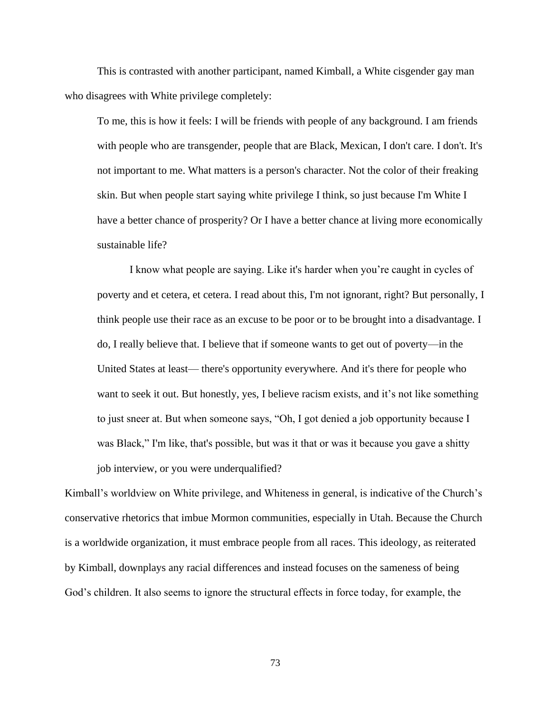This is contrasted with another participant, named Kimball, a White cisgender gay man who disagrees with White privilege completely:

To me, this is how it feels: I will be friends with people of any background. I am friends with people who are transgender, people that are Black, Mexican, I don't care. I don't. It's not important to me. What matters is a person's character. Not the color of their freaking skin. But when people start saying white privilege I think, so just because I'm White I have a better chance of prosperity? Or I have a better chance at living more economically sustainable life?

I know what people are saying. Like it's harder when you're caught in cycles of poverty and et cetera, et cetera. I read about this, I'm not ignorant, right? But personally, I think people use their race as an excuse to be poor or to be brought into a disadvantage. I do, I really believe that. I believe that if someone wants to get out of poverty—in the United States at least— there's opportunity everywhere. And it's there for people who want to seek it out. But honestly, yes, I believe racism exists, and it's not like something to just sneer at. But when someone says, "Oh, I got denied a job opportunity because I was Black," I'm like, that's possible, but was it that or was it because you gave a shitty job interview, or you were underqualified?

Kimball's worldview on White privilege, and Whiteness in general, is indicative of the Church's conservative rhetorics that imbue Mormon communities, especially in Utah. Because the Church is a worldwide organization, it must embrace people from all races. This ideology, as reiterated by Kimball, downplays any racial differences and instead focuses on the sameness of being God's children. It also seems to ignore the structural effects in force today, for example, the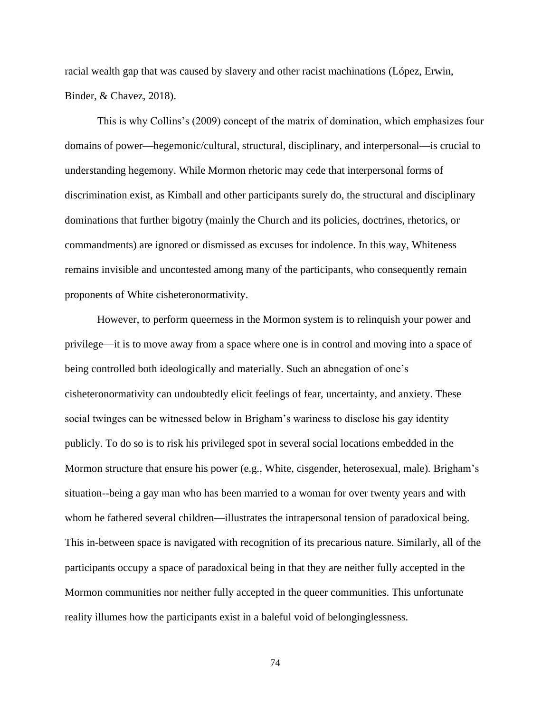racial wealth gap that was caused by slavery and other racist machinations (López, Erwin, Binder, & Chavez, 2018).

This is why Collins's (2009) concept of the matrix of domination, which emphasizes four domains of power—hegemonic/cultural, structural, disciplinary, and interpersonal—is crucial to understanding hegemony. While Mormon rhetoric may cede that interpersonal forms of discrimination exist, as Kimball and other participants surely do, the structural and disciplinary dominations that further bigotry (mainly the Church and its policies, doctrines, rhetorics, or commandments) are ignored or dismissed as excuses for indolence. In this way, Whiteness remains invisible and uncontested among many of the participants, who consequently remain proponents of White cisheteronormativity.

However, to perform queerness in the Mormon system is to relinquish your power and privilege—it is to move away from a space where one is in control and moving into a space of being controlled both ideologically and materially. Such an abnegation of one's cisheteronormativity can undoubtedly elicit feelings of fear, uncertainty, and anxiety. These social twinges can be witnessed below in Brigham's wariness to disclose his gay identity publicly. To do so is to risk his privileged spot in several social locations embedded in the Mormon structure that ensure his power (e.g., White, cisgender, heterosexual, male). Brigham's situation--being a gay man who has been married to a woman for over twenty years and with whom he fathered several children—illustrates the intrapersonal tension of paradoxical being. This in-between space is navigated with recognition of its precarious nature. Similarly, all of the participants occupy a space of paradoxical being in that they are neither fully accepted in the Mormon communities nor neither fully accepted in the queer communities. This unfortunate reality illumes how the participants exist in a baleful void of belonginglessness.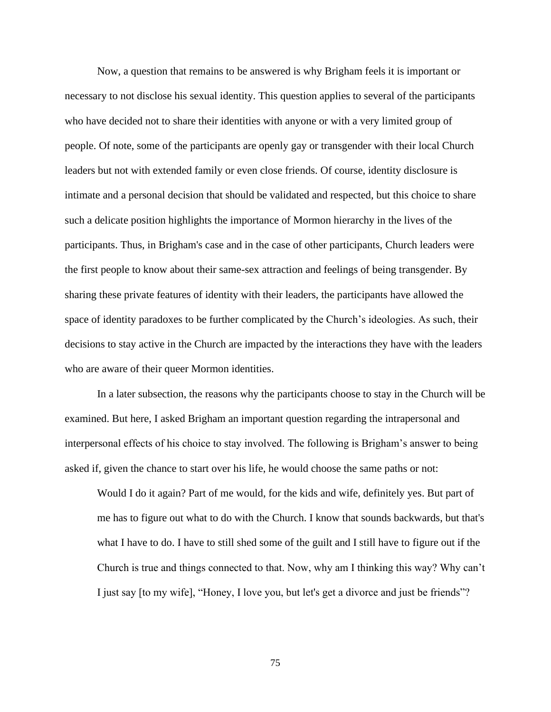Now, a question that remains to be answered is why Brigham feels it is important or necessary to not disclose his sexual identity. This question applies to several of the participants who have decided not to share their identities with anyone or with a very limited group of people. Of note, some of the participants are openly gay or transgender with their local Church leaders but not with extended family or even close friends. Of course, identity disclosure is intimate and a personal decision that should be validated and respected, but this choice to share such a delicate position highlights the importance of Mormon hierarchy in the lives of the participants. Thus, in Brigham's case and in the case of other participants, Church leaders were the first people to know about their same-sex attraction and feelings of being transgender. By sharing these private features of identity with their leaders, the participants have allowed the space of identity paradoxes to be further complicated by the Church's ideologies. As such, their decisions to stay active in the Church are impacted by the interactions they have with the leaders who are aware of their queer Mormon identities.

In a later subsection, the reasons why the participants choose to stay in the Church will be examined. But here, I asked Brigham an important question regarding the intrapersonal and interpersonal effects of his choice to stay involved. The following is Brigham's answer to being asked if, given the chance to start over his life, he would choose the same paths or not:

Would I do it again? Part of me would, for the kids and wife, definitely yes. But part of me has to figure out what to do with the Church. I know that sounds backwards, but that's what I have to do. I have to still shed some of the guilt and I still have to figure out if the Church is true and things connected to that. Now, why am I thinking this way? Why can't I just say [to my wife], "Honey, I love you, but let's get a divorce and just be friends"?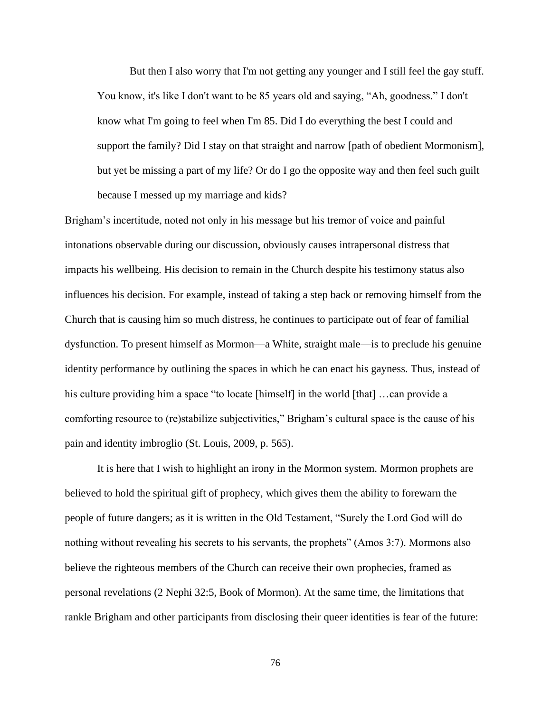But then I also worry that I'm not getting any younger and I still feel the gay stuff. You know, it's like I don't want to be 85 years old and saying, "Ah, goodness." I don't know what I'm going to feel when I'm 85. Did I do everything the best I could and support the family? Did I stay on that straight and narrow [path of obedient Mormonism], but yet be missing a part of my life? Or do I go the opposite way and then feel such guilt because I messed up my marriage and kids?

Brigham's incertitude, noted not only in his message but his tremor of voice and painful intonations observable during our discussion, obviously causes intrapersonal distress that impacts his wellbeing. His decision to remain in the Church despite his testimony status also influences his decision. For example, instead of taking a step back or removing himself from the Church that is causing him so much distress, he continues to participate out of fear of familial dysfunction. To present himself as Mormon—a White, straight male—is to preclude his genuine identity performance by outlining the spaces in which he can enact his gayness. Thus, instead of his culture providing him a space "to locate [himself] in the world [that] ...can provide a comforting resource to (re)stabilize subjectivities," Brigham's cultural space is the cause of his pain and identity imbroglio (St. Louis, 2009, p. 565).

It is here that I wish to highlight an irony in the Mormon system. Mormon prophets are believed to hold the spiritual gift of prophecy, which gives them the ability to forewarn the people of future dangers; as it is written in the Old Testament, "Surely the Lord God will do nothing without revealing his secrets to his servants, the prophets" (Amos 3:7). Mormons also believe the righteous members of the Church can receive their own prophecies, framed as personal revelations (2 Nephi 32:5, Book of Mormon). At the same time, the limitations that rankle Brigham and other participants from disclosing their queer identities is fear of the future: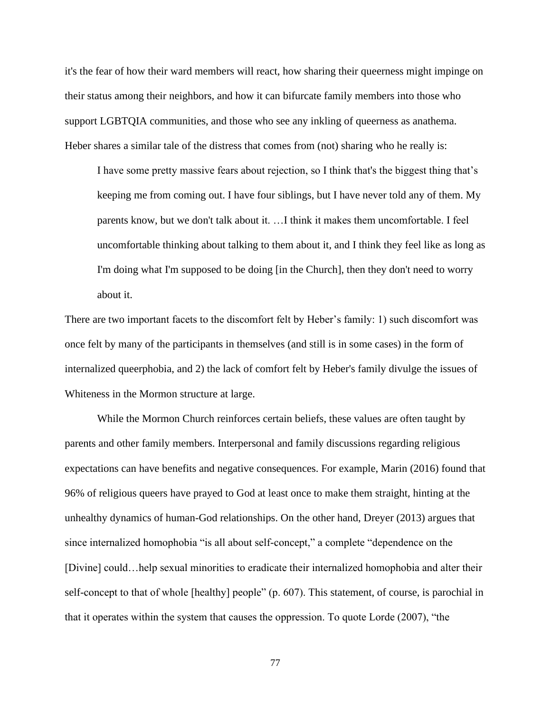it's the fear of how their ward members will react, how sharing their queerness might impinge on their status among their neighbors, and how it can bifurcate family members into those who support LGBTQIA communities, and those who see any inkling of queerness as anathema. Heber shares a similar tale of the distress that comes from (not) sharing who he really is:

I have some pretty massive fears about rejection, so I think that's the biggest thing that's keeping me from coming out. I have four siblings, but I have never told any of them. My parents know, but we don't talk about it. …I think it makes them uncomfortable. I feel uncomfortable thinking about talking to them about it, and I think they feel like as long as I'm doing what I'm supposed to be doing [in the Church], then they don't need to worry about it.

There are two important facets to the discomfort felt by Heber's family: 1) such discomfort was once felt by many of the participants in themselves (and still is in some cases) in the form of internalized queerphobia, and 2) the lack of comfort felt by Heber's family divulge the issues of Whiteness in the Mormon structure at large.

While the Mormon Church reinforces certain beliefs, these values are often taught by parents and other family members. Interpersonal and family discussions regarding religious expectations can have benefits and negative consequences. For example, Marin (2016) found that 96% of religious queers have prayed to God at least once to make them straight, hinting at the unhealthy dynamics of human-God relationships. On the other hand, Dreyer (2013) argues that since internalized homophobia "is all about self-concept," a complete "dependence on the [Divine] could…help sexual minorities to eradicate their internalized homophobia and alter their self-concept to that of whole [healthy] people" (p. 607). This statement, of course, is parochial in that it operates within the system that causes the oppression. To quote Lorde (2007), "the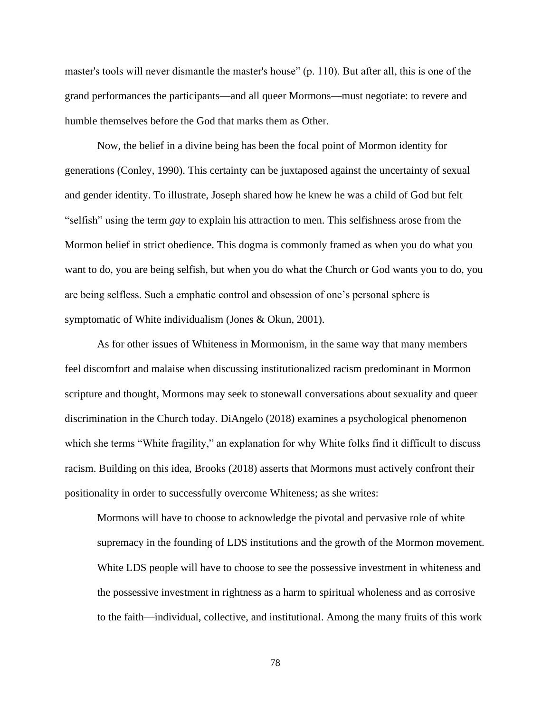master's tools will never dismantle the master's house" (p. 110). But after all, this is one of the grand performances the participants—and all queer Mormons—must negotiate: to revere and humble themselves before the God that marks them as Other.

Now, the belief in a divine being has been the focal point of Mormon identity for generations (Conley, 1990). This certainty can be juxtaposed against the uncertainty of sexual and gender identity. To illustrate, Joseph shared how he knew he was a child of God but felt "selfish" using the term *gay* to explain his attraction to men. This selfishness arose from the Mormon belief in strict obedience. This dogma is commonly framed as when you do what you want to do, you are being selfish, but when you do what the Church or God wants you to do, you are being selfless. Such a emphatic control and obsession of one's personal sphere is symptomatic of White individualism (Jones & Okun, 2001).

As for other issues of Whiteness in Mormonism, in the same way that many members feel discomfort and malaise when discussing institutionalized racism predominant in Mormon scripture and thought, Mormons may seek to stonewall conversations about sexuality and queer discrimination in the Church today. DiAngelo (2018) examines a psychological phenomenon which she terms "White fragility," an explanation for why White folks find it difficult to discuss racism. Building on this idea, Brooks (2018) asserts that Mormons must actively confront their positionality in order to successfully overcome Whiteness; as she writes:

Mormons will have to choose to acknowledge the pivotal and pervasive role of white supremacy in the founding of LDS institutions and the growth of the Mormon movement. White LDS people will have to choose to see the possessive investment in whiteness and the possessive investment in rightness as a harm to spiritual wholeness and as corrosive to the faith—individual, collective, and institutional. Among the many fruits of this work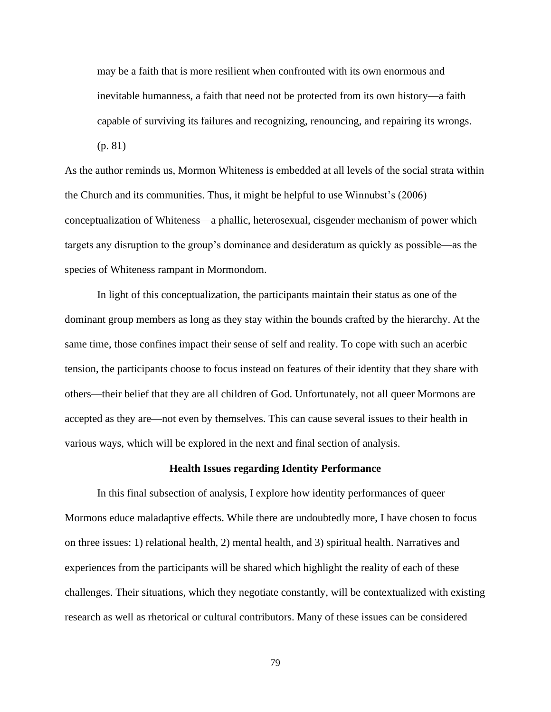may be a faith that is more resilient when confronted with its own enormous and inevitable humanness, a faith that need not be protected from its own history—a faith capable of surviving its failures and recognizing, renouncing, and repairing its wrongs. (p. 81)

As the author reminds us, Mormon Whiteness is embedded at all levels of the social strata within the Church and its communities. Thus, it might be helpful to use Winnubst's (2006) conceptualization of Whiteness—a phallic, heterosexual, cisgender mechanism of power which targets any disruption to the group's dominance and desideratum as quickly as possible—as the species of Whiteness rampant in Mormondom.

In light of this conceptualization, the participants maintain their status as one of the dominant group members as long as they stay within the bounds crafted by the hierarchy. At the same time, those confines impact their sense of self and reality. To cope with such an acerbic tension, the participants choose to focus instead on features of their identity that they share with others—their belief that they are all children of God. Unfortunately, not all queer Mormons are accepted as they are—not even by themselves. This can cause several issues to their health in various ways, which will be explored in the next and final section of analysis.

## **Health Issues regarding Identity Performance**

In this final subsection of analysis, I explore how identity performances of queer Mormons educe maladaptive effects. While there are undoubtedly more, I have chosen to focus on three issues: 1) relational health, 2) mental health, and 3) spiritual health. Narratives and experiences from the participants will be shared which highlight the reality of each of these challenges. Their situations, which they negotiate constantly, will be contextualized with existing research as well as rhetorical or cultural contributors. Many of these issues can be considered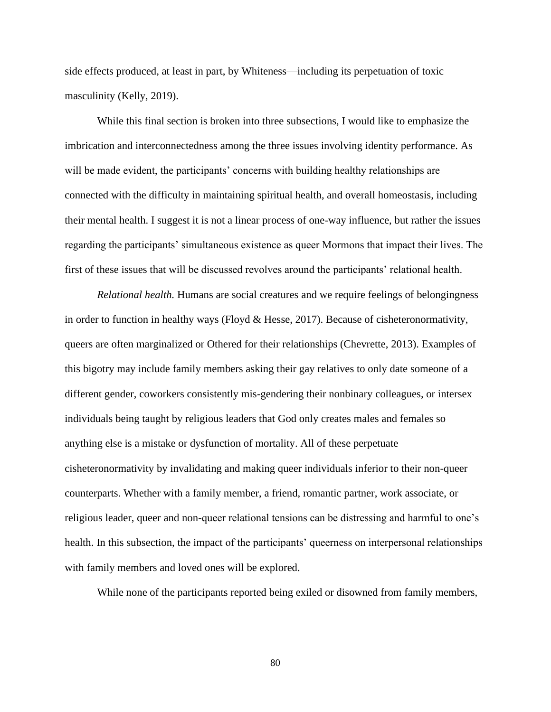side effects produced, at least in part, by Whiteness—including its perpetuation of toxic masculinity (Kelly, 2019).

While this final section is broken into three subsections, I would like to emphasize the imbrication and interconnectedness among the three issues involving identity performance. As will be made evident, the participants' concerns with building healthy relationships are connected with the difficulty in maintaining spiritual health, and overall homeostasis, including their mental health. I suggest it is not a linear process of one-way influence, but rather the issues regarding the participants' simultaneous existence as queer Mormons that impact their lives. The first of these issues that will be discussed revolves around the participants' relational health.

*Relational health.* Humans are social creatures and we require feelings of belongingness in order to function in healthy ways (Floyd & Hesse, 2017). Because of cisheteronormativity, queers are often marginalized or Othered for their relationships (Chevrette, 2013). Examples of this bigotry may include family members asking their gay relatives to only date someone of a different gender, coworkers consistently mis-gendering their nonbinary colleagues, or intersex individuals being taught by religious leaders that God only creates males and females so anything else is a mistake or dysfunction of mortality. All of these perpetuate cisheteronormativity by invalidating and making queer individuals inferior to their non-queer counterparts. Whether with a family member, a friend, romantic partner, work associate, or religious leader, queer and non-queer relational tensions can be distressing and harmful to one's health. In this subsection, the impact of the participants' queerness on interpersonal relationships with family members and loved ones will be explored.

While none of the participants reported being exiled or disowned from family members,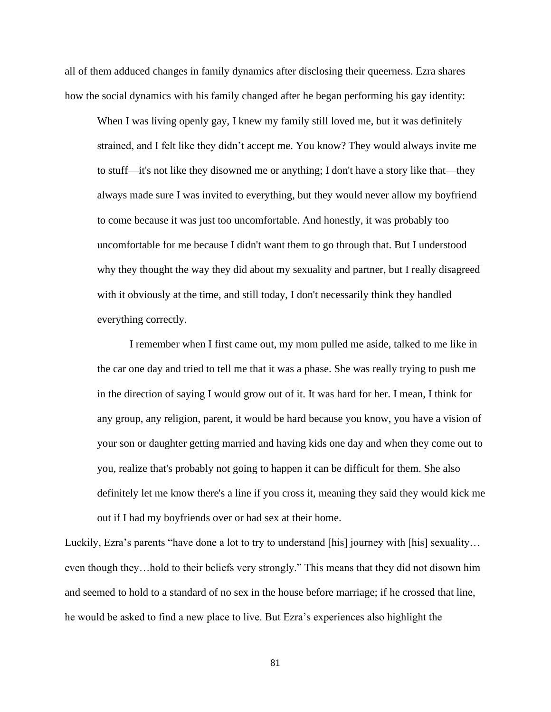all of them adduced changes in family dynamics after disclosing their queerness. Ezra shares how the social dynamics with his family changed after he began performing his gay identity:

When I was living openly gay, I knew my family still loved me, but it was definitely strained, and I felt like they didn't accept me. You know? They would always invite me to stuff—it's not like they disowned me or anything; I don't have a story like that—they always made sure I was invited to everything, but they would never allow my boyfriend to come because it was just too uncomfortable. And honestly, it was probably too uncomfortable for me because I didn't want them to go through that. But I understood why they thought the way they did about my sexuality and partner, but I really disagreed with it obviously at the time, and still today, I don't necessarily think they handled everything correctly.

I remember when I first came out, my mom pulled me aside, talked to me like in the car one day and tried to tell me that it was a phase. She was really trying to push me in the direction of saying I would grow out of it. It was hard for her. I mean, I think for any group, any religion, parent, it would be hard because you know, you have a vision of your son or daughter getting married and having kids one day and when they come out to you, realize that's probably not going to happen it can be difficult for them. She also definitely let me know there's a line if you cross it, meaning they said they would kick me out if I had my boyfriends over or had sex at their home.

Luckily, Ezra's parents "have done a lot to try to understand [his] journey with [his] sexuality… even though they…hold to their beliefs very strongly." This means that they did not disown him and seemed to hold to a standard of no sex in the house before marriage; if he crossed that line, he would be asked to find a new place to live. But Ezra's experiences also highlight the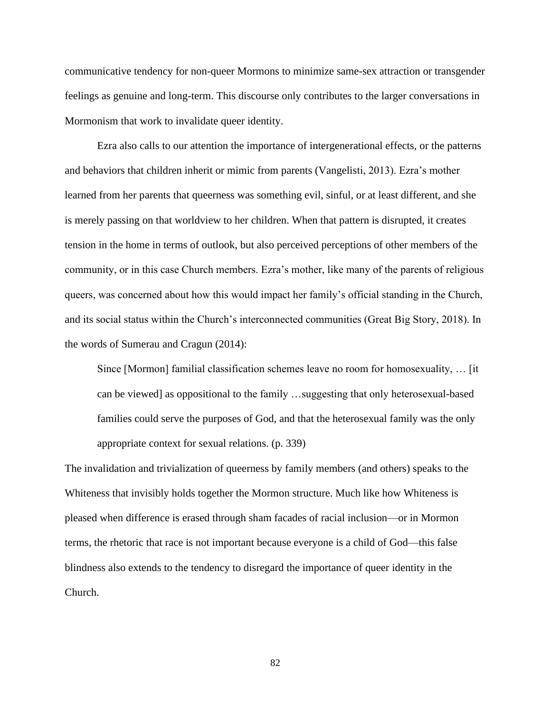communicative tendency for non-queer Mormons to minimize same-sex attraction or transgender feelings as genuine and long-term. This discourse only contributes to the larger conversations in Mormonism that work to invalidate queer identity.

Ezra also calls to our attention the importance of intergenerational effects, or the patterns and behaviors that children inherit or mimic from parents (Vangelisti, 2013). Ezra's mother learned from her parents that queerness was something evil, sinful, or at least different, and she is merely passing on that worldview to her children. When that pattern is disrupted, it creates tension in the home in terms of outlook, but also perceived perceptions of other members of the community, or in this case Church members. Ezra's mother, like many of the parents of religious queers, was concerned about how this would impact her family's official standing in the Church, and its social status within the Church's interconnected communities (Great Big Story, 2018). In the words of Sumerau and Cragun (2014):

Since [Mormon] familial classification schemes leave no room for homosexuality, … [it can be viewed] as oppositional to the family …suggesting that only heterosexual-based families could serve the purposes of God, and that the heterosexual family was the only appropriate context for sexual relations. (p. 339)

The invalidation and trivialization of queerness by family members (and others) speaks to the Whiteness that invisibly holds together the Mormon structure. Much like how Whiteness is pleased when difference is erased through sham facades of racial inclusion—or in Mormon terms, the rhetoric that race is not important because everyone is a child of God—this false blindness also extends to the tendency to disregard the importance of queer identity in the Church.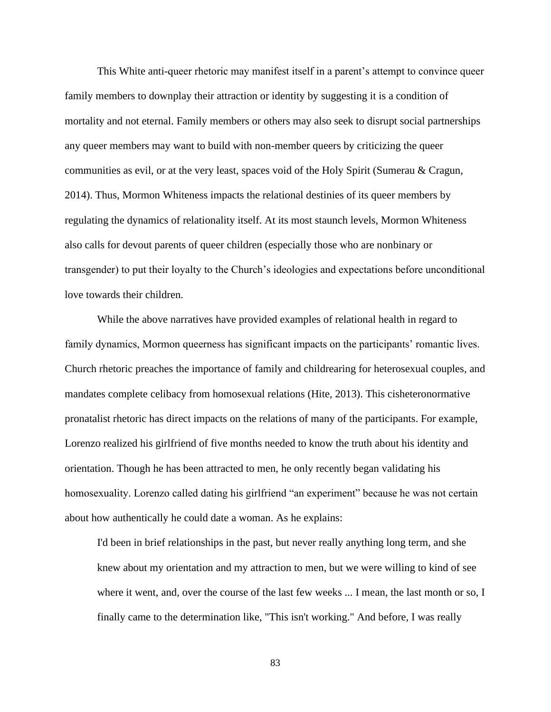This White anti-queer rhetoric may manifest itself in a parent's attempt to convince queer family members to downplay their attraction or identity by suggesting it is a condition of mortality and not eternal. Family members or others may also seek to disrupt social partnerships any queer members may want to build with non-member queers by criticizing the queer communities as evil, or at the very least, spaces void of the Holy Spirit (Sumerau & Cragun, 2014). Thus, Mormon Whiteness impacts the relational destinies of its queer members by regulating the dynamics of relationality itself. At its most staunch levels, Mormon Whiteness also calls for devout parents of queer children (especially those who are nonbinary or transgender) to put their loyalty to the Church's ideologies and expectations before unconditional love towards their children.

While the above narratives have provided examples of relational health in regard to family dynamics, Mormon queerness has significant impacts on the participants' romantic lives. Church rhetoric preaches the importance of family and childrearing for heterosexual couples, and mandates complete celibacy from homosexual relations (Hite, 2013). This cisheteronormative pronatalist rhetoric has direct impacts on the relations of many of the participants. For example, Lorenzo realized his girlfriend of five months needed to know the truth about his identity and orientation. Though he has been attracted to men, he only recently began validating his homosexuality. Lorenzo called dating his girlfriend "an experiment" because he was not certain about how authentically he could date a woman. As he explains:

I'd been in brief relationships in the past, but never really anything long term, and she knew about my orientation and my attraction to men, but we were willing to kind of see where it went, and, over the course of the last few weeks ... I mean, the last month or so, I finally came to the determination like, "This isn't working." And before, I was really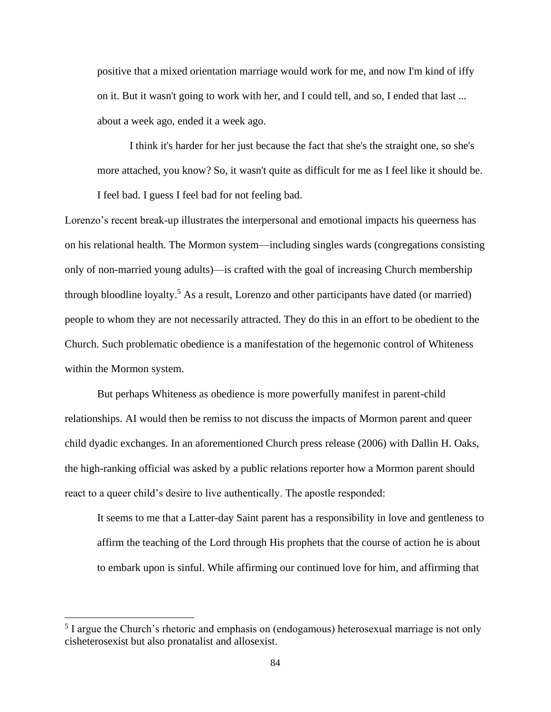positive that a mixed orientation marriage would work for me, and now I'm kind of iffy on it. But it wasn't going to work with her, and I could tell, and so, I ended that last ... about a week ago, ended it a week ago.

I think it's harder for her just because the fact that she's the straight one, so she's more attached, you know? So, it wasn't quite as difficult for me as I feel like it should be. I feel bad. I guess I feel bad for not feeling bad.

Lorenzo's recent break-up illustrates the interpersonal and emotional impacts his queerness has on his relational health. The Mormon system—including singles wards (congregations consisting only of non-married young adults)—is crafted with the goal of increasing Church membership through bloodline loyalty.<sup>5</sup> As a result, Lorenzo and other participants have dated (or married) people to whom they are not necessarily attracted. They do this in an effort to be obedient to the Church. Such problematic obedience is a manifestation of the hegemonic control of Whiteness within the Mormon system.

But perhaps Whiteness as obedience is more powerfully manifest in parent-child relationships. AI would then be remiss to not discuss the impacts of Mormon parent and queer child dyadic exchanges. In an aforementioned Church press release (2006) with Dallin H. Oaks, the high-ranking official was asked by a public relations reporter how a Mormon parent should react to a queer child's desire to live authentically. The apostle responded:

It seems to me that a Latter-day Saint parent has a responsibility in love and gentleness to affirm the teaching of the Lord through His prophets that the course of action he is about to embark upon is sinful. While affirming our continued love for him, and affirming that

<sup>&</sup>lt;sup>5</sup> I argue the Church's rhetoric and emphasis on (endogamous) heterosexual marriage is not only cisheterosexist but also pronatalist and allosexist.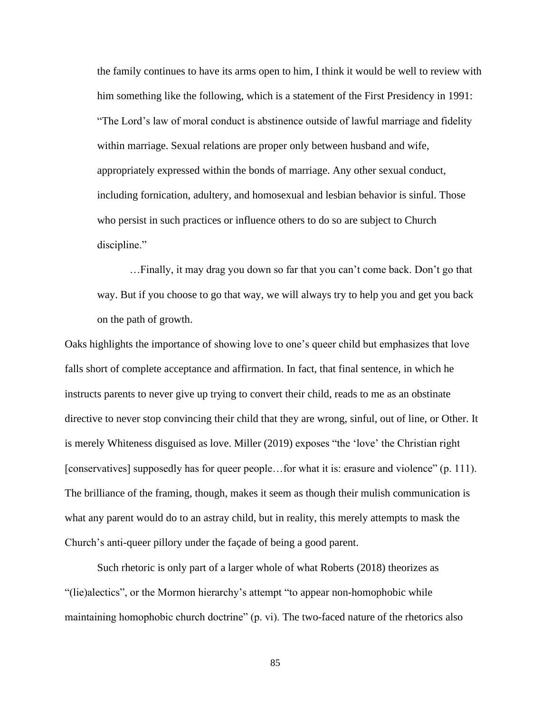the family continues to have its arms open to him, I think it would be well to review with him something like the following, which is a statement of the First Presidency in 1991: "The Lord's law of moral conduct is abstinence outside of lawful marriage and fidelity within marriage. Sexual relations are proper only between husband and wife, appropriately expressed within the bonds of marriage. Any other sexual conduct, including fornication, adultery, and homosexual and lesbian behavior is sinful. Those who persist in such practices or influence others to do so are subject to Church discipline."

…Finally, it may drag you down so far that you can't come back. Don't go that way. But if you choose to go that way, we will always try to help you and get you back on the path of growth.

Oaks highlights the importance of showing love to one's queer child but emphasizes that love falls short of complete acceptance and affirmation. In fact, that final sentence, in which he instructs parents to never give up trying to convert their child, reads to me as an obstinate directive to never stop convincing their child that they are wrong, sinful, out of line, or Other. It is merely Whiteness disguised as love. Miller (2019) exposes "the 'love' the Christian right [conservatives] supposedly has for queer people…for what it is: erasure and violence" (p. 111). The brilliance of the framing, though, makes it seem as though their mulish communication is what any parent would do to an astray child, but in reality, this merely attempts to mask the Church's anti-queer pillory under the façade of being a good parent.

Such rhetoric is only part of a larger whole of what Roberts (2018) theorizes as "(lie)alectics", or the Mormon hierarchy's attempt "to appear non-homophobic while maintaining homophobic church doctrine" (p. vi). The two-faced nature of the rhetorics also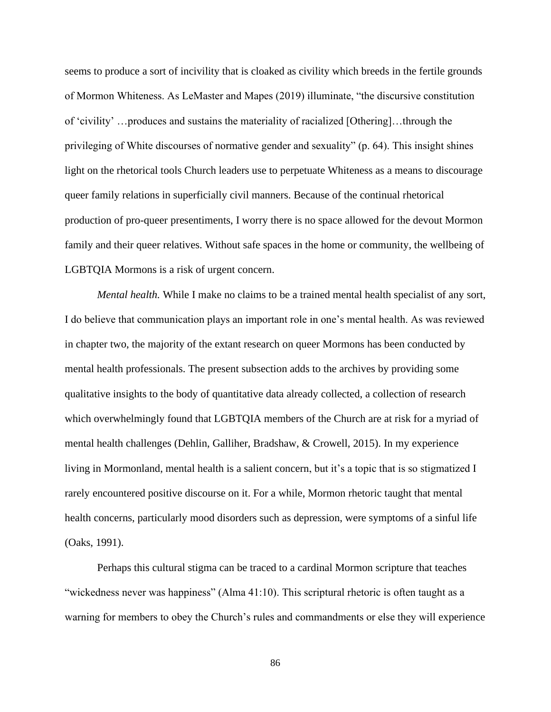seems to produce a sort of incivility that is cloaked as civility which breeds in the fertile grounds of Mormon Whiteness. As LeMaster and Mapes (2019) illuminate, "the discursive constitution of 'civility' …produces and sustains the materiality of racialized [Othering]…through the privileging of White discourses of normative gender and sexuality" (p. 64). This insight shines light on the rhetorical tools Church leaders use to perpetuate Whiteness as a means to discourage queer family relations in superficially civil manners. Because of the continual rhetorical production of pro-queer presentiments, I worry there is no space allowed for the devout Mormon family and their queer relatives. Without safe spaces in the home or community, the wellbeing of LGBTQIA Mormons is a risk of urgent concern.

*Mental health.* While I make no claims to be a trained mental health specialist of any sort, I do believe that communication plays an important role in one's mental health. As was reviewed in chapter two, the majority of the extant research on queer Mormons has been conducted by mental health professionals. The present subsection adds to the archives by providing some qualitative insights to the body of quantitative data already collected, a collection of research which overwhelmingly found that LGBTQIA members of the Church are at risk for a myriad of mental health challenges (Dehlin, Galliher, Bradshaw, & Crowell, 2015). In my experience living in Mormonland, mental health is a salient concern, but it's a topic that is so stigmatized I rarely encountered positive discourse on it. For a while, Mormon rhetoric taught that mental health concerns, particularly mood disorders such as depression, were symptoms of a sinful life (Oaks, 1991).

Perhaps this cultural stigma can be traced to a cardinal Mormon scripture that teaches "wickedness never was happiness" (Alma 41:10). This scriptural rhetoric is often taught as a warning for members to obey the Church's rules and commandments or else they will experience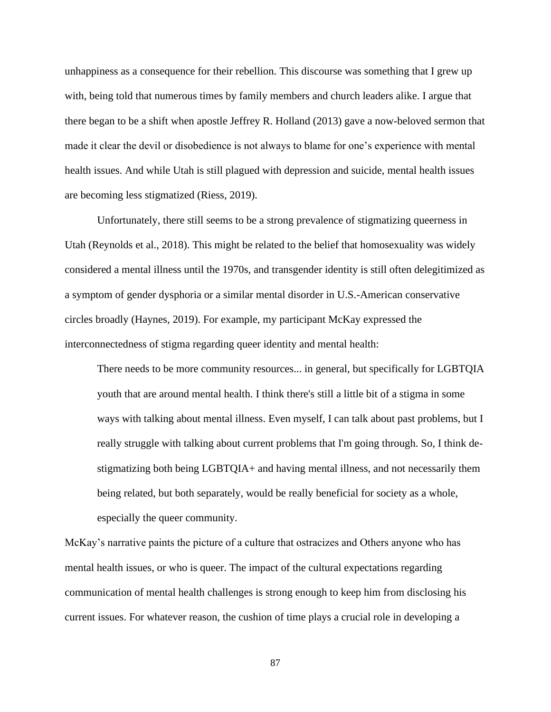unhappiness as a consequence for their rebellion. This discourse was something that I grew up with, being told that numerous times by family members and church leaders alike. I argue that there began to be a shift when apostle Jeffrey R. Holland (2013) gave a now-beloved sermon that made it clear the devil or disobedience is not always to blame for one's experience with mental health issues. And while Utah is still plagued with depression and suicide, mental health issues are becoming less stigmatized (Riess, 2019).

Unfortunately, there still seems to be a strong prevalence of stigmatizing queerness in Utah (Reynolds et al., 2018). This might be related to the belief that homosexuality was widely considered a mental illness until the 1970s, and transgender identity is still often delegitimized as a symptom of gender dysphoria or a similar mental disorder in U.S.-American conservative circles broadly (Haynes, 2019). For example, my participant McKay expressed the interconnectedness of stigma regarding queer identity and mental health:

There needs to be more community resources... in general, but specifically for LGBTQIA youth that are around mental health. I think there's still a little bit of a stigma in some ways with talking about mental illness. Even myself, I can talk about past problems, but I really struggle with talking about current problems that I'm going through. So, I think destigmatizing both being LGBTQIA+ and having mental illness, and not necessarily them being related, but both separately, would be really beneficial for society as a whole, especially the queer community.

McKay's narrative paints the picture of a culture that ostracizes and Others anyone who has mental health issues, or who is queer. The impact of the cultural expectations regarding communication of mental health challenges is strong enough to keep him from disclosing his current issues. For whatever reason, the cushion of time plays a crucial role in developing a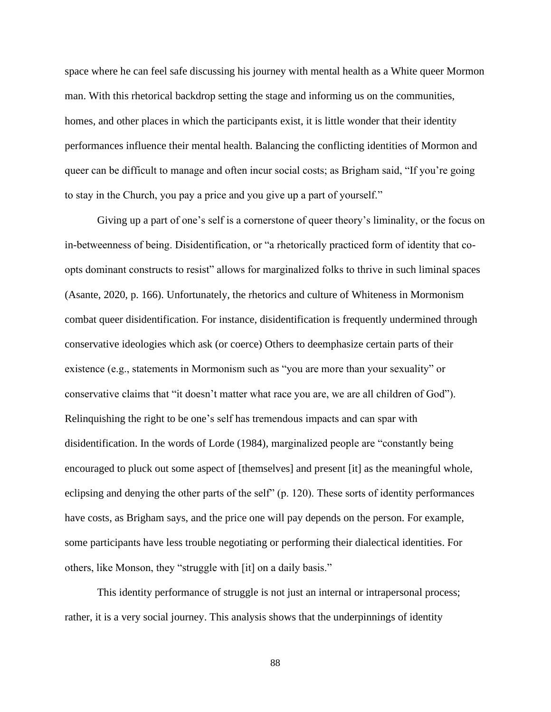space where he can feel safe discussing his journey with mental health as a White queer Mormon man. With this rhetorical backdrop setting the stage and informing us on the communities, homes, and other places in which the participants exist, it is little wonder that their identity performances influence their mental health. Balancing the conflicting identities of Mormon and queer can be difficult to manage and often incur social costs; as Brigham said, "If you're going to stay in the Church, you pay a price and you give up a part of yourself."

Giving up a part of one's self is a cornerstone of queer theory's liminality, or the focus on in-betweenness of being. Disidentification, or "a rhetorically practiced form of identity that coopts dominant constructs to resist" allows for marginalized folks to thrive in such liminal spaces (Asante, 2020, p. 166). Unfortunately, the rhetorics and culture of Whiteness in Mormonism combat queer disidentification. For instance, disidentification is frequently undermined through conservative ideologies which ask (or coerce) Others to deemphasize certain parts of their existence (e.g., statements in Mormonism such as "you are more than your sexuality" or conservative claims that "it doesn't matter what race you are, we are all children of God"). Relinquishing the right to be one's self has tremendous impacts and can spar with disidentification. In the words of Lorde (1984), marginalized people are "constantly being encouraged to pluck out some aspect of [themselves] and present [it] as the meaningful whole, eclipsing and denying the other parts of the self" (p. 120). These sorts of identity performances have costs, as Brigham says, and the price one will pay depends on the person. For example, some participants have less trouble negotiating or performing their dialectical identities. For others, like Monson, they "struggle with [it] on a daily basis."

This identity performance of struggle is not just an internal or intrapersonal process; rather, it is a very social journey. This analysis shows that the underpinnings of identity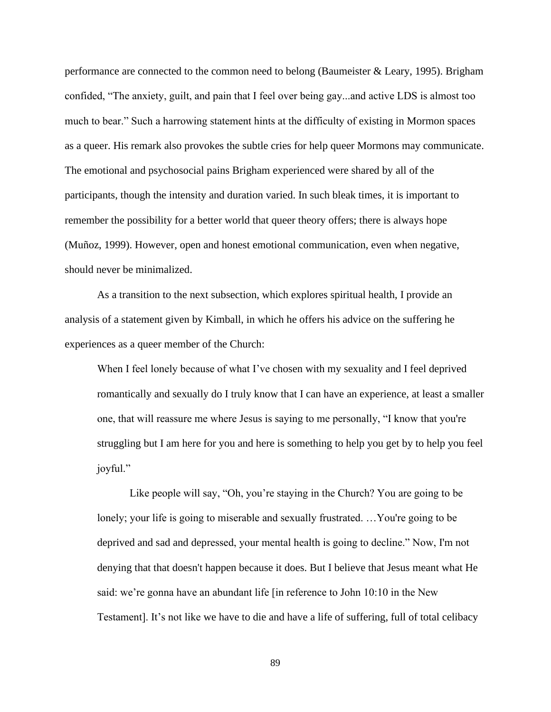performance are connected to the common need to belong (Baumeister & Leary, 1995). Brigham confided, "The anxiety, guilt, and pain that I feel over being gay...and active LDS is almost too much to bear." Such a harrowing statement hints at the difficulty of existing in Mormon spaces as a queer. His remark also provokes the subtle cries for help queer Mormons may communicate. The emotional and psychosocial pains Brigham experienced were shared by all of the participants, though the intensity and duration varied. In such bleak times, it is important to remember the possibility for a better world that queer theory offers; there is always hope (Muñoz, 1999). However, open and honest emotional communication, even when negative, should never be minimalized.

As a transition to the next subsection, which explores spiritual health, I provide an analysis of a statement given by Kimball, in which he offers his advice on the suffering he experiences as a queer member of the Church:

When I feel lonely because of what I've chosen with my sexuality and I feel deprived romantically and sexually do I truly know that I can have an experience, at least a smaller one, that will reassure me where Jesus is saying to me personally, "I know that you're struggling but I am here for you and here is something to help you get by to help you feel joyful."

Like people will say, "Oh, you're staying in the Church? You are going to be lonely; your life is going to miserable and sexually frustrated. …You're going to be deprived and sad and depressed, your mental health is going to decline." Now, I'm not denying that that doesn't happen because it does. But I believe that Jesus meant what He said: we're gonna have an abundant life [in reference to John 10:10 in the New Testament]. It's not like we have to die and have a life of suffering, full of total celibacy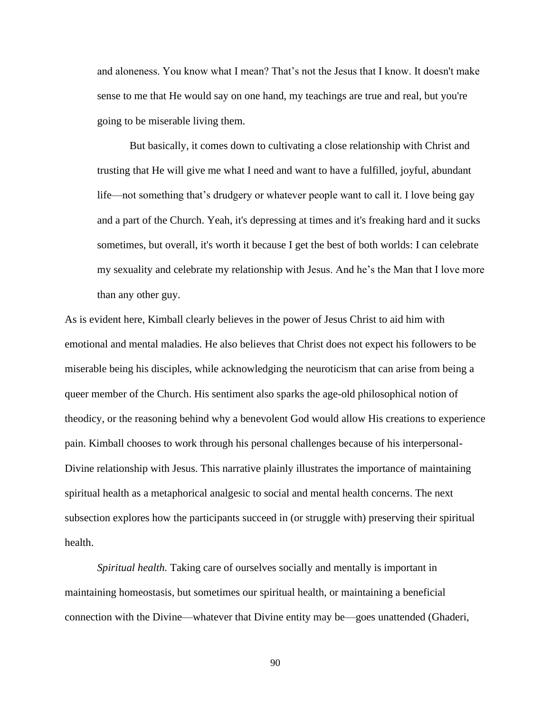and aloneness. You know what I mean? That's not the Jesus that I know. It doesn't make sense to me that He would say on one hand, my teachings are true and real, but you're going to be miserable living them.

But basically, it comes down to cultivating a close relationship with Christ and trusting that He will give me what I need and want to have a fulfilled, joyful, abundant life—not something that's drudgery or whatever people want to call it. I love being gay and a part of the Church. Yeah, it's depressing at times and it's freaking hard and it sucks sometimes, but overall, it's worth it because I get the best of both worlds: I can celebrate my sexuality and celebrate my relationship with Jesus. And he's the Man that I love more than any other guy.

As is evident here, Kimball clearly believes in the power of Jesus Christ to aid him with emotional and mental maladies. He also believes that Christ does not expect his followers to be miserable being his disciples, while acknowledging the neuroticism that can arise from being a queer member of the Church. His sentiment also sparks the age-old philosophical notion of theodicy, or the reasoning behind why a benevolent God would allow His creations to experience pain. Kimball chooses to work through his personal challenges because of his interpersonal-Divine relationship with Jesus. This narrative plainly illustrates the importance of maintaining spiritual health as a metaphorical analgesic to social and mental health concerns. The next subsection explores how the participants succeed in (or struggle with) preserving their spiritual health.

*Spiritual health.* Taking care of ourselves socially and mentally is important in maintaining homeostasis, but sometimes our spiritual health, or maintaining a beneficial connection with the Divine—whatever that Divine entity may be—goes unattended (Ghaderi,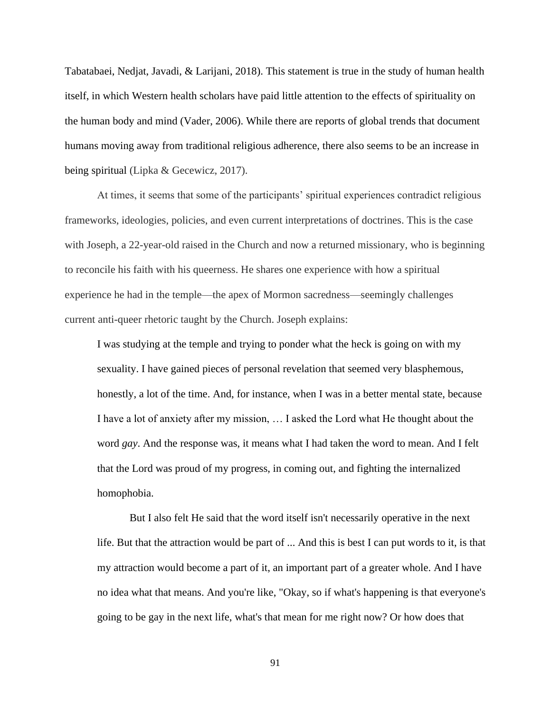Tabatabaei, Nedjat, Javadi, & Larijani, 2018). This statement is true in the study of human health itself, in which Western health scholars have paid little attention to the effects of spirituality on the human body and mind (Vader, 2006). While there are reports of global trends that document humans moving away from traditional religious adherence, there also seems to be an increase in being spiritual (Lipka & Gecewicz, 2017).

At times, it seems that some of the participants' spiritual experiences contradict religious frameworks, ideologies, policies, and even current interpretations of doctrines. This is the case with Joseph, a 22-year-old raised in the Church and now a returned missionary, who is beginning to reconcile his faith with his queerness. He shares one experience with how a spiritual experience he had in the temple—the apex of Mormon sacredness—seemingly challenges current anti-queer rhetoric taught by the Church. Joseph explains:

I was studying at the temple and trying to ponder what the heck is going on with my sexuality. I have gained pieces of personal revelation that seemed very blasphemous, honestly, a lot of the time. And, for instance, when I was in a better mental state, because I have a lot of anxiety after my mission, … I asked the Lord what He thought about the word *gay*. And the response was, it means what I had taken the word to mean. And I felt that the Lord was proud of my progress, in coming out, and fighting the internalized homophobia.

But I also felt He said that the word itself isn't necessarily operative in the next life. But that the attraction would be part of ... And this is best I can put words to it, is that my attraction would become a part of it, an important part of a greater whole. And I have no idea what that means. And you're like, "Okay, so if what's happening is that everyone's going to be gay in the next life, what's that mean for me right now? Or how does that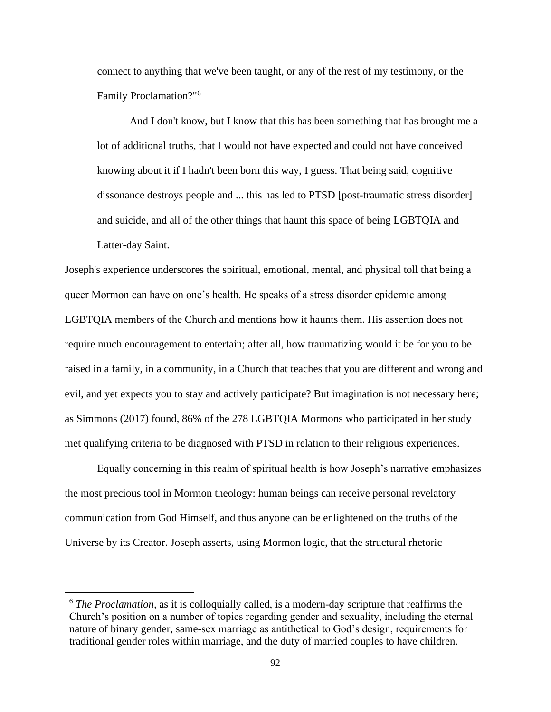connect to anything that we've been taught, or any of the rest of my testimony, or the Family Proclamation?"<sup>6</sup>

And I don't know, but I know that this has been something that has brought me a lot of additional truths, that I would not have expected and could not have conceived knowing about it if I hadn't been born this way, I guess. That being said, cognitive dissonance destroys people and ... this has led to PTSD [post-traumatic stress disorder] and suicide, and all of the other things that haunt this space of being LGBTQIA and Latter-day Saint.

Joseph's experience underscores the spiritual, emotional, mental, and physical toll that being a queer Mormon can have on one's health. He speaks of a stress disorder epidemic among LGBTQIA members of the Church and mentions how it haunts them. His assertion does not require much encouragement to entertain; after all, how traumatizing would it be for you to be raised in a family, in a community, in a Church that teaches that you are different and wrong and evil, and yet expects you to stay and actively participate? But imagination is not necessary here; as Simmons (2017) found, 86% of the 278 LGBTQIA Mormons who participated in her study met qualifying criteria to be diagnosed with PTSD in relation to their religious experiences.

Equally concerning in this realm of spiritual health is how Joseph's narrative emphasizes the most precious tool in Mormon theology: human beings can receive personal revelatory communication from God Himself, and thus anyone can be enlightened on the truths of the Universe by its Creator. Joseph asserts, using Mormon logic, that the structural rhetoric

<sup>6</sup> *The Proclamation,* as it is colloquially called, is a modern-day scripture that reaffirms the Church's position on a number of topics regarding gender and sexuality, including the eternal nature of binary gender, same-sex marriage as antithetical to God's design, requirements for traditional gender roles within marriage, and the duty of married couples to have children.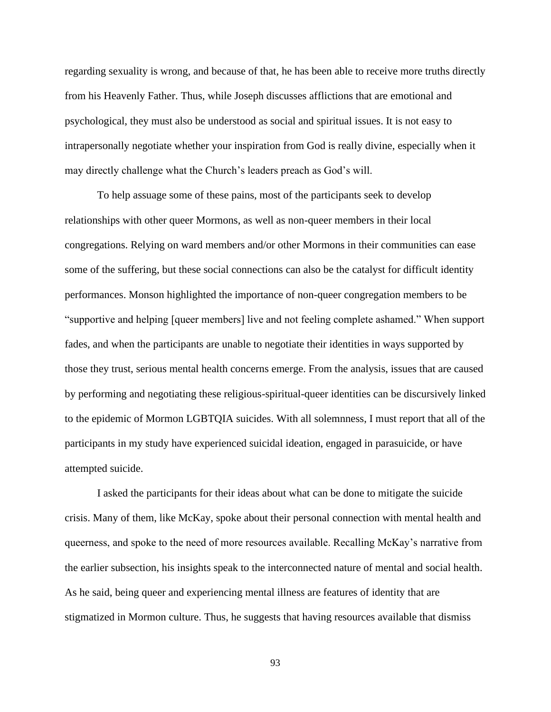regarding sexuality is wrong, and because of that, he has been able to receive more truths directly from his Heavenly Father. Thus, while Joseph discusses afflictions that are emotional and psychological, they must also be understood as social and spiritual issues. It is not easy to intrapersonally negotiate whether your inspiration from God is really divine, especially when it may directly challenge what the Church's leaders preach as God's will.

To help assuage some of these pains, most of the participants seek to develop relationships with other queer Mormons, as well as non-queer members in their local congregations. Relying on ward members and/or other Mormons in their communities can ease some of the suffering, but these social connections can also be the catalyst for difficult identity performances. Monson highlighted the importance of non-queer congregation members to be "supportive and helping [queer members] live and not feeling complete ashamed." When support fades, and when the participants are unable to negotiate their identities in ways supported by those they trust, serious mental health concerns emerge. From the analysis, issues that are caused by performing and negotiating these religious-spiritual-queer identities can be discursively linked to the epidemic of Mormon LGBTQIA suicides. With all solemnness, I must report that all of the participants in my study have experienced suicidal ideation, engaged in parasuicide, or have attempted suicide.

I asked the participants for their ideas about what can be done to mitigate the suicide crisis. Many of them, like McKay, spoke about their personal connection with mental health and queerness, and spoke to the need of more resources available. Recalling McKay's narrative from the earlier subsection, his insights speak to the interconnected nature of mental and social health. As he said, being queer and experiencing mental illness are features of identity that are stigmatized in Mormon culture. Thus, he suggests that having resources available that dismiss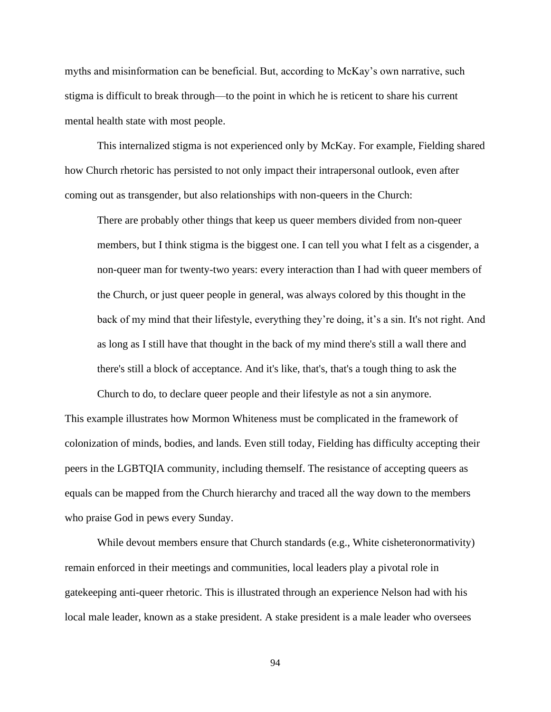myths and misinformation can be beneficial. But, according to McKay's own narrative, such stigma is difficult to break through—to the point in which he is reticent to share his current mental health state with most people.

This internalized stigma is not experienced only by McKay. For example, Fielding shared how Church rhetoric has persisted to not only impact their intrapersonal outlook, even after coming out as transgender, but also relationships with non-queers in the Church:

There are probably other things that keep us queer members divided from non-queer members, but I think stigma is the biggest one. I can tell you what I felt as a cisgender, a non-queer man for twenty-two years: every interaction than I had with queer members of the Church, or just queer people in general, was always colored by this thought in the back of my mind that their lifestyle, everything they're doing, it's a sin. It's not right. And as long as I still have that thought in the back of my mind there's still a wall there and there's still a block of acceptance. And it's like, that's, that's a tough thing to ask the

Church to do, to declare queer people and their lifestyle as not a sin anymore. This example illustrates how Mormon Whiteness must be complicated in the framework of colonization of minds, bodies, and lands. Even still today, Fielding has difficulty accepting their peers in the LGBTQIA community, including themself. The resistance of accepting queers as equals can be mapped from the Church hierarchy and traced all the way down to the members who praise God in pews every Sunday.

While devout members ensure that Church standards (e.g., White cisheteronormativity) remain enforced in their meetings and communities, local leaders play a pivotal role in gatekeeping anti-queer rhetoric. This is illustrated through an experience Nelson had with his local male leader, known as a stake president. A stake president is a male leader who oversees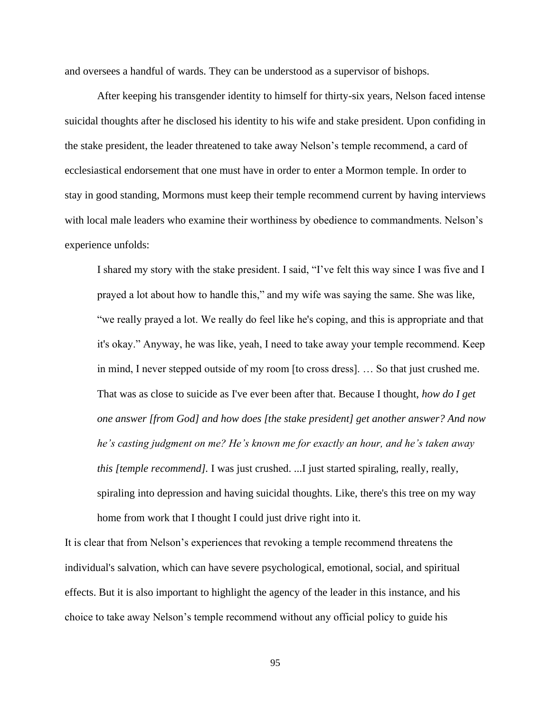and oversees a handful of wards. They can be understood as a supervisor of bishops.

After keeping his transgender identity to himself for thirty-six years, Nelson faced intense suicidal thoughts after he disclosed his identity to his wife and stake president. Upon confiding in the stake president, the leader threatened to take away Nelson's temple recommend, a card of ecclesiastical endorsement that one must have in order to enter a Mormon temple. In order to stay in good standing, Mormons must keep their temple recommend current by having interviews with local male leaders who examine their worthiness by obedience to commandments. Nelson's experience unfolds:

I shared my story with the stake president. I said, "I've felt this way since I was five and I prayed a lot about how to handle this," and my wife was saying the same. She was like, "we really prayed a lot. We really do feel like he's coping, and this is appropriate and that it's okay." Anyway, he was like, yeah, I need to take away your temple recommend. Keep in mind, I never stepped outside of my room [to cross dress]. … So that just crushed me. That was as close to suicide as I've ever been after that. Because I thought, *how do I get one answer [from God] and how does [the stake president] get another answer? And now he's casting judgment on me? He's known me for exactly an hour, and he's taken away this [temple recommend]*. I was just crushed. ...I just started spiraling, really, really, spiraling into depression and having suicidal thoughts. Like, there's this tree on my way home from work that I thought I could just drive right into it.

It is clear that from Nelson's experiences that revoking a temple recommend threatens the individual's salvation, which can have severe psychological, emotional, social, and spiritual effects. But it is also important to highlight the agency of the leader in this instance, and his choice to take away Nelson's temple recommend without any official policy to guide his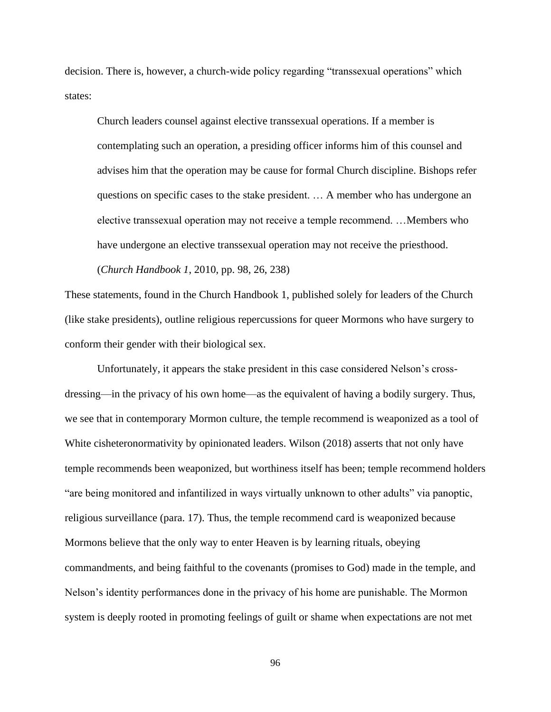decision. There is, however, a church-wide policy regarding "transsexual operations" which states:

Church leaders counsel against elective transsexual operations. If a member is contemplating such an operation, a presiding officer informs him of this counsel and advises him that the operation may be cause for formal Church discipline. Bishops refer questions on specific cases to the stake president. … A member who has undergone an elective transsexual operation may not receive a temple recommend. …Members who have undergone an elective transsexual operation may not receive the priesthood.

(*Church Handbook 1*, 2010, pp. 98, 26, 238)

These statements, found in the Church Handbook 1, published solely for leaders of the Church (like stake presidents), outline religious repercussions for queer Mormons who have surgery to conform their gender with their biological sex.

Unfortunately, it appears the stake president in this case considered Nelson's crossdressing—in the privacy of his own home—as the equivalent of having a bodily surgery. Thus, we see that in contemporary Mormon culture, the temple recommend is weaponized as a tool of White cisheteronormativity by opinionated leaders. Wilson (2018) asserts that not only have temple recommends been weaponized, but worthiness itself has been; temple recommend holders "are being monitored and infantilized in ways virtually unknown to other adults" via panoptic, religious surveillance (para. 17). Thus, the temple recommend card is weaponized because Mormons believe that the only way to enter Heaven is by learning rituals, obeying commandments, and being faithful to the covenants (promises to God) made in the temple, and Nelson's identity performances done in the privacy of his home are punishable. The Mormon system is deeply rooted in promoting feelings of guilt or shame when expectations are not met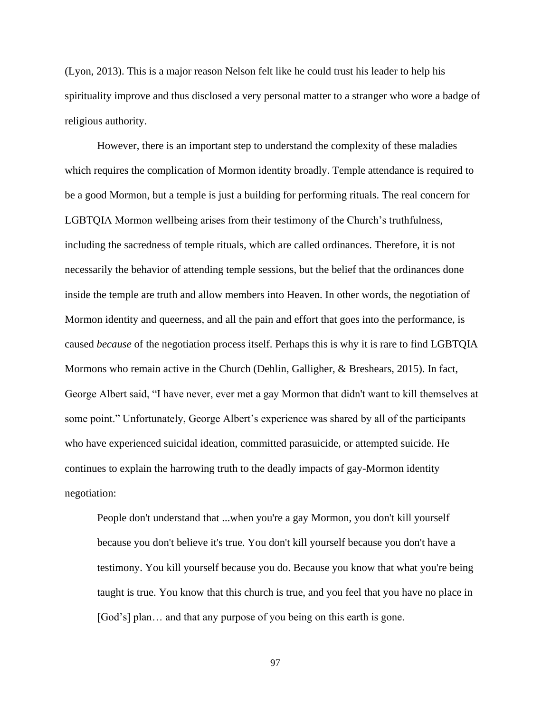(Lyon, 2013). This is a major reason Nelson felt like he could trust his leader to help his spirituality improve and thus disclosed a very personal matter to a stranger who wore a badge of religious authority.

However, there is an important step to understand the complexity of these maladies which requires the complication of Mormon identity broadly. Temple attendance is required to be a good Mormon, but a temple is just a building for performing rituals. The real concern for LGBTQIA Mormon wellbeing arises from their testimony of the Church's truthfulness, including the sacredness of temple rituals, which are called ordinances. Therefore, it is not necessarily the behavior of attending temple sessions, but the belief that the ordinances done inside the temple are truth and allow members into Heaven. In other words, the negotiation of Mormon identity and queerness, and all the pain and effort that goes into the performance, is caused *because* of the negotiation process itself. Perhaps this is why it is rare to find LGBTQIA Mormons who remain active in the Church (Dehlin, Galligher, & Breshears, 2015). In fact, George Albert said, "I have never, ever met a gay Mormon that didn't want to kill themselves at some point." Unfortunately, George Albert's experience was shared by all of the participants who have experienced suicidal ideation, committed parasuicide, or attempted suicide. He continues to explain the harrowing truth to the deadly impacts of gay-Mormon identity negotiation:

People don't understand that ...when you're a gay Mormon, you don't kill yourself because you don't believe it's true. You don't kill yourself because you don't have a testimony. You kill yourself because you do. Because you know that what you're being taught is true. You know that this church is true, and you feel that you have no place in [God's] plan... and that any purpose of you being on this earth is gone.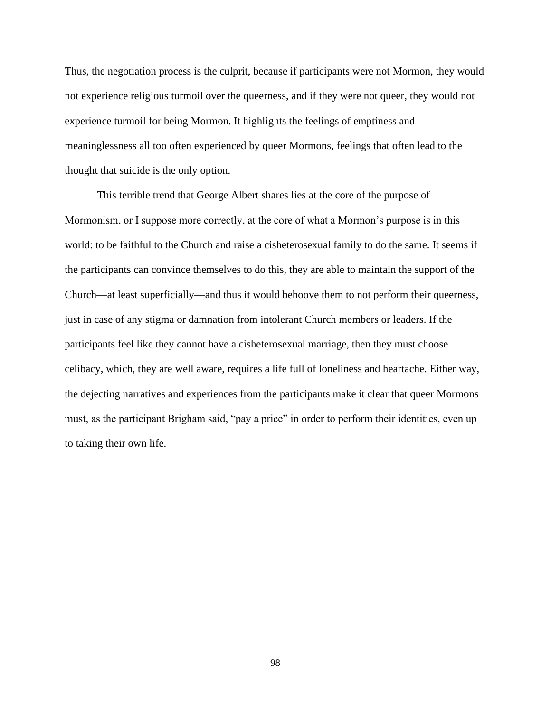Thus, the negotiation process is the culprit, because if participants were not Mormon, they would not experience religious turmoil over the queerness, and if they were not queer, they would not experience turmoil for being Mormon. It highlights the feelings of emptiness and meaninglessness all too often experienced by queer Mormons, feelings that often lead to the thought that suicide is the only option.

This terrible trend that George Albert shares lies at the core of the purpose of Mormonism, or I suppose more correctly, at the core of what a Mormon's purpose is in this world: to be faithful to the Church and raise a cisheterosexual family to do the same. It seems if the participants can convince themselves to do this, they are able to maintain the support of the Church—at least superficially—and thus it would behoove them to not perform their queerness, just in case of any stigma or damnation from intolerant Church members or leaders. If the participants feel like they cannot have a cisheterosexual marriage, then they must choose celibacy, which, they are well aware, requires a life full of loneliness and heartache. Either way, the dejecting narratives and experiences from the participants make it clear that queer Mormons must, as the participant Brigham said, "pay a price" in order to perform their identities, even up to taking their own life.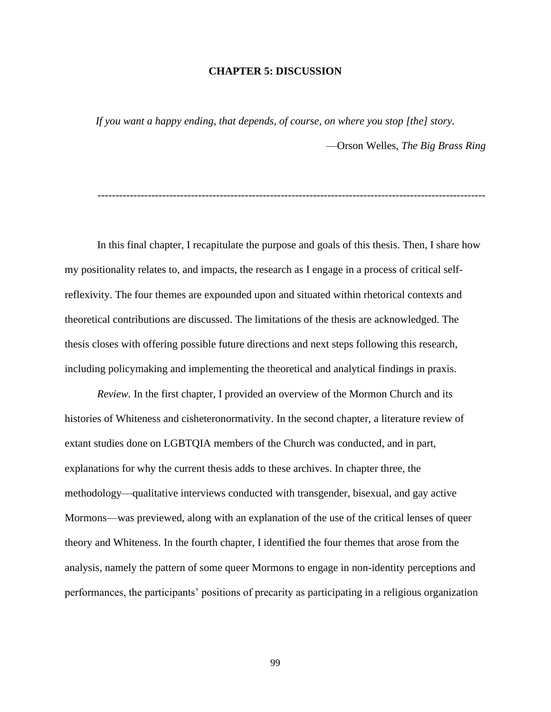## **CHAPTER 5: DISCUSSION**

*If you want a happy ending, that depends, of course, on where you stop [the] story.* —Orson Welles, *The Big Brass Ring*

------------------------------------------------------------------------------------------------------------

In this final chapter, I recapitulate the purpose and goals of this thesis. Then, I share how my positionality relates to, and impacts, the research as I engage in a process of critical selfreflexivity. The four themes are expounded upon and situated within rhetorical contexts and theoretical contributions are discussed. The limitations of the thesis are acknowledged. The thesis closes with offering possible future directions and next steps following this research, including policymaking and implementing the theoretical and analytical findings in praxis.

*Review.* In the first chapter, I provided an overview of the Mormon Church and its histories of Whiteness and cisheteronormativity. In the second chapter, a literature review of extant studies done on LGBTQIA members of the Church was conducted, and in part, explanations for why the current thesis adds to these archives. In chapter three, the methodology—qualitative interviews conducted with transgender, bisexual, and gay active Mormons—was previewed, along with an explanation of the use of the critical lenses of queer theory and Whiteness. In the fourth chapter, I identified the four themes that arose from the analysis, namely the pattern of some queer Mormons to engage in non-identity perceptions and performances, the participants' positions of precarity as participating in a religious organization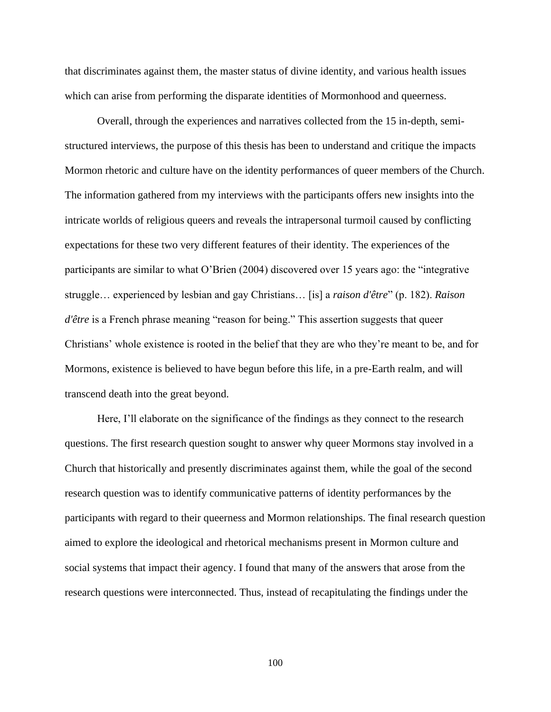that discriminates against them, the master status of divine identity, and various health issues which can arise from performing the disparate identities of Mormonhood and queerness.

Overall, through the experiences and narratives collected from the 15 in-depth, semistructured interviews, the purpose of this thesis has been to understand and critique the impacts Mormon rhetoric and culture have on the identity performances of queer members of the Church. The information gathered from my interviews with the participants offers new insights into the intricate worlds of religious queers and reveals the intrapersonal turmoil caused by conflicting expectations for these two very different features of their identity. The experiences of the participants are similar to what O'Brien (2004) discovered over 15 years ago: the "integrative struggle… experienced by lesbian and gay Christians… [is] a *raison d'être*" (p. 182). *Raison d'être* is a French phrase meaning "reason for being." This assertion suggests that queer Christians' whole existence is rooted in the belief that they are who they're meant to be, and for Mormons, existence is believed to have begun before this life, in a pre-Earth realm, and will transcend death into the great beyond.

Here, I'll elaborate on the significance of the findings as they connect to the research questions. The first research question sought to answer why queer Mormons stay involved in a Church that historically and presently discriminates against them, while the goal of the second research question was to identify communicative patterns of identity performances by the participants with regard to their queerness and Mormon relationships. The final research question aimed to explore the ideological and rhetorical mechanisms present in Mormon culture and social systems that impact their agency. I found that many of the answers that arose from the research questions were interconnected. Thus, instead of recapitulating the findings under the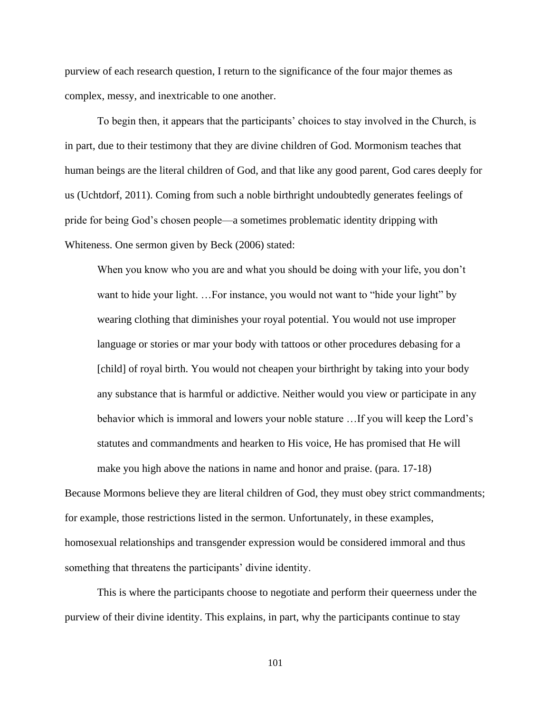purview of each research question, I return to the significance of the four major themes as complex, messy, and inextricable to one another.

To begin then, it appears that the participants' choices to stay involved in the Church, is in part, due to their testimony that they are divine children of God. Mormonism teaches that human beings are the literal children of God, and that like any good parent, God cares deeply for us (Uchtdorf, 2011). Coming from such a noble birthright undoubtedly generates feelings of pride for being God's chosen people—a sometimes problematic identity dripping with Whiteness. One sermon given by Beck (2006) stated:

When you know who you are and what you should be doing with your life, you don't want to hide your light. ... For instance, you would not want to "hide your light" by wearing clothing that diminishes your royal potential. You would not use improper language or stories or mar your body with tattoos or other procedures debasing for a [child] of royal birth. You would not cheapen your birthright by taking into your body any substance that is harmful or addictive. Neither would you view or participate in any behavior which is immoral and lowers your noble stature …If you will keep the Lord's statutes and commandments and hearken to His voice, He has promised that He will make you high above the nations in name and honor and praise. (para. 17-18)

Because Mormons believe they are literal children of God, they must obey strict commandments; for example, those restrictions listed in the sermon. Unfortunately, in these examples, homosexual relationships and transgender expression would be considered immoral and thus something that threatens the participants' divine identity.

This is where the participants choose to negotiate and perform their queerness under the purview of their divine identity. This explains, in part, why the participants continue to stay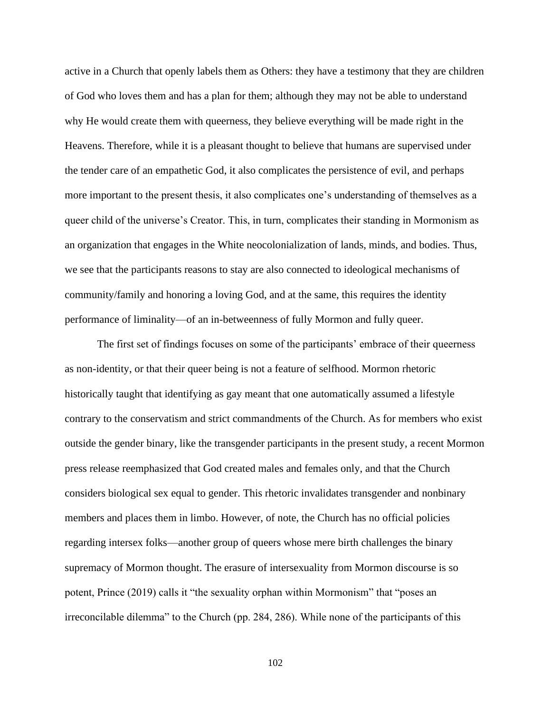active in a Church that openly labels them as Others: they have a testimony that they are children of God who loves them and has a plan for them; although they may not be able to understand why He would create them with queerness, they believe everything will be made right in the Heavens. Therefore, while it is a pleasant thought to believe that humans are supervised under the tender care of an empathetic God, it also complicates the persistence of evil, and perhaps more important to the present thesis, it also complicates one's understanding of themselves as a queer child of the universe's Creator. This, in turn, complicates their standing in Mormonism as an organization that engages in the White neocolonialization of lands, minds, and bodies. Thus, we see that the participants reasons to stay are also connected to ideological mechanisms of community/family and honoring a loving God, and at the same, this requires the identity performance of liminality—of an in-betweenness of fully Mormon and fully queer.

The first set of findings focuses on some of the participants' embrace of their queerness as non-identity, or that their queer being is not a feature of selfhood. Mormon rhetoric historically taught that identifying as gay meant that one automatically assumed a lifestyle contrary to the conservatism and strict commandments of the Church. As for members who exist outside the gender binary, like the transgender participants in the present study, a recent Mormon press release reemphasized that God created males and females only, and that the Church considers biological sex equal to gender. This rhetoric invalidates transgender and nonbinary members and places them in limbo. However, of note, the Church has no official policies regarding intersex folks—another group of queers whose mere birth challenges the binary supremacy of Mormon thought. The erasure of intersexuality from Mormon discourse is so potent, Prince (2019) calls it "the sexuality orphan within Mormonism" that "poses an irreconcilable dilemma" to the Church (pp. 284, 286). While none of the participants of this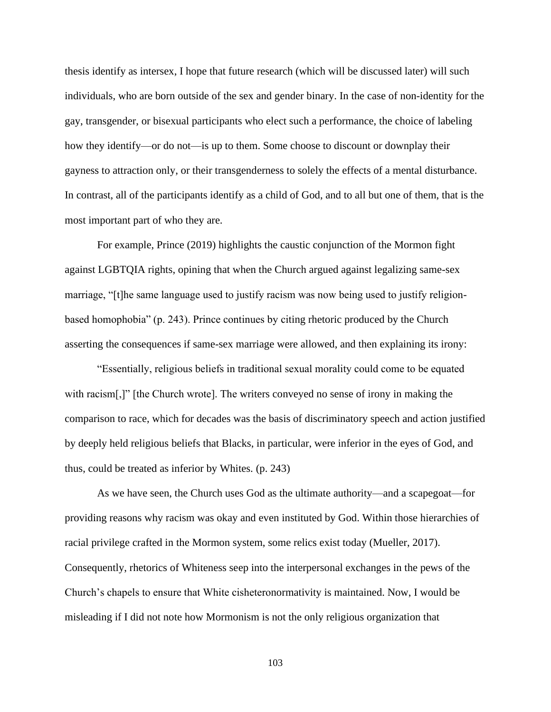thesis identify as intersex, I hope that future research (which will be discussed later) will such individuals, who are born outside of the sex and gender binary. In the case of non-identity for the gay, transgender, or bisexual participants who elect such a performance, the choice of labeling how they identify—or do not—is up to them. Some choose to discount or downplay their gayness to attraction only, or their transgenderness to solely the effects of a mental disturbance. In contrast, all of the participants identify as a child of God, and to all but one of them, that is the most important part of who they are.

For example, Prince (2019) highlights the caustic conjunction of the Mormon fight against LGBTQIA rights, opining that when the Church argued against legalizing same-sex marriage, "[t]he same language used to justify racism was now being used to justify religionbased homophobia" (p. 243). Prince continues by citing rhetoric produced by the Church asserting the consequences if same-sex marriage were allowed, and then explaining its irony:

"Essentially, religious beliefs in traditional sexual morality could come to be equated with racism[,]" [the Church wrote]. The writers conveyed no sense of irony in making the comparison to race, which for decades was the basis of discriminatory speech and action justified by deeply held religious beliefs that Blacks, in particular, were inferior in the eyes of God, and thus, could be treated as inferior by Whites. (p. 243)

As we have seen, the Church uses God as the ultimate authority—and a scapegoat—for providing reasons why racism was okay and even instituted by God. Within those hierarchies of racial privilege crafted in the Mormon system, some relics exist today (Mueller, 2017). Consequently, rhetorics of Whiteness seep into the interpersonal exchanges in the pews of the Church's chapels to ensure that White cisheteronormativity is maintained. Now, I would be misleading if I did not note how Mormonism is not the only religious organization that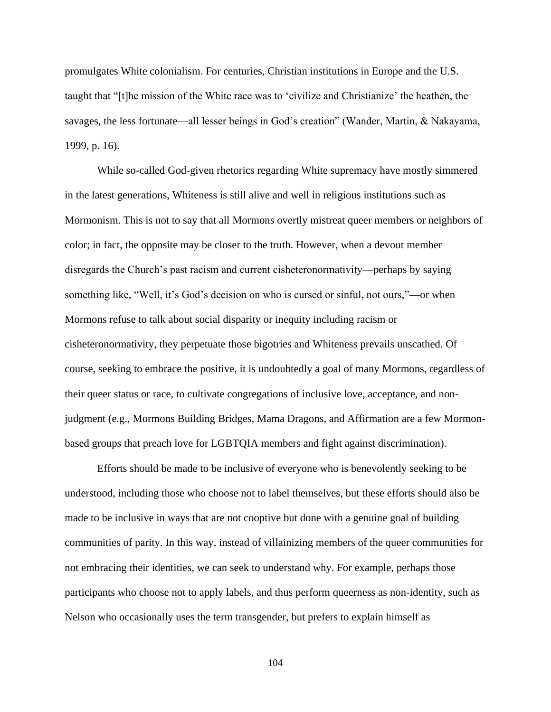promulgates White colonialism. For centuries, Christian institutions in Europe and the U.S. taught that "[t]he mission of the White race was to 'civilize and Christianize' the heathen, the savages, the less fortunate—all lesser beings in God's creation" (Wander, Martin, & Nakayama, 1999, p. 16).

While so-called God-given rhetorics regarding White supremacy have mostly simmered in the latest generations, Whiteness is still alive and well in religious institutions such as Mormonism. This is not to say that all Mormons overtly mistreat queer members or neighbors of color; in fact, the opposite may be closer to the truth. However, when a devout member disregards the Church's past racism and current cisheteronormativity—perhaps by saying something like, "Well, it's God's decision on who is cursed or sinful, not ours,"—or when Mormons refuse to talk about social disparity or inequity including racism or cisheteronormativity, they perpetuate those bigotries and Whiteness prevails unscathed. Of course, seeking to embrace the positive, it is undoubtedly a goal of many Mormons, regardless of their queer status or race, to cultivate congregations of inclusive love, acceptance, and nonjudgment (e.g., Mormons Building Bridges, Mama Dragons, and Affirmation are a few Mormonbased groups that preach love for LGBTQIA members and fight against discrimination).

Efforts should be made to be inclusive of everyone who is benevolently seeking to be understood, including those who choose not to label themselves, but these efforts should also be made to be inclusive in ways that are not cooptive but done with a genuine goal of building communities of parity. In this way, instead of villainizing members of the queer communities for not embracing their identities, we can seek to understand why. For example, perhaps those participants who choose not to apply labels, and thus perform queerness as non-identity, such as Nelson who occasionally uses the term transgender, but prefers to explain himself as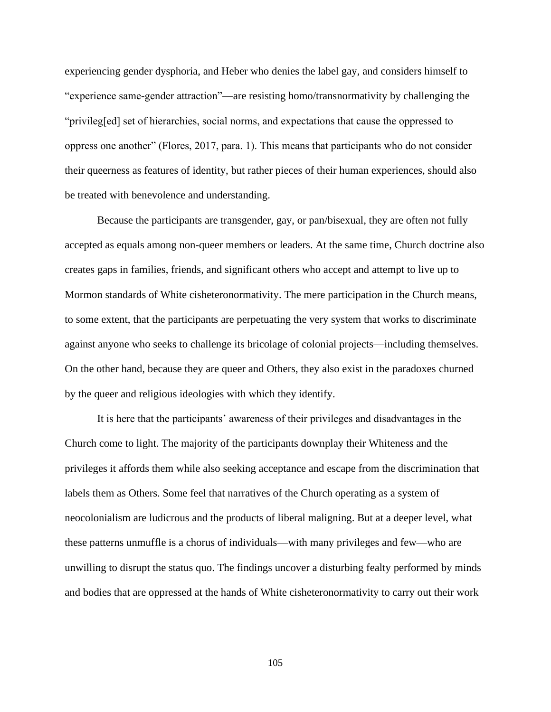experiencing gender dysphoria, and Heber who denies the label gay, and considers himself to "experience same-gender attraction"—are resisting homo/transnormativity by challenging the "privileg[ed] set of hierarchies, social norms, and expectations that cause the oppressed to oppress one another" (Flores, 2017, para. 1). This means that participants who do not consider their queerness as features of identity, but rather pieces of their human experiences, should also be treated with benevolence and understanding.

Because the participants are transgender, gay, or pan/bisexual, they are often not fully accepted as equals among non-queer members or leaders. At the same time, Church doctrine also creates gaps in families, friends, and significant others who accept and attempt to live up to Mormon standards of White cisheteronormativity. The mere participation in the Church means, to some extent, that the participants are perpetuating the very system that works to discriminate against anyone who seeks to challenge its bricolage of colonial projects—including themselves. On the other hand, because they are queer and Others, they also exist in the paradoxes churned by the queer and religious ideologies with which they identify.

It is here that the participants' awareness of their privileges and disadvantages in the Church come to light. The majority of the participants downplay their Whiteness and the privileges it affords them while also seeking acceptance and escape from the discrimination that labels them as Others. Some feel that narratives of the Church operating as a system of neocolonialism are ludicrous and the products of liberal maligning. But at a deeper level, what these patterns unmuffle is a chorus of individuals—with many privileges and few—who are unwilling to disrupt the status quo. The findings uncover a disturbing fealty performed by minds and bodies that are oppressed at the hands of White cisheteronormativity to carry out their work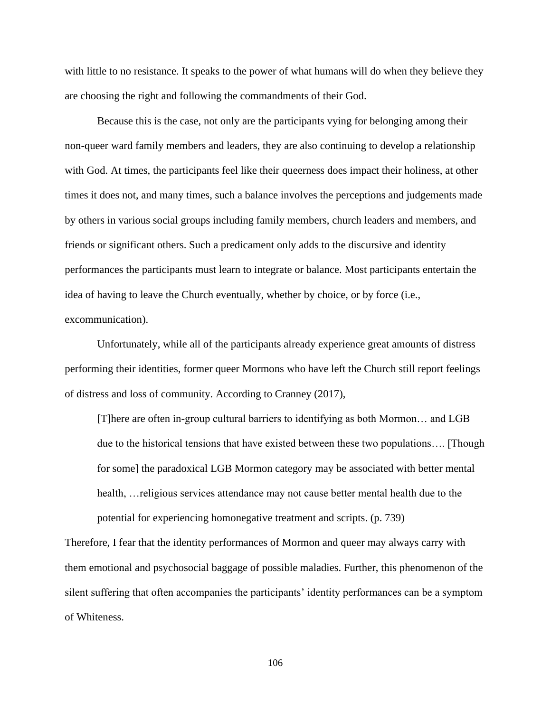with little to no resistance. It speaks to the power of what humans will do when they believe they are choosing the right and following the commandments of their God.

Because this is the case, not only are the participants vying for belonging among their non-queer ward family members and leaders, they are also continuing to develop a relationship with God. At times, the participants feel like their queerness does impact their holiness, at other times it does not, and many times, such a balance involves the perceptions and judgements made by others in various social groups including family members, church leaders and members, and friends or significant others. Such a predicament only adds to the discursive and identity performances the participants must learn to integrate or balance. Most participants entertain the idea of having to leave the Church eventually, whether by choice, or by force (i.e., excommunication).

Unfortunately, while all of the participants already experience great amounts of distress performing their identities, former queer Mormons who have left the Church still report feelings of distress and loss of community. According to Cranney (2017),

[T]here are often in-group cultural barriers to identifying as both Mormon… and LGB due to the historical tensions that have existed between these two populations…. [Though for some] the paradoxical LGB Mormon category may be associated with better mental health, …religious services attendance may not cause better mental health due to the potential for experiencing homonegative treatment and scripts. (p. 739)

Therefore, I fear that the identity performances of Mormon and queer may always carry with them emotional and psychosocial baggage of possible maladies. Further, this phenomenon of the silent suffering that often accompanies the participants' identity performances can be a symptom of Whiteness.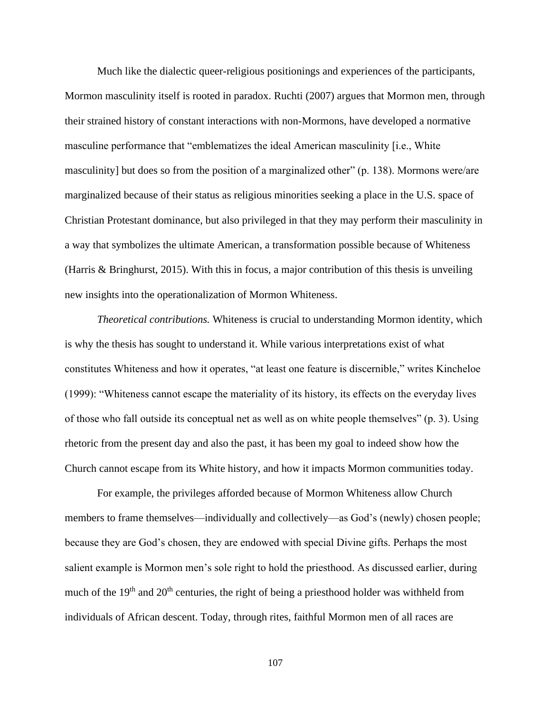Much like the dialectic queer-religious positionings and experiences of the participants, Mormon masculinity itself is rooted in paradox. Ruchti (2007) argues that Mormon men, through their strained history of constant interactions with non-Mormons, have developed a normative masculine performance that "emblematizes the ideal American masculinity [i.e., White masculinity] but does so from the position of a marginalized other" (p. 138). Mormons were/are marginalized because of their status as religious minorities seeking a place in the U.S. space of Christian Protestant dominance, but also privileged in that they may perform their masculinity in a way that symbolizes the ultimate American, a transformation possible because of Whiteness (Harris & Bringhurst, 2015). With this in focus, a major contribution of this thesis is unveiling new insights into the operationalization of Mormon Whiteness.

*Theoretical contributions.* Whiteness is crucial to understanding Mormon identity, which is why the thesis has sought to understand it. While various interpretations exist of what constitutes Whiteness and how it operates, "at least one feature is discernible," writes Kincheloe (1999): "Whiteness cannot escape the materiality of its history, its effects on the everyday lives of those who fall outside its conceptual net as well as on white people themselves" (p. 3). Using rhetoric from the present day and also the past, it has been my goal to indeed show how the Church cannot escape from its White history, and how it impacts Mormon communities today.

For example, the privileges afforded because of Mormon Whiteness allow Church members to frame themselves—individually and collectively—as God's (newly) chosen people; because they are God's chosen, they are endowed with special Divine gifts. Perhaps the most salient example is Mormon men's sole right to hold the priesthood. As discussed earlier, during much of the 19<sup>th</sup> and 20<sup>th</sup> centuries, the right of being a priesthood holder was withheld from individuals of African descent. Today, through rites, faithful Mormon men of all races are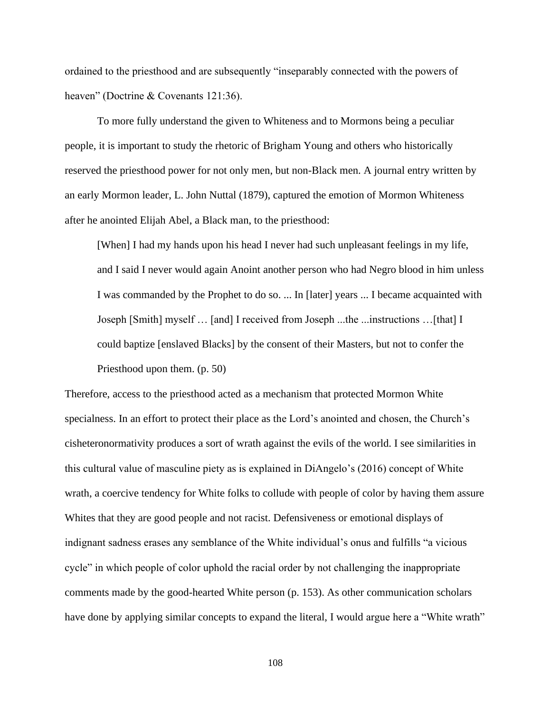ordained to the priesthood and are subsequently "inseparably connected with the powers of heaven" (Doctrine & Covenants 121:36).

To more fully understand the given to Whiteness and to Mormons being a peculiar people, it is important to study the rhetoric of Brigham Young and others who historically reserved the priesthood power for not only men, but non-Black men. A journal entry written by an early Mormon leader, L. John Nuttal (1879), captured the emotion of Mormon Whiteness after he anointed Elijah Abel, a Black man, to the priesthood:

[When] I had my hands upon his head I never had such unpleasant feelings in my life, and I said I never would again Anoint another person who had Negro blood in him unless I was commanded by the Prophet to do so. ... In [later] years ... I became acquainted with Joseph [Smith] myself … [and] I received from Joseph ...the ...instructions …[that] I could baptize [enslaved Blacks] by the consent of their Masters, but not to confer the Priesthood upon them. (p. 50)

Therefore, access to the priesthood acted as a mechanism that protected Mormon White specialness. In an effort to protect their place as the Lord's anointed and chosen, the Church's cisheteronormativity produces a sort of wrath against the evils of the world. I see similarities in this cultural value of masculine piety as is explained in DiAngelo's (2016) concept of White wrath, a coercive tendency for White folks to collude with people of color by having them assure Whites that they are good people and not racist. Defensiveness or emotional displays of indignant sadness erases any semblance of the White individual's onus and fulfills "a vicious cycle" in which people of color uphold the racial order by not challenging the inappropriate comments made by the good-hearted White person (p. 153). As other communication scholars have done by applying similar concepts to expand the literal, I would argue here a "White wrath"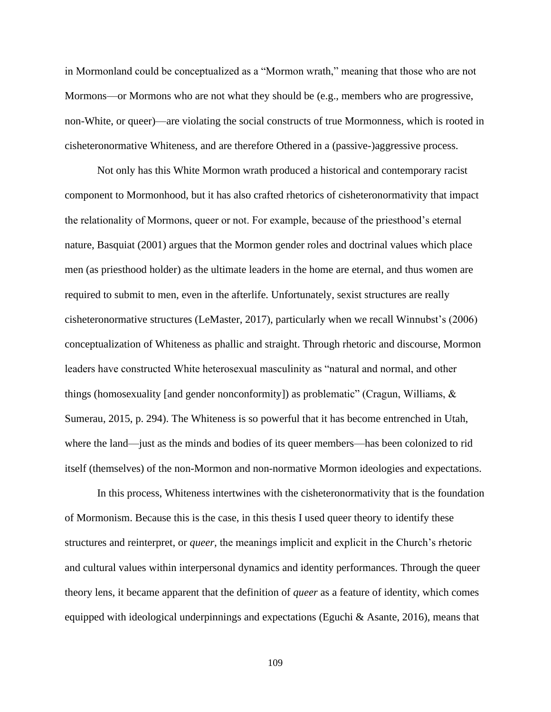in Mormonland could be conceptualized as a "Mormon wrath," meaning that those who are not Mormons—or Mormons who are not what they should be (e.g., members who are progressive, non-White, or queer)—are violating the social constructs of true Mormonness, which is rooted in cisheteronormative Whiteness, and are therefore Othered in a (passive-)aggressive process.

Not only has this White Mormon wrath produced a historical and contemporary racist component to Mormonhood, but it has also crafted rhetorics of cisheteronormativity that impact the relationality of Mormons, queer or not. For example, because of the priesthood's eternal nature, Basquiat (2001) argues that the Mormon gender roles and doctrinal values which place men (as priesthood holder) as the ultimate leaders in the home are eternal, and thus women are required to submit to men, even in the afterlife. Unfortunately, sexist structures are really cisheteronormative structures (LeMaster, 2017), particularly when we recall Winnubst's (2006) conceptualization of Whiteness as phallic and straight. Through rhetoric and discourse, Mormon leaders have constructed White heterosexual masculinity as "natural and normal, and other things (homosexuality [and gender nonconformity]) as problematic" (Cragun, Williams, & Sumerau, 2015, p. 294). The Whiteness is so powerful that it has become entrenched in Utah, where the land—just as the minds and bodies of its queer members—has been colonized to rid itself (themselves) of the non-Mormon and non-normative Mormon ideologies and expectations.

In this process, Whiteness intertwines with the cisheteronormativity that is the foundation of Mormonism. Because this is the case, in this thesis I used queer theory to identify these structures and reinterpret, or *queer,* the meanings implicit and explicit in the Church's rhetoric and cultural values within interpersonal dynamics and identity performances. Through the queer theory lens, it became apparent that the definition of *queer* as a feature of identity, which comes equipped with ideological underpinnings and expectations (Eguchi & Asante, 2016), means that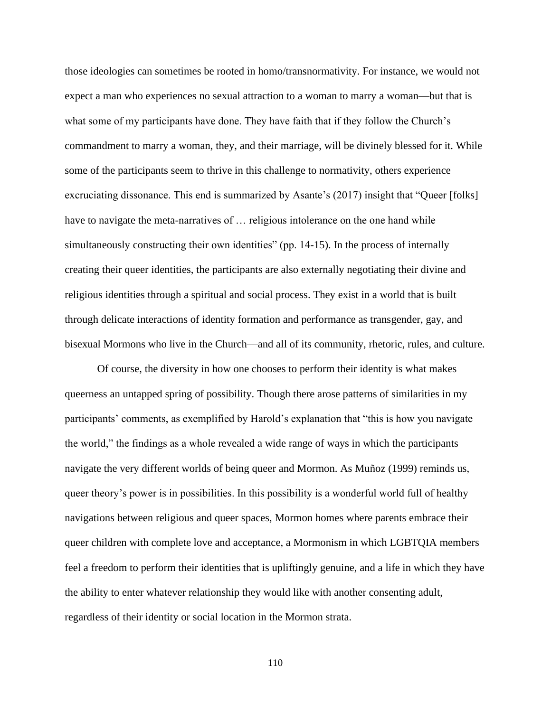those ideologies can sometimes be rooted in homo/transnormativity. For instance, we would not expect a man who experiences no sexual attraction to a woman to marry a woman—but that is what some of my participants have done. They have faith that if they follow the Church's commandment to marry a woman, they, and their marriage, will be divinely blessed for it. While some of the participants seem to thrive in this challenge to normativity, others experience excruciating dissonance. This end is summarized by Asante's (2017) insight that "Queer [folks] have to navigate the meta-narratives of ... religious intolerance on the one hand while simultaneously constructing their own identities" (pp. 14-15). In the process of internally creating their queer identities, the participants are also externally negotiating their divine and religious identities through a spiritual and social process. They exist in a world that is built through delicate interactions of identity formation and performance as transgender, gay, and bisexual Mormons who live in the Church—and all of its community, rhetoric, rules, and culture.

Of course, the diversity in how one chooses to perform their identity is what makes queerness an untapped spring of possibility. Though there arose patterns of similarities in my participants' comments, as exemplified by Harold's explanation that "this is how you navigate the world," the findings as a whole revealed a wide range of ways in which the participants navigate the very different worlds of being queer and Mormon. As Muñoz (1999) reminds us, queer theory's power is in possibilities. In this possibility is a wonderful world full of healthy navigations between religious and queer spaces, Mormon homes where parents embrace their queer children with complete love and acceptance, a Mormonism in which LGBTQIA members feel a freedom to perform their identities that is upliftingly genuine, and a life in which they have the ability to enter whatever relationship they would like with another consenting adult, regardless of their identity or social location in the Mormon strata.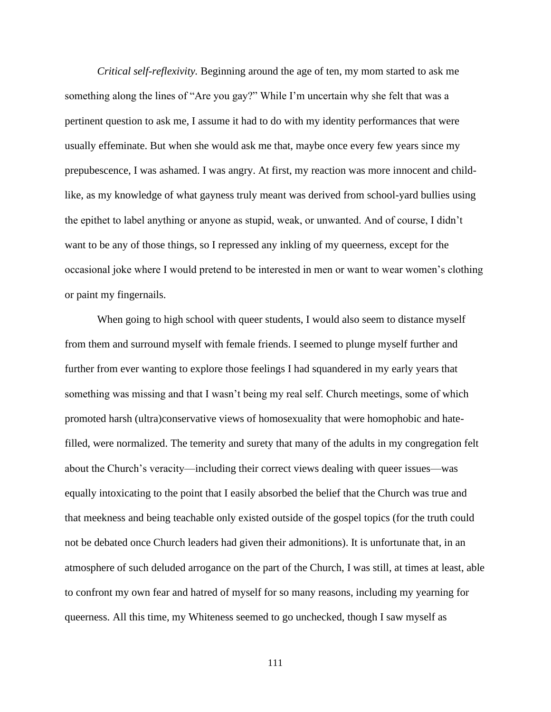*Critical self-reflexivity.* Beginning around the age of ten, my mom started to ask me something along the lines of "Are you gay?" While I'm uncertain why she felt that was a pertinent question to ask me, I assume it had to do with my identity performances that were usually effeminate. But when she would ask me that, maybe once every few years since my prepubescence, I was ashamed. I was angry. At first, my reaction was more innocent and childlike, as my knowledge of what gayness truly meant was derived from school-yard bullies using the epithet to label anything or anyone as stupid, weak, or unwanted. And of course, I didn't want to be any of those things, so I repressed any inkling of my queerness, except for the occasional joke where I would pretend to be interested in men or want to wear women's clothing or paint my fingernails.

When going to high school with queer students, I would also seem to distance myself from them and surround myself with female friends. I seemed to plunge myself further and further from ever wanting to explore those feelings I had squandered in my early years that something was missing and that I wasn't being my real self. Church meetings, some of which promoted harsh (ultra)conservative views of homosexuality that were homophobic and hatefilled, were normalized. The temerity and surety that many of the adults in my congregation felt about the Church's veracity—including their correct views dealing with queer issues—was equally intoxicating to the point that I easily absorbed the belief that the Church was true and that meekness and being teachable only existed outside of the gospel topics (for the truth could not be debated once Church leaders had given their admonitions). It is unfortunate that, in an atmosphere of such deluded arrogance on the part of the Church, I was still, at times at least, able to confront my own fear and hatred of myself for so many reasons, including my yearning for queerness. All this time, my Whiteness seemed to go unchecked, though I saw myself as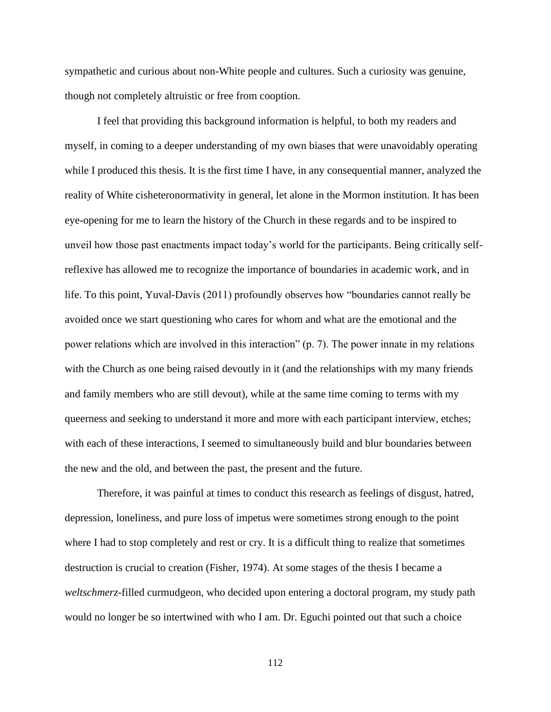sympathetic and curious about non-White people and cultures. Such a curiosity was genuine, though not completely altruistic or free from cooption.

I feel that providing this background information is helpful, to both my readers and myself, in coming to a deeper understanding of my own biases that were unavoidably operating while I produced this thesis. It is the first time I have, in any consequential manner, analyzed the reality of White cisheteronormativity in general, let alone in the Mormon institution. It has been eye-opening for me to learn the history of the Church in these regards and to be inspired to unveil how those past enactments impact today's world for the participants. Being critically selfreflexive has allowed me to recognize the importance of boundaries in academic work, and in life. To this point, Yuval-Davis (2011) profoundly observes how "boundaries cannot really be avoided once we start questioning who cares for whom and what are the emotional and the power relations which are involved in this interaction" (p. 7). The power innate in my relations with the Church as one being raised devoutly in it (and the relationships with my many friends and family members who are still devout), while at the same time coming to terms with my queerness and seeking to understand it more and more with each participant interview, etches; with each of these interactions, I seemed to simultaneously build and blur boundaries between the new and the old, and between the past, the present and the future.

Therefore, it was painful at times to conduct this research as feelings of disgust, hatred, depression, loneliness, and pure loss of impetus were sometimes strong enough to the point where I had to stop completely and rest or cry. It is a difficult thing to realize that sometimes destruction is crucial to creation (Fisher, 1974). At some stages of the thesis I became a *weltschmerz*-filled curmudgeon, who decided upon entering a doctoral program, my study path would no longer be so intertwined with who I am. Dr. Eguchi pointed out that such a choice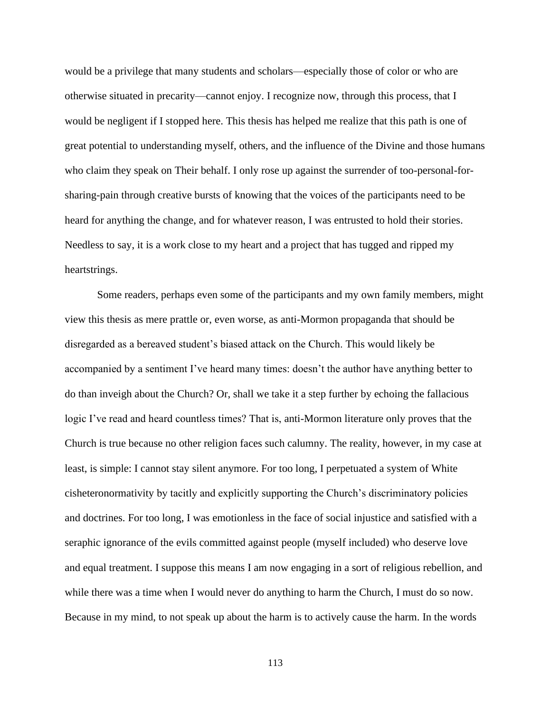would be a privilege that many students and scholars—especially those of color or who are otherwise situated in precarity—cannot enjoy. I recognize now, through this process, that I would be negligent if I stopped here. This thesis has helped me realize that this path is one of great potential to understanding myself, others, and the influence of the Divine and those humans who claim they speak on Their behalf. I only rose up against the surrender of too-personal-forsharing-pain through creative bursts of knowing that the voices of the participants need to be heard for anything the change, and for whatever reason, I was entrusted to hold their stories. Needless to say, it is a work close to my heart and a project that has tugged and ripped my heartstrings.

Some readers, perhaps even some of the participants and my own family members, might view this thesis as mere prattle or, even worse, as anti-Mormon propaganda that should be disregarded as a bereaved student's biased attack on the Church. This would likely be accompanied by a sentiment I've heard many times: doesn't the author have anything better to do than inveigh about the Church? Or, shall we take it a step further by echoing the fallacious logic I've read and heard countless times? That is, anti-Mormon literature only proves that the Church is true because no other religion faces such calumny. The reality, however, in my case at least, is simple: I cannot stay silent anymore. For too long, I perpetuated a system of White cisheteronormativity by tacitly and explicitly supporting the Church's discriminatory policies and doctrines. For too long, I was emotionless in the face of social injustice and satisfied with a seraphic ignorance of the evils committed against people (myself included) who deserve love and equal treatment. I suppose this means I am now engaging in a sort of religious rebellion, and while there was a time when I would never do anything to harm the Church, I must do so now. Because in my mind, to not speak up about the harm is to actively cause the harm. In the words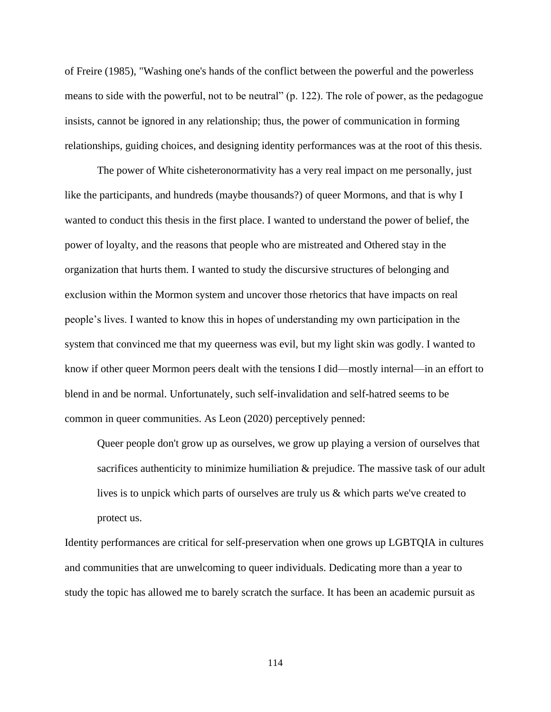of Freire (1985), "Washing one's hands of the conflict between the powerful and the powerless means to side with the powerful, not to be neutral" (p. 122). The role of power, as the pedagogue insists, cannot be ignored in any relationship; thus, the power of communication in forming relationships, guiding choices, and designing identity performances was at the root of this thesis.

The power of White cisheteronormativity has a very real impact on me personally, just like the participants, and hundreds (maybe thousands?) of queer Mormons, and that is why I wanted to conduct this thesis in the first place. I wanted to understand the power of belief, the power of loyalty, and the reasons that people who are mistreated and Othered stay in the organization that hurts them. I wanted to study the discursive structures of belonging and exclusion within the Mormon system and uncover those rhetorics that have impacts on real people's lives. I wanted to know this in hopes of understanding my own participation in the system that convinced me that my queerness was evil, but my light skin was godly. I wanted to know if other queer Mormon peers dealt with the tensions I did—mostly internal—in an effort to blend in and be normal. Unfortunately, such self-invalidation and self-hatred seems to be common in queer communities. As Leon (2020) perceptively penned:

Queer people don't grow up as ourselves, we grow up playing a version of ourselves that sacrifices authenticity to minimize humiliation & prejudice. The massive task of our adult lives is to unpick which parts of ourselves are truly us & which parts we've created to protect us.

Identity performances are critical for self-preservation when one grows up LGBTQIA in cultures and communities that are unwelcoming to queer individuals. Dedicating more than a year to study the topic has allowed me to barely scratch the surface. It has been an academic pursuit as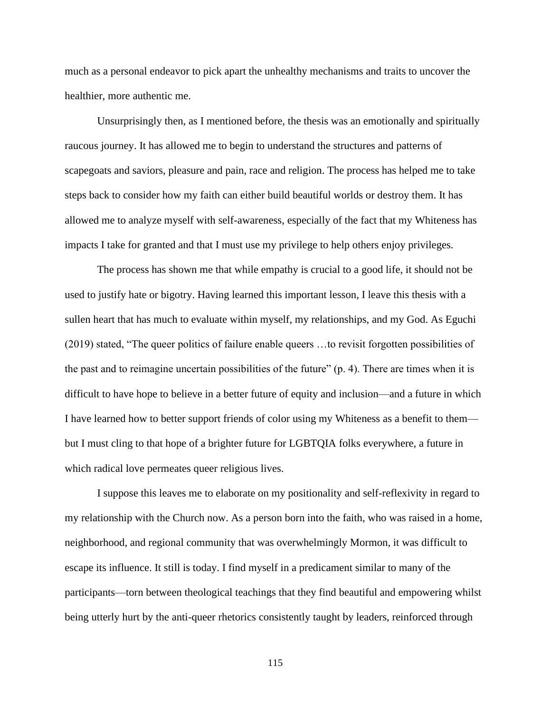much as a personal endeavor to pick apart the unhealthy mechanisms and traits to uncover the healthier, more authentic me.

Unsurprisingly then, as I mentioned before, the thesis was an emotionally and spiritually raucous journey. It has allowed me to begin to understand the structures and patterns of scapegoats and saviors, pleasure and pain, race and religion. The process has helped me to take steps back to consider how my faith can either build beautiful worlds or destroy them. It has allowed me to analyze myself with self-awareness, especially of the fact that my Whiteness has impacts I take for granted and that I must use my privilege to help others enjoy privileges.

The process has shown me that while empathy is crucial to a good life, it should not be used to justify hate or bigotry. Having learned this important lesson, I leave this thesis with a sullen heart that has much to evaluate within myself, my relationships, and my God. As Eguchi (2019) stated, "The queer politics of failure enable queers …to revisit forgotten possibilities of the past and to reimagine uncertain possibilities of the future" (p. 4). There are times when it is difficult to have hope to believe in a better future of equity and inclusion—and a future in which I have learned how to better support friends of color using my Whiteness as a benefit to them but I must cling to that hope of a brighter future for LGBTQIA folks everywhere, a future in which radical love permeates queer religious lives.

I suppose this leaves me to elaborate on my positionality and self-reflexivity in regard to my relationship with the Church now. As a person born into the faith, who was raised in a home, neighborhood, and regional community that was overwhelmingly Mormon, it was difficult to escape its influence. It still is today. I find myself in a predicament similar to many of the participants—torn between theological teachings that they find beautiful and empowering whilst being utterly hurt by the anti-queer rhetorics consistently taught by leaders, reinforced through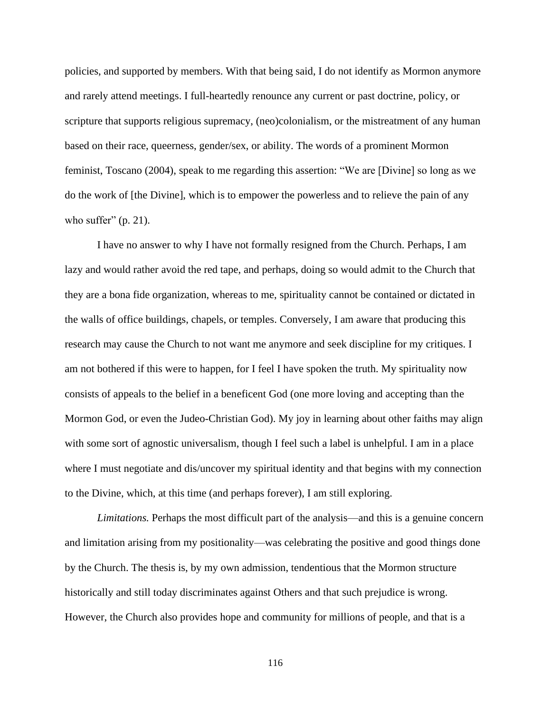policies, and supported by members. With that being said, I do not identify as Mormon anymore and rarely attend meetings. I full-heartedly renounce any current or past doctrine, policy, or scripture that supports religious supremacy, (neo)colonialism, or the mistreatment of any human based on their race, queerness, gender/sex, or ability. The words of a prominent Mormon feminist, Toscano (2004), speak to me regarding this assertion: "We are [Divine] so long as we do the work of [the Divine], which is to empower the powerless and to relieve the pain of any who suffer"  $(p. 21)$ .

I have no answer to why I have not formally resigned from the Church. Perhaps, I am lazy and would rather avoid the red tape, and perhaps, doing so would admit to the Church that they are a bona fide organization, whereas to me, spirituality cannot be contained or dictated in the walls of office buildings, chapels, or temples. Conversely, I am aware that producing this research may cause the Church to not want me anymore and seek discipline for my critiques. I am not bothered if this were to happen, for I feel I have spoken the truth. My spirituality now consists of appeals to the belief in a beneficent God (one more loving and accepting than the Mormon God, or even the Judeo-Christian God). My joy in learning about other faiths may align with some sort of agnostic universalism, though I feel such a label is unhelpful. I am in a place where I must negotiate and dis/uncover my spiritual identity and that begins with my connection to the Divine, which, at this time (and perhaps forever), I am still exploring.

*Limitations.* Perhaps the most difficult part of the analysis—and this is a genuine concern and limitation arising from my positionality—was celebrating the positive and good things done by the Church. The thesis is, by my own admission, tendentious that the Mormon structure historically and still today discriminates against Others and that such prejudice is wrong. However, the Church also provides hope and community for millions of people, and that is a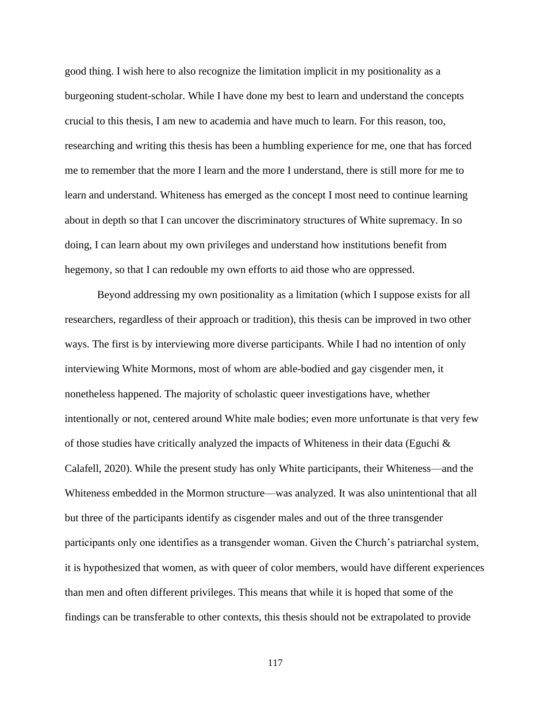good thing. I wish here to also recognize the limitation implicit in my positionality as a burgeoning student-scholar. While I have done my best to learn and understand the concepts crucial to this thesis, I am new to academia and have much to learn. For this reason, too, researching and writing this thesis has been a humbling experience for me, one that has forced me to remember that the more I learn and the more I understand, there is still more for me to learn and understand. Whiteness has emerged as the concept I most need to continue learning about in depth so that I can uncover the discriminatory structures of White supremacy. In so doing, I can learn about my own privileges and understand how institutions benefit from hegemony, so that I can redouble my own efforts to aid those who are oppressed.

Beyond addressing my own positionality as a limitation (which I suppose exists for all researchers, regardless of their approach or tradition), this thesis can be improved in two other ways. The first is by interviewing more diverse participants. While I had no intention of only interviewing White Mormons, most of whom are able-bodied and gay cisgender men, it nonetheless happened. The majority of scholastic queer investigations have, whether intentionally or not, centered around White male bodies; even more unfortunate is that very few of those studies have critically analyzed the impacts of Whiteness in their data (Eguchi  $\&$ Calafell, 2020). While the present study has only White participants, their Whiteness—and the Whiteness embedded in the Mormon structure—was analyzed. It was also unintentional that all but three of the participants identify as cisgender males and out of the three transgender participants only one identifies as a transgender woman. Given the Church's patriarchal system, it is hypothesized that women, as with queer of color members, would have different experiences than men and often different privileges. This means that while it is hoped that some of the findings can be transferable to other contexts, this thesis should not be extrapolated to provide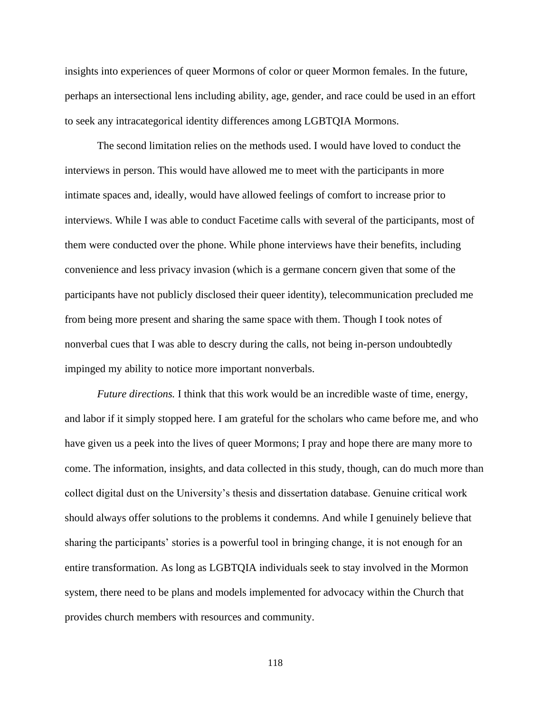insights into experiences of queer Mormons of color or queer Mormon females. In the future, perhaps an intersectional lens including ability, age, gender, and race could be used in an effort to seek any intracategorical identity differences among LGBTQIA Mormons.

The second limitation relies on the methods used. I would have loved to conduct the interviews in person. This would have allowed me to meet with the participants in more intimate spaces and, ideally, would have allowed feelings of comfort to increase prior to interviews. While I was able to conduct Facetime calls with several of the participants, most of them were conducted over the phone. While phone interviews have their benefits, including convenience and less privacy invasion (which is a germane concern given that some of the participants have not publicly disclosed their queer identity), telecommunication precluded me from being more present and sharing the same space with them. Though I took notes of nonverbal cues that I was able to descry during the calls, not being in-person undoubtedly impinged my ability to notice more important nonverbals.

*Future directions.* I think that this work would be an incredible waste of time, energy, and labor if it simply stopped here. I am grateful for the scholars who came before me, and who have given us a peek into the lives of queer Mormons; I pray and hope there are many more to come. The information, insights, and data collected in this study, though, can do much more than collect digital dust on the University's thesis and dissertation database. Genuine critical work should always offer solutions to the problems it condemns. And while I genuinely believe that sharing the participants' stories is a powerful tool in bringing change, it is not enough for an entire transformation. As long as LGBTQIA individuals seek to stay involved in the Mormon system, there need to be plans and models implemented for advocacy within the Church that provides church members with resources and community.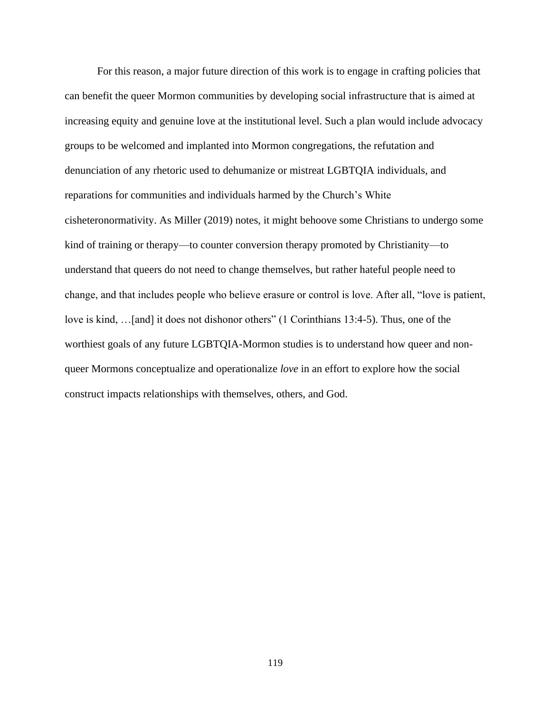For this reason, a major future direction of this work is to engage in crafting policies that can benefit the queer Mormon communities by developing social infrastructure that is aimed at increasing equity and genuine love at the institutional level. Such a plan would include advocacy groups to be welcomed and implanted into Mormon congregations, the refutation and denunciation of any rhetoric used to dehumanize or mistreat LGBTQIA individuals, and reparations for communities and individuals harmed by the Church's White cisheteronormativity. As Miller (2019) notes, it might behoove some Christians to undergo some kind of training or therapy—to counter conversion therapy promoted by Christianity—to understand that queers do not need to change themselves, but rather hateful people need to change, and that includes people who believe erasure or control is love. After all, "love is patient, love is kind, …[and] it does not dishonor others" (1 Corinthians 13:4-5). Thus, one of the worthiest goals of any future LGBTQIA-Mormon studies is to understand how queer and nonqueer Mormons conceptualize and operationalize *love* in an effort to explore how the social construct impacts relationships with themselves, others, and God.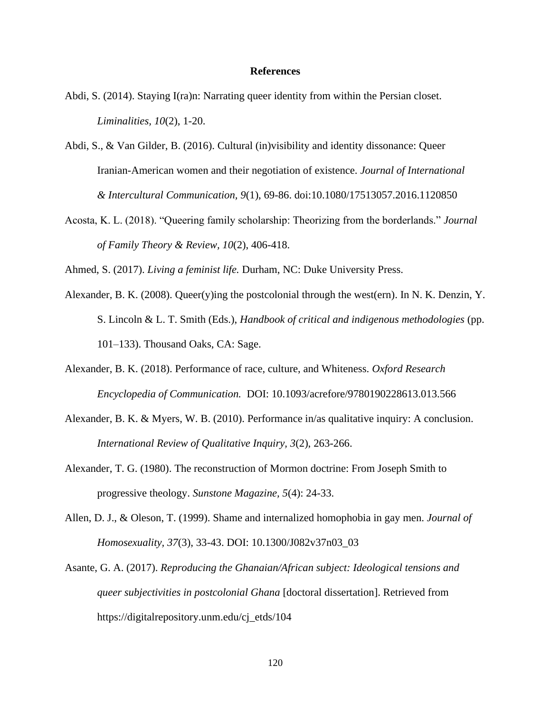## **References**

- Abdi, S. (2014). Staying I(ra)n: Narrating queer identity from within the Persian closet. *Liminalities, 10*(2), 1-20.
- Abdi, S., & Van Gilder, B. (2016). Cultural (in)visibility and identity dissonance: Queer Iranian-American women and their negotiation of existence. *Journal of International & Intercultural Communication, 9*(1), 69-86. doi:10.1080/17513057.2016.1120850
- Acosta, K. L. (2018). "Queering family scholarship: Theorizing from the borderlands." *Journal of Family Theory & Review, 10*(2), 406-418.

Ahmed, S. (2017). *Living a feminist life.* Durham, NC: Duke University Press.

- Alexander, B. K. (2008). Queer(y)ing the postcolonial through the west(ern). In N. K. Denzin, Y. S. Lincoln & L. T. Smith (Eds.), *Handbook of critical and indigenous methodologies* (pp. 101–133). Thousand Oaks, CA: Sage.
- Alexander, B. K. (2018). Performance of race, culture, and Whiteness. *Oxford Research Encyclopedia of Communication.* DOI: 10.1093/acrefore/9780190228613.013.566
- Alexander, B. K. & Myers, W. B. (2010). Performance in/as qualitative inquiry: A conclusion. *International Review of Qualitative Inquiry, 3*(2), 263-266.
- Alexander, T. G. (1980). The reconstruction of Mormon doctrine: From Joseph Smith to progressive theology. *Sunstone Magazine, 5*(4): 24-33.
- Allen, D. J., & Oleson, T. (1999). Shame and internalized homophobia in gay men. *Journal of Homosexuality, 37*(3), 33-43. DOI: 10.1300/J082v37n03\_03
- Asante, G. A. (2017). *Reproducing the Ghanaian/African subject: Ideological tensions and queer subjectivities in postcolonial Ghana* [doctoral dissertation]. Retrieved from https://digitalrepository.unm.edu/cj\_etds/104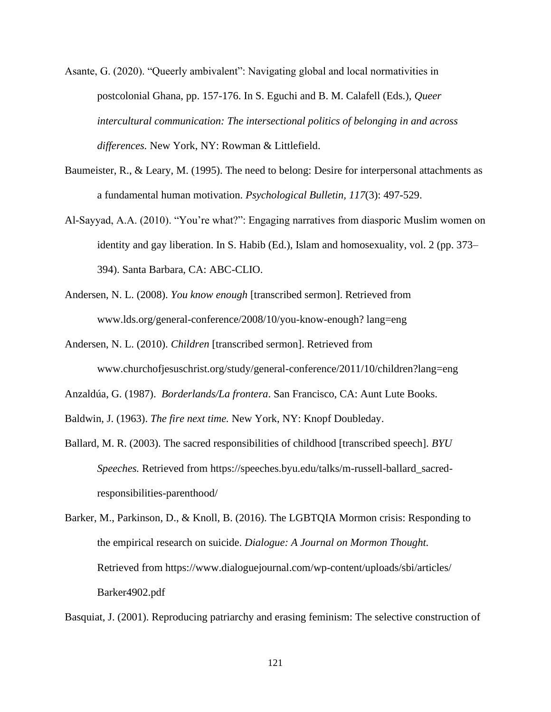- Asante, G. (2020). "Queerly ambivalent": Navigating global and local normativities in postcolonial Ghana, pp. 157-176. In S. Eguchi and B. M. Calafell (Eds.), *Queer intercultural communication: The intersectional politics of belonging in and across differences.* New York, NY: Rowman & Littlefield.
- Baumeister, R., & Leary, M. (1995). The need to belong: Desire for interpersonal attachments as a fundamental human motivation. *Psychological Bulletin, 117*(3): 497-529.
- Al-Sayyad, A.A. (2010). "You're what?": Engaging narratives from diasporic Muslim women on identity and gay liberation. In S. Habib (Ed.), Islam and homosexuality, vol. 2 (pp. 373– 394). Santa Barbara, CA: ABC-CLIO.
- Andersen, N. L. (2008). *You know enough* [transcribed sermon]. Retrieved from www.lds.org/general-conference/2008/10/you-know-enough? lang=eng
- Andersen, N. L. (2010). *Children* [transcribed sermon]. Retrieved from www.churchofjesuschrist.org/study/general-conference/2011/10/children?lang=eng
- Anzaldúa, G. (1987). *Borderlands/La frontera*. San Francisco, CA: Aunt Lute Books.

Baldwin, J. (1963). *The fire next time.* New York, NY: Knopf Doubleday.

Ballard, M. R. (2003). The sacred responsibilities of childhood [transcribed speech]. *BYU Speeches.* Retrieved from https://speeches.byu.edu/talks/m-russell-ballard\_sacredresponsibilities-parenthood/

Basquiat, J. (2001). Reproducing patriarchy and erasing feminism: The selective construction of

Barker, M., Parkinson, D., & Knoll, B. (2016). The LGBTQIA Mormon crisis: Responding to the empirical research on suicide. *Dialogue: A Journal on Mormon Thought.*  Retrieved from https://www.dialoguejournal.com/wp-content/uploads/sbi/articles/ Barker4902.pdf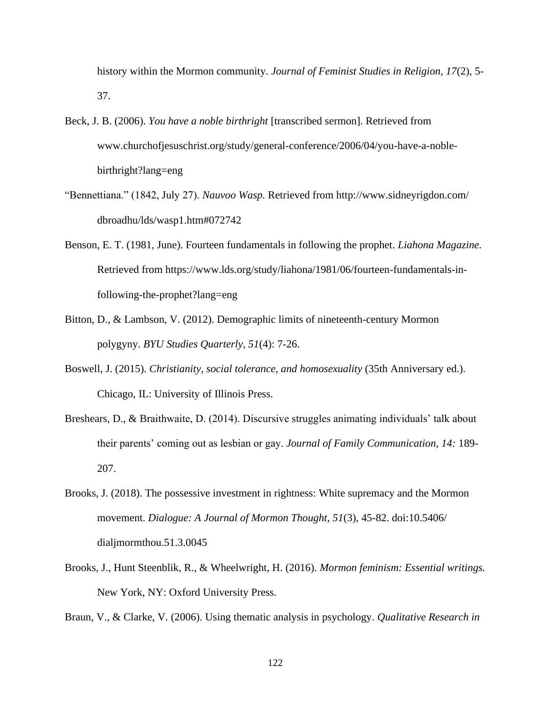history within the Mormon community. *Journal of Feminist Studies in Religion, 17*(2), 5- 37.

- Beck, J. B. (2006). *You have a noble birthright* [transcribed sermon]. Retrieved from www.churchofjesuschrist.org/study/general-conference/2006/04/you-have-a-noblebirthright?lang=eng
- "Bennettiana." (1842, July 27). *Nauvoo Wasp.* Retrieved from http://www.sidneyrigdon.com/ dbroadhu/lds/wasp1.htm#072742
- Benson, E. T. (1981, June). Fourteen fundamentals in following the prophet. *Liahona Magazine.*  Retrieved from https://www.lds.org/study/liahona/1981/06/fourteen-fundamentals-infollowing-the-prophet?lang=eng
- Bitton, D., & Lambson, V. (2012). Demographic limits of nineteenth-century Mormon polygyny. *BYU Studies Quarterly, 51*(4): 7-26.
- Boswell, J. (2015). *Christianity, social tolerance, and homosexuality* (35th Anniversary ed.). Chicago, IL: University of Illinois Press.
- Breshears, D., & Braithwaite, D. (2014). Discursive struggles animating individuals' talk about their parents' coming out as lesbian or gay. *Journal of Family Communication, 14:* 189- 207.
- Brooks, J. (2018). The possessive investment in rightness: White supremacy and the Mormon movement. *Dialogue: A Journal of Mormon Thought, 51*(3), 45-82. doi:10.5406/ dialjmormthou.51.3.0045
- Brooks, J., Hunt Steenblik, R., & Wheelwright, H. (2016). *Mormon feminism: Essential writings.*  New York, NY: Oxford University Press.

Braun, V., & Clarke, V. (2006). Using thematic analysis in psychology. *Qualitative Research in*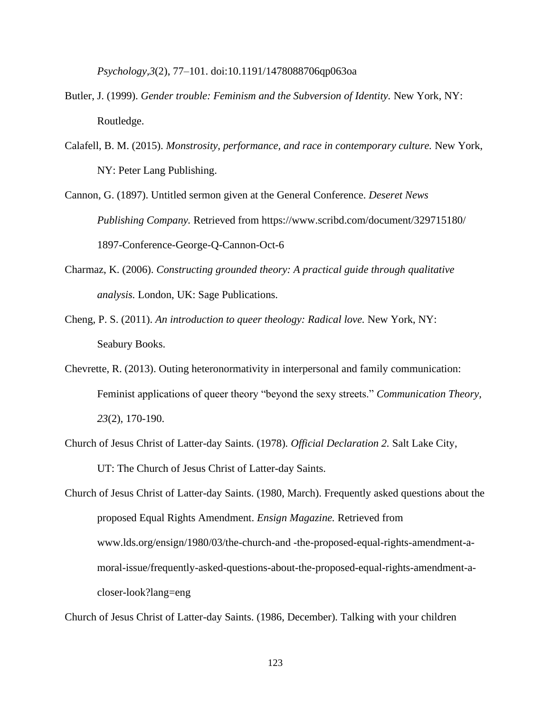*Psychology,3*(2), 77–101. doi:10.1191/1478088706qp063oa

- Butler, J. (1999). *Gender trouble: Feminism and the Subversion of Identity*. New York, NY: Routledge.
- Calafell, B. M. (2015). *Monstrosity, performance, and race in contemporary culture.* New York, NY: Peter Lang Publishing.
- Cannon, G. (1897). Untitled sermon given at the General Conference. *Deseret News Publishing Company.* Retrieved from https://www.scribd.com/document/329715180/ 1897-Conference-George-Q-Cannon-Oct-6
- Charmaz, K. (2006). *Constructing grounded theory: A practical guide through qualitative analysis.* London, UK: Sage Publications.
- Cheng, P. S. (2011). *An introduction to queer theology: Radical love.* New York, NY: Seabury Books.
- Chevrette, R. (2013). Outing heteronormativity in interpersonal and family communication: Feminist applications of queer theory "beyond the sexy streets." *Communication Theory, 23*(2), 170-190.
- Church of Jesus Christ of Latter-day Saints. (1978)*. Official Declaration 2.* Salt Lake City, UT: The Church of Jesus Christ of Latter-day Saints.

Church of Jesus Christ of Latter-day Saints. (1980, March). Frequently asked questions about the proposed Equal Rights Amendment. *Ensign Magazine.* Retrieved from www.lds.org/ensign/1980/03/the-church-and -the-proposed-equal-rights-amendment-amoral-issue/frequently-asked-questions-about-the-proposed-equal-rights-amendment-acloser-look?lang=eng

Church of Jesus Christ of Latter-day Saints. (1986, December). Talking with your children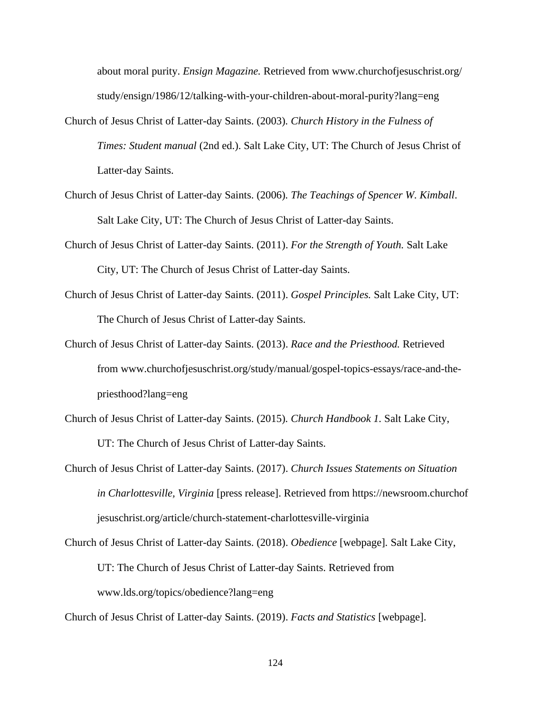about moral purity. *Ensign Magazine.* Retrieved from www.churchofjesuschrist.org/ study/ensign/1986/12/talking-with-your*-*children-about-moral-purity?lang=eng

- Church of Jesus Christ of Latter-day Saints. (2003)*. Church History in the Fulness of Times: Student manual* (2nd ed.). Salt Lake City, UT: The Church of Jesus Christ of Latter-day Saints.
- Church of Jesus Christ of Latter-day Saints. (2006)*. The Teachings of Spencer W. Kimball*. Salt Lake City, UT: The Church of Jesus Christ of Latter-day Saints.
- Church of Jesus Christ of Latter-day Saints. (2011). *For the Strength of Youth.* Salt Lake City, UT: The Church of Jesus Christ of Latter-day Saints.
- Church of Jesus Christ of Latter-day Saints. (2011). *Gospel Principles.* Salt Lake City, UT: The Church of Jesus Christ of Latter-day Saints.
- Church of Jesus Christ of Latter-day Saints. (2013). *Race and the Priesthood.* Retrieved from www.churchofjesuschrist.org/study/manual/gospel-topics-essays/race-and-thepriesthood?lang=eng
- Church of Jesus Christ of Latter-day Saints. (2015)*. Church Handbook 1.* Salt Lake City, UT: The Church of Jesus Christ of Latter-day Saints.
- Church of Jesus Christ of Latter-day Saints. (2017). *Church Issues Statements on Situation in Charlottesville, Virginia* [press release]. Retrieved from https://newsroom.churchof jesuschrist.org/article/church-statement-charlottesville-virginia
- Church of Jesus Christ of Latter-day Saints. (2018). *Obedience* [webpage]*.* Salt Lake City, UT: The Church of Jesus Christ of Latter-day Saints. Retrieved from www.lds.org/topics/obedience?lang=eng

Church of Jesus Christ of Latter-day Saints. (2019). *Facts and Statistics* [webpage].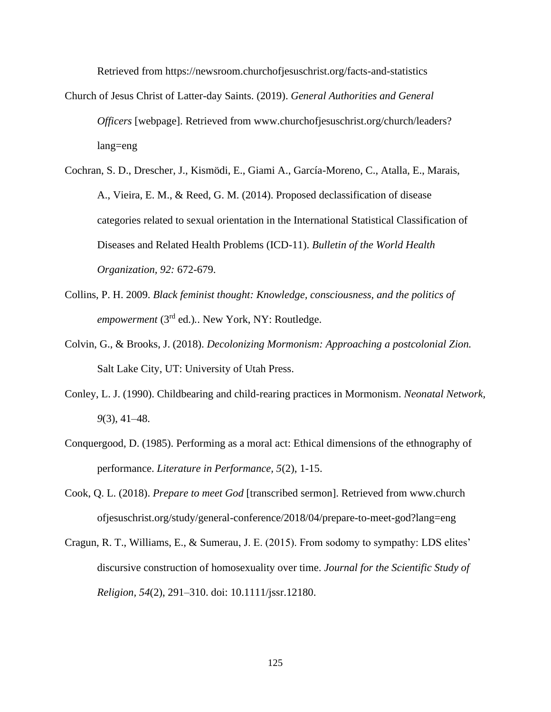Retrieved from https://newsroom.churchofjesuschrist.org/facts-and-statistics

- Church of Jesus Christ of Latter-day Saints. (2019). *General Authorities and General Officers* [webpage]. Retrieved from www.churchofjesuschrist.org/church/leaders? lang=eng
- Cochran, S. D., Drescher, J., Kismödi, E., Giami A., García-Moreno, C., Atalla, E., Marais, A., Vieira, E. M., & Reed, G. M. (2014). Proposed declassification of disease categories related to sexual orientation in the International Statistical Classification of Diseases and Related Health Problems (ICD-11). *Bulletin of the World Health Organization, 92:* 672-679.
- Collins, P. H. 2009. *Black feminist thought: Knowledge, consciousness, and the politics of empowerment* (3<sup>rd</sup> ed.).. New York, NY: Routledge.
- Colvin, G., & Brooks, J. (2018). *Decolonizing Mormonism: Approaching a postcolonial Zion.*  Salt Lake City, UT: University of Utah Press.
- Conley, L. J. (1990). Childbearing and child-rearing practices in Mormonism. *Neonatal Network, 9*(3), 41–48.
- Conquergood, D. (1985). Performing as a moral act: Ethical dimensions of the ethnography of performance. *Literature in Performance, 5*(2), 1-15.
- Cook, Q. L. (2018). *Prepare to meet God* [transcribed sermon]. Retrieved from www.church ofjesuschrist.org/study/general-conference/2018/04/prepare-to-meet-god?lang=eng
- Cragun, R. T., Williams, E., & Sumerau, J. E. (2015). From sodomy to sympathy: LDS elites' discursive construction of homosexuality over time. *Journal for the Scientific Study of Religion, 54*(2), 291–310. doi: 10.1111/jssr.12180.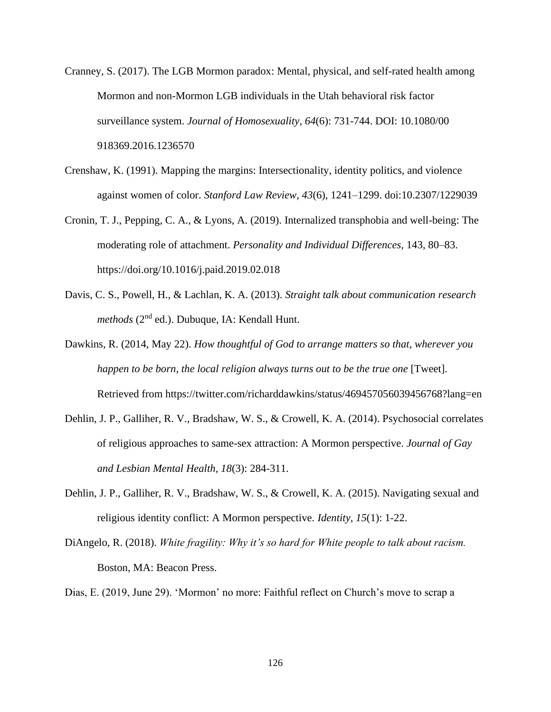- Cranney, S. (2017). The LGB Mormon paradox: Mental, physical, and self-rated health among Mormon and non-Mormon LGB individuals in the Utah behavioral risk factor surveillance system. *Journal of Homosexuality, 64*(6): 731-744. DOI: 10.1080/00 918369.2016.1236570
- Crenshaw, K. (1991). Mapping the margins: Intersectionality, identity politics, and violence against women of color. *Stanford Law Review, 43*(6), 1241–1299. doi:10.2307/1229039
- Cronin, T. J., Pepping, C. A., & Lyons, A. (2019). Internalized transphobia and well-being: The moderating role of attachment. *Personality and Individual Differences,* 143, 80–83. https://doi.org/10.1016/j.paid.2019.02.018
- Davis, C. S., Powell, H., & Lachlan, K. A. (2013). *Straight talk about communication research methods* (2<sup>nd</sup> ed.). Dubuque, IA: Kendall Hunt.
- Dawkins, R. (2014, May 22). *How thoughtful of God to arrange matters so that, wherever you happen to be born, the local religion always turns out to be the true one* [Tweet]. Retrieved from https://twitter.com/richarddawkins/status/469457056039456768?lang=en
- Dehlin, J. P., Galliher, R. V., Bradshaw, W. S., & Crowell, K. A. (2014). Psychosocial correlates of religious approaches to same-sex attraction: A Mormon perspective. *Journal of Gay and Lesbian Mental Health, 18*(3): 284-311.
- Dehlin, J. P., Galliher, R. V., Bradshaw, W. S., & Crowell, K. A. (2015). Navigating sexual and religious identity conflict: A Mormon perspective. *Identity, 15*(1): 1-22.
- DiAngelo, R. (2018). *White fragility: Why it's so hard for White people to talk about racism.*  Boston, MA: Beacon Press.

Dias, E. (2019, June 29). 'Mormon' no more: Faithful reflect on Church's move to scrap a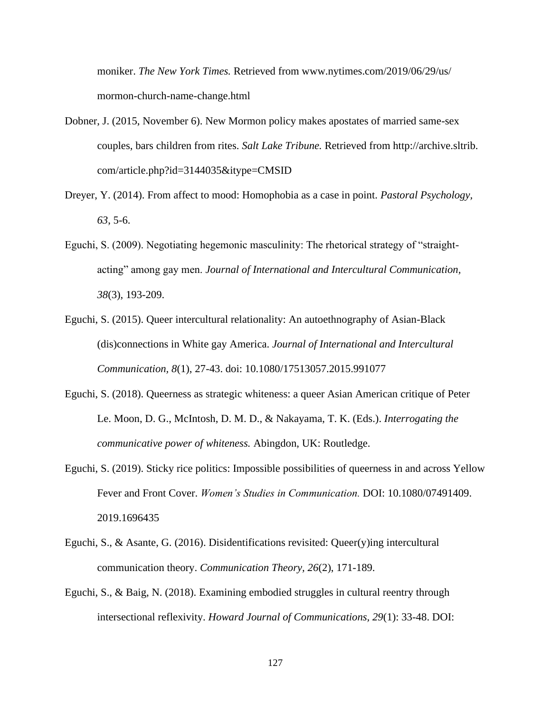moniker. *The New York Times.* Retrieved from www.nytimes.com/2019/06/29/us/ mormon-church-name-change.html

- Dobner, J. (2015, November 6). New Mormon policy makes apostates of married same-sex couples, bars children from rites. *Salt Lake Tribune.* Retrieved from http://archive.sltrib. com/article.php?id=3144035&itype=CMSID
- Dreyer, Y. (2014). From affect to mood: Homophobia as a case in point. *Pastoral Psychology, 63*, 5-6.
- Eguchi, S. (2009). Negotiating hegemonic masculinity: The rhetorical strategy of "straightacting" among gay men. *Journal of International and Intercultural Communication, 38*(3), 193-209.
- Eguchi, S. (2015). Queer intercultural relationality: An autoethnography of Asian-Black (dis)connections in White gay America. *Journal of International and Intercultural Communication, 8*(1), 27-43. doi: 10.1080/17513057.2015.991077
- Eguchi, S. (2018). Queerness as strategic whiteness: a queer Asian American critique of Peter Le. Moon, D. G., McIntosh, D. M. D., & Nakayama, T. K. (Eds.). *Interrogating the communicative power of whiteness.* Abingdon, UK: Routledge.
- Eguchi, S. (2019). Sticky rice politics: Impossible possibilities of queerness in and across Yellow Fever and Front Cover. *Women's Studies in Communication.* DOI: 10.1080/07491409. 2019.1696435
- Eguchi, S., & Asante, G. (2016). Disidentifications revisited: Queer(y)ing intercultural communication theory. *Communication Theory, 26*(2), 171-189.
- Eguchi, S., & Baig, N. (2018). Examining embodied struggles in cultural reentry through intersectional reflexivity. *Howard Journal of Communications, 29*(1): 33-48. DOI: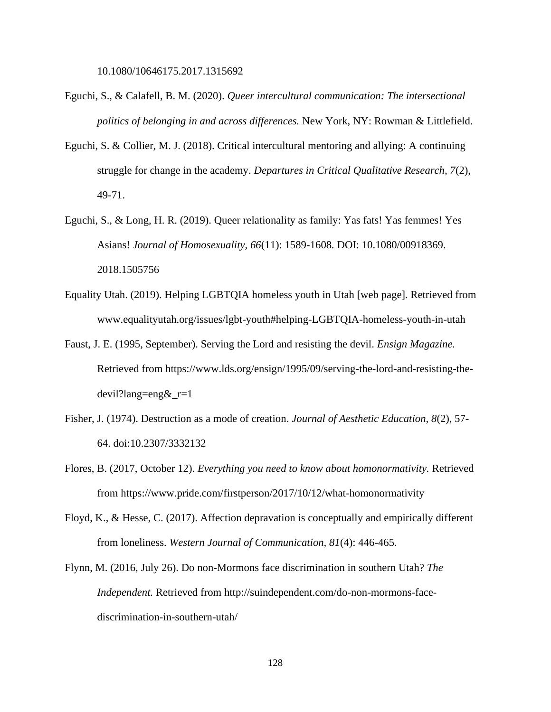10.1080/10646175.2017.1315692

- Eguchi, S., & Calafell, B. M. (2020). *Queer intercultural communication: The intersectional politics of belonging in and across differences.* New York, NY: Rowman & Littlefield.
- Eguchi, S. & Collier, M. J. (2018). Critical intercultural mentoring and allying: A continuing struggle for change in the academy. *Departures in Critical Qualitative Research, 7*(2), 49-71.
- Eguchi, S., & Long, H. R. (2019). Queer relationality as family: Yas fats! Yas femmes! Yes Asians! *Journal of Homosexuality, 66*(11): 1589-1608*.* DOI: 10.1080/00918369. 2018.1505756
- Equality Utah. (2019). Helping LGBTQIA homeless youth in Utah [web page]. Retrieved from www.equalityutah.org/issues/lgbt-youth#helping-LGBTQIA-homeless-youth-in-utah
- Faust, J. E. (1995, September). Serving the Lord and resisting the devil. *Ensign Magazine.*  Retrieved from https://www.lds.org/ensign/1995/09/serving-the-lord-and-resisting-thedevil?lang=eng&\_r=1
- Fisher, J. (1974). Destruction as a mode of creation. *Journal of Aesthetic Education, 8*(2), 57- 64. doi:10.2307/3332132
- Flores, B. (2017, October 12). *Everything you need to know about homonormativity.* Retrieved from https://www.pride.com/firstperson/2017/10/12/what-homonormativity
- Floyd, K., & Hesse, C. (2017). Affection depravation is conceptually and empirically different from loneliness. *Western Journal of Communication, 81*(4): 446-465.
- Flynn, M. (2016, July 26). Do non-Mormons face discrimination in southern Utah? *The Independent.* Retrieved from http://suindependent.com/do-non-mormons-facediscrimination-in-southern-utah/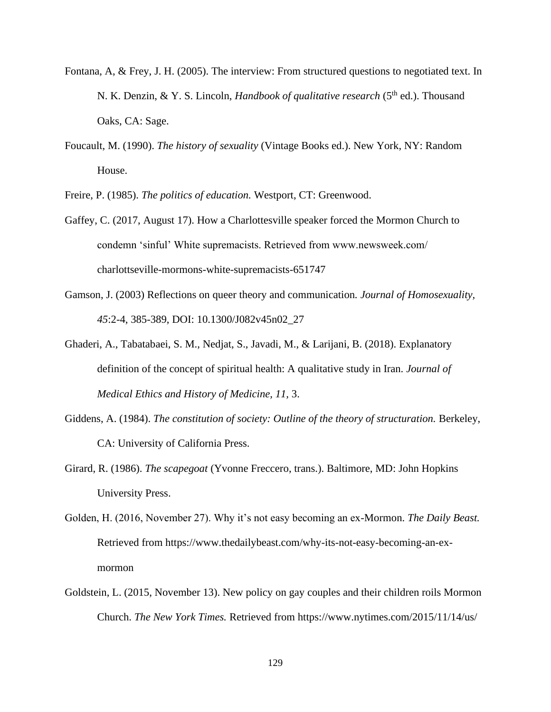- Fontana, A, & Frey, J. H. (2005). The interview: From structured questions to negotiated text. In N. K. Denzin, & Y. S. Lincoln, *Handbook of qualitative research* (5<sup>th</sup> ed.). Thousand Oaks, CA: Sage.
- Foucault, M. (1990). *The history of sexuality* (Vintage Books ed.). New York, NY: Random House.

Freire, P. (1985). *The politics of education.* Westport, CT: Greenwood.

- Gaffey, C. (2017, August 17). How a Charlottesville speaker forced the Mormon Church to condemn 'sinful' White supremacists. Retrieved from www.newsweek.com/ charlottseville-mormons-white-supremacists-651747
- Gamson, J. (2003) Reflections on queer theory and communication*. Journal of Homosexuality, 45*:2-4, 385-389, DOI: 10.1300/J082v45n02\_27
- Ghaderi, A., Tabatabaei, S. M., Nedjat, S., Javadi, M., & Larijani, B. (2018). Explanatory definition of the concept of spiritual health: A qualitative study in Iran. *Journal of Medical Ethics and History of Medicine, 11,* 3.
- Giddens, A. (1984). *The constitution of society: Outline of the theory of structuration.* Berkeley, CA: University of California Press.
- Girard, R. (1986). *The scapegoat* (Yvonne Freccero, trans.). Baltimore, MD: John Hopkins University Press.
- Golden, H. (2016, November 27). Why it's not easy becoming an ex-Mormon. *The Daily Beast.*  Retrieved from https://www.thedailybeast.com/why-its-not-easy-becoming-an-exmormon
- Goldstein, L. (2015, November 13). New policy on gay couples and their children roils Mormon Church. *The New York Times.* Retrieved from https://www.nytimes.com/2015/11/14/us/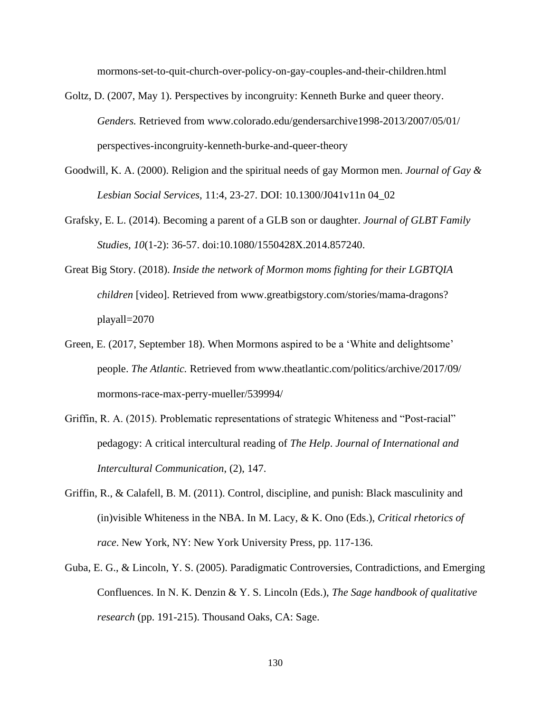mormons-set-to-quit-church-over-policy-on-gay-couples-and-their-children.html

- Goltz, D. (2007, May 1). Perspectives by incongruity: Kenneth Burke and queer theory. *Genders.* Retrieved from www.colorado.edu/gendersarchive1998-2013/2007/05/01/ perspectives-incongruity-kenneth-burke-and-queer-theory
- Goodwill, K. A. (2000). Religion and the spiritual needs of gay Mormon men. *Journal of Gay & Lesbian Social Services,* 11:4, 23-27. DOI: 10.1300/J041v11n 04\_02
- Grafsky, E. L. (2014). Becoming a parent of a GLB son or daughter. *Journal of GLBT Family Studies, 10*(1-2): 36-57. doi:10.1080/1550428X.2014.857240.
- Great Big Story. (2018). *Inside the network of Mormon moms fighting for their LGBTQIA children* [video]. Retrieved from www.greatbigstory.com/stories/mama-dragons? playall=2070
- Green, E. (2017, September 18). When Mormons aspired to be a 'White and delightsome' people. *The Atlantic.* Retrieved from www.theatlantic.com/politics/archive/2017/09/ mormons-race-max-perry-mueller/539994/
- Griffin, R. A. (2015). Problematic representations of strategic Whiteness and "Post-racial" pedagogy: A critical intercultural reading of *The Help*. *Journal of International and Intercultural Communication*, (2), 147.
- Griffin, R., & Calafell, B. M. (2011). Control, discipline, and punish: Black masculinity and (in)visible Whiteness in the NBA. In M. Lacy, & K. Ono (Eds.), *Critical rhetorics of race*. New York, NY: New York University Press, pp. 117-136.
- Guba, E. G., & Lincoln, Y. S. (2005). Paradigmatic Controversies, Contradictions, and Emerging Confluences. In N. K. Denzin & Y. S. Lincoln (Eds.), *The Sage handbook of qualitative research* (pp. 191-215). Thousand Oaks, CA: Sage.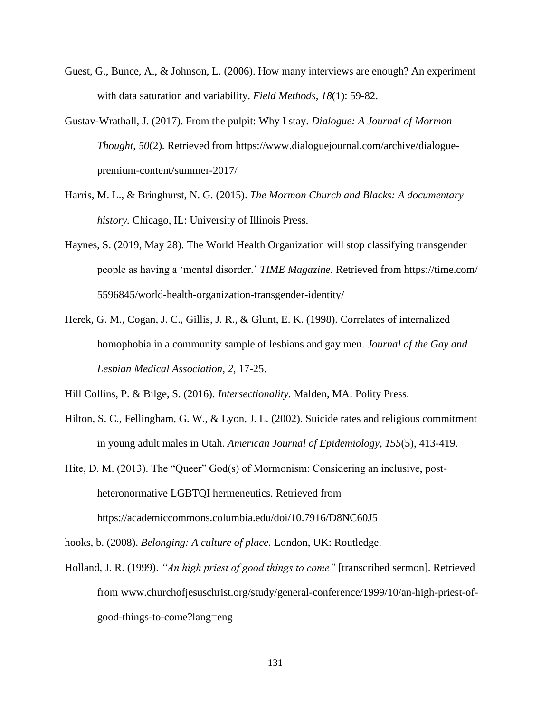- Guest, G., Bunce, A., & Johnson, L. (2006). How many interviews are enough? An experiment with data saturation and variability. *Field Methods, 18*(1): 59-82.
- Gustav-Wrathall, J. (2017). From the pulpit: Why I stay. *Dialogue: A Journal of Mormon Thought, 50*(2). Retrieved from https://www.dialoguejournal.com/archive/dialoguepremium-content/summer-2017/
- Harris, M. L., & Bringhurst, N. G. (2015). *The Mormon Church and Blacks: A documentary history.* Chicago, IL: University of Illinois Press.
- Haynes, S. (2019, May 28). The World Health Organization will stop classifying transgender people as having a 'mental disorder.' *TIME Magazine.* Retrieved from https://time.com/ 5596845/world-health-organization-transgender-identity/
- Herek, G. M., Cogan, J. C., Gillis, J. R., & Glunt, E. K. (1998). Correlates of internalized homophobia in a community sample of lesbians and gay men. *Journal of the Gay and Lesbian Medical Association, 2,* 17-25.

Hill Collins, P. & Bilge, S. (2016). *Intersectionality.* Malden, MA: Polity Press.

Hilton, S. C., Fellingham, G. W., & Lyon, J. L. (2002). Suicide rates and religious commitment in young adult males in Utah. *American Journal of Epidemiology*, *155*(5), 413-419.

Hite, D. M. (2013). The "Queer" God(s) of Mormonism: Considering an inclusive, postheteronormative LGBTQI hermeneutics. Retrieved from https://academiccommons.columbia.edu/doi/10.7916/D8NC60J5

hooks, b. (2008). *Belonging: A culture of place.* London, UK: Routledge.

Holland, J. R. (1999). *"An high priest of good things to come"* [transcribed sermon]. Retrieved from www.churchofjesuschrist.org/study/general-conference/1999/10/an-high-priest-ofgood-things-to-come?lang=eng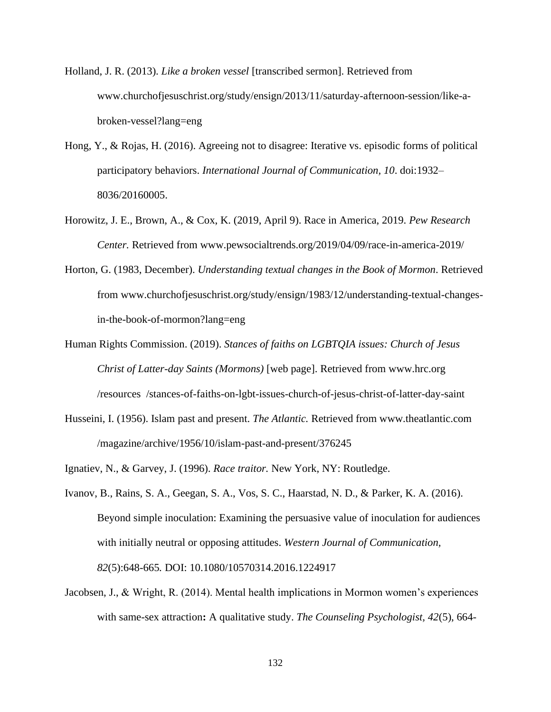- Holland, J. R. (2013). *Like a broken vessel* [transcribed sermon]. Retrieved from www.churchofjesuschrist.org/study/ensign/2013/11/saturday-afternoon-session/like-abroken-vessel?lang=eng
- Hong, Y., & Rojas, H. (2016). Agreeing not to disagree: Iterative vs. episodic forms of political participatory behaviors. *International Journal of Communication, 10*. doi:1932– 8036/20160005.
- Horowitz, J. E., Brown, A., & Cox, K. (2019, April 9). Race in America, 2019. *Pew Research Center.* Retrieved from www.pewsocialtrends.org/2019/04/09/race-in-america-2019/
- Horton, G. (1983, December). *Understanding textual changes in the Book of Mormon*. Retrieved from www.churchofjesuschrist.org/study/ensign/1983/12/understanding-textual-changesin-the-book-of-mormon?lang=eng
- Human Rights Commission. (2019). *Stances of faiths on LGBTQIA issues: Church of Jesus Christ of Latter-day Saints (Mormons)* [web page]. Retrieved from www.hrc.org /resources /stances-of-faiths-on-lgbt-issues-church-of-jesus-christ-of-latter-day-saint
- Husseini, I. (1956). Islam past and present. *The Atlantic.* Retrieved from www.theatlantic.com /magazine/archive/1956/10/islam-past-and-present/376245
- Ignatiev, N., & Garvey, J. (1996). *Race traitor.* New York, NY: Routledge.
- Ivanov, B., Rains, S. A., Geegan, S. A., Vos, S. C., Haarstad, N. D., & Parker, K. A. (2016). Beyond simple inoculation: Examining the persuasive value of inoculation for audiences with initially neutral or opposing attitudes. *Western Journal of Communication, 82*(5):648-665*.* DOI: 10.1080/10570314.2016.1224917
- Jacobsen, J., & Wright, R. (2014). Mental health implications in Mormon women's experiences with same-sex attraction**:** A qualitative study. *The Counseling Psychologist, 42*(5), 664-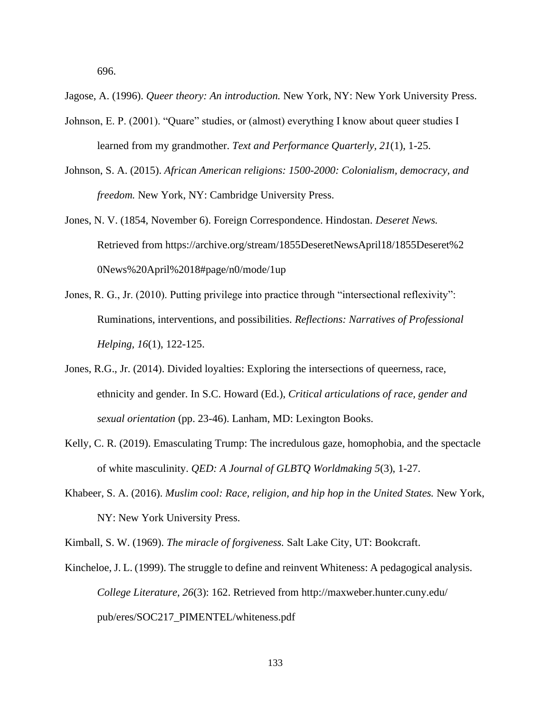696.

Jagose, A. (1996). *Queer theory: An introduction.* New York, NY: New York University Press.

- Johnson, E. P. (2001). "Quare" studies, or (almost) everything I know about queer studies I learned from my grandmother. *Text and Performance Quarterly, 21*(1), 1-25.
- Johnson, S. A. (2015). *African American religions: 1500-2000: Colonialism, democracy, and freedom.* New York, NY: Cambridge University Press.
- Jones, N. V. (1854, November 6). Foreign Correspondence. Hindostan. *Deseret News.*  Retrieved from https://archive.org/stream/1855DeseretNewsApril18/1855Deseret%2 0News%20April%2018#page/n0/mode/1up
- Jones, R. G., Jr. (2010). Putting privilege into practice through "intersectional reflexivity": Ruminations, interventions, and possibilities. *Reflections: Narratives of Professional Helping, 16*(1), 122-125.
- Jones, R.G., Jr. (2014). Divided loyalties: Exploring the intersections of queerness, race, ethnicity and gender. In S.C. Howard (Ed.), *Critical articulations of race, gender and sexual orientation* (pp. 23-46). Lanham, MD: Lexington Books.
- Kelly, C. R. (2019). Emasculating Trump: The incredulous gaze, homophobia, and the spectacle of white masculinity. *QED: A Journal of GLBTQ Worldmaking 5*(3), 1-27.
- Khabeer, S. A. (2016). *Muslim cool: Race, religion, and hip hop in the United States.* New York, NY: New York University Press.

Kimball, S. W. (1969). *The miracle of forgiveness.* Salt Lake City, UT: Bookcraft.

Kincheloe, J. L. (1999). The struggle to define and reinvent Whiteness: A pedagogical analysis. *College Literature, 26*(3): 162. Retrieved from http://maxweber.hunter.cuny.edu/ pub/eres/SOC217\_PIMENTEL/whiteness.pdf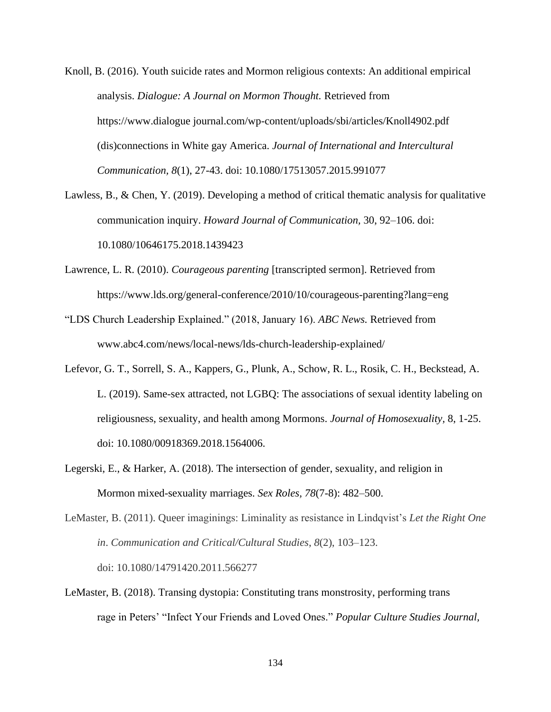- Knoll, B. (2016). Youth suicide rates and Mormon religious contexts: An additional empirical analysis. *Dialogue: A Journal on Mormon Thought.* Retrieved from https://www.dialogue journal.com/wp-content/uploads/sbi/articles/Knoll4902.pdf (dis)connections in White gay America. *Journal of International and Intercultural Communication, 8*(1), 27-43. doi: 10.1080/17513057.2015.991077
- Lawless, B., & Chen, Y. (2019). Developing a method of critical thematic analysis for qualitative communication inquiry. *Howard Journal of Communication,* 30, 92–106. doi: 10.1080/10646175.2018.1439423
- Lawrence, L. R. (2010). *Courageous parenting* [transcripted sermon]. Retrieved from https://www.lds.org/general-conference/2010/10/courageous-parenting?lang=eng
- "LDS Church Leadership Explained." (2018, January 16). *ABC News.* Retrieved from www.abc4.com/news/local-news/lds-church-leadership-explained/
- Lefevor, G. T., Sorrell, S. A., Kappers, G., Plunk, A., Schow, R. L., Rosik, C. H., Beckstead, A. L. (2019). Same-sex attracted, not LGBQ: The associations of sexual identity labeling on religiousness, sexuality, and health among Mormons. *Journal of Homosexuality,* 8, 1-25. doi: 10.1080/00918369.2018.1564006.
- Legerski, E., & Harker, A. (2018). The intersection of gender, sexuality, and religion in Mormon mixed-sexuality marriages. *Sex Roles, 78*(7-8): 482–500.
- LeMaster, B. (2011). Queer imaginings: Liminality as resistance in Lindqvist's *Let the Right One in*. *Communication and Critical/Cultural Studies*, *8*(2), 103–123. doi: 10.1080/14791420.2011.566277
- LeMaster, B. (2018). Transing dystopia: Constituting trans monstrosity, performing trans rage in Peters' "Infect Your Friends and Loved Ones." *Popular Culture Studies Journal,*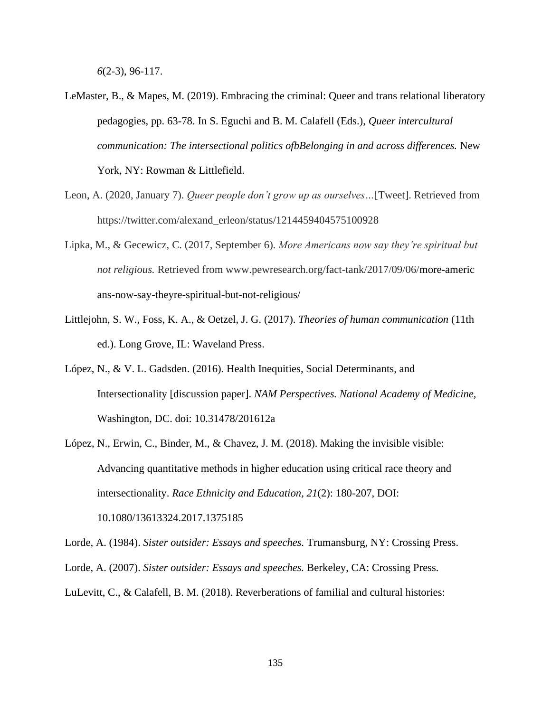*6*(2-3), 96-117.

- LeMaster, B., & Mapes, M. (2019). Embracing the criminal: Queer and trans relational liberatory pedagogies, pp. 63-78. In S. Eguchi and B. M. Calafell (Eds.), *Queer intercultural communication: The intersectional politics ofbBelonging in and across differences.* New York, NY: Rowman & Littlefield.
- Leon, A. (2020, January 7). *Queer people don't grow up as ourselves…*[Tweet]. Retrieved from https://twitter.com/alexand\_erleon/status/1214459404575100928
- Lipka, M., & Gecewicz, C. (2017, September 6). *More Americans now say they're spiritual but not religious.* Retrieved from www.pewresearch.org/fact-tank/2017/09/06/more-americ ans-now-say-theyre-spiritual-but-not-religious/
- Littlejohn, S. W., Foss, K. A., & Oetzel, J. G. (2017). *Theories of human communication* (11th ed.). Long Grove, IL: Waveland Press.
- López, N., & V. L. Gadsden. (2016). Health Inequities, Social Determinants, and Intersectionality [discussion paper]. *NAM Perspectives. National Academy of Medicine,* Washington, DC. doi: 10.31478/201612a
- López, N., Erwin, C., Binder, M., & Chavez, J. M. (2018). Making the invisible visible: Advancing quantitative methods in higher education using critical race theory and intersectionality. *Race Ethnicity and Education, 21*(2): 180-207, DOI: 10.1080/13613324.2017.1375185

Lorde, A. (1984). *Sister outsider: Essays and speeches.* Trumansburg, NY: Crossing Press. Lorde, A. (2007). *Sister outsider: Essays and speeches.* Berkeley, CA: Crossing Press. LuLevitt, C., & Calafell, B. M. (2018). Reverberations of familial and cultural histories: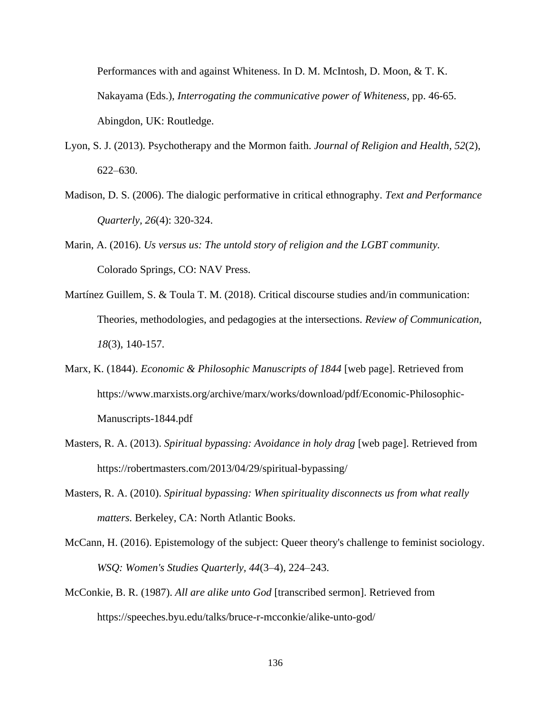Performances with and against Whiteness. In D. M. McIntosh, D. Moon, & T. K. Nakayama (Eds.), *Interrogating the communicative power of Whiteness,* pp. 46-65. Abingdon, UK: Routledge.

- Lyon, S. J. (2013). Psychotherapy and the Mormon faith. *Journal of Religion and Health, 52*(2), 622–630.
- Madison, D. S. (2006). The dialogic performative in critical ethnography. *Text and Performance Quarterly, 26*(4): 320-324.
- Marin, A. (2016). *Us versus us: The untold story of religion and the LGBT community.* Colorado Springs, CO: NAV Press.
- Martínez Guillem, S. & Toula T. M. (2018). Critical discourse studies and/in communication: Theories, methodologies, and pedagogies at the intersections. *Review of Communication, 18*(3), 140-157.
- Marx, K. (1844). *Economic & Philosophic Manuscripts of 1844* [web page]. Retrieved from https://www.marxists.org/archive/marx/works/download/pdf/Economic-Philosophic-Manuscripts-1844.pdf
- Masters, R. A. (2013). *Spiritual bypassing: Avoidance in holy drag* [web page]. Retrieved from https://robertmasters.com/2013/04/29/spiritual-bypassing/
- Masters, R. A. (2010). *Spiritual bypassing: When spirituality disconnects us from what really matters.* Berkeley, CA: North Atlantic Books.
- McCann, H. (2016). Epistemology of the subject: Queer theory's challenge to feminist sociology. *WSQ: Women's Studies Quarterly, 44*(3–4), 224–243.
- McConkie, B. R. (1987). *All are alike unto God* [transcribed sermon]. Retrieved from https://speeches.byu.edu/talks/bruce-r-mcconkie/alike-unto-god/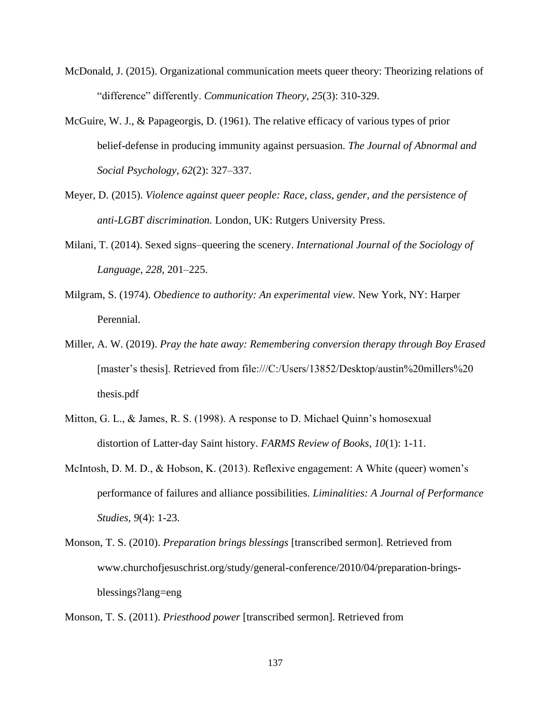- McDonald, J. (2015). Organizational communication meets queer theory: Theorizing relations of "difference" differently. *Communication Theory, 25*(3): 310-329.
- McGuire, W. J., & Papageorgis, D. (1961). The relative efficacy of various types of prior belief-defense in producing immunity against persuasion. *The Journal of Abnormal and Social Psychology*, *62*(2): 327–337.
- Meyer, D. (2015). *Violence against queer people: Race, class, gender, and the persistence of anti-LGBT discrimination.* London, UK: Rutgers University Press.
- Milani, T. (2014). Sexed signs–queering the scenery. *International Journal of the Sociology of Language, 228,* 201–225.
- Milgram, S. (1974). *Obedience to authority: An experimental view.* New York, NY: Harper Perennial.
- Miller, A. W. (2019). *Pray the hate away: Remembering conversion therapy through Boy Erased* [master's thesis]. Retrieved from file:///C:/Users/13852/Desktop/austin%20millers%20 thesis.pdf
- Mitton, G. L., & James, R. S. (1998). A response to D. Michael Quinn's homosexual distortion of Latter-day Saint history. *FARMS Review of Books, 10*(1): 1-11.
- McIntosh, D. M. D., & Hobson, K. (2013). Reflexive engagement: A White (queer) women's performance of failures and alliance possibilities. *Liminalities: A Journal of Performance Studies, 9*(4): 1-23.
- Monson, T. S. (2010). *Preparation brings blessings* [transcribed sermon]. Retrieved from www.churchofjesuschrist.org/study/general-conference/2010/04/preparation-bringsblessings?lang=eng

Monson, T. S. (2011). *Priesthood power* [transcribed sermon]. Retrieved from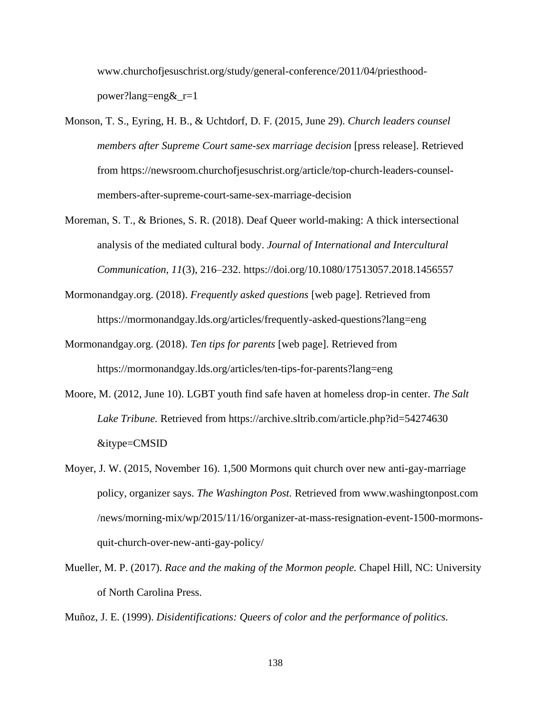www.churchofjesuschrist.org/study/general-conference/2011/04/priesthoodpower?lang=eng&\_r=1

- Monson, T. S., Eyring, H. B., & Uchtdorf, D. F. (2015, June 29). *Church leaders counsel members after Supreme Court same-sex marriage decision* [press release]. Retrieved from https://newsroom.churchofjesuschrist.org/article/top-church-leaders-counselmembers-after-supreme-court-same-sex-marriage-decision
- Moreman, S. T., & Briones, S. R. (2018). Deaf Queer world-making: A thick intersectional analysis of the mediated cultural body. *Journal of International and Intercultural Communication, 11*(3), 216–232. https://doi.org/10.1080/17513057.2018.1456557
- Mormonandgay.org. (2018). *Frequently asked questions* [web page]. Retrieved from https://mormonandgay.lds.org/articles/frequently-asked-questions?lang=eng
- Mormonandgay.org. (2018). *Ten tips for parents* [web page]. Retrieved from https://mormonandgay.lds.org/articles/ten-tips-for-parents?lang=eng
- Moore, M. (2012, June 10). LGBT youth find safe haven at homeless drop-in center. *The Salt Lake Tribune.* Retrieved from https://archive.sltrib.com/article.php?id=54274630 &itype=CMSID
- Moyer, J. W. (2015, November 16). 1,500 Mormons quit church over new anti-gay-marriage policy, organizer says. *The Washington Post.* Retrieved from www.washingtonpost.com /news/morning-mix/wp/2015/11/16/organizer-at-mass-resignation-event-1500-mormonsquit-church-over-new-anti-gay-policy/
- Mueller, M. P. (2017). *Race and the making of the Mormon people.* Chapel Hill, NC: University of North Carolina Press.

Muñoz, J. E. (1999). *Disidentifications: Queers of color and the performance of politics.*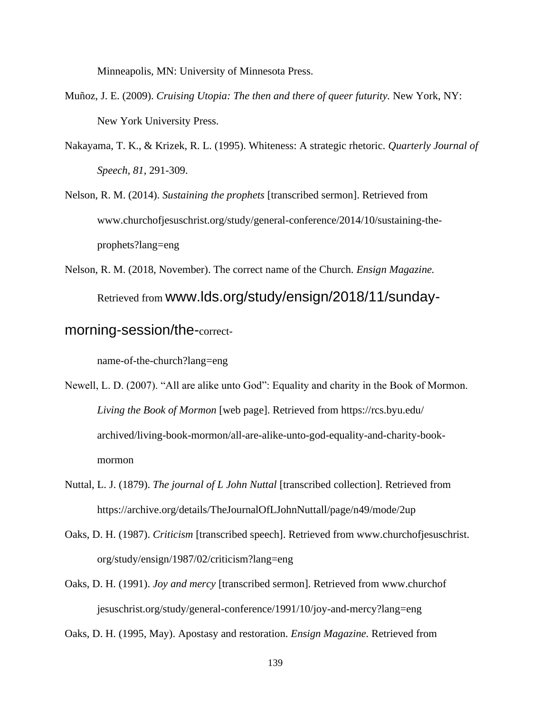Minneapolis, MN: University of Minnesota Press.

- Muñoz, J. E. (2009). *Cruising Utopia: The then and there of queer futurity.* New York, NY: New York University Press.
- Nakayama, T. K., & Krizek, R. L. (1995). Whiteness: A strategic rhetoric. *Quarterly Journal of Speech, 81*, 291-309.

Nelson, R. M. (2014). *Sustaining the prophets* [transcribed sermon]. Retrieved from www.churchofjesuschrist.org/study/general-conference/2014/10/sustaining-theprophets?lang=eng

Nelson, R. M. (2018, November). The correct name of the Church. *Ensign Magazine.*  Retrieved from www.lds.org/study/ensign/2018/11/sunday-

# morning-session/the-correct-

name-of-the-church?lang=eng

Newell, L. D. (2007). "All are alike unto God": Equality and charity in the Book of Mormon. *Living the Book of Mormon* [web page]. Retrieved from https://rcs.byu.edu/ archived/living-book-mormon/all-are-alike-unto-god-equality-and-charity-bookmormon

- Nuttal, L. J. (1879). *The journal of L John Nuttal* [transcribed collection]. Retrieved from https://archive.org/details/TheJournalOfLJohnNuttall/page/n49/mode/2up
- Oaks, D. H. (1987). *Criticism* [transcribed speech]. Retrieved from www.churchofjesuschrist. org/study/ensign/1987/02/criticism?lang=eng
- Oaks, D. H. (1991). *Joy and mercy* [transcribed sermon]. Retrieved from www.churchof jesuschrist.org/study/general-conference/1991/10/joy-and-mercy?lang=eng

Oaks, D. H. (1995, May). Apostasy and restoration. *Ensign Magazine.* Retrieved from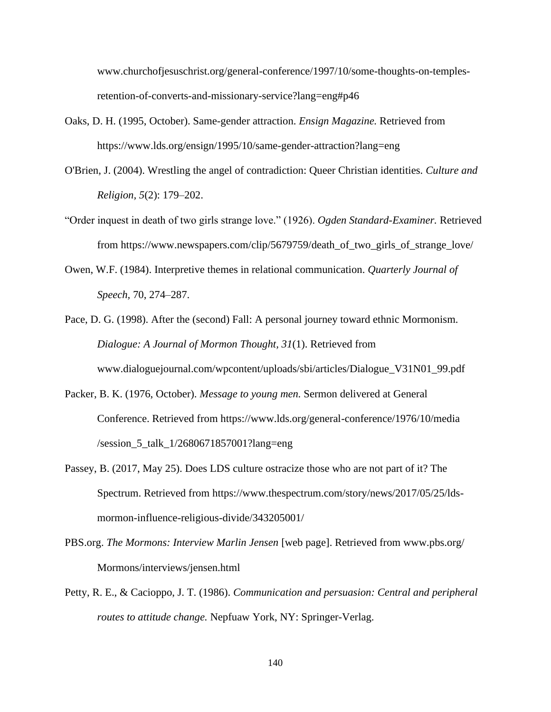www.churchofjesuschrist.org/general-conference/1997/10/some-thoughts-on-templesretention-of-converts-and-missionary-service?lang=eng#p46

- Oaks, D. H. (1995, October). Same-gender attraction. *Ensign Magazine.* Retrieved from https://www.lds.org/ensign/1995/10/same-gender-attraction?lang=eng
- O'Brien, J. (2004). Wrestling the angel of contradiction: Queer Christian identities. *Culture and Religion, 5*(2): 179–202.
- "Order inquest in death of two girls strange love." (1926). *Ogden Standard-Examiner.* Retrieved from https://www.newspapers.com/clip/5679759/death\_of\_two\_girls\_of\_strange\_love/
- Owen, W.F. (1984). Interpretive themes in relational communication. *Quarterly Journal of Speech,* 70, 274–287.
- Pace, D. G. (1998). After the (second) Fall: A personal journey toward ethnic Mormonism. *Dialogue: A Journal of Mormon Thought, 31*(1). Retrieved from www.dialoguejournal.com/wpcontent/uploads/sbi/articles/Dialogue\_V31N01\_99.pdf
- Packer, B. K. (1976, October). *Message to young men.* Sermon delivered at General Conference. Retrieved from https://www.lds.org/general-conference/1976/10/media /session\_5\_talk\_1/2680671857001?lang=eng
- Passey, B. (2017, May 25). Does LDS culture ostracize those who are not part of it? The Spectrum. Retrieved from https://www.thespectrum.com/story/news/2017/05/25/ldsmormon-influence-religious-divide/343205001/
- PBS.org. *The Mormons: Interview Marlin Jensen* [web page]. Retrieved from www.pbs.org/ Mormons/interviews/jensen.html
- Petty, R. E., & Cacioppo, J. T. (1986). *Communication and persuasion: Central and peripheral routes to attitude change.* Nepfuaw York, NY: Springer-Verlag.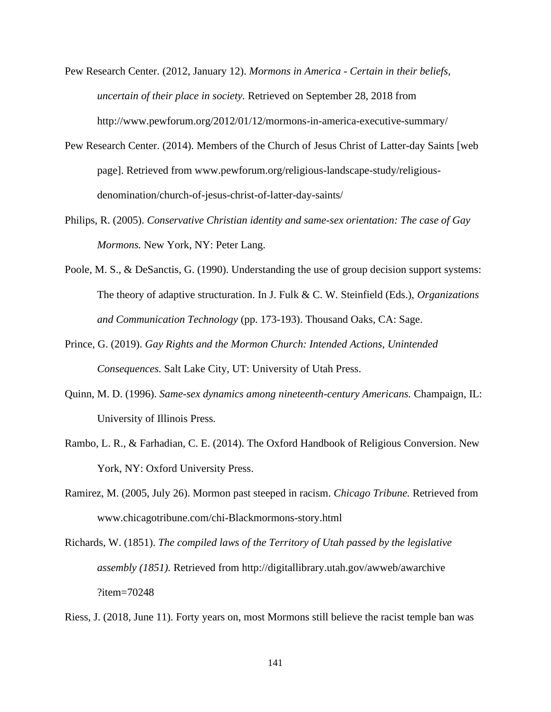- Pew Research Center. (2012, January 12). *Mormons in America - Certain in their beliefs, uncertain of their place in society.* Retrieved on September 28, 2018 from http://www.pewforum.org/2012/01/12/mormons-in-america-executive-summary/
- Pew Research Center. (2014). Members of the Church of Jesus Christ of Latter-day Saints [web page]. Retrieved from www.pewforum.org/religious-landscape-study/religiousdenomination/church-of-jesus-christ-of-latter-day-saints/
- Philips, R. (2005). *Conservative Christian identity and same-sex orientation: The case of Gay Mormons.* New York, NY: Peter Lang.
- Poole, M. S., & DeSanctis, G. (1990). Understanding the use of group decision support systems: The theory of adaptive structuration. In J. Fulk & C. W. Steinfield (Eds.), *Organizations and Communication Technology* (pp. 173-193). Thousand Oaks, CA: Sage.
- Prince, G. (2019). *Gay Rights and the Mormon Church: Intended Actions, Unintended Consequences.* Salt Lake City, UT: University of Utah Press.
- Quinn, M. D. (1996). *Same-sex dynamics among nineteenth-century Americans.* Champaign, IL: University of Illinois Press*.*
- Rambo, L. R., & Farhadian, C. E. (2014). The Oxford Handbook of Religious Conversion. New York, NY: Oxford University Press.
- Ramirez, M. (2005, July 26). Mormon past steeped in racism. *Chicago Tribune.* Retrieved from www.chicagotribune.com/chi-Blackmormons-story.html
- Richards, W. (1851). *The compiled laws of the Territory of Utah passed by the legislative assembly (1851).* Retrieved from http://digitallibrary.utah.gov/awweb/awarchive ?item=70248

Riess, J. (2018, June 11). Forty years on, most Mormons still believe the racist temple ban was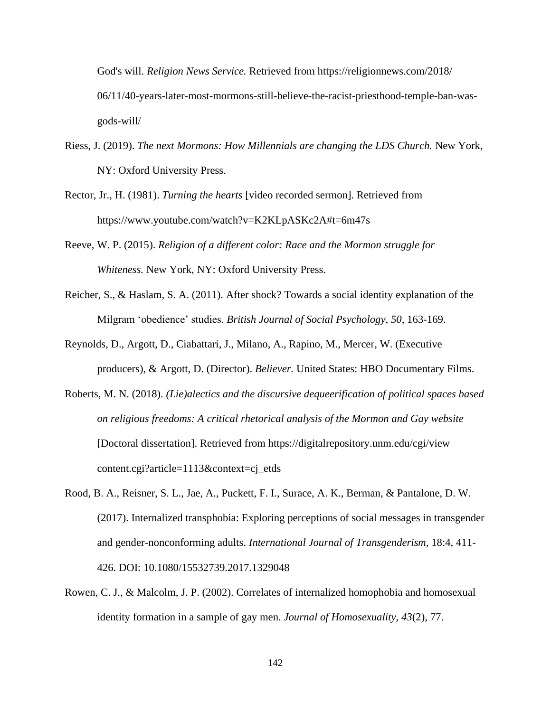God's will. *Religion News Service.* Retrieved from https://religionnews.com/2018/ 06/11/40-years-later-most-mormons-still-believe-the-racist-priesthood-temple-ban-wasgods-will/

- Riess, J. (2019). *The next Mormons: How Millennials are changing the LDS Church.* New York, NY: Oxford University Press.
- Rector, Jr., H. (1981). *Turning the hearts* [video recorded sermon]. Retrieved from https://www.youtube.com/watch?v=K2KLpASKc2A#t=6m47s
- Reeve, W. P. (2015). *Religion of a different color: Race and the Mormon struggle for Whiteness.* New York, NY: Oxford University Press.
- Reicher, S., & Haslam, S. A. (2011). After shock? Towards a social identity explanation of the Milgram 'obedience' studies. *British Journal of Social Psychology, 50,* 163-169.
- Reynolds, D., Argott, D., Ciabattari, J., Milano, A., Rapino, M., Mercer, W. (Executive producers), & Argott, D. (Director). *Believer.* United States: HBO Documentary Films.
- Roberts, M. N. (2018). *(Lie)alectics and the discursive dequeerification of political spaces based on religious freedoms: A critical rhetorical analysis of the Mormon and Gay website*  [Doctoral dissertation]. Retrieved from https://digitalrepository.unm.edu/cgi/view content.cgi?article=1113&context=cj\_etds
- Rood, B. A., Reisner, S. L., Jae, A., Puckett, F. I., Surace, A. K., Berman, & Pantalone, D. W. (2017). Internalized transphobia: Exploring perceptions of social messages in transgender and gender-nonconforming adults. *International Journal of Transgenderism,* 18:4, 411- 426. DOI: 10.1080/15532739.2017.1329048
- Rowen, C. J., & Malcolm, J. P. (2002). Correlates of internalized homophobia and homosexual identity formation in a sample of gay men. *Journal of Homosexuality, 43*(2), 77.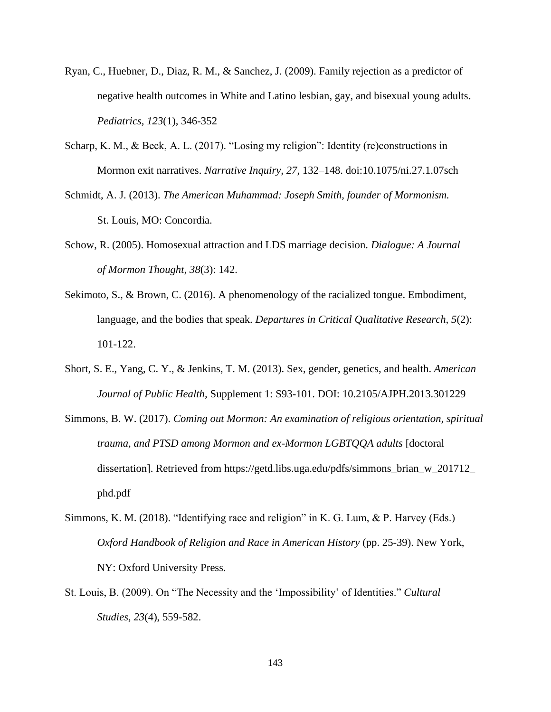- Ryan, C., Huebner, D., Diaz, R. M., & Sanchez, J. (2009). Family rejection as a predictor of negative health outcomes in White and Latino lesbian, gay, and bisexual young adults. *Pediatrics, 123*(1), 346-352
- Scharp, K. M., & Beck, A. L. (2017). "Losing my religion": Identity (re)constructions in Mormon exit narratives. *Narrative Inquiry, 27,* 132–148. doi:10.1075/ni.27.1.07sch
- Schmidt, A. J. (2013). *The American Muhammad: Joseph Smith, founder of Mormonism.*  St. Louis, MO: Concordia.
- Schow, R. (2005). Homosexual attraction and LDS marriage decision. *Dialogue: A Journal of Mormon Thought*, *38*(3): 142.
- Sekimoto, S., & Brown, C. (2016). A phenomenology of the racialized tongue. Embodiment, language, and the bodies that speak. *Departures in Critical Qualitative Research, 5*(2): 101-122.
- Short, S. E., Yang, C. Y., & Jenkins, T. M. (2013). Sex, gender, genetics, and health. *American Journal of Public Health,* Supplement 1: S93-101. DOI: 10.2105/AJPH.2013.301229
- Simmons, B. W. (2017). *Coming out Mormon: An examination of religious orientation, spiritual trauma, and PTSD among Mormon and ex-Mormon LGBTQQA adults* [doctoral dissertation]. Retrieved from https://getd.libs.uga.edu/pdfs/simmons\_brian\_w\_201712\_ phd.pdf
- Simmons, K. M. (2018). "Identifying race and religion" in K. G. Lum, & P. Harvey (Eds.) *Oxford Handbook of Religion and Race in American History* (pp. 25-39). New York, NY: Oxford University Press.
- St. Louis, B. (2009). On "The Necessity and the 'Impossibility' of Identities." *Cultural Studies, 23*(4), 559-582.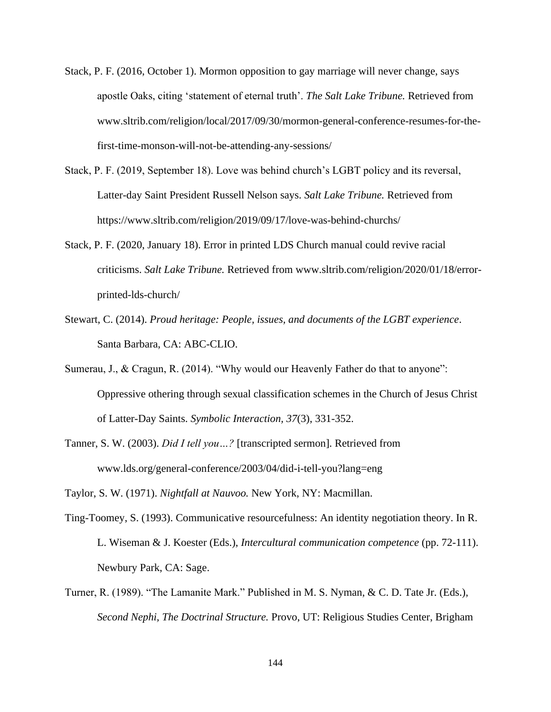- Stack, P. F. (2016, October 1). Mormon opposition to gay marriage will never change, says apostle Oaks, citing 'statement of eternal truth'. *The Salt Lake Tribune.* Retrieved from www.sltrib.com/religion/local/2017/09/30/mormon-general-conference-resumes-for-thefirst-time-monson-will-not-be-attending-any-sessions/
- Stack, P. F. (2019, September 18). Love was behind church's LGBT policy and its reversal, Latter-day Saint President Russell Nelson says. *Salt Lake Tribune.* Retrieved from https://www.sltrib.com/religion/2019/09/17/love-was-behind-churchs/
- Stack, P. F. (2020, January 18). Error in printed LDS Church manual could revive racial criticisms. *Salt Lake Tribune.* Retrieved from www.sltrib.com/religion/2020/01/18/errorprinted-lds-church/
- Stewart, C. (2014). *Proud heritage: People, issues, and documents of the LGBT experience*. Santa Barbara, CA: ABC-CLIO.
- Sumerau, J., & Cragun, R. (2014). "Why would our Heavenly Father do that to anyone": Oppressive othering through sexual classification schemes in the Church of Jesus Christ of Latter-Day Saints. *Symbolic Interaction, 37*(3), 331-352.
- Tanner, S. W. (2003). *Did I tell you…?* [transcripted sermon]. Retrieved from www.lds.org/general-conference/2003/04/did-i-tell-you?lang=eng

Taylor, S. W. (1971). *Nightfall at Nauvoo.* New York, NY: Macmillan.

- Ting-Toomey, S. (1993). Communicative resourcefulness: An identity negotiation theory. In R. L. Wiseman & J. Koester (Eds.), *Intercultural communication competence* (pp. 72-111). Newbury Park, CA: Sage.
- Turner, R. (1989). "The Lamanite Mark." Published in M. S. Nyman, & C. D. Tate Jr. (Eds.), *Second Nephi, The Doctrinal Structure.* Provo, UT: Religious Studies Center, Brigham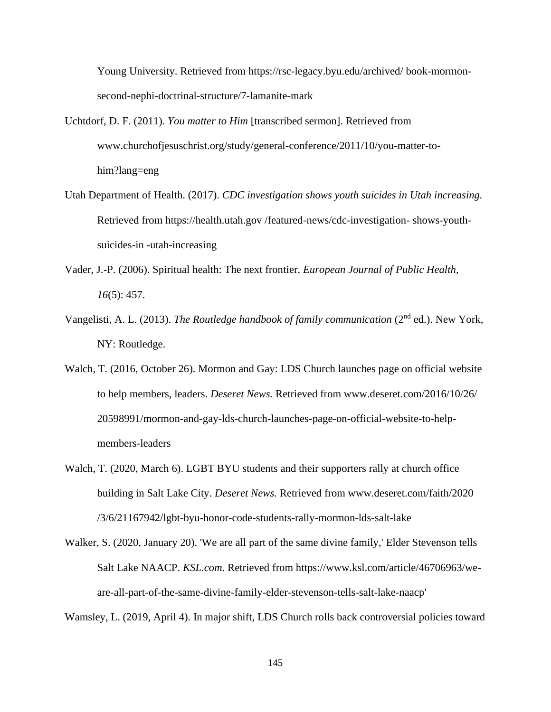Young University. Retrieved from https://rsc-legacy.byu.edu/archived/ book-mormonsecond-nephi-doctrinal-structure/7-lamanite-mark

- Uchtdorf, D. F. (2011). *You matter to Him* [transcribed sermon]. Retrieved from www.churchofjesuschrist.org/study/general-conference/2011/10/you-matter-tohim?lang=eng
- Utah Department of Health. (2017). *CDC investigation shows youth suicides in Utah increasing.* Retrieved from https://health.utah.gov /featured-news/cdc-investigation- shows-youthsuicides-in -utah-increasing
- Vader, J.-P. (2006). Spiritual health: The next frontier. *European Journal of Public Health, 16*(5): 457.
- Vangelisti, A. L. (2013). *The Routledge handbook of family communication* (2<sup>nd</sup> ed.). New York, NY: Routledge.
- Walch, T. (2016, October 26). Mormon and Gay: LDS Church launches page on official website to help members, leaders. *Deseret News.* Retrieved from www.deseret.com/2016/10/26/ 20598991/mormon-and-gay-lds-church-launches-page-on-official-website-to-helpmembers-leaders
- Walch, T. (2020, March 6). LGBT BYU students and their supporters rally at church office building in Salt Lake City. *Deseret News.* Retrieved from www.deseret.com/faith/2020 /3/6/21167942/lgbt-byu-honor-code-students-rally-mormon-lds-salt-lake
- Walker, S. (2020, January 20). 'We are all part of the same divine family,' Elder Stevenson tells Salt Lake NAACP. *KSL.com.* Retrieved from https://www.ksl.com/article/46706963/weare-all-part-of-the-same-divine-family-elder-stevenson-tells-salt-lake-naacp'

Wamsley, L. (2019, April 4). In major shift, LDS Church rolls back controversial policies toward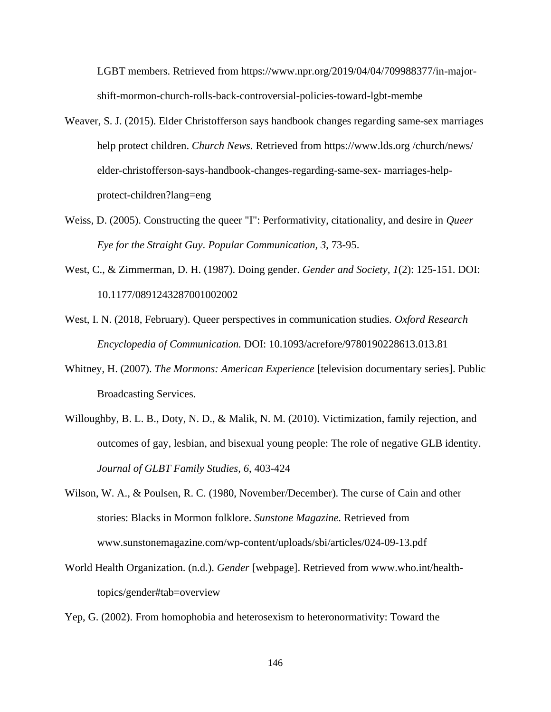LGBT members. Retrieved from https://www.npr.org/2019/04/04/709988377/in-majorshift-mormon-church-rolls-back-controversial-policies-toward-lgbt-membe

- Weaver, S. J. (2015). Elder Christofferson says handbook changes regarding same-sex marriages help protect children. *Church News.* Retrieved from https://www.lds.org /church/news/ elder-christofferson-says-handbook-changes-regarding-same-sex- marriages-helpprotect-children?lang=eng
- Weiss, D. (2005). Constructing the queer "I": Performativity, citationality, and desire in *Queer Eye for the Straight Guy*. *Popular Communication, 3*, 73-95.
- West, C., & Zimmerman, D. H. (1987). Doing gender. *Gender and Society, 1*(2): 125-151. DOI: 10.1177/0891243287001002002
- West, I. N. (2018, February). Queer perspectives in communication studies. *Oxford Research Encyclopedia of Communication.* DOI: 10.1093/acrefore/9780190228613.013.81
- Whitney, H. (2007). *The Mormons: American Experience* [television documentary series]. Public Broadcasting Services.
- Willoughby, B. L. B., Doty, N. D., & Malik, N. M. (2010). Victimization, family rejection, and outcomes of gay, lesbian, and bisexual young people: The role of negative GLB identity. *Journal of GLBT Family Studies, 6*, 403-424
- Wilson, W. A., & Poulsen, R. C. (1980, November/December). The curse of Cain and other stories: Blacks in Mormon folklore. *Sunstone Magazine.* Retrieved from www.sunstonemagazine.com/wp-content/uploads/sbi/articles/024-09-13.pdf
- World Health Organization. (n.d.). *Gender* [webpage]. Retrieved from www.who.int/healthtopics/gender#tab=overview

Yep, G. (2002). From homophobia and heterosexism to heteronormativity: Toward the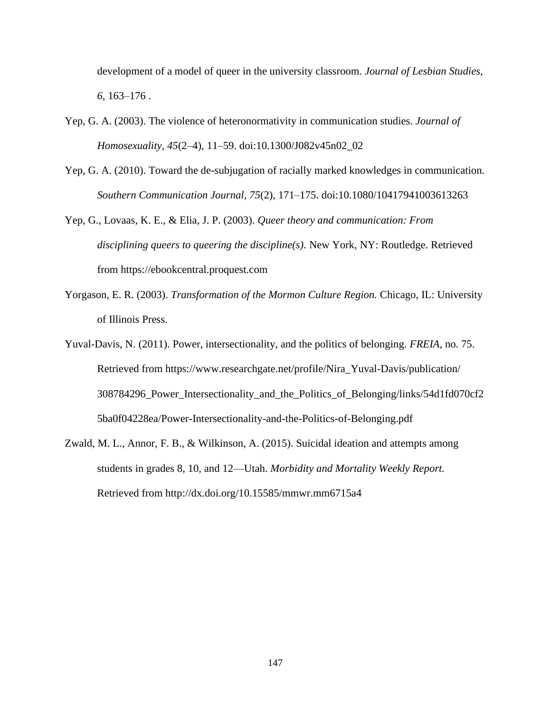development of a model of queer in the university classroom. *Journal of Lesbian Studies, 6,* 163–176 .

- Yep, G. A. (2003). The violence of heteronormativity in communication studies. *Journal of Homosexuality, 45*(2–4), 11–59. doi:10.1300/J082v45n02\_02
- Yep, G. A. (2010). Toward the de-subjugation of racially marked knowledges in communication. *Southern Communication Journal, 75*(2), 171–175. doi:10.1080/10417941003613263
- Yep, G., Lovaas, K. E., & Elia, J. P. (2003). *Queer theory and communication: From disciplining queers to queering the discipline(s).* New York, NY: Routledge. Retrieved from https://ebookcentral.proquest.com
- Yorgason, E. R. (2003). *Transformation of the Mormon Culture Region.* Chicago, IL: University of Illinois Press.
- Yuval-Davis, N. (2011). Power, intersectionality, and the politics of belonging. *FREIA,* no. 75. Retrieved from https://www.researchgate.net/profile/Nira\_Yuval-Davis/publication/ 308784296\_Power\_Intersectionality\_and\_the\_Politics\_of\_Belonging/links/54d1fd070cf2 5ba0f04228ea/Power-Intersectionality-and-the-Politics-of-Belonging.pdf
- Zwald, M. L., Annor, F. B., & Wilkinson, A. (2015). Suicidal ideation and attempts among students in grades 8, 10, and 12—Utah. *Morbidity and Mortality Weekly Report.*  Retrieved from http://dx.doi.org/10.15585/mmwr.mm6715a4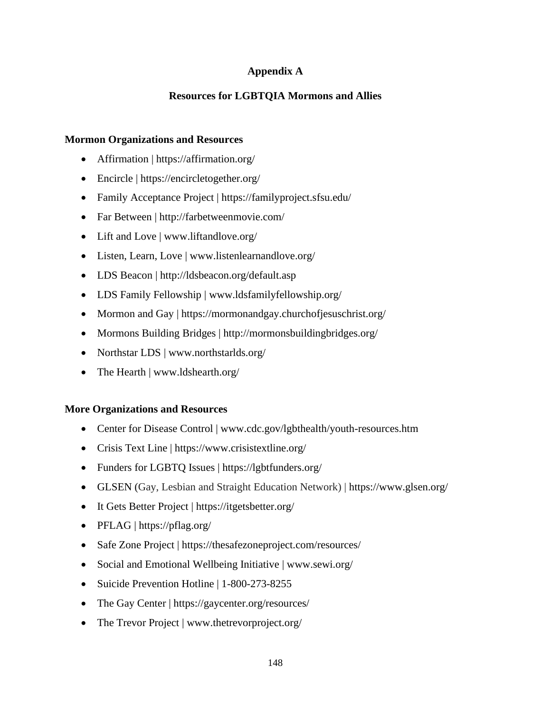## **Appendix A**

## **Resources for LGBTQIA Mormons and Allies**

#### **Mormon Organizations and Resources**

- Affirmation | https://affirmation.org/
- Encircle | https://encircletogether.org/
- Family Acceptance Project | https://familyproject.sfsu.edu/
- Far Between | http://farbetweenmovie.com/
- Lift and Love | www.liftandlove.org/
- Listen, Learn, Love | www.listenlearnandlove.org/
- LDS Beacon | http://ldsbeacon.org/default.asp
- LDS Family Fellowship | www.ldsfamilyfellowship.org/
- Mormon and Gay | https://mormonandgay.churchofjesuschrist.org/
- Mormons Building Bridges | http://mormonsbuildingbridges.org/
- Northstar LDS | www.northstarlds.org/
- The Hearth | www.ldshearth.org/

### **More Organizations and Resources**

- Center for Disease Control | www.cdc.gov/lgbthealth/youth-resources.htm
- Crisis Text Line | https://www.crisistextline.org/
- Funders for LGBTQ Issues | https://lgbtfunders.org/
- GLSEN (Gay, Lesbian and Straight Education Network) | https://www.glsen.org/
- It Gets Better Project | https://itgetsbetter.org/
- PFLAG | https://pflag.org/
- Safe Zone Project | https://thesafezoneproject.com/resources/
- Social and Emotional Wellbeing Initiative | www.sewi.org/
- Suicide Prevention Hotline | 1-800-273-8255
- The Gay Center | https://gaycenter.org/resources/
- The Trevor Project | www.thetrevorproject.org/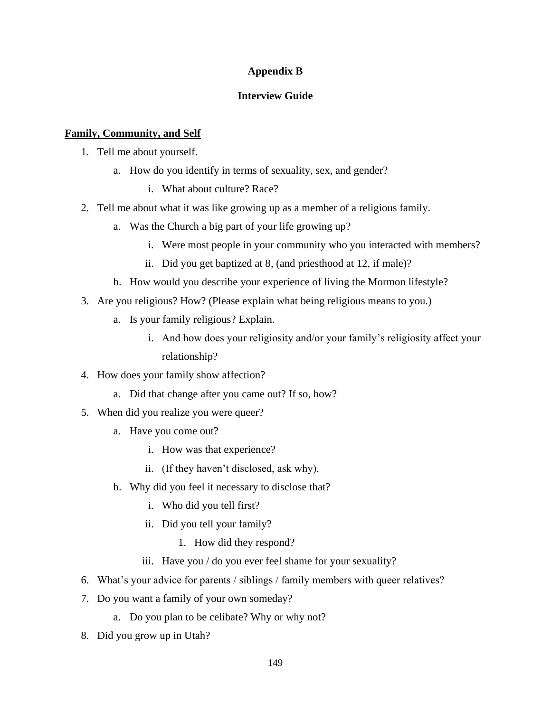### **Appendix B**

## **Interview Guide**

# **Family, Community, and Self**

- 1. Tell me about yourself.
	- a. How do you identify in terms of sexuality, sex, and gender?
		- i. What about culture? Race?
- 2. Tell me about what it was like growing up as a member of a religious family.
	- a. Was the Church a big part of your life growing up?
		- i. Were most people in your community who you interacted with members?
		- ii. Did you get baptized at 8, (and priesthood at 12, if male)?
	- b. How would you describe your experience of living the Mormon lifestyle?
- 3. Are you religious? How? (Please explain what being religious means to you.)
	- a. Is your family religious? Explain.
		- i. And how does your religiosity and/or your family's religiosity affect your relationship?
- 4. How does your family show affection?
	- a. Did that change after you came out? If so, how?
- 5. When did you realize you were queer?
	- a. Have you come out?
		- i. How was that experience?
		- ii. (If they haven't disclosed, ask why).
	- b. Why did you feel it necessary to disclose that?
		- i. Who did you tell first?
		- ii. Did you tell your family?
			- 1. How did they respond?
		- iii. Have you / do you ever feel shame for your sexuality?
- 6. What's your advice for parents / siblings / family members with queer relatives?
- 7. Do you want a family of your own someday?
	- a. Do you plan to be celibate? Why or why not?
- 8. Did you grow up in Utah?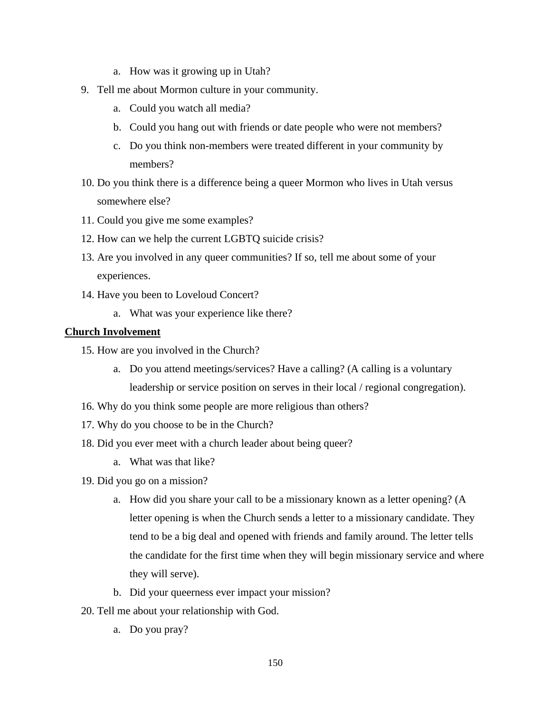- a. How was it growing up in Utah?
- 9. Tell me about Mormon culture in your community.
	- a. Could you watch all media?
	- b. Could you hang out with friends or date people who were not members?
	- c. Do you think non-members were treated different in your community by members?
- 10. Do you think there is a difference being a queer Mormon who lives in Utah versus somewhere else?
- 11. Could you give me some examples?
- 12. How can we help the current LGBTQ suicide crisis?
- 13. Are you involved in any queer communities? If so, tell me about some of your experiences.
- 14. Have you been to Loveloud Concert?
	- a. What was your experience like there?

#### **Church Involvement**

- 15. How are you involved in the Church?
	- a. Do you attend meetings/services? Have a calling? (A calling is a voluntary leadership or service position on serves in their local / regional congregation).
- 16. Why do you think some people are more religious than others?
- 17. Why do you choose to be in the Church?
- 18. Did you ever meet with a church leader about being queer?
	- a. What was that like?
- 19. Did you go on a mission?
	- a. How did you share your call to be a missionary known as a letter opening? (A letter opening is when the Church sends a letter to a missionary candidate. They tend to be a big deal and opened with friends and family around. The letter tells the candidate for the first time when they will begin missionary service and where they will serve).
	- b. Did your queerness ever impact your mission?
- 20. Tell me about your relationship with God.
	- a. Do you pray?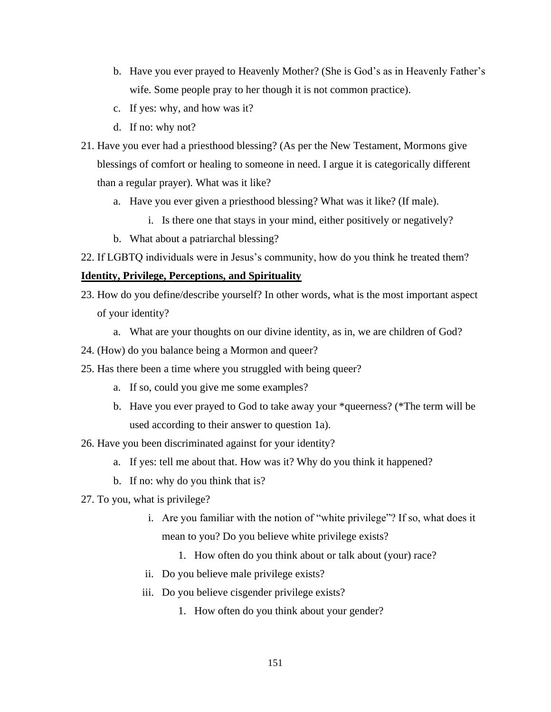- b. Have you ever prayed to Heavenly Mother? (She is God's as in Heavenly Father's wife. Some people pray to her though it is not common practice).
- c. If yes: why, and how was it?
- d. If no: why not?
- 21. Have you ever had a priesthood blessing? (As per the New Testament, Mormons give blessings of comfort or healing to someone in need. I argue it is categorically different than a regular prayer). What was it like?
	- a. Have you ever given a priesthood blessing? What was it like? (If male).
		- i. Is there one that stays in your mind, either positively or negatively?
	- b. What about a patriarchal blessing?
- 22. If LGBTQ individuals were in Jesus's community, how do you think he treated them?

#### **Identity, Privilege, Perceptions, and Spirituality**

- 23. How do you define/describe yourself? In other words, what is the most important aspect of your identity?
	- a. What are your thoughts on our divine identity, as in, we are children of God?
- 24. (How) do you balance being a Mormon and queer?
- 25. Has there been a time where you struggled with being queer?
	- a. If so, could you give me some examples?
	- b. Have you ever prayed to God to take away your \*queerness? (\*The term will be used according to their answer to question 1a).
- 26. Have you been discriminated against for your identity?
	- a. If yes: tell me about that. How was it? Why do you think it happened?
	- b. If no: why do you think that is?
- 27. To you, what is privilege?
	- i. Are you familiar with the notion of "white privilege"? If so, what does it mean to you? Do you believe white privilege exists?
		- 1. How often do you think about or talk about (your) race?
	- ii. Do you believe male privilege exists?
	- iii. Do you believe cisgender privilege exists?
		- 1. How often do you think about your gender?